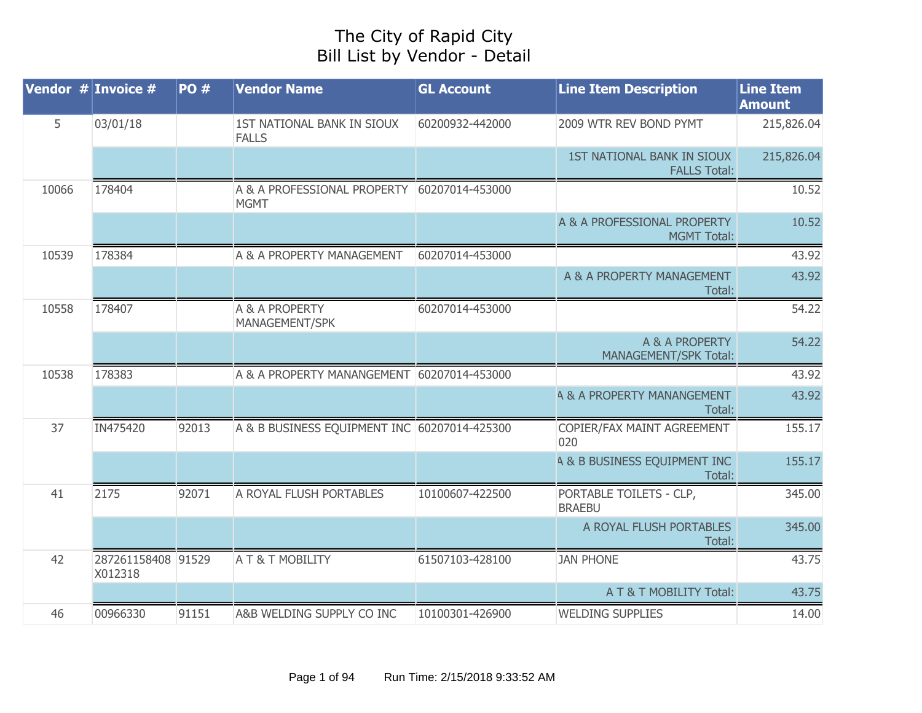## The City of Rapid City Bill List by Vendor - Detail

| Vendor $#$ Invoice $#$ |                               | <b>PO#</b> | <b>Vendor Name</b>                           | <b>GL Account</b> | <b>Line Item Description</b>                      | <b>Line Item</b><br><b>Amount</b> |
|------------------------|-------------------------------|------------|----------------------------------------------|-------------------|---------------------------------------------------|-----------------------------------|
| 5                      | 03/01/18                      |            | 1ST NATIONAL BANK IN SIOUX<br><b>FALLS</b>   | 60200932-442000   | 2009 WTR REV BOND PYMT                            | 215,826.04                        |
|                        |                               |            |                                              |                   | 1ST NATIONAL BANK IN SIOUX<br><b>FALLS Total:</b> | 215,826.04                        |
| 10066                  | 178404                        |            | A & A PROFESSIONAL PROPERTY<br><b>MGMT</b>   | 60207014-453000   |                                                   | 10.52                             |
|                        |                               |            |                                              |                   | A & A PROFESSIONAL PROPERTY<br><b>MGMT Total:</b> | 10.52                             |
| 10539                  | 178384                        |            | A & A PROPERTY MANAGEMENT                    | 60207014-453000   |                                                   | 43.92                             |
|                        |                               |            |                                              |                   | A & A PROPERTY MANAGEMENT<br>Total:               | 43.92                             |
| 10558                  | 178407                        |            | A & A PROPERTY<br>MANAGEMENT/SPK             | 60207014-453000   |                                                   | 54.22                             |
|                        |                               |            |                                              |                   | A & A PROPERTY<br><b>MANAGEMENT/SPK Total:</b>    | 54.22                             |
| 10538                  | 178383                        |            | A & A PROPERTY MANANGEMENT 60207014-453000   |                   |                                                   | 43.92                             |
|                        |                               |            |                                              |                   | <b>4 &amp; A PROPERTY MANANGEMENT</b><br>Total:   | 43.92                             |
| 37                     | IN475420                      | 92013      | A & B BUSINESS EQUIPMENT INC 60207014-425300 |                   | COPIER/FAX MAINT AGREEMENT<br>020                 | 155.17                            |
|                        |                               |            |                                              |                   | <b>4 &amp; B BUSINESS EQUIPMENT INC</b><br>Total: | 155.17                            |
| 41                     | 2175                          | 92071      | A ROYAL FLUSH PORTABLES                      | 10100607-422500   | PORTABLE TOILETS - CLP,<br><b>BRAEBU</b>          | 345.00                            |
|                        |                               |            |                                              |                   | A ROYAL FLUSH PORTABLES<br>Total:                 | 345.00                            |
| 42                     | 287261158408 91529<br>X012318 |            | A T & T MOBILITY                             | 61507103-428100   | <b>JAN PHONE</b>                                  | 43.75                             |
|                        |                               |            |                                              |                   | A T & T MOBILITY Total:                           | 43.75                             |
| 46                     | 00966330                      | 91151      | A&B WELDING SUPPLY CO INC                    | 10100301-426900   | <b>WELDING SUPPLIES</b>                           | 14.00                             |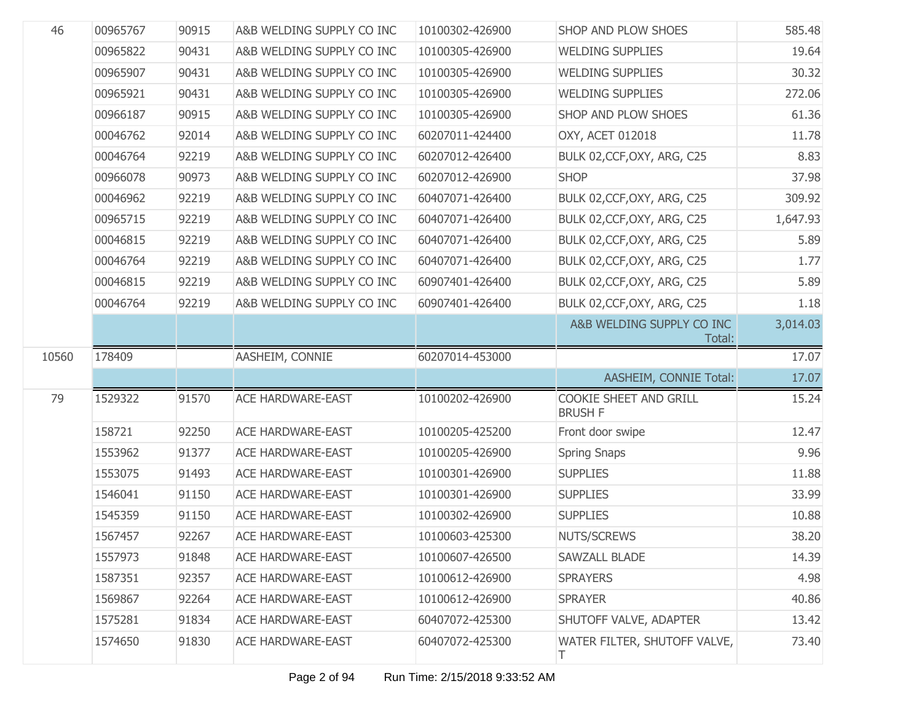| 46    | 00965767 | 90915 | A&B WELDING SUPPLY CO INC | 10100302-426900 | <b>SHOP AND PLOW SHOES</b>               | 585.48   |
|-------|----------|-------|---------------------------|-----------------|------------------------------------------|----------|
|       | 00965822 | 90431 | A&B WELDING SUPPLY CO INC | 10100305-426900 | <b>WELDING SUPPLIES</b>                  | 19.64    |
|       | 00965907 | 90431 | A&B WELDING SUPPLY CO INC | 10100305-426900 | <b>WELDING SUPPLIES</b>                  | 30.32    |
|       | 00965921 | 90431 | A&B WELDING SUPPLY CO INC | 10100305-426900 | <b>WELDING SUPPLIES</b>                  | 272.06   |
|       | 00966187 | 90915 | A&B WELDING SUPPLY CO INC | 10100305-426900 | SHOP AND PLOW SHOES                      | 61.36    |
|       | 00046762 | 92014 | A&B WELDING SUPPLY CO INC | 60207011-424400 | OXY, ACET 012018                         | 11.78    |
|       | 00046764 | 92219 | A&B WELDING SUPPLY CO INC | 60207012-426400 | BULK 02, CCF, OXY, ARG, C25              | 8.83     |
|       | 00966078 | 90973 | A&B WELDING SUPPLY CO INC | 60207012-426900 | <b>SHOP</b>                              | 37.98    |
|       | 00046962 | 92219 | A&B WELDING SUPPLY CO INC | 60407071-426400 | BULK 02, CCF, OXY, ARG, C25              | 309.92   |
|       | 00965715 | 92219 | A&B WELDING SUPPLY CO INC | 60407071-426400 | BULK 02, CCF, OXY, ARG, C25              | 1,647.93 |
|       | 00046815 | 92219 | A&B WELDING SUPPLY CO INC | 60407071-426400 | BULK 02, CCF, OXY, ARG, C25              | 5.89     |
|       | 00046764 | 92219 | A&B WELDING SUPPLY CO INC | 60407071-426400 | BULK 02, CCF, OXY, ARG, C25              | 1.77     |
|       | 00046815 | 92219 | A&B WELDING SUPPLY CO INC | 60907401-426400 | BULK 02, CCF, OXY, ARG, C25              | 5.89     |
|       | 00046764 | 92219 | A&B WELDING SUPPLY CO INC | 60907401-426400 | BULK 02, CCF, OXY, ARG, C25              | 1.18     |
|       |          |       |                           |                 | A&B WELDING SUPPLY CO INC<br>Total:      | 3,014.03 |
|       |          |       |                           |                 |                                          |          |
| 10560 | 178409   |       | AASHEIM, CONNIE           | 60207014-453000 |                                          | 17.07    |
|       |          |       |                           |                 | AASHEIM, CONNIE Total:                   | 17.07    |
| 79    | 1529322  | 91570 | <b>ACE HARDWARE-EAST</b>  | 10100202-426900 | COOKIE SHEET AND GRILL<br><b>BRUSH F</b> | 15.24    |
|       | 158721   | 92250 | <b>ACE HARDWARE-EAST</b>  | 10100205-425200 | Front door swipe                         | 12.47    |
|       | 1553962  | 91377 | <b>ACE HARDWARE-EAST</b>  | 10100205-426900 | <b>Spring Snaps</b>                      | 9.96     |
|       | 1553075  | 91493 | <b>ACE HARDWARE-EAST</b>  | 10100301-426900 | <b>SUPPLIES</b>                          | 11.88    |
|       | 1546041  | 91150 | <b>ACE HARDWARE-EAST</b>  | 10100301-426900 | <b>SUPPLIES</b>                          | 33.99    |
|       | 1545359  | 91150 | <b>ACE HARDWARE-EAST</b>  | 10100302-426900 | <b>SUPPLIES</b>                          | 10.88    |
|       | 1567457  | 92267 | <b>ACE HARDWARE-EAST</b>  | 10100603-425300 | <b>NUTS/SCREWS</b>                       | 38.20    |
|       | 1557973  | 91848 | <b>ACE HARDWARE-EAST</b>  | 10100607-426500 | SAWZALL BLADE                            | 14.39    |
|       | 1587351  | 92357 | <b>ACE HARDWARE-EAST</b>  | 10100612-426900 | <b>SPRAYERS</b>                          | 4.98     |
|       | 1569867  | 92264 | <b>ACE HARDWARE-EAST</b>  | 10100612-426900 | <b>SPRAYER</b>                           | 40.86    |
|       | 1575281  | 91834 | ACE HARDWARE-EAST         | 60407072-425300 | SHUTOFF VALVE, ADAPTER                   | 13.42    |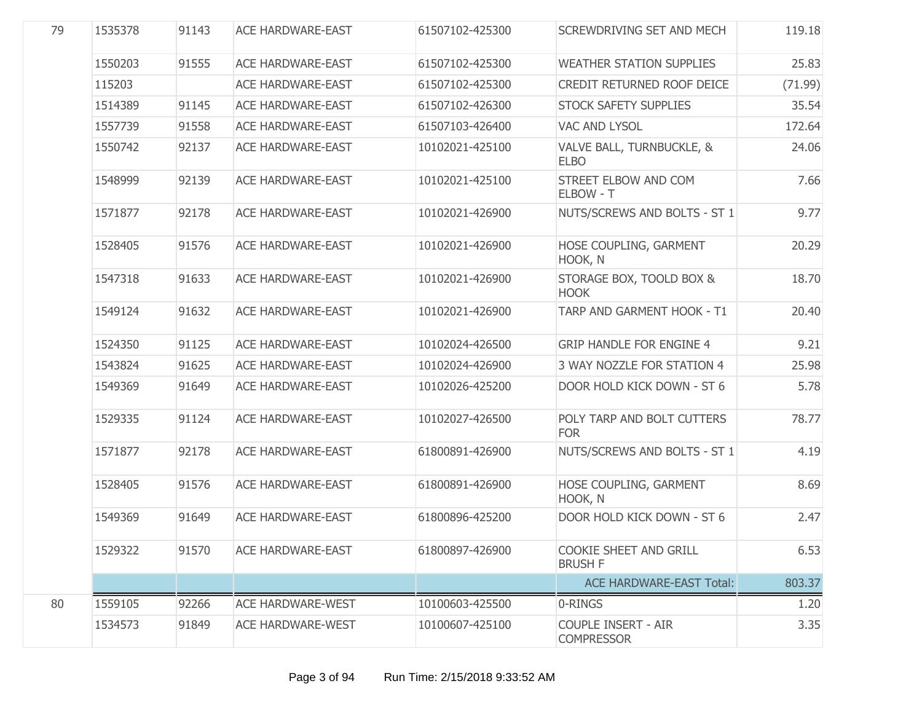| 79 | 1535378 | 91143 | <b>ACE HARDWARE-EAST</b> | 61507102-425300 | SCREWDRIVING SET AND MECH                       | 119.18  |
|----|---------|-------|--------------------------|-----------------|-------------------------------------------------|---------|
|    | 1550203 | 91555 | <b>ACE HARDWARE-EAST</b> | 61507102-425300 | <b>WEATHER STATION SUPPLIES</b>                 | 25.83   |
|    | 115203  |       | <b>ACE HARDWARE-EAST</b> | 61507102-425300 | CREDIT RETURNED ROOF DEICE                      | (71.99) |
|    | 1514389 | 91145 | <b>ACE HARDWARE-EAST</b> | 61507102-426300 | STOCK SAFETY SUPPLIES                           | 35.54   |
|    | 1557739 | 91558 | <b>ACE HARDWARE-EAST</b> | 61507103-426400 | VAC AND LYSOL                                   | 172.64  |
|    | 1550742 | 92137 | <b>ACE HARDWARE-EAST</b> | 10102021-425100 | VALVE BALL, TURNBUCKLE, &<br><b>ELBO</b>        | 24.06   |
|    | 1548999 | 92139 | <b>ACE HARDWARE-EAST</b> | 10102021-425100 | STREET ELBOW AND COM<br>ELBOW - T               | 7.66    |
|    | 1571877 | 92178 | <b>ACE HARDWARE-EAST</b> | 10102021-426900 | NUTS/SCREWS AND BOLTS - ST 1                    | 9.77    |
|    | 1528405 | 91576 | <b>ACE HARDWARE-EAST</b> | 10102021-426900 | HOSE COUPLING, GARMENT<br>HOOK, N               | 20.29   |
|    | 1547318 | 91633 | <b>ACE HARDWARE-EAST</b> | 10102021-426900 | STORAGE BOX, TOOLD BOX &<br><b>HOOK</b>         | 18.70   |
|    | 1549124 | 91632 | <b>ACE HARDWARE-EAST</b> | 10102021-426900 | TARP AND GARMENT HOOK - T1                      | 20.40   |
|    | 1524350 | 91125 | <b>ACE HARDWARE-EAST</b> | 10102024-426500 | <b>GRIP HANDLE FOR ENGINE 4</b>                 | 9.21    |
|    | 1543824 | 91625 | <b>ACE HARDWARE-EAST</b> | 10102024-426900 | 3 WAY NOZZLE FOR STATION 4                      | 25.98   |
|    | 1549369 | 91649 | <b>ACE HARDWARE-EAST</b> | 10102026-425200 | DOOR HOLD KICK DOWN - ST 6                      | 5.78    |
|    | 1529335 | 91124 | <b>ACE HARDWARE-EAST</b> | 10102027-426500 | POLY TARP AND BOLT CUTTERS<br><b>FOR</b>        | 78.77   |
|    | 1571877 | 92178 | <b>ACE HARDWARE-EAST</b> | 61800891-426900 | NUTS/SCREWS AND BOLTS - ST 1                    | 4.19    |
|    | 1528405 | 91576 | <b>ACE HARDWARE-EAST</b> | 61800891-426900 | HOSE COUPLING, GARMENT<br>HOOK, N               | 8.69    |
|    | 1549369 | 91649 | <b>ACE HARDWARE-EAST</b> | 61800896-425200 | DOOR HOLD KICK DOWN - ST 6                      | 2.47    |
|    | 1529322 | 91570 | <b>ACE HARDWARE-EAST</b> | 61800897-426900 | COOKIE SHEET AND GRILL<br><b>BRUSH F</b>        | 6.53    |
|    |         |       |                          |                 | <b>ACE HARDWARE-EAST Total:</b>                 | 803.37  |
| 80 | 1559105 | 92266 | <b>ACE HARDWARE-WEST</b> | 10100603-425500 | 0-RINGS                                         | 1.20    |
|    | 1534573 | 91849 | <b>ACE HARDWARE-WEST</b> | 10100607-425100 | <b>COUPLE INSERT - AIR</b><br><b>COMPRESSOR</b> | 3.35    |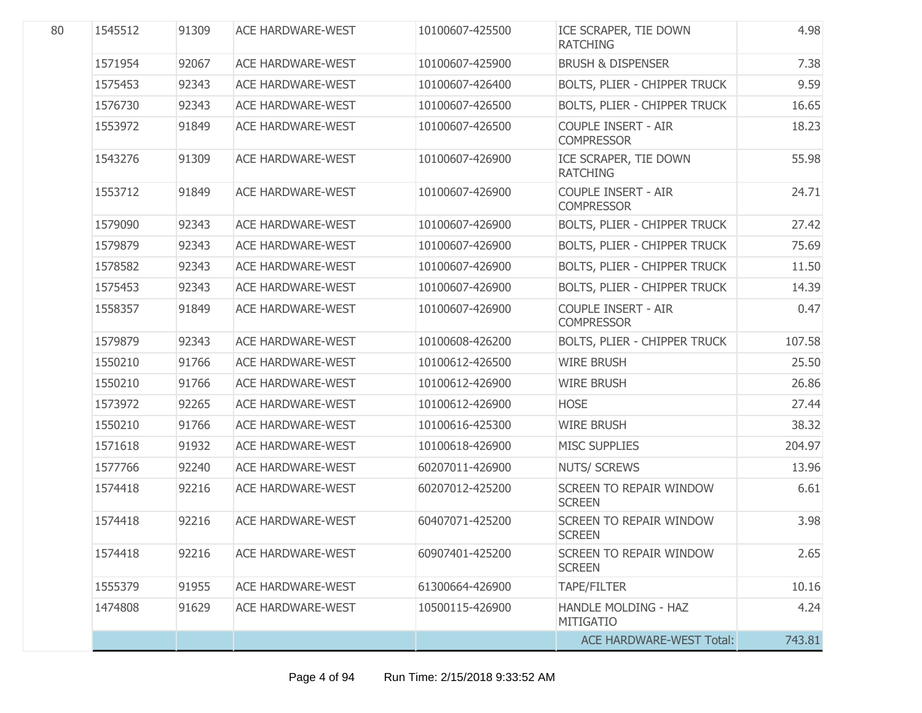| 80 | 1545512 | 91309 | <b>ACE HARDWARE-WEST</b> | 10100607-425500 | ICE SCRAPER, TIE DOWN<br><b>RATCHING</b>        | 4.98   |
|----|---------|-------|--------------------------|-----------------|-------------------------------------------------|--------|
|    | 1571954 | 92067 | <b>ACE HARDWARE-WEST</b> | 10100607-425900 | <b>BRUSH &amp; DISPENSER</b>                    | 7.38   |
|    | 1575453 | 92343 | <b>ACE HARDWARE-WEST</b> | 10100607-426400 | <b>BOLTS, PLIER - CHIPPER TRUCK</b>             | 9.59   |
|    | 1576730 | 92343 | <b>ACE HARDWARE-WEST</b> | 10100607-426500 | BOLTS, PLIER - CHIPPER TRUCK                    | 16.65  |
|    | 1553972 | 91849 | <b>ACE HARDWARE-WEST</b> | 10100607-426500 | <b>COUPLE INSERT - AIR</b><br><b>COMPRESSOR</b> | 18.23  |
|    | 1543276 | 91309 | <b>ACE HARDWARE-WEST</b> | 10100607-426900 | ICE SCRAPER, TIE DOWN<br><b>RATCHING</b>        | 55.98  |
|    | 1553712 | 91849 | <b>ACE HARDWARE-WEST</b> | 10100607-426900 | <b>COUPLE INSERT - AIR</b><br><b>COMPRESSOR</b> | 24.71  |
|    | 1579090 | 92343 | <b>ACE HARDWARE-WEST</b> | 10100607-426900 | BOLTS, PLIER - CHIPPER TRUCK                    | 27.42  |
|    | 1579879 | 92343 | <b>ACE HARDWARE-WEST</b> | 10100607-426900 | BOLTS, PLIER - CHIPPER TRUCK                    | 75.69  |
|    | 1578582 | 92343 | <b>ACE HARDWARE-WEST</b> | 10100607-426900 | BOLTS, PLIER - CHIPPER TRUCK                    | 11.50  |
|    | 1575453 | 92343 | <b>ACE HARDWARE-WEST</b> | 10100607-426900 | BOLTS, PLIER - CHIPPER TRUCK                    | 14.39  |
|    | 1558357 | 91849 | <b>ACE HARDWARE-WEST</b> | 10100607-426900 | <b>COUPLE INSERT - AIR</b><br><b>COMPRESSOR</b> | 0.47   |
|    | 1579879 | 92343 | <b>ACE HARDWARE-WEST</b> | 10100608-426200 | BOLTS, PLIER - CHIPPER TRUCK                    | 107.58 |
|    | 1550210 | 91766 | <b>ACE HARDWARE-WEST</b> | 10100612-426500 | <b>WIRE BRUSH</b>                               | 25.50  |
|    | 1550210 | 91766 | <b>ACE HARDWARE-WEST</b> | 10100612-426900 | <b>WIRE BRUSH</b>                               | 26.86  |
|    | 1573972 | 92265 | <b>ACE HARDWARE-WEST</b> | 10100612-426900 | <b>HOSE</b>                                     | 27.44  |
|    | 1550210 | 91766 | <b>ACE HARDWARE-WEST</b> | 10100616-425300 | <b>WIRE BRUSH</b>                               | 38.32  |
|    | 1571618 | 91932 | <b>ACE HARDWARE-WEST</b> | 10100618-426900 | <b>MISC SUPPLIES</b>                            | 204.97 |
|    | 1577766 | 92240 | <b>ACE HARDWARE-WEST</b> | 60207011-426900 | <b>NUTS/ SCREWS</b>                             | 13.96  |
|    | 1574418 | 92216 | <b>ACE HARDWARE-WEST</b> | 60207012-425200 | <b>SCREEN TO REPAIR WINDOW</b><br><b>SCREEN</b> | 6.61   |
|    | 1574418 | 92216 | <b>ACE HARDWARE-WEST</b> | 60407071-425200 | <b>SCREEN TO REPAIR WINDOW</b><br><b>SCREEN</b> | 3.98   |
|    | 1574418 | 92216 | <b>ACE HARDWARE-WEST</b> | 60907401-425200 | SCREEN TO REPAIR WINDOW<br><b>SCREEN</b>        | 2.65   |
|    | 1555379 | 91955 | <b>ACE HARDWARE-WEST</b> | 61300664-426900 | <b>TAPE/FILTER</b>                              | 10.16  |
|    | 1474808 | 91629 | <b>ACE HARDWARE-WEST</b> | 10500115-426900 | <b>HANDLE MOLDING - HAZ</b><br><b>MITIGATIO</b> | 4.24   |
|    |         |       |                          |                 | <b>ACE HARDWARE-WEST Total:</b>                 | 743.81 |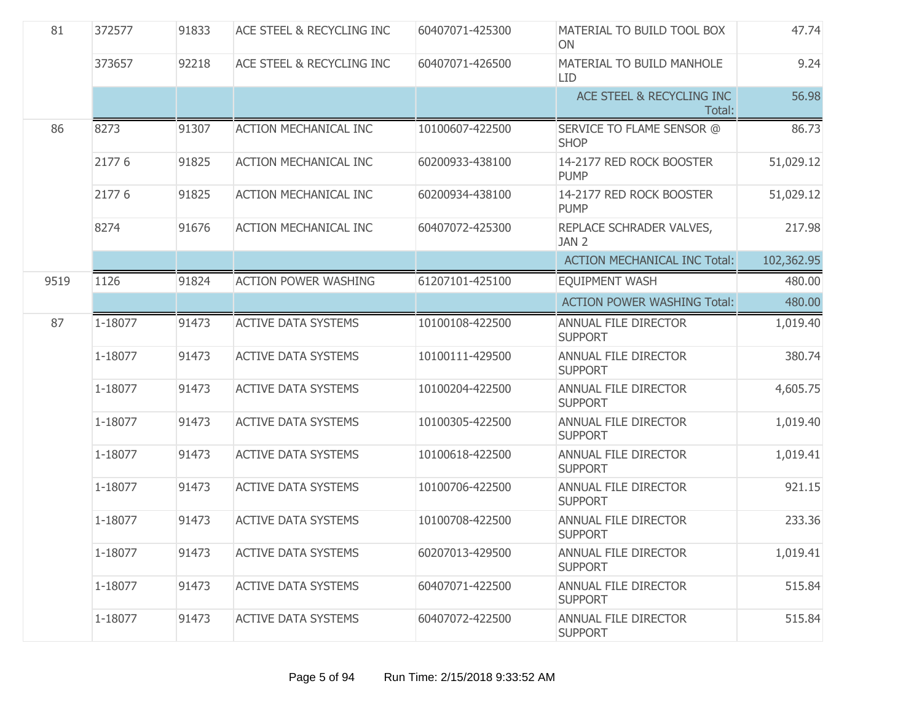| 81   | 372577  | 91833 | <b>ACE STEEL &amp; RECYCLING INC</b> | 60407071-425300 | MATERIAL TO BUILD TOOL BOX<br>ON              | 47.74      |
|------|---------|-------|--------------------------------------|-----------------|-----------------------------------------------|------------|
|      | 373657  | 92218 | <b>ACE STEEL &amp; RECYCLING INC</b> | 60407071-426500 | MATERIAL TO BUILD MANHOLE<br><b>LID</b>       | 9.24       |
|      |         |       |                                      |                 | ACE STEEL & RECYCLING INC<br>Total:           | 56.98      |
| 86   | 8273    | 91307 | <b>ACTION MECHANICAL INC</b>         | 10100607-422500 | SERVICE TO FLAME SENSOR @<br><b>SHOP</b>      | 86.73      |
|      | 21776   | 91825 | <b>ACTION MECHANICAL INC</b>         | 60200933-438100 | 14-2177 RED ROCK BOOSTER<br><b>PUMP</b>       | 51,029.12  |
|      | 21776   | 91825 | <b>ACTION MECHANICAL INC</b>         | 60200934-438100 | 14-2177 RED ROCK BOOSTER<br><b>PUMP</b>       | 51,029.12  |
|      | 8274    | 91676 | <b>ACTION MECHANICAL INC</b>         | 60407072-425300 | REPLACE SCHRADER VALVES,<br>JAN 2             | 217.98     |
|      |         |       |                                      |                 | <b>ACTION MECHANICAL INC Total:</b>           | 102,362.95 |
| 9519 | 1126    | 91824 | <b>ACTION POWER WASHING</b>          | 61207101-425100 | <b>EQUIPMENT WASH</b>                         | 480.00     |
|      |         |       |                                      |                 | <b>ACTION POWER WASHING Total:</b>            | 480.00     |
| 87   | 1-18077 | 91473 | <b>ACTIVE DATA SYSTEMS</b>           | 10100108-422500 | ANNUAL FILE DIRECTOR<br><b>SUPPORT</b>        | 1,019.40   |
|      | 1-18077 | 91473 | <b>ACTIVE DATA SYSTEMS</b>           | 10100111-429500 | <b>ANNUAL FILE DIRECTOR</b><br><b>SUPPORT</b> | 380.74     |
|      | 1-18077 | 91473 | <b>ACTIVE DATA SYSTEMS</b>           | 10100204-422500 | ANNUAL FILE DIRECTOR<br><b>SUPPORT</b>        | 4,605.75   |
|      | 1-18077 | 91473 | <b>ACTIVE DATA SYSTEMS</b>           | 10100305-422500 | ANNUAL FILE DIRECTOR<br><b>SUPPORT</b>        | 1,019.40   |
|      | 1-18077 | 91473 | <b>ACTIVE DATA SYSTEMS</b>           | 10100618-422500 | ANNUAL FILE DIRECTOR<br><b>SUPPORT</b>        | 1,019.41   |
|      | 1-18077 | 91473 | <b>ACTIVE DATA SYSTEMS</b>           | 10100706-422500 | ANNUAL FILE DIRECTOR<br><b>SUPPORT</b>        | 921.15     |
|      | 1-18077 | 91473 | <b>ACTIVE DATA SYSTEMS</b>           | 10100708-422500 | ANNUAL FILE DIRECTOR<br><b>SUPPORT</b>        | 233.36     |
|      | 1-18077 | 91473 | <b>ACTIVE DATA SYSTEMS</b>           | 60207013-429500 | ANNUAL FILE DIRECTOR<br><b>SUPPORT</b>        | 1,019.41   |
|      | 1-18077 | 91473 | <b>ACTIVE DATA SYSTEMS</b>           | 60407071-422500 | <b>ANNUAL FILE DIRECTOR</b><br><b>SUPPORT</b> | 515.84     |
|      | 1-18077 | 91473 | <b>ACTIVE DATA SYSTEMS</b>           | 60407072-422500 | ANNUAL FILE DIRECTOR<br><b>SUPPORT</b>        | 515.84     |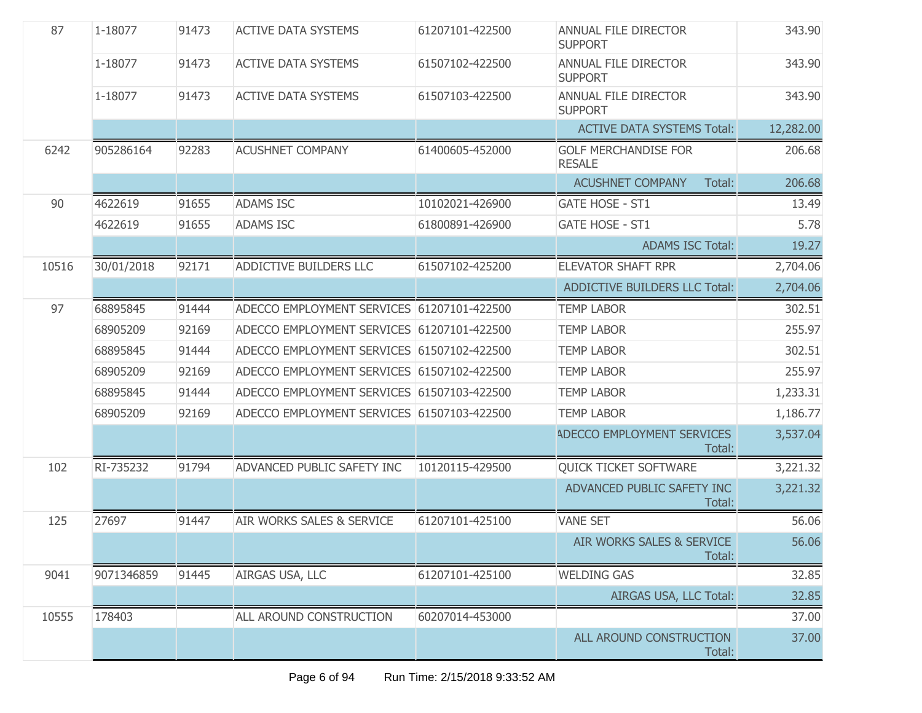| 87    | 1-18077    | 91473 | <b>ACTIVE DATA SYSTEMS</b>                 | 61207101-422500 | ANNUAL FILE DIRECTOR<br><b>SUPPORT</b>        | 343.90    |
|-------|------------|-------|--------------------------------------------|-----------------|-----------------------------------------------|-----------|
|       | 1-18077    | 91473 | <b>ACTIVE DATA SYSTEMS</b>                 | 61507102-422500 | ANNUAL FILE DIRECTOR<br><b>SUPPORT</b>        | 343.90    |
|       | 1-18077    | 91473 | <b>ACTIVE DATA SYSTEMS</b>                 | 61507103-422500 | <b>ANNUAL FILE DIRECTOR</b><br><b>SUPPORT</b> | 343.90    |
|       |            |       |                                            |                 | <b>ACTIVE DATA SYSTEMS Total:</b>             | 12,282.00 |
| 6242  | 905286164  | 92283 | <b>ACUSHNET COMPANY</b>                    | 61400605-452000 | <b>GOLF MERCHANDISE FOR</b><br><b>RESALE</b>  | 206.68    |
|       |            |       |                                            |                 | <b>ACUSHNET COMPANY</b><br>Total:             | 206.68    |
| 90    | 4622619    | 91655 | <b>ADAMS ISC</b>                           | 10102021-426900 | <b>GATE HOSE - ST1</b>                        | 13.49     |
|       | 4622619    | 91655 | <b>ADAMS ISC</b>                           | 61800891-426900 | <b>GATE HOSE - ST1</b>                        | 5.78      |
|       |            |       |                                            |                 | <b>ADAMS ISC Total:</b>                       | 19.27     |
| 10516 | 30/01/2018 | 92171 | ADDICTIVE BUILDERS LLC                     | 61507102-425200 | <b>ELEVATOR SHAFT RPR</b>                     | 2,704.06  |
|       |            |       |                                            |                 | <b>ADDICTIVE BUILDERS LLC Total:</b>          | 2,704.06  |
| 97    | 68895845   | 91444 | ADECCO EMPLOYMENT SERVICES 61207101-422500 |                 | <b>TEMP LABOR</b>                             | 302.51    |
|       | 68905209   | 92169 | ADECCO EMPLOYMENT SERVICES 61207101-422500 |                 | <b>TEMP LABOR</b>                             | 255.97    |
|       | 68895845   | 91444 | ADECCO EMPLOYMENT SERVICES 61507102-422500 |                 | <b>TEMP LABOR</b>                             | 302.51    |
|       | 68905209   | 92169 | ADECCO EMPLOYMENT SERVICES 61507102-422500 |                 | <b>TEMP LABOR</b>                             | 255.97    |
|       | 68895845   | 91444 | ADECCO EMPLOYMENT SERVICES 61507103-422500 |                 | <b>TEMP LABOR</b>                             | 1,233.31  |
|       | 68905209   | 92169 | ADECCO EMPLOYMENT SERVICES 61507103-422500 |                 | <b>TEMP LABOR</b>                             | 1,186.77  |
|       |            |       |                                            |                 | ADECCO EMPLOYMENT SERVICES<br>Total:          | 3,537.04  |
| 102   | RI-735232  | 91794 | ADVANCED PUBLIC SAFETY INC                 | 10120115-429500 | QUICK TICKET SOFTWARE                         | 3,221.32  |
|       |            |       |                                            |                 | ADVANCED PUBLIC SAFETY INC<br>Total:          | 3,221.32  |
| 125   | 27697      | 91447 | AIR WORKS SALES & SERVICE                  | 61207101-425100 | <b>VANE SET</b>                               | 56.06     |
|       |            |       |                                            |                 | AIR WORKS SALES & SERVICE<br>Total:           | 56.06     |
| 9041  | 9071346859 | 91445 | AIRGAS USA, LLC                            | 61207101-425100 | <b>WELDING GAS</b>                            | 32.85     |
|       |            |       |                                            |                 | AIRGAS USA, LLC Total:                        | 32.85     |
| 10555 | 178403     |       | ALL AROUND CONSTRUCTION                    | 60207014-453000 |                                               | 37.00     |
|       |            |       |                                            |                 | ALL AROUND CONSTRUCTION<br>Total:             | 37.00     |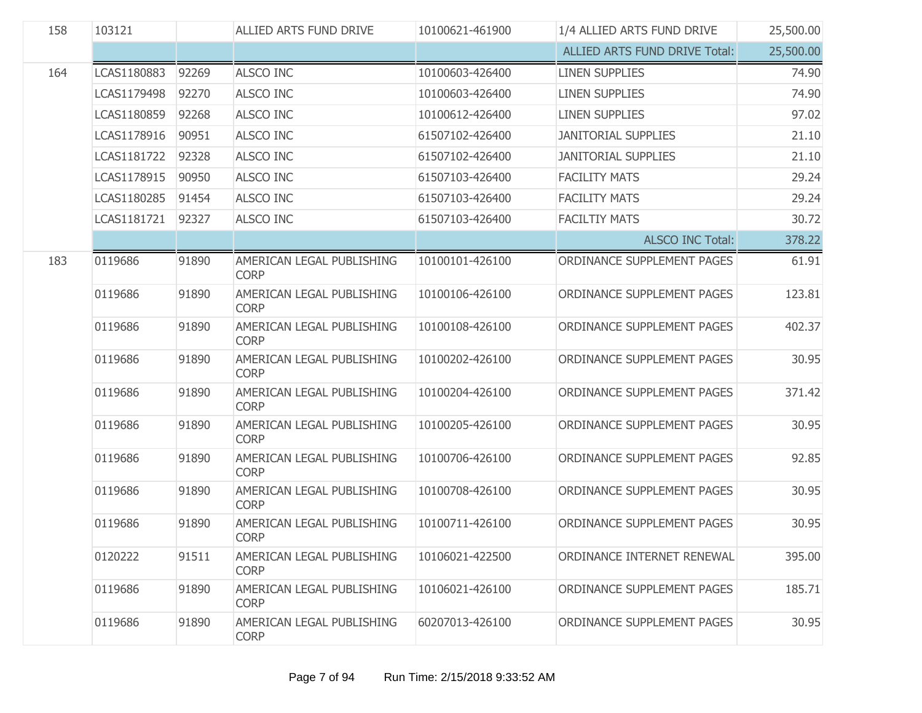| 158 | 103121<br>ALLIED ARTS FUND DRIVE<br>10100621-461900 |       | 1/4 ALLIED ARTS FUND DRIVE               | 25,500.00       |                                      |           |
|-----|-----------------------------------------------------|-------|------------------------------------------|-----------------|--------------------------------------|-----------|
|     |                                                     |       |                                          |                 | <b>ALLIED ARTS FUND DRIVE Total:</b> | 25,500.00 |
| 164 | LCAS1180883                                         | 92269 | <b>ALSCO INC</b>                         | 10100603-426400 | <b>LINEN SUPPLIES</b>                | 74.90     |
|     | LCAS1179498                                         | 92270 | <b>ALSCO INC</b>                         | 10100603-426400 | <b>LINEN SUPPLIES</b>                | 74.90     |
|     | LCAS1180859                                         | 92268 | <b>ALSCO INC</b>                         | 10100612-426400 | <b>LINEN SUPPLIES</b>                | 97.02     |
|     | LCAS1178916                                         | 90951 | <b>ALSCO INC</b>                         | 61507102-426400 | <b>JANITORIAL SUPPLIES</b>           | 21.10     |
|     | LCAS1181722                                         | 92328 | <b>ALSCO INC</b>                         | 61507102-426400 | <b>JANITORIAL SUPPLIES</b>           | 21.10     |
|     | LCAS1178915                                         | 90950 | <b>ALSCO INC</b>                         | 61507103-426400 | <b>FACILITY MATS</b>                 | 29.24     |
|     | LCAS1180285                                         | 91454 | <b>ALSCO INC</b>                         | 61507103-426400 | <b>FACILITY MATS</b>                 | 29.24     |
|     | LCAS1181721                                         | 92327 | ALSCO INC                                | 61507103-426400 | <b>FACILTIY MATS</b>                 | 30.72     |
|     |                                                     |       |                                          |                 | <b>ALSCO INC Total:</b>              | 378.22    |
| 183 | 0119686                                             | 91890 | AMERICAN LEGAL PUBLISHING<br><b>CORP</b> | 10100101-426100 | ORDINANCE SUPPLEMENT PAGES           | 61.91     |
|     | 0119686                                             | 91890 | AMERICAN LEGAL PUBLISHING<br><b>CORP</b> | 10100106-426100 | ORDINANCE SUPPLEMENT PAGES           | 123.81    |
|     | 0119686                                             | 91890 | AMERICAN LEGAL PUBLISHING<br><b>CORP</b> | 10100108-426100 | ORDINANCE SUPPLEMENT PAGES           | 402.37    |
|     | 0119686                                             | 91890 | AMERICAN LEGAL PUBLISHING<br><b>CORP</b> | 10100202-426100 | ORDINANCE SUPPLEMENT PAGES           | 30.95     |
|     | 0119686                                             | 91890 | AMERICAN LEGAL PUBLISHING<br><b>CORP</b> | 10100204-426100 | ORDINANCE SUPPLEMENT PAGES           | 371.42    |
|     | 0119686                                             | 91890 | AMERICAN LEGAL PUBLISHING<br><b>CORP</b> | 10100205-426100 | ORDINANCE SUPPLEMENT PAGES           | 30.95     |
|     | 0119686                                             | 91890 | AMERICAN LEGAL PUBLISHING<br><b>CORP</b> | 10100706-426100 | ORDINANCE SUPPLEMENT PAGES           | 92.85     |
|     | 0119686                                             | 91890 | AMERICAN LEGAL PUBLISHING<br><b>CORP</b> | 10100708-426100 | ORDINANCE SUPPLEMENT PAGES           | 30.95     |
|     | 0119686                                             | 91890 | AMERICAN LEGAL PUBLISHING<br><b>CORP</b> | 10100711-426100 | ORDINANCE SUPPLEMENT PAGES           | 30.95     |
|     | 0120222                                             | 91511 | AMERICAN LEGAL PUBLISHING<br><b>CORP</b> | 10106021-422500 | ORDINANCE INTERNET RENEWAL           | 395.00    |
|     | 0119686                                             | 91890 | AMERICAN LEGAL PUBLISHING<br><b>CORP</b> | 10106021-426100 | ORDINANCE SUPPLEMENT PAGES           | 185.71    |
|     | 0119686                                             | 91890 | AMERICAN LEGAL PUBLISHING<br><b>CORP</b> | 60207013-426100 | ORDINANCE SUPPLEMENT PAGES           | 30.95     |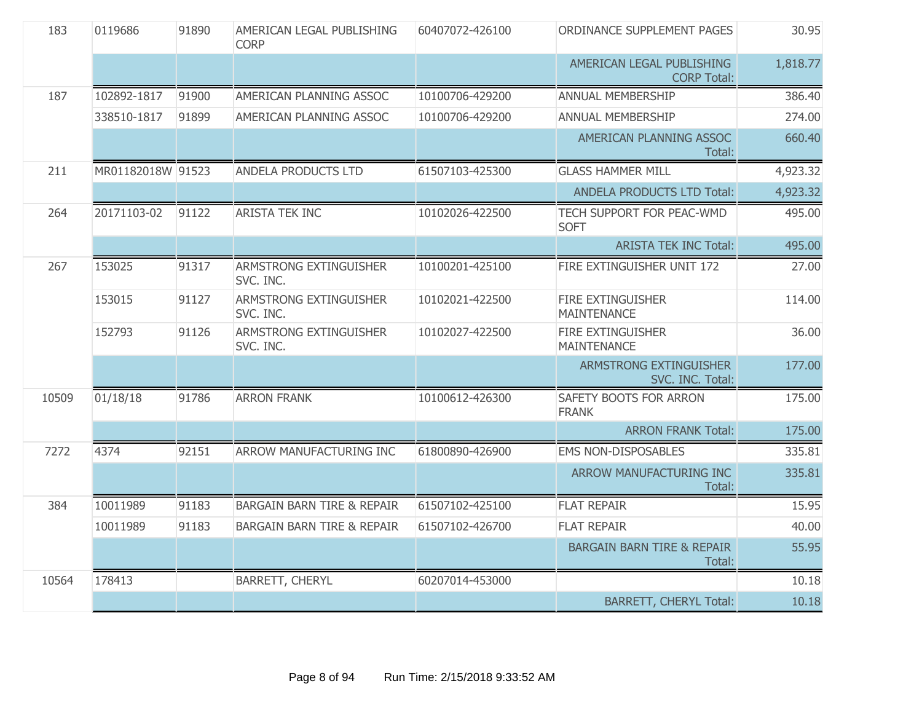| 183   | 0119686           | 91890 | AMERICAN LEGAL PUBLISHING<br><b>CORP</b>   | 60407072-426100 | ORDINANCE SUPPLEMENT PAGES                      | 30.95    |
|-------|-------------------|-------|--------------------------------------------|-----------------|-------------------------------------------------|----------|
|       |                   |       |                                            |                 | AMERICAN LEGAL PUBLISHING<br><b>CORP Total:</b> | 1,818.77 |
| 187   | 102892-1817       | 91900 | AMERICAN PLANNING ASSOC                    | 10100706-429200 | ANNUAL MEMBERSHIP                               | 386.40   |
|       | 338510-1817       | 91899 | AMERICAN PLANNING ASSOC                    | 10100706-429200 | ANNUAL MEMBERSHIP                               | 274.00   |
|       |                   |       |                                            |                 | AMERICAN PLANNING ASSOC<br>Total:               | 660.40   |
| 211   | MR01182018W 91523 |       | ANDELA PRODUCTS LTD                        | 61507103-425300 | <b>GLASS HAMMER MILL</b>                        | 4,923.32 |
|       |                   |       |                                            |                 | <b>ANDELA PRODUCTS LTD Total:</b>               | 4,923.32 |
| 264   | 20171103-02       | 91122 | <b>ARISTA TEK INC</b>                      | 10102026-422500 | <b>TECH SUPPORT FOR PEAC-WMD</b><br><b>SOFT</b> | 495.00   |
|       |                   |       |                                            |                 | <b>ARISTA TEK INC Total:</b>                    | 495.00   |
| 267   | 153025            | 91317 | ARMSTRONG EXTINGUISHER<br>SVC. INC.        | 10100201-425100 | FIRE EXTINGUISHER UNIT 172                      | 27.00    |
|       | 153015            | 91127 | <b>ARMSTRONG EXTINGUISHER</b><br>SVC. INC. | 10102021-422500 | <b>FIRE EXTINGUISHER</b><br><b>MAINTENANCE</b>  | 114.00   |
|       | 152793            | 91126 | <b>ARMSTRONG EXTINGUISHER</b><br>SVC. INC. | 10102027-422500 | FIRE EXTINGUISHER<br><b>MAINTENANCE</b>         | 36.00    |
|       |                   |       |                                            |                 | ARMSTRONG EXTINGUISHER<br>SVC. INC. Total:      | 177.00   |
| 10509 | 01/18/18          | 91786 | <b>ARRON FRANK</b>                         | 10100612-426300 | SAFETY BOOTS FOR ARRON<br><b>FRANK</b>          | 175.00   |
|       |                   |       |                                            |                 | <b>ARRON FRANK Total:</b>                       | 175.00   |
| 7272  | 4374              | 92151 | ARROW MANUFACTURING INC                    | 61800890-426900 | <b>EMS NON-DISPOSABLES</b>                      | 335.81   |
|       |                   |       |                                            |                 | ARROW MANUFACTURING INC<br>Total:               | 335.81   |
| 384   | 10011989          | 91183 | <b>BARGAIN BARN TIRE &amp; REPAIR</b>      | 61507102-425100 | <b>FLAT REPAIR</b>                              | 15.95    |
|       | 10011989          | 91183 | <b>BARGAIN BARN TIRE &amp; REPAIR</b>      | 61507102-426700 | <b>FLAT REPAIR</b>                              | 40.00    |
|       |                   |       |                                            |                 | <b>BARGAIN BARN TIRE &amp; REPAIR</b><br>Total: | 55.95    |
| 10564 | 178413            |       | <b>BARRETT, CHERYL</b>                     | 60207014-453000 |                                                 | 10.18    |
|       |                   |       |                                            |                 | <b>BARRETT, CHERYL Total:</b>                   | 10.18    |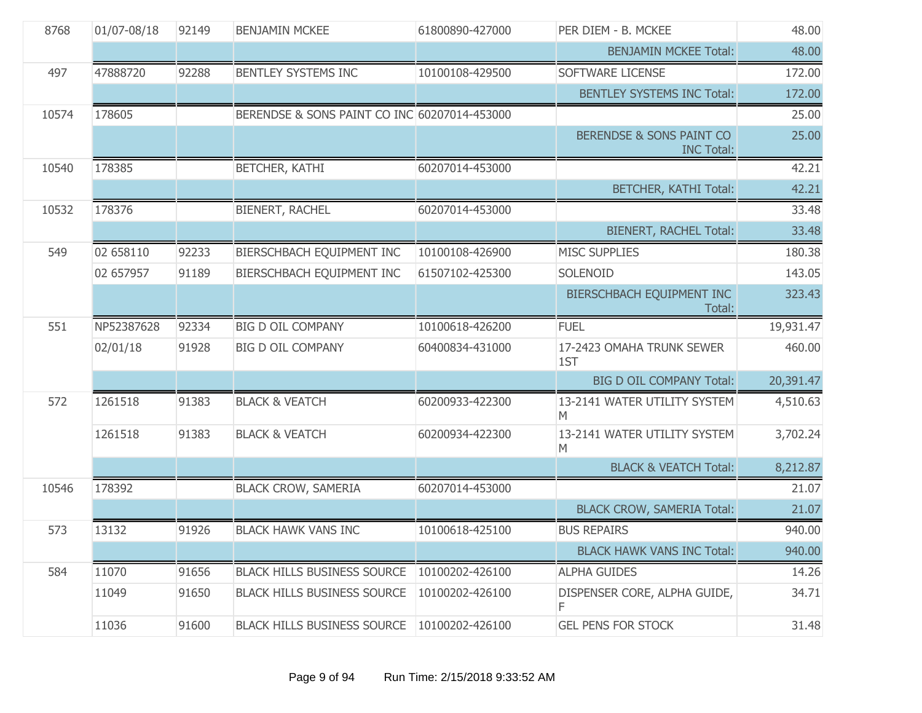| 8768  | 01/07-08/18 | 92149 | <b>BENJAMIN MCKEE</b>                        | 61800890-427000 | PER DIEM - B. MCKEE                           | 48.00     |
|-------|-------------|-------|----------------------------------------------|-----------------|-----------------------------------------------|-----------|
|       |             |       |                                              |                 | <b>BENJAMIN MCKEE Total:</b>                  | 48.00     |
| 497   | 47888720    | 92288 | BENTLEY SYSTEMS INC                          | 10100108-429500 | SOFTWARE LICENSE                              | 172.00    |
|       |             |       |                                              |                 | <b>BENTLEY SYSTEMS INC Total:</b>             | 172.00    |
| 10574 | 178605      |       | BERENDSE & SONS PAINT CO INC 60207014-453000 |                 |                                               | 25.00     |
|       |             |       |                                              |                 | BERENDSE & SONS PAINT CO<br><b>INC Total:</b> | 25.00     |
| 10540 | 178385      |       | BETCHER, KATHI                               | 60207014-453000 |                                               | 42.21     |
|       |             |       |                                              |                 | <b>BETCHER, KATHI Total:</b>                  | 42.21     |
| 10532 | 178376      |       | <b>BIENERT, RACHEL</b>                       | 60207014-453000 |                                               | 33.48     |
|       |             |       |                                              |                 | BIENERT, RACHEL Total:                        | 33.48     |
| 549   | 02 658110   | 92233 | BIERSCHBACH EQUIPMENT INC                    | 10100108-426900 | <b>MISC SUPPLIES</b>                          | 180.38    |
|       | 02 657957   | 91189 | BIERSCHBACH EQUIPMENT INC                    | 61507102-425300 | SOLENOID                                      | 143.05    |
|       |             |       |                                              |                 | BIERSCHBACH EQUIPMENT INC<br>Total:           | 323.43    |
| 551   | NP52387628  | 92334 | <b>BIG D OIL COMPANY</b>                     | 10100618-426200 | <b>FUEL</b>                                   | 19,931.47 |
|       | 02/01/18    | 91928 | <b>BIG D OIL COMPANY</b>                     | 60400834-431000 | 17-2423 OMAHA TRUNK SEWER<br>1ST              | 460.00    |
|       |             |       |                                              |                 | <b>BIG D OIL COMPANY Total:</b>               | 20,391.47 |
| 572   | 1261518     | 91383 | <b>BLACK &amp; VEATCH</b>                    | 60200933-422300 | 13-2141 WATER UTILITY SYSTEM<br>M             | 4,510.63  |
|       | 1261518     | 91383 | <b>BLACK &amp; VEATCH</b>                    | 60200934-422300 | 13-2141 WATER UTILITY SYSTEM<br>M             | 3,702.24  |
|       |             |       |                                              |                 | <b>BLACK &amp; VEATCH Total:</b>              | 8,212.87  |
| 10546 | 178392      |       | <b>BLACK CROW, SAMERIA</b>                   | 60207014-453000 |                                               | 21.07     |
|       |             |       |                                              |                 | <b>BLACK CROW, SAMERIA Total:</b>             | 21.07     |
| 573   | 13132       | 91926 | <b>BLACK HAWK VANS INC</b>                   | 10100618-425100 | <b>BUS REPAIRS</b>                            | 940.00    |
|       |             |       |                                              |                 | <b>BLACK HAWK VANS INC Total:</b>             | 940.00    |
| 584   | 11070       | 91656 | <b>BLACK HILLS BUSINESS SOURCE</b>           | 10100202-426100 | <b>ALPHA GUIDES</b>                           | 14.26     |
|       | 11049       | 91650 | <b>BLACK HILLS BUSINESS SOURCE</b>           | 10100202-426100 | DISPENSER CORE, ALPHA GUIDE,<br>F             | 34.71     |
|       | 11036       | 91600 | <b>BLACK HILLS BUSINESS SOURCE</b>           | 10100202-426100 | <b>GEL PENS FOR STOCK</b>                     | 31.48     |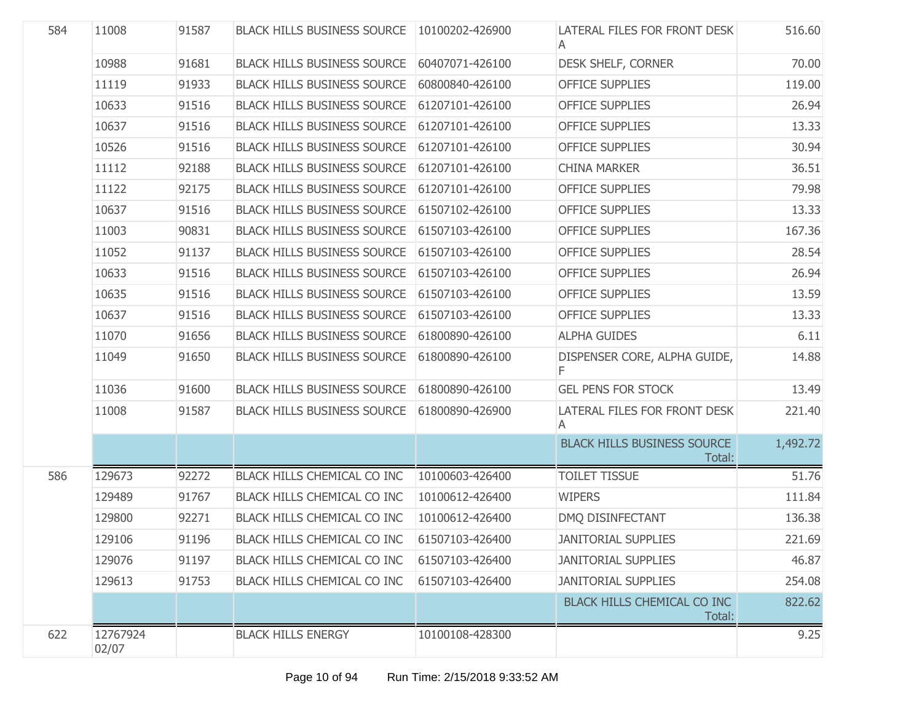| 584 | 11008             | 91587 | BLACK HILLS BUSINESS SOURCE   10100202-426900 |                 | LATERAL FILES FOR FRONT DESK                 | 516.60   |
|-----|-------------------|-------|-----------------------------------------------|-----------------|----------------------------------------------|----------|
|     | 10988             | 91681 | <b>BLACK HILLS BUSINESS SOURCE</b>            | 60407071-426100 | <b>DESK SHELF, CORNER</b>                    | 70.00    |
|     | 11119             | 91933 | <b>BLACK HILLS BUSINESS SOURCE</b>            | 60800840-426100 | <b>OFFICE SUPPLIES</b>                       | 119.00   |
|     | 10633             | 91516 | <b>BLACK HILLS BUSINESS SOURCE</b>            | 61207101-426100 | <b>OFFICE SUPPLIES</b>                       | 26.94    |
|     | 10637             | 91516 | <b>BLACK HILLS BUSINESS SOURCE</b>            | 61207101-426100 | <b>OFFICE SUPPLIES</b>                       | 13.33    |
|     | 10526             | 91516 | <b>BLACK HILLS BUSINESS SOURCE</b>            | 61207101-426100 | <b>OFFICE SUPPLIES</b>                       | 30.94    |
|     | 11112             | 92188 | <b>BLACK HILLS BUSINESS SOURCE</b>            | 61207101-426100 | <b>CHINA MARKER</b>                          | 36.51    |
|     | 11122             | 92175 | <b>BLACK HILLS BUSINESS SOURCE</b>            | 61207101-426100 | <b>OFFICE SUPPLIES</b>                       | 79.98    |
|     | 10637             | 91516 | <b>BLACK HILLS BUSINESS SOURCE</b>            | 61507102-426100 | <b>OFFICE SUPPLIES</b>                       | 13.33    |
|     | 11003             | 90831 | <b>BLACK HILLS BUSINESS SOURCE</b>            | 61507103-426100 | <b>OFFICE SUPPLIES</b>                       | 167.36   |
|     | 11052             | 91137 | <b>BLACK HILLS BUSINESS SOURCE</b>            | 61507103-426100 | <b>OFFICE SUPPLIES</b>                       | 28.54    |
|     | 10633             | 91516 | <b>BLACK HILLS BUSINESS SOURCE</b>            | 61507103-426100 | <b>OFFICE SUPPLIES</b>                       | 26.94    |
|     | 10635             | 91516 | <b>BLACK HILLS BUSINESS SOURCE</b>            | 61507103-426100 | <b>OFFICE SUPPLIES</b>                       | 13.59    |
|     | 10637             | 91516 | <b>BLACK HILLS BUSINESS SOURCE</b>            | 61507103-426100 | <b>OFFICE SUPPLIES</b>                       | 13.33    |
|     | 11070             | 91656 | <b>BLACK HILLS BUSINESS SOURCE</b>            | 61800890-426100 | <b>ALPHA GUIDES</b>                          | 6.11     |
|     | 11049             | 91650 | <b>BLACK HILLS BUSINESS SOURCE</b>            | 61800890-426100 | DISPENSER CORE, ALPHA GUIDE,<br>F            | 14.88    |
|     | 11036             | 91600 | <b>BLACK HILLS BUSINESS SOURCE</b>            | 61800890-426100 | <b>GEL PENS FOR STOCK</b>                    | 13.49    |
|     | 11008             | 91587 | <b>BLACK HILLS BUSINESS SOURCE</b>            | 61800890-426900 | LATERAL FILES FOR FRONT DESK<br>A            | 221.40   |
|     |                   |       |                                               |                 | <b>BLACK HILLS BUSINESS SOURCE</b><br>Total: | 1,492.72 |
| 586 | 129673            | 92272 | BLACK HILLS CHEMICAL CO INC                   | 10100603-426400 | <b>TOILET TISSUE</b>                         | 51.76    |
|     | 129489            | 91767 | BLACK HILLS CHEMICAL CO INC                   | 10100612-426400 | <b>WIPERS</b>                                | 111.84   |
|     | 129800            | 92271 | BLACK HILLS CHEMICAL CO INC                   | 10100612-426400 | DMQ DISINFECTANT                             | 136.38   |
|     | 129106            | 91196 | BLACK HILLS CHEMICAL CO INC                   | 61507103-426400 | <b>JANITORIAL SUPPLIES</b>                   | 221.69   |
|     | 129076            | 91197 | <b>BLACK HILLS CHEMICAL CO INC</b>            | 61507103-426400 | <b>JANITORIAL SUPPLIES</b>                   | 46.87    |
|     | 129613            | 91753 | BLACK HILLS CHEMICAL CO INC                   | 61507103-426400 | <b>JANITORIAL SUPPLIES</b>                   | 254.08   |
|     |                   |       |                                               |                 | BLACK HILLS CHEMICAL CO INC<br>Total:        | 822.62   |
| 622 | 12767924<br>02/07 |       | <b>BLACK HILLS ENERGY</b>                     | 10100108-428300 |                                              | 9.25     |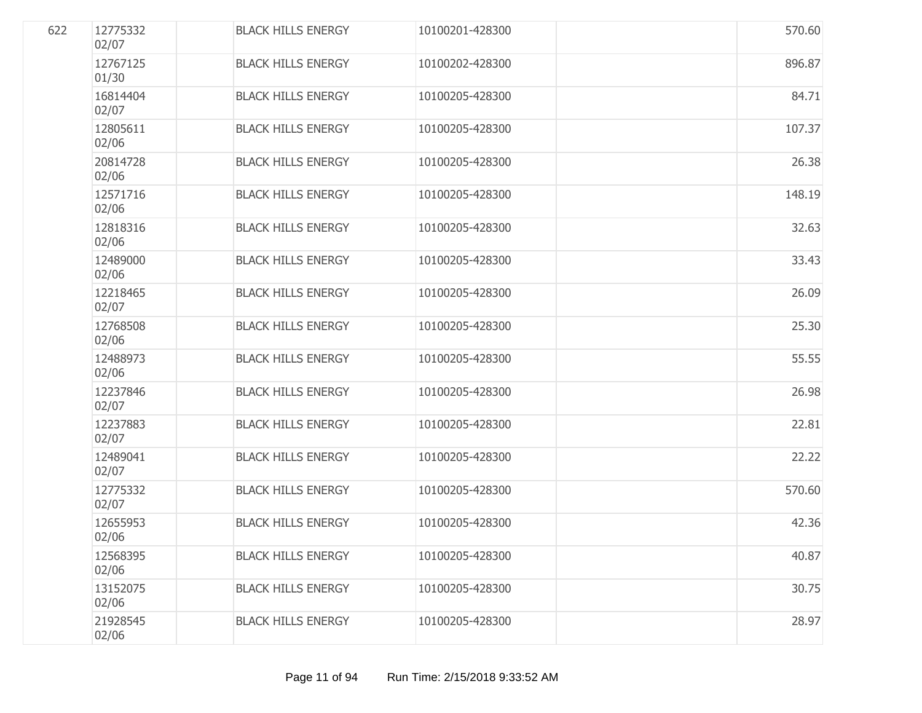| 622 | 12775332<br>02/07 | <b>BLACK HILLS ENERGY</b> | 10100201-428300 | 570.60 |
|-----|-------------------|---------------------------|-----------------|--------|
|     | 12767125<br>01/30 | <b>BLACK HILLS ENERGY</b> | 10100202-428300 | 896.87 |
|     | 16814404<br>02/07 | <b>BLACK HILLS ENERGY</b> | 10100205-428300 | 84.71  |
|     | 12805611<br>02/06 | <b>BLACK HILLS ENERGY</b> | 10100205-428300 | 107.37 |
|     | 20814728<br>02/06 | <b>BLACK HILLS ENERGY</b> | 10100205-428300 | 26.38  |
|     | 12571716<br>02/06 | <b>BLACK HILLS ENERGY</b> | 10100205-428300 | 148.19 |
|     | 12818316<br>02/06 | <b>BLACK HILLS ENERGY</b> | 10100205-428300 | 32.63  |
|     | 12489000<br>02/06 | <b>BLACK HILLS ENERGY</b> | 10100205-428300 | 33.43  |
|     | 12218465<br>02/07 | <b>BLACK HILLS ENERGY</b> | 10100205-428300 | 26.09  |
|     | 12768508<br>02/06 | <b>BLACK HILLS ENERGY</b> | 10100205-428300 | 25.30  |
|     | 12488973<br>02/06 | <b>BLACK HILLS ENERGY</b> | 10100205-428300 | 55.55  |
|     | 12237846<br>02/07 | <b>BLACK HILLS ENERGY</b> | 10100205-428300 | 26.98  |
|     | 12237883<br>02/07 | <b>BLACK HILLS ENERGY</b> | 10100205-428300 | 22.81  |
|     | 12489041<br>02/07 | <b>BLACK HILLS ENERGY</b> | 10100205-428300 | 22.22  |
|     | 12775332<br>02/07 | <b>BLACK HILLS ENERGY</b> | 10100205-428300 | 570.60 |
|     | 12655953<br>02/06 | <b>BLACK HILLS ENERGY</b> | 10100205-428300 | 42.36  |
|     | 12568395<br>02/06 | <b>BLACK HILLS ENERGY</b> | 10100205-428300 | 40.87  |
|     | 13152075<br>02/06 | <b>BLACK HILLS ENERGY</b> | 10100205-428300 | 30.75  |
|     | 21928545<br>02/06 | <b>BLACK HILLS ENERGY</b> | 10100205-428300 | 28.97  |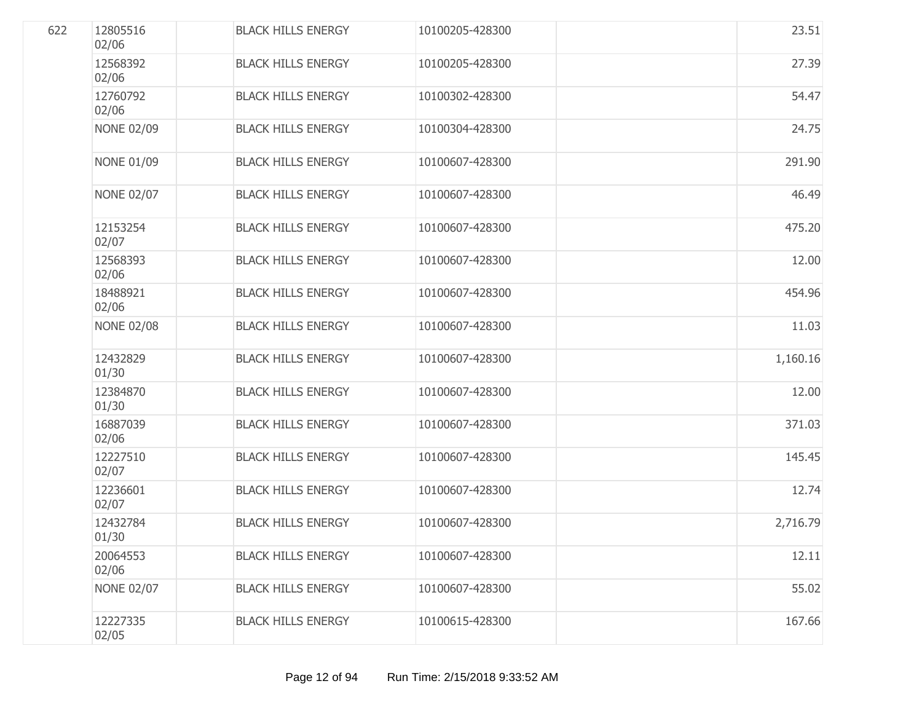| 622 | 12805516<br>02/06 | <b>BLACK HILLS ENERGY</b> | 10100205-428300 | 23.51    |
|-----|-------------------|---------------------------|-----------------|----------|
|     | 12568392<br>02/06 | <b>BLACK HILLS ENERGY</b> | 10100205-428300 | 27.39    |
|     | 12760792<br>02/06 | <b>BLACK HILLS ENERGY</b> | 10100302-428300 | 54.47    |
|     | <b>NONE 02/09</b> | <b>BLACK HILLS ENERGY</b> | 10100304-428300 | 24.75    |
|     | <b>NONE 01/09</b> | <b>BLACK HILLS ENERGY</b> | 10100607-428300 | 291.90   |
|     | <b>NONE 02/07</b> | <b>BLACK HILLS ENERGY</b> | 10100607-428300 | 46.49    |
|     | 12153254<br>02/07 | <b>BLACK HILLS ENERGY</b> | 10100607-428300 | 475.20   |
|     | 12568393<br>02/06 | <b>BLACK HILLS ENERGY</b> | 10100607-428300 | 12.00    |
|     | 18488921<br>02/06 | <b>BLACK HILLS ENERGY</b> | 10100607-428300 | 454.96   |
|     | <b>NONE 02/08</b> | <b>BLACK HILLS ENERGY</b> | 10100607-428300 | 11.03    |
|     | 12432829<br>01/30 | <b>BLACK HILLS ENERGY</b> | 10100607-428300 | 1,160.16 |
|     | 12384870<br>01/30 | <b>BLACK HILLS ENERGY</b> | 10100607-428300 | 12.00    |
|     | 16887039<br>02/06 | <b>BLACK HILLS ENERGY</b> | 10100607-428300 | 371.03   |
|     | 12227510<br>02/07 | <b>BLACK HILLS ENERGY</b> | 10100607-428300 | 145.45   |
|     | 12236601<br>02/07 | <b>BLACK HILLS ENERGY</b> | 10100607-428300 | 12.74    |
|     | 12432784<br>01/30 | <b>BLACK HILLS ENERGY</b> | 10100607-428300 | 2,716.79 |
|     | 20064553<br>02/06 | <b>BLACK HILLS ENERGY</b> | 10100607-428300 | 12.11    |
|     | <b>NONE 02/07</b> | <b>BLACK HILLS ENERGY</b> | 10100607-428300 | 55.02    |
|     | 12227335<br>02/05 | <b>BLACK HILLS ENERGY</b> | 10100615-428300 | 167.66   |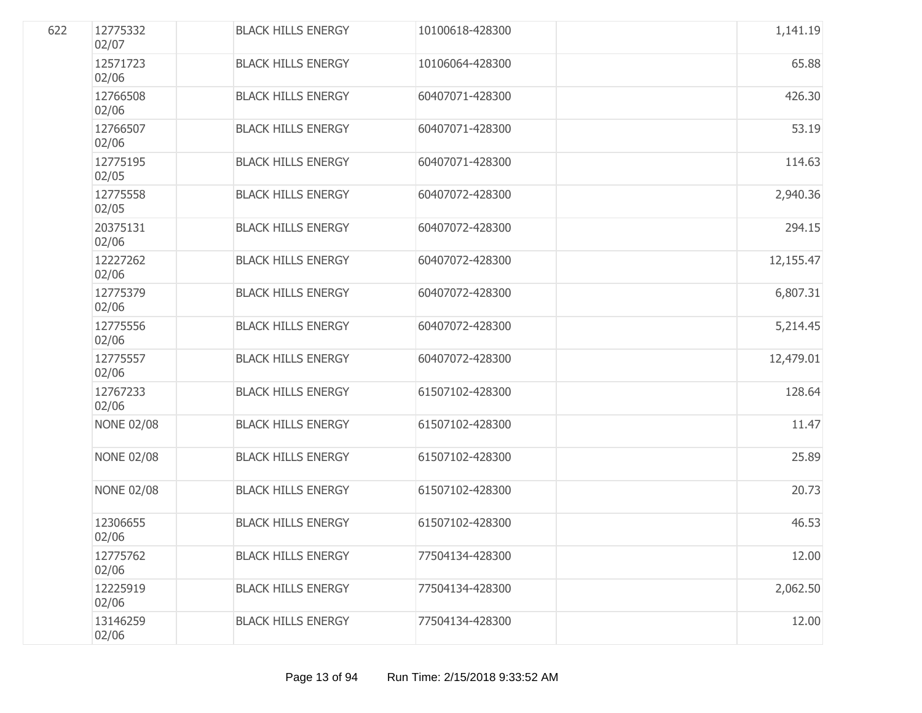| 622 | 12775332<br>02/07 | <b>BLACK HILLS ENERGY</b> | 10100618-428300 | 1,141.19  |
|-----|-------------------|---------------------------|-----------------|-----------|
|     | 12571723<br>02/06 | <b>BLACK HILLS ENERGY</b> | 10106064-428300 | 65.88     |
|     | 12766508<br>02/06 | <b>BLACK HILLS ENERGY</b> | 60407071-428300 | 426.30    |
|     | 12766507<br>02/06 | <b>BLACK HILLS ENERGY</b> | 60407071-428300 | 53.19     |
|     | 12775195<br>02/05 | <b>BLACK HILLS ENERGY</b> | 60407071-428300 | 114.63    |
|     | 12775558<br>02/05 | <b>BLACK HILLS ENERGY</b> | 60407072-428300 | 2,940.36  |
|     | 20375131<br>02/06 | <b>BLACK HILLS ENERGY</b> | 60407072-428300 | 294.15    |
|     | 12227262<br>02/06 | <b>BLACK HILLS ENERGY</b> | 60407072-428300 | 12,155.47 |
|     | 12775379<br>02/06 | <b>BLACK HILLS ENERGY</b> | 60407072-428300 | 6,807.31  |
|     | 12775556<br>02/06 | <b>BLACK HILLS ENERGY</b> | 60407072-428300 | 5,214.45  |
|     | 12775557<br>02/06 | <b>BLACK HILLS ENERGY</b> | 60407072-428300 | 12,479.01 |
|     | 12767233<br>02/06 | <b>BLACK HILLS ENERGY</b> | 61507102-428300 | 128.64    |
|     | <b>NONE 02/08</b> | <b>BLACK HILLS ENERGY</b> | 61507102-428300 | 11.47     |
|     | <b>NONE 02/08</b> | <b>BLACK HILLS ENERGY</b> | 61507102-428300 | 25.89     |
|     | <b>NONE 02/08</b> | <b>BLACK HILLS ENERGY</b> | 61507102-428300 | 20.73     |
|     | 12306655<br>02/06 | <b>BLACK HILLS ENERGY</b> | 61507102-428300 | 46.53     |
|     | 12775762<br>02/06 | <b>BLACK HILLS ENERGY</b> | 77504134-428300 | 12.00     |
|     | 12225919<br>02/06 | <b>BLACK HILLS ENERGY</b> | 77504134-428300 | 2,062.50  |
|     | 13146259<br>02/06 | <b>BLACK HILLS ENERGY</b> | 77504134-428300 | 12.00     |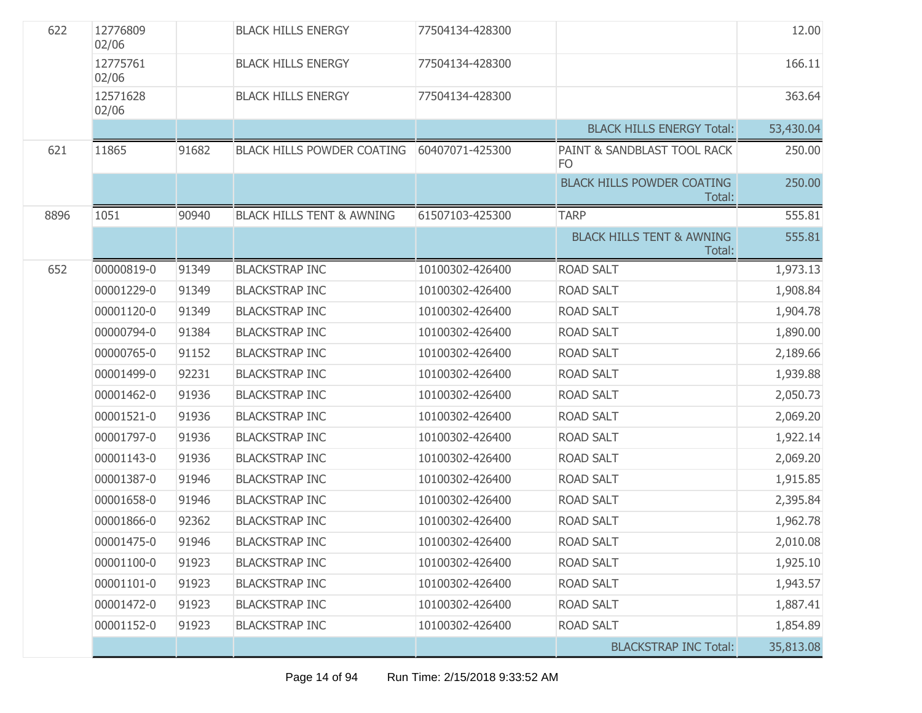| 622  | 12776809<br>02/06 |       | <b>BLACK HILLS ENERGY</b>            | 77504134-428300 |                                                | 12.00     |
|------|-------------------|-------|--------------------------------------|-----------------|------------------------------------------------|-----------|
|      | 12775761<br>02/06 |       | <b>BLACK HILLS ENERGY</b>            | 77504134-428300 |                                                | 166.11    |
|      | 12571628<br>02/06 |       | <b>BLACK HILLS ENERGY</b>            | 77504134-428300 |                                                | 363.64    |
|      |                   |       |                                      |                 | <b>BLACK HILLS ENERGY Total:</b>               | 53,430.04 |
| 621  | 11865             | 91682 | <b>BLACK HILLS POWDER COATING</b>    | 60407071-425300 | PAINT & SANDBLAST TOOL RACK<br><b>FO</b>       | 250.00    |
|      |                   |       |                                      |                 | <b>BLACK HILLS POWDER COATING</b><br>Total:    | 250.00    |
| 8896 | 1051              | 90940 | <b>BLACK HILLS TENT &amp; AWNING</b> | 61507103-425300 | <b>TARP</b>                                    | 555.81    |
|      |                   |       |                                      |                 | <b>BLACK HILLS TENT &amp; AWNING</b><br>Total: | 555.81    |
| 652  | 00000819-0        | 91349 | <b>BLACKSTRAP INC</b>                | 10100302-426400 | <b>ROAD SALT</b>                               | 1,973.13  |
|      | 00001229-0        | 91349 | <b>BLACKSTRAP INC</b>                | 10100302-426400 | <b>ROAD SALT</b>                               | 1,908.84  |
|      | 00001120-0        | 91349 | <b>BLACKSTRAP INC</b>                | 10100302-426400 | <b>ROAD SALT</b>                               | 1,904.78  |
|      | 00000794-0        | 91384 | <b>BLACKSTRAP INC</b>                | 10100302-426400 | <b>ROAD SALT</b>                               | 1,890.00  |
|      | 00000765-0        | 91152 | <b>BLACKSTRAP INC</b>                | 10100302-426400 | <b>ROAD SALT</b>                               | 2,189.66  |
|      | 00001499-0        | 92231 | <b>BLACKSTRAP INC</b>                | 10100302-426400 | <b>ROAD SALT</b>                               | 1,939.88  |
|      | 00001462-0        | 91936 | <b>BLACKSTRAP INC</b>                | 10100302-426400 | <b>ROAD SALT</b>                               | 2,050.73  |
|      | 00001521-0        | 91936 | <b>BLACKSTRAP INC</b>                | 10100302-426400 | <b>ROAD SALT</b>                               | 2,069.20  |
|      | 00001797-0        | 91936 | <b>BLACKSTRAP INC</b>                | 10100302-426400 | <b>ROAD SALT</b>                               | 1,922.14  |
|      | 00001143-0        | 91936 | <b>BLACKSTRAP INC</b>                | 10100302-426400 | <b>ROAD SALT</b>                               | 2,069.20  |
|      | 00001387-0        | 91946 | <b>BLACKSTRAP INC</b>                | 10100302-426400 | <b>ROAD SALT</b>                               | 1,915.85  |
|      | 00001658-0        | 91946 | <b>BLACKSTRAP INC</b>                | 10100302-426400 | <b>ROAD SALT</b>                               | 2,395.84  |
|      | 00001866-0        | 92362 | <b>BLACKSTRAP INC</b>                | 10100302-426400 | <b>ROAD SALT</b>                               | 1,962.78  |
|      | 00001475-0        | 91946 | <b>BLACKSTRAP INC</b>                | 10100302-426400 | ROAD SALT                                      | 2,010.08  |
|      | 00001100-0        | 91923 | <b>BLACKSTRAP INC</b>                | 10100302-426400 | <b>ROAD SALT</b>                               | 1,925.10  |
|      | 00001101-0        | 91923 | <b>BLACKSTRAP INC</b>                | 10100302-426400 | <b>ROAD SALT</b>                               | 1,943.57  |
|      | 00001472-0        | 91923 | <b>BLACKSTRAP INC</b>                | 10100302-426400 | <b>ROAD SALT</b>                               | 1,887.41  |
|      | 00001152-0        | 91923 | <b>BLACKSTRAP INC</b>                | 10100302-426400 | <b>ROAD SALT</b>                               | 1,854.89  |
|      |                   |       |                                      |                 | <b>BLACKSTRAP INC Total:</b>                   | 35,813.08 |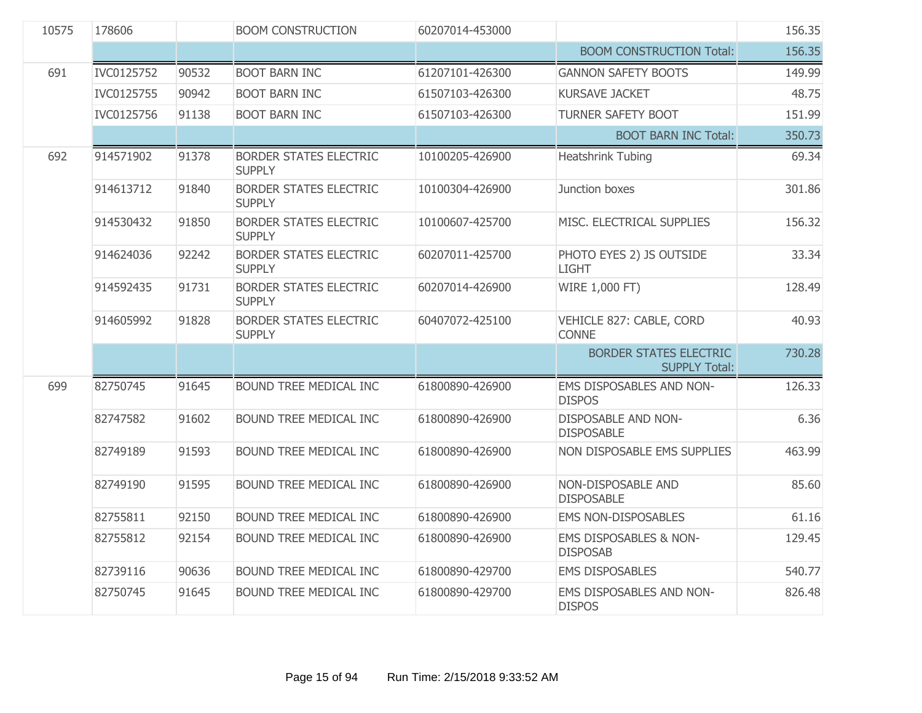| 10575 | 178606     |       | <b>BOOM CONSTRUCTION</b>                       | 60207014-453000 |                                                       | 156.35 |
|-------|------------|-------|------------------------------------------------|-----------------|-------------------------------------------------------|--------|
|       |            |       |                                                |                 | <b>BOOM CONSTRUCTION Total:</b>                       | 156.35 |
| 691   | IVC0125752 | 90532 | <b>BOOT BARN INC</b>                           | 61207101-426300 | <b>GANNON SAFETY BOOTS</b>                            | 149.99 |
|       | IVC0125755 | 90942 | <b>BOOT BARN INC</b>                           | 61507103-426300 | <b>KURSAVE JACKET</b>                                 | 48.75  |
|       | IVC0125756 | 91138 | <b>BOOT BARN INC</b>                           | 61507103-426300 | <b>TURNER SAFETY BOOT</b>                             | 151.99 |
|       |            |       |                                                |                 | <b>BOOT BARN INC Total:</b>                           | 350.73 |
| 692   | 914571902  | 91378 | <b>BORDER STATES ELECTRIC</b><br><b>SUPPLY</b> | 10100205-426900 | Heatshrink Tubing                                     | 69.34  |
|       | 914613712  | 91840 | <b>BORDER STATES ELECTRIC</b><br><b>SUPPLY</b> | 10100304-426900 | Junction boxes                                        | 301.86 |
|       | 914530432  | 91850 | <b>BORDER STATES ELECTRIC</b><br><b>SUPPLY</b> | 10100607-425700 | MISC. ELECTRICAL SUPPLIES                             | 156.32 |
|       | 914624036  | 92242 | <b>BORDER STATES ELECTRIC</b><br><b>SUPPLY</b> | 60207011-425700 | PHOTO EYES 2) JS OUTSIDE<br><b>LIGHT</b>              | 33.34  |
|       | 914592435  | 91731 | <b>BORDER STATES ELECTRIC</b><br><b>SUPPLY</b> | 60207014-426900 | WIRE 1,000 FT)                                        | 128,49 |
|       | 914605992  | 91828 | <b>BORDER STATES ELECTRIC</b><br><b>SUPPLY</b> | 60407072-425100 | VEHICLE 827: CABLE, CORD<br><b>CONNE</b>              | 40.93  |
|       |            |       |                                                |                 | <b>BORDER STATES ELECTRIC</b><br><b>SUPPLY Total:</b> | 730.28 |
| 699   | 82750745   | 91645 | BOUND TREE MEDICAL INC                         | 61800890-426900 | EMS DISPOSABLES AND NON-<br><b>DISPOS</b>             | 126.33 |
|       | 82747582   | 91602 | BOUND TREE MEDICAL INC                         | 61800890-426900 | DISPOSABLE AND NON-<br><b>DISPOSABLE</b>              | 6.36   |
|       | 82749189   | 91593 | BOUND TREE MEDICAL INC                         | 61800890-426900 | NON DISPOSABLE EMS SUPPLIES                           | 463.99 |
|       | 82749190   | 91595 | BOUND TREE MEDICAL INC                         | 61800890-426900 | NON-DISPOSABLE AND<br><b>DISPOSABLE</b>               | 85.60  |
|       | 82755811   | 92150 | BOUND TREE MEDICAL INC                         | 61800890-426900 | <b>EMS NON-DISPOSABLES</b>                            | 61.16  |
|       | 82755812   | 92154 | BOUND TREE MEDICAL INC                         | 61800890-426900 | EMS DISPOSABLES & NON-<br><b>DISPOSAB</b>             | 129.45 |
|       | 82739116   | 90636 | BOUND TREE MEDICAL INC                         | 61800890-429700 | <b>EMS DISPOSABLES</b>                                | 540.77 |
|       | 82750745   | 91645 | BOUND TREE MEDICAL INC                         | 61800890-429700 | EMS DISPOSABLES AND NON-<br><b>DISPOS</b>             | 826.48 |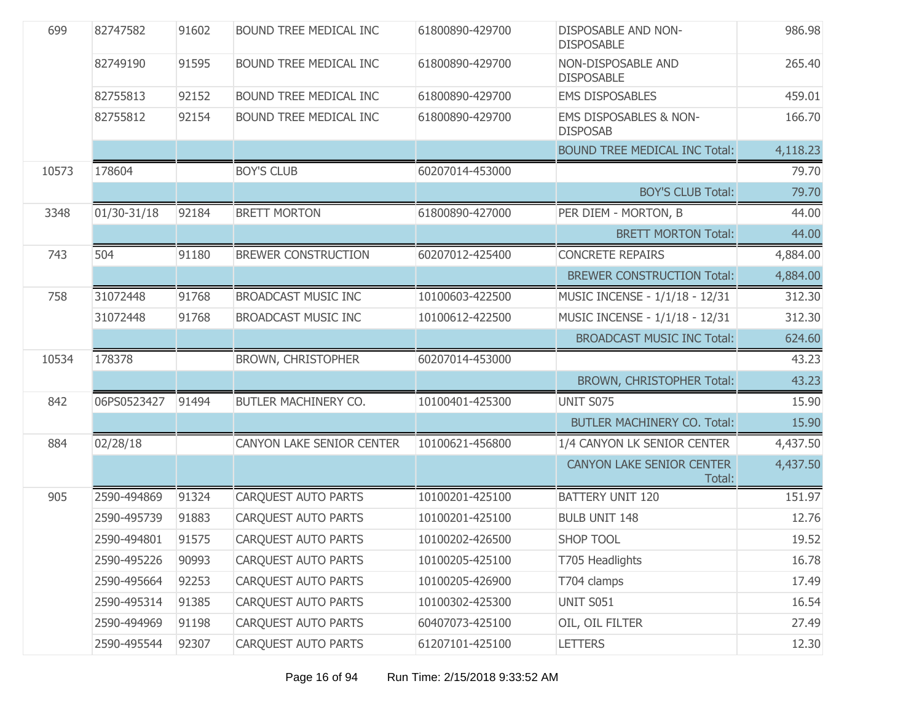| 699   | 82747582    | 91602 | BOUND TREE MEDICAL INC     | 61800890-429700 | <b>DISPOSABLE AND NON-</b><br><b>DISPOSABLE</b> | 986.98   |
|-------|-------------|-------|----------------------------|-----------------|-------------------------------------------------|----------|
|       | 82749190    | 91595 | BOUND TREE MEDICAL INC     | 61800890-429700 | NON-DISPOSABLE AND<br><b>DISPOSABLE</b>         | 265.40   |
|       | 82755813    | 92152 | BOUND TREE MEDICAL INC     | 61800890-429700 | <b>EMS DISPOSABLES</b>                          | 459.01   |
|       | 82755812    | 92154 | BOUND TREE MEDICAL INC     | 61800890-429700 | EMS DISPOSABLES & NON-<br><b>DISPOSAB</b>       | 166.70   |
|       |             |       |                            |                 | <b>BOUND TREE MEDICAL INC Total:</b>            | 4,118.23 |
| 10573 | 178604      |       | <b>BOY'S CLUB</b>          | 60207014-453000 |                                                 | 79.70    |
|       |             |       |                            |                 | <b>BOY'S CLUB Total:</b>                        | 79.70    |
| 3348  | 01/30-31/18 | 92184 | <b>BRETT MORTON</b>        | 61800890-427000 | PER DIEM - MORTON, B                            | 44.00    |
|       |             |       |                            |                 | <b>BRETT MORTON Total:</b>                      | 44.00    |
| 743   | 504         | 91180 | <b>BREWER CONSTRUCTION</b> | 60207012-425400 | <b>CONCRETE REPAIRS</b>                         | 4,884.00 |
|       |             |       |                            |                 | <b>BREWER CONSTRUCTION Total:</b>               | 4,884.00 |
| 758   | 31072448    | 91768 | <b>BROADCAST MUSIC INC</b> | 10100603-422500 | MUSIC INCENSE - 1/1/18 - 12/31                  | 312.30   |
|       | 31072448    | 91768 | <b>BROADCAST MUSIC INC</b> | 10100612-422500 | MUSIC INCENSE - 1/1/18 - 12/31                  | 312.30   |
|       |             |       |                            |                 | <b>BROADCAST MUSIC INC Total:</b>               | 624.60   |
| 10534 | 178378      |       | <b>BROWN, CHRISTOPHER</b>  | 60207014-453000 |                                                 | 43.23    |
|       |             |       |                            |                 | <b>BROWN, CHRISTOPHER Total:</b>                | 43.23    |
| 842   | 06PS0523427 | 91494 | BUTLER MACHINERY CO.       | 10100401-425300 | <b>UNIT S075</b>                                | 15.90    |
|       |             |       |                            |                 | <b>BUTLER MACHINERY CO. Total:</b>              | 15.90    |
| 884   | 02/28/18    |       | CANYON LAKE SENIOR CENTER  | 10100621-456800 | 1/4 CANYON LK SENIOR CENTER                     | 4,437.50 |
|       |             |       |                            |                 | <b>CANYON LAKE SENIOR CENTER</b><br>Total:      | 4,437.50 |
| 905   | 2590-494869 | 91324 | <b>CARQUEST AUTO PARTS</b> | 10100201-425100 | <b>BATTERY UNIT 120</b>                         | 151.97   |
|       | 2590-495739 | 91883 | <b>CARQUEST AUTO PARTS</b> | 10100201-425100 | <b>BULB UNIT 148</b>                            | 12.76    |
|       | 2590-494801 | 91575 | CARQUEST AUTO PARTS        | 10100202-426500 | <b>SHOP TOOL</b>                                | 19.52    |
|       | 2590-495226 | 90993 | <b>CARQUEST AUTO PARTS</b> | 10100205-425100 | T705 Headlights                                 | 16.78    |
|       | 2590-495664 | 92253 | <b>CARQUEST AUTO PARTS</b> | 10100205-426900 | T704 clamps                                     | 17.49    |
|       | 2590-495314 | 91385 | <b>CAROUEST AUTO PARTS</b> | 10100302-425300 | <b>UNIT S051</b>                                | 16.54    |
|       | 2590-494969 | 91198 | <b>CARQUEST AUTO PARTS</b> | 60407073-425100 | OIL, OIL FILTER                                 | 27.49    |
|       | 2590-495544 | 92307 | <b>CARQUEST AUTO PARTS</b> | 61207101-425100 | <b>LETTERS</b>                                  | 12.30    |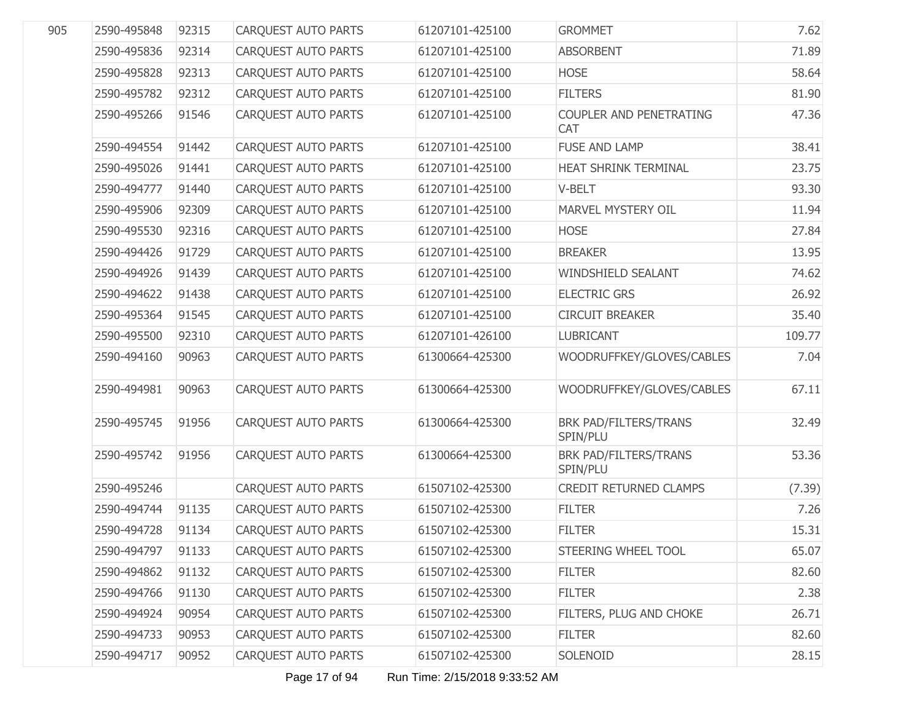| 905 | 2590-495848 | 92315 | <b>CARQUEST AUTO PARTS</b> | 61207101-425100 | <b>GROMMET</b>                    | 7.62   |
|-----|-------------|-------|----------------------------|-----------------|-----------------------------------|--------|
|     | 2590-495836 | 92314 | <b>CARQUEST AUTO PARTS</b> | 61207101-425100 | <b>ABSORBENT</b>                  | 71.89  |
|     | 2590-495828 | 92313 | <b>CARQUEST AUTO PARTS</b> | 61207101-425100 | <b>HOSE</b>                       | 58.64  |
|     | 2590-495782 | 92312 | <b>CAROUEST AUTO PARTS</b> | 61207101-425100 | <b>FILTERS</b>                    | 81.90  |
|     | 2590-495266 | 91546 | <b>CARQUEST AUTO PARTS</b> | 61207101-425100 | COUPLER AND PENETRATING<br>CAT    | 47.36  |
|     | 2590-494554 | 91442 | <b>CAROUEST AUTO PARTS</b> | 61207101-425100 | <b>FUSE AND LAMP</b>              | 38.41  |
|     | 2590-495026 | 91441 | <b>CARQUEST AUTO PARTS</b> | 61207101-425100 | HEAT SHRINK TERMINAL              | 23.75  |
|     | 2590-494777 | 91440 | <b>CARQUEST AUTO PARTS</b> | 61207101-425100 | V-BELT                            | 93.30  |
|     | 2590-495906 | 92309 | <b>CARQUEST AUTO PARTS</b> | 61207101-425100 | MARVEL MYSTERY OIL                | 11.94  |
|     | 2590-495530 | 92316 | <b>CARQUEST AUTO PARTS</b> | 61207101-425100 | <b>HOSE</b>                       | 27.84  |
|     | 2590-494426 | 91729 | <b>CARQUEST AUTO PARTS</b> | 61207101-425100 | <b>BREAKER</b>                    | 13.95  |
|     | 2590-494926 | 91439 | <b>CAROUEST AUTO PARTS</b> | 61207101-425100 | WINDSHIELD SEALANT                | 74.62  |
|     | 2590-494622 | 91438 | <b>CARQUEST AUTO PARTS</b> | 61207101-425100 | <b>ELECTRIC GRS</b>               | 26.92  |
|     | 2590-495364 | 91545 | <b>CARQUEST AUTO PARTS</b> | 61207101-425100 | <b>CIRCUIT BREAKER</b>            | 35.40  |
|     | 2590-495500 | 92310 | <b>CARQUEST AUTO PARTS</b> | 61207101-426100 | <b>LUBRICANT</b>                  | 109.77 |
|     | 2590-494160 | 90963 | CARQUEST AUTO PARTS        | 61300664-425300 | WOODRUFFKEY/GLOVES/CABLES         | 7.04   |
|     | 2590-494981 | 90963 | <b>CARQUEST AUTO PARTS</b> | 61300664-425300 | WOODRUFFKEY/GLOVES/CABLES         | 67.11  |
|     | 2590-495745 | 91956 | <b>CARQUEST AUTO PARTS</b> | 61300664-425300 | BRK PAD/FILTERS/TRANS<br>SPIN/PLU | 32.49  |
|     | 2590-495742 | 91956 | <b>CARQUEST AUTO PARTS</b> | 61300664-425300 | BRK PAD/FILTERS/TRANS<br>SPIN/PLU | 53.36  |
|     | 2590-495246 |       | CARQUEST AUTO PARTS        | 61507102-425300 | <b>CREDIT RETURNED CLAMPS</b>     | (7.39) |
|     | 2590-494744 | 91135 | <b>CARQUEST AUTO PARTS</b> | 61507102-425300 | <b>FILTER</b>                     | 7.26   |
|     | 2590-494728 | 91134 | <b>CARQUEST AUTO PARTS</b> | 61507102-425300 | <b>FILTER</b>                     | 15.31  |
|     | 2590-494797 | 91133 | <b>CARQUEST AUTO PARTS</b> | 61507102-425300 | STEERING WHEEL TOOL               | 65.07  |
|     | 2590-494862 | 91132 | <b>CAROUEST AUTO PARTS</b> | 61507102-425300 | <b>FILTER</b>                     | 82.60  |
|     | 2590-494766 | 91130 | <b>CARQUEST AUTO PARTS</b> | 61507102-425300 | <b>FILTER</b>                     | 2.38   |
|     | 2590-494924 | 90954 | <b>CARQUEST AUTO PARTS</b> | 61507102-425300 | FILTERS, PLUG AND CHOKE           | 26.71  |
|     | 2590-494733 | 90953 | <b>CARQUEST AUTO PARTS</b> | 61507102-425300 | <b>FILTER</b>                     | 82.60  |
|     | 2590-494717 | 90952 | <b>CARQUEST AUTO PARTS</b> | 61507102-425300 | SOLENOID                          | 28.15  |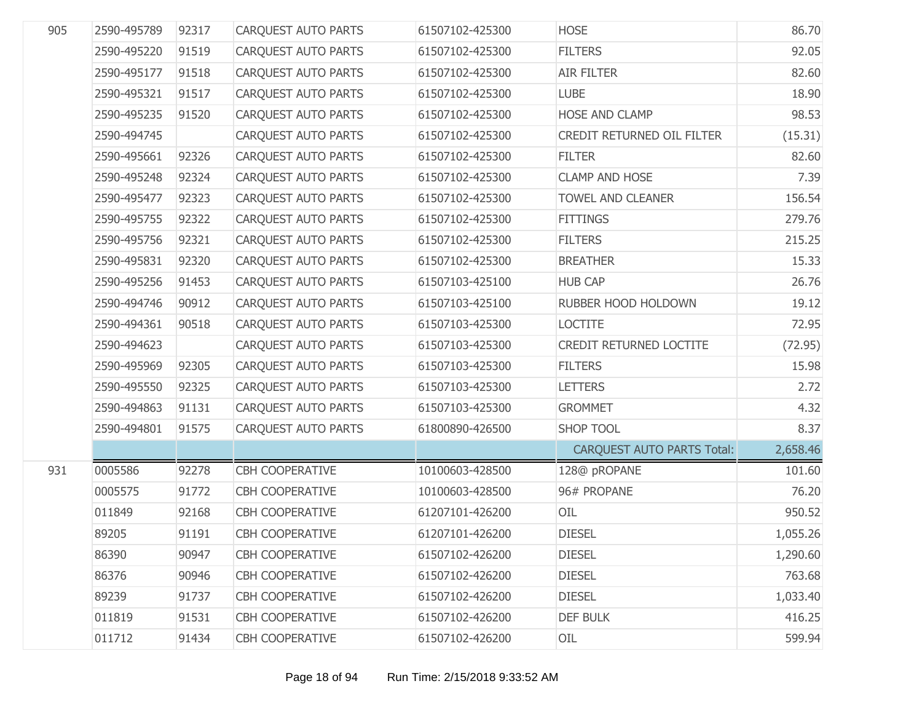| 905 | 2590-495789 | 92317 | <b>CARQUEST AUTO PARTS</b> | 61507102-425300 | <b>HOSE</b>                       | 86.70    |
|-----|-------------|-------|----------------------------|-----------------|-----------------------------------|----------|
|     | 2590-495220 | 91519 | CARQUEST AUTO PARTS        | 61507102-425300 | <b>FILTERS</b>                    | 92.05    |
|     | 2590-495177 | 91518 | CARQUEST AUTO PARTS        | 61507102-425300 | <b>AIR FILTER</b>                 | 82.60    |
|     | 2590-495321 | 91517 | CARQUEST AUTO PARTS        | 61507102-425300 | <b>LUBE</b>                       | 18.90    |
|     | 2590-495235 | 91520 | CARQUEST AUTO PARTS        | 61507102-425300 | HOSE AND CLAMP                    | 98.53    |
|     | 2590-494745 |       | CARQUEST AUTO PARTS        | 61507102-425300 | CREDIT RETURNED OIL FILTER        | (15.31)  |
|     | 2590-495661 | 92326 | CARQUEST AUTO PARTS        | 61507102-425300 | <b>FILTER</b>                     | 82.60    |
|     | 2590-495248 | 92324 | CARQUEST AUTO PARTS        | 61507102-425300 | <b>CLAMP AND HOSE</b>             | 7.39     |
|     | 2590-495477 | 92323 | CARQUEST AUTO PARTS        | 61507102-425300 | <b>TOWEL AND CLEANER</b>          | 156.54   |
|     | 2590-495755 | 92322 | CARQUEST AUTO PARTS        | 61507102-425300 | <b>FITTINGS</b>                   | 279.76   |
|     | 2590-495756 | 92321 | CARQUEST AUTO PARTS        | 61507102-425300 | <b>FILTERS</b>                    | 215.25   |
|     | 2590-495831 | 92320 | CARQUEST AUTO PARTS        | 61507102-425300 | <b>BREATHER</b>                   | 15.33    |
|     | 2590-495256 | 91453 | CARQUEST AUTO PARTS        | 61507103-425100 | <b>HUB CAP</b>                    | 26.76    |
|     | 2590-494746 | 90912 | CARQUEST AUTO PARTS        | 61507103-425100 | RUBBER HOOD HOLDOWN               | 19.12    |
|     | 2590-494361 | 90518 | CARQUEST AUTO PARTS        | 61507103-425300 | <b>LOCTITE</b>                    | 72.95    |
|     | 2590-494623 |       | CARQUEST AUTO PARTS        | 61507103-425300 | CREDIT RETURNED LOCTITE           | (72.95)  |
|     | 2590-495969 | 92305 | CARQUEST AUTO PARTS        | 61507103-425300 | <b>FILTERS</b>                    | 15.98    |
|     | 2590-495550 | 92325 | CARQUEST AUTO PARTS        | 61507103-425300 | <b>LETTERS</b>                    | 2.72     |
|     | 2590-494863 | 91131 | CARQUEST AUTO PARTS        | 61507103-425300 | <b>GROMMET</b>                    | 4.32     |
|     | 2590-494801 | 91575 | CARQUEST AUTO PARTS        | 61800890-426500 | <b>SHOP TOOL</b>                  | 8.37     |
|     |             |       |                            |                 | <b>CARQUEST AUTO PARTS Total:</b> | 2,658.46 |
| 931 | 0005586     | 92278 | <b>CBH COOPERATIVE</b>     | 10100603-428500 | 128@ pROPANE                      | 101.60   |
|     | 0005575     | 91772 | <b>CBH COOPERATIVE</b>     | 10100603-428500 | 96# PROPANE                       | 76.20    |
|     | 011849      | 92168 | <b>CBH COOPERATIVE</b>     | 61207101-426200 | OIL                               | 950.52   |
|     | 89205       | 91191 | <b>CBH COOPERATIVE</b>     | 61207101-426200 | <b>DIESEL</b>                     | 1,055.26 |
|     | 86390       | 90947 | <b>CBH COOPERATIVE</b>     | 61507102-426200 | <b>DIESEL</b>                     | 1,290.60 |
|     | 86376       | 90946 | CBH COOPERATIVE            | 61507102-426200 | <b>DIESEL</b>                     | 763.68   |
|     | 89239       | 91737 | <b>CBH COOPERATIVE</b>     | 61507102-426200 | <b>DIESEL</b>                     | 1,033.40 |
|     | 011819      | 91531 | <b>CBH COOPERATIVE</b>     | 61507102-426200 | <b>DEF BULK</b>                   | 416.25   |
|     | 011712      | 91434 | <b>CBH COOPERATIVE</b>     | 61507102-426200 | OIL                               | 599.94   |
|     |             |       |                            |                 |                                   |          |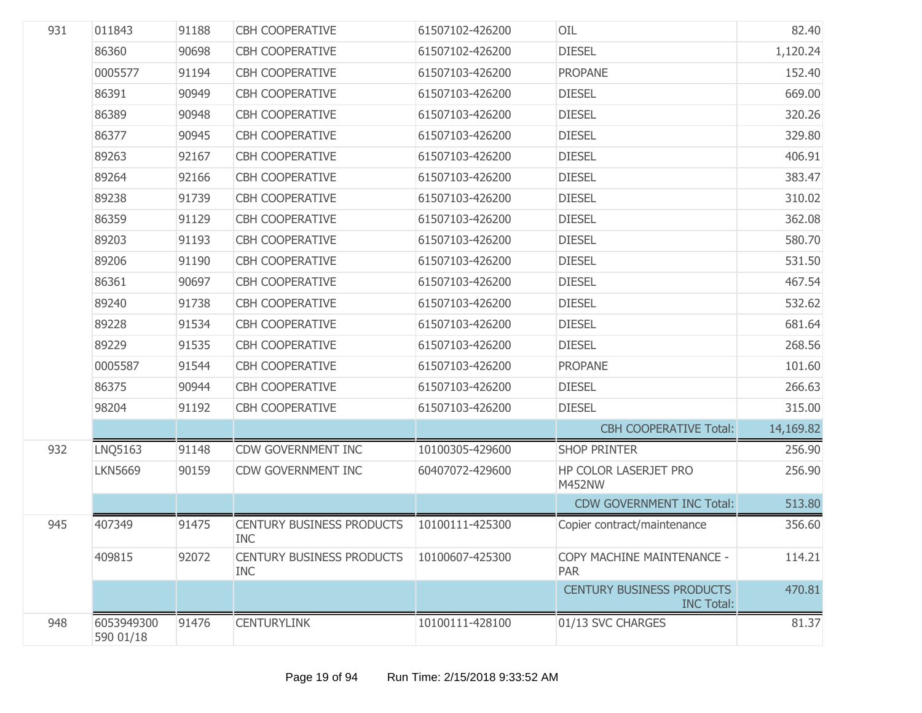| 931 | 011843                  | 91188 | <b>CBH COOPERATIVE</b>                         | 61507102-426200 | OIL                                                   | 82.40     |
|-----|-------------------------|-------|------------------------------------------------|-----------------|-------------------------------------------------------|-----------|
|     | 86360                   | 90698 | CBH COOPERATIVE                                | 61507102-426200 | <b>DIESEL</b>                                         | 1,120.24  |
|     | 0005577                 | 91194 | <b>CBH COOPERATIVE</b>                         | 61507103-426200 | <b>PROPANE</b>                                        | 152.40    |
|     | 86391                   | 90949 | <b>CBH COOPERATIVE</b>                         | 61507103-426200 | <b>DIESEL</b>                                         | 669.00    |
|     | 86389                   | 90948 | <b>CBH COOPERATIVE</b>                         | 61507103-426200 | <b>DIESEL</b>                                         | 320.26    |
|     | 86377                   | 90945 | <b>CBH COOPERATIVE</b>                         | 61507103-426200 | <b>DIESEL</b>                                         | 329.80    |
|     | 89263                   | 92167 | <b>CBH COOPERATIVE</b>                         | 61507103-426200 | <b>DIESEL</b>                                         | 406.91    |
|     | 89264                   | 92166 | <b>CBH COOPERATIVE</b>                         | 61507103-426200 | <b>DIESEL</b>                                         | 383.47    |
|     | 89238                   | 91739 | <b>CBH COOPERATIVE</b>                         | 61507103-426200 | <b>DIESEL</b>                                         | 310.02    |
|     | 86359                   | 91129 | <b>CBH COOPERATIVE</b>                         | 61507103-426200 | <b>DIESEL</b>                                         | 362.08    |
|     | 89203                   | 91193 | <b>CBH COOPERATIVE</b>                         | 61507103-426200 | <b>DIESEL</b>                                         | 580.70    |
|     | 89206                   | 91190 | <b>CBH COOPERATIVE</b>                         | 61507103-426200 | <b>DIESEL</b>                                         | 531.50    |
|     | 86361                   | 90697 | <b>CBH COOPERATIVE</b>                         | 61507103-426200 | <b>DIESEL</b>                                         | 467.54    |
|     | 89240                   | 91738 | <b>CBH COOPERATIVE</b>                         | 61507103-426200 | <b>DIESEL</b>                                         | 532.62    |
|     | 89228                   | 91534 | <b>CBH COOPERATIVE</b>                         | 61507103-426200 | <b>DIESEL</b>                                         | 681.64    |
|     | 89229                   | 91535 | <b>CBH COOPERATIVE</b>                         | 61507103-426200 | <b>DIESEL</b>                                         | 268.56    |
|     | 0005587                 | 91544 | <b>CBH COOPERATIVE</b>                         | 61507103-426200 | <b>PROPANE</b>                                        | 101.60    |
|     | 86375                   | 90944 | <b>CBH COOPERATIVE</b>                         | 61507103-426200 | <b>DIESEL</b>                                         | 266.63    |
|     | 98204                   | 91192 | <b>CBH COOPERATIVE</b>                         | 61507103-426200 | <b>DIESEL</b>                                         | 315.00    |
|     |                         |       |                                                |                 | <b>CBH COOPERATIVE Total:</b>                         | 14,169.82 |
| 932 | <b>LNQ5163</b>          | 91148 | <b>CDW GOVERNMENT INC</b>                      | 10100305-429600 | <b>SHOP PRINTER</b>                                   | 256.90    |
|     | <b>LKN5669</b>          | 90159 | CDW GOVERNMENT INC                             | 60407072-429600 | HP COLOR LASERJET PRO<br><b>M452NW</b>                | 256.90    |
|     |                         |       |                                                |                 | <b>CDW GOVERNMENT INC Total:</b>                      | 513.80    |
| 945 | 407349                  | 91475 | <b>CENTURY BUSINESS PRODUCTS</b><br><b>INC</b> | 10100111-425300 | Copier contract/maintenance                           | 356.60    |
|     | 409815                  | 92072 | <b>CENTURY BUSINESS PRODUCTS</b><br><b>INC</b> | 10100607-425300 | COPY MACHINE MAINTENANCE -<br><b>PAR</b>              | 114.21    |
|     |                         |       |                                                |                 | <b>CENTURY BUSINESS PRODUCTS</b><br><b>INC Total:</b> | 470.81    |
| 948 | 6053949300<br>590 01/18 | 91476 | <b>CENTURYLINK</b>                             | 10100111-428100 | 01/13 SVC CHARGES                                     | 81.37     |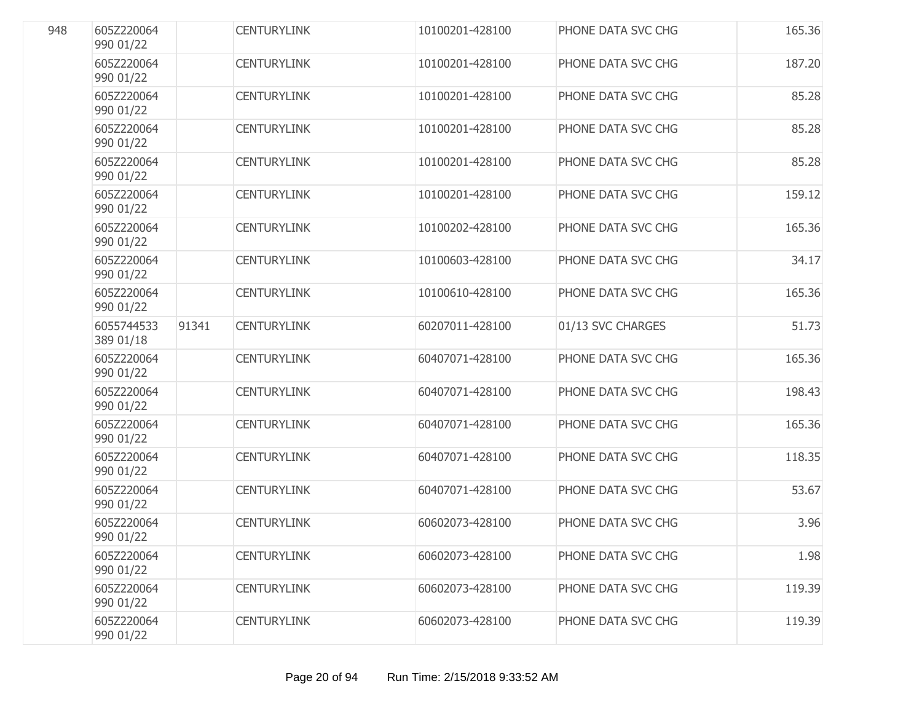| 948 | 605Z220064<br>990 01/22 |       | <b>CENTURYLINK</b> | 10100201-428100 | PHONE DATA SVC CHG | 165.36 |
|-----|-------------------------|-------|--------------------|-----------------|--------------------|--------|
|     | 605Z220064<br>990 01/22 |       | <b>CENTURYLINK</b> | 10100201-428100 | PHONE DATA SVC CHG | 187.20 |
|     | 605Z220064<br>990 01/22 |       | <b>CENTURYLINK</b> | 10100201-428100 | PHONE DATA SVC CHG | 85.28  |
|     | 605Z220064<br>990 01/22 |       | <b>CENTURYLINK</b> | 10100201-428100 | PHONE DATA SVC CHG | 85.28  |
|     | 605Z220064<br>990 01/22 |       | <b>CENTURYLINK</b> | 10100201-428100 | PHONE DATA SVC CHG | 85.28  |
|     | 605Z220064<br>990 01/22 |       | <b>CENTURYLINK</b> | 10100201-428100 | PHONE DATA SVC CHG | 159.12 |
|     | 605Z220064<br>990 01/22 |       | <b>CENTURYLINK</b> | 10100202-428100 | PHONE DATA SVC CHG | 165.36 |
|     | 605Z220064<br>990 01/22 |       | <b>CENTURYLINK</b> | 10100603-428100 | PHONE DATA SVC CHG | 34.17  |
|     | 605Z220064<br>990 01/22 |       | <b>CENTURYLINK</b> | 10100610-428100 | PHONE DATA SVC CHG | 165.36 |
|     | 6055744533<br>389 01/18 | 91341 | <b>CENTURYLINK</b> | 60207011-428100 | 01/13 SVC CHARGES  | 51.73  |
|     | 605Z220064<br>990 01/22 |       | <b>CENTURYLINK</b> | 60407071-428100 | PHONE DATA SVC CHG | 165.36 |
|     | 605Z220064<br>990 01/22 |       | <b>CENTURYLINK</b> | 60407071-428100 | PHONE DATA SVC CHG | 198.43 |
|     | 605Z220064<br>990 01/22 |       | <b>CENTURYLINK</b> | 60407071-428100 | PHONE DATA SVC CHG | 165.36 |
|     | 605Z220064<br>990 01/22 |       | <b>CENTURYLINK</b> | 60407071-428100 | PHONE DATA SVC CHG | 118.35 |
|     | 605Z220064<br>990 01/22 |       | <b>CENTURYLINK</b> | 60407071-428100 | PHONE DATA SVC CHG | 53.67  |
|     | 605Z220064<br>990 01/22 |       | <b>CENTURYLINK</b> | 60602073-428100 | PHONE DATA SVC CHG | 3.96   |
|     | 605Z220064<br>990 01/22 |       | <b>CENTURYLINK</b> | 60602073-428100 | PHONE DATA SVC CHG | 1.98   |
|     | 605Z220064<br>990 01/22 |       | <b>CENTURYLINK</b> | 60602073-428100 | PHONE DATA SVC CHG | 119.39 |
|     | 605Z220064<br>990 01/22 |       | <b>CENTURYLINK</b> | 60602073-428100 | PHONE DATA SVC CHG | 119.39 |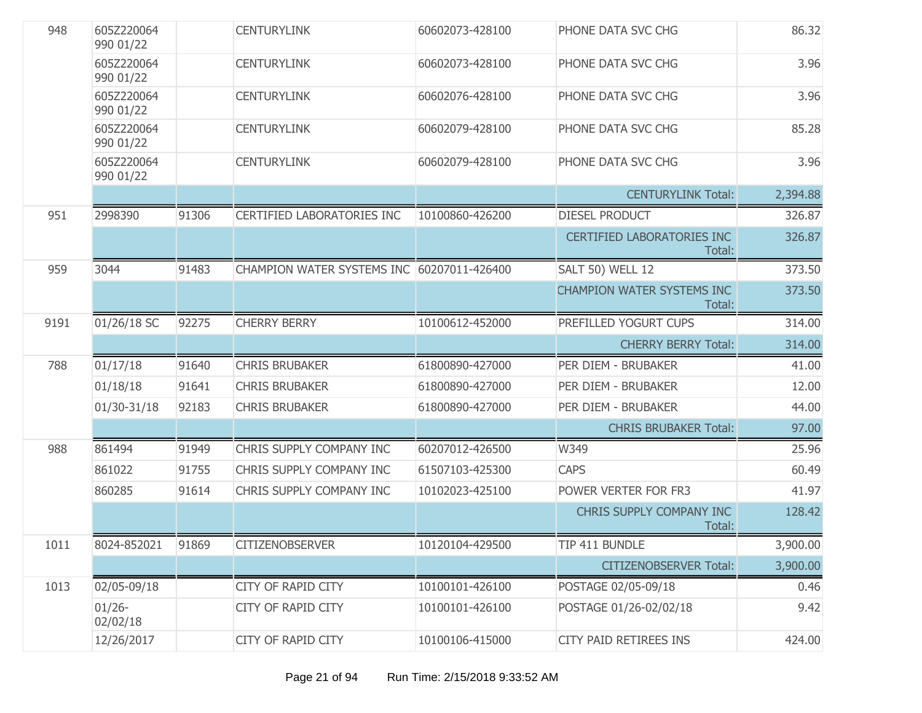| 948  | 605Z220064<br>990 01/22 |       | <b>CENTURYLINK</b>                         | 60602073-428100 | PHONE DATA SVC CHG                   | 86.32    |
|------|-------------------------|-------|--------------------------------------------|-----------------|--------------------------------------|----------|
|      | 605Z220064<br>990 01/22 |       | <b>CENTURYLINK</b>                         | 60602073-428100 | PHONE DATA SVC CHG                   | 3.96     |
|      | 605Z220064<br>990 01/22 |       | <b>CENTURYLINK</b>                         | 60602076-428100 | PHONE DATA SVC CHG                   | 3.96     |
|      | 605Z220064<br>990 01/22 |       | <b>CENTURYLINK</b>                         | 60602079-428100 | PHONE DATA SVC CHG                   | 85.28    |
|      | 605Z220064<br>990 01/22 |       | <b>CENTURYLINK</b>                         | 60602079-428100 | PHONE DATA SVC CHG                   | 3.96     |
|      |                         |       |                                            |                 | <b>CENTURYLINK Total:</b>            | 2,394.88 |
| 951  | 2998390                 | 91306 | <b>CERTIFIED LABORATORIES INC</b>          | 10100860-426200 | DIESEL PRODUCT                       | 326.87   |
|      |                         |       |                                            |                 | CERTIFIED LABORATORIES INC<br>Total: | 326.87   |
| 959  | 3044                    | 91483 | CHAMPION WATER SYSTEMS INC 60207011-426400 |                 | <b>SALT 50) WELL 12</b>              | 373.50   |
|      |                         |       |                                            |                 | CHAMPION WATER SYSTEMS INC<br>Total: | 373.50   |
| 9191 | 01/26/18 SC             | 92275 | <b>CHERRY BERRY</b>                        | 10100612-452000 | PREFILLED YOGURT CUPS                | 314.00   |
|      |                         |       |                                            |                 | <b>CHERRY BERRY Total:</b>           | 314.00   |
| 788  | 01/17/18                | 91640 | <b>CHRIS BRUBAKER</b>                      | 61800890-427000 | PER DIEM - BRUBAKER                  | 41.00    |
|      | 01/18/18                | 91641 | <b>CHRIS BRUBAKER</b>                      | 61800890-427000 | PER DIEM - BRUBAKER                  | 12.00    |
|      | 01/30-31/18             | 92183 | <b>CHRIS BRUBAKER</b>                      | 61800890-427000 | PER DIEM - BRUBAKER                  | 44.00    |
|      |                         |       |                                            |                 | <b>CHRIS BRUBAKER Total:</b>         | 97.00    |
| 988  | 861494                  | 91949 | CHRIS SUPPLY COMPANY INC                   | 60207012-426500 | W349                                 | 25.96    |
|      | 861022                  | 91755 | CHRIS SUPPLY COMPANY INC                   | 61507103-425300 | <b>CAPS</b>                          | 60.49    |
|      | 860285                  | 91614 | CHRIS SUPPLY COMPANY INC                   | 10102023-425100 | POWER VERTER FOR FR3                 | 41.97    |
|      |                         |       |                                            |                 | CHRIS SUPPLY COMPANY INC<br>Total:   | 128.42   |
| 1011 | 8024-852021 91869       |       | <b>CITIZENOBSERVER</b>                     | 10120104-429500 | TIP 411 BUNDLE                       | 3,900.00 |
|      |                         |       |                                            |                 | <b>CITIZENOBSERVER Total:</b>        | 3,900.00 |
| 1013 | 02/05-09/18             |       | CITY OF RAPID CITY                         | 10100101-426100 | POSTAGE 02/05-09/18                  | 0.46     |
|      | $01/26 -$<br>02/02/18   |       | CITY OF RAPID CITY                         | 10100101-426100 | POSTAGE 01/26-02/02/18               | 9.42     |
|      | 12/26/2017              |       | CITY OF RAPID CITY                         | 10100106-415000 | CITY PAID RETIREES INS               | 424.00   |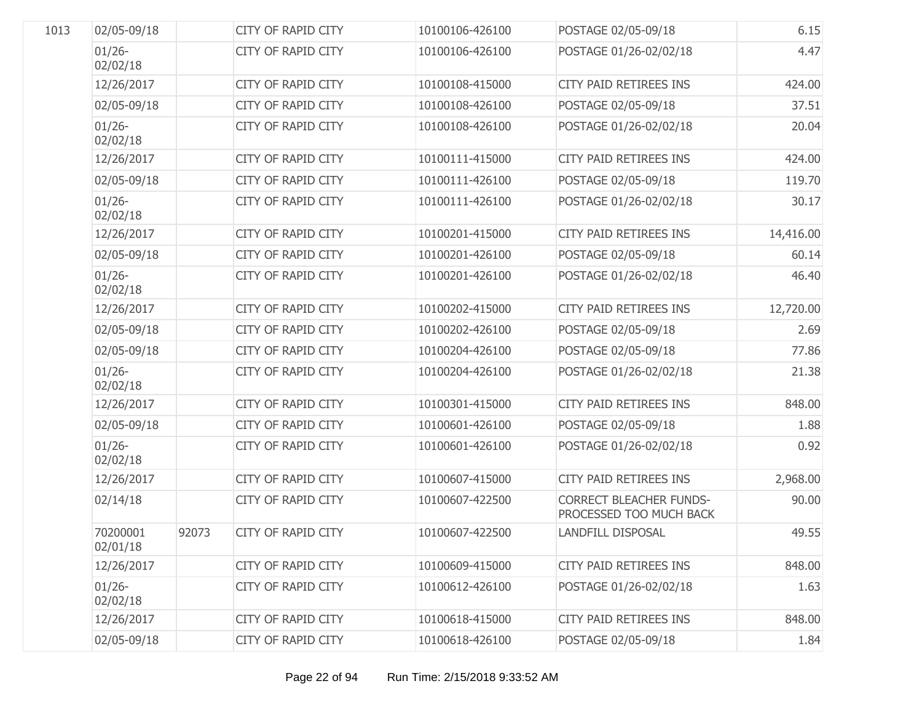| 1013 | 02/05-09/18           |       | <b>CITY OF RAPID CITY</b> | 10100106-426100 | POSTAGE 02/05-09/18                                       | 6.15      |
|------|-----------------------|-------|---------------------------|-----------------|-----------------------------------------------------------|-----------|
|      | $01/26 -$<br>02/02/18 |       | <b>CITY OF RAPID CITY</b> | 10100106-426100 | POSTAGE 01/26-02/02/18                                    | 4.47      |
|      | 12/26/2017            |       | <b>CITY OF RAPID CITY</b> | 10100108-415000 | <b>CITY PAID RETIREES INS</b>                             | 424.00    |
|      | 02/05-09/18           |       | <b>CITY OF RAPID CITY</b> | 10100108-426100 | POSTAGE 02/05-09/18                                       | 37.51     |
|      | $01/26 -$<br>02/02/18 |       | <b>CITY OF RAPID CITY</b> | 10100108-426100 | POSTAGE 01/26-02/02/18                                    | 20.04     |
|      | 12/26/2017            |       | <b>CITY OF RAPID CITY</b> | 10100111-415000 | <b>CITY PAID RETIREES INS</b>                             | 424.00    |
|      | 02/05-09/18           |       | CITY OF RAPID CITY        | 10100111-426100 | POSTAGE 02/05-09/18                                       | 119.70    |
|      | $01/26 -$<br>02/02/18 |       | <b>CITY OF RAPID CITY</b> | 10100111-426100 | POSTAGE 01/26-02/02/18                                    | 30.17     |
|      | 12/26/2017            |       | <b>CITY OF RAPID CITY</b> | 10100201-415000 | CITY PAID RETIREES INS                                    | 14,416.00 |
|      | 02/05-09/18           |       | <b>CITY OF RAPID CITY</b> | 10100201-426100 | POSTAGE 02/05-09/18                                       | 60.14     |
|      | $01/26 -$<br>02/02/18 |       | <b>CITY OF RAPID CITY</b> | 10100201-426100 | POSTAGE 01/26-02/02/18                                    | 46.40     |
|      | 12/26/2017            |       | <b>CITY OF RAPID CITY</b> | 10100202-415000 | CITY PAID RETIREES INS                                    | 12,720.00 |
|      | 02/05-09/18           |       | <b>CITY OF RAPID CITY</b> | 10100202-426100 | POSTAGE 02/05-09/18                                       | 2.69      |
|      | 02/05-09/18           |       | <b>CITY OF RAPID CITY</b> | 10100204-426100 | POSTAGE 02/05-09/18                                       | 77.86     |
|      | $01/26 -$<br>02/02/18 |       | <b>CITY OF RAPID CITY</b> | 10100204-426100 | POSTAGE 01/26-02/02/18                                    | 21.38     |
|      | 12/26/2017            |       | <b>CITY OF RAPID CITY</b> | 10100301-415000 | <b>CITY PAID RETIREES INS</b>                             | 848.00    |
|      | 02/05-09/18           |       | <b>CITY OF RAPID CITY</b> | 10100601-426100 | POSTAGE 02/05-09/18                                       | 1.88      |
|      | $01/26 -$<br>02/02/18 |       | <b>CITY OF RAPID CITY</b> | 10100601-426100 | POSTAGE 01/26-02/02/18                                    | 0.92      |
|      | 12/26/2017            |       | <b>CITY OF RAPID CITY</b> | 10100607-415000 | CITY PAID RETIREES INS                                    | 2,968.00  |
|      | 02/14/18              |       | <b>CITY OF RAPID CITY</b> | 10100607-422500 | <b>CORRECT BLEACHER FUNDS-</b><br>PROCESSED TOO MUCH BACK | 90.00     |
|      | 70200001<br>02/01/18  | 92073 | <b>CITY OF RAPID CITY</b> | 10100607-422500 | <b>LANDFILL DISPOSAL</b>                                  | 49.55     |
|      | 12/26/2017            |       | <b>CITY OF RAPID CITY</b> | 10100609-415000 | <b>CITY PAID RETIREES INS</b>                             | 848.00    |
|      | $01/26 -$<br>02/02/18 |       | <b>CITY OF RAPID CITY</b> | 10100612-426100 | POSTAGE 01/26-02/02/18                                    | 1.63      |
|      | 12/26/2017            |       | <b>CITY OF RAPID CITY</b> | 10100618-415000 | <b>CITY PAID RETIREES INS</b>                             | 848.00    |
|      | 02/05-09/18           |       | <b>CITY OF RAPID CITY</b> | 10100618-426100 | POSTAGE 02/05-09/18                                       | 1.84      |
|      |                       |       |                           |                 |                                                           |           |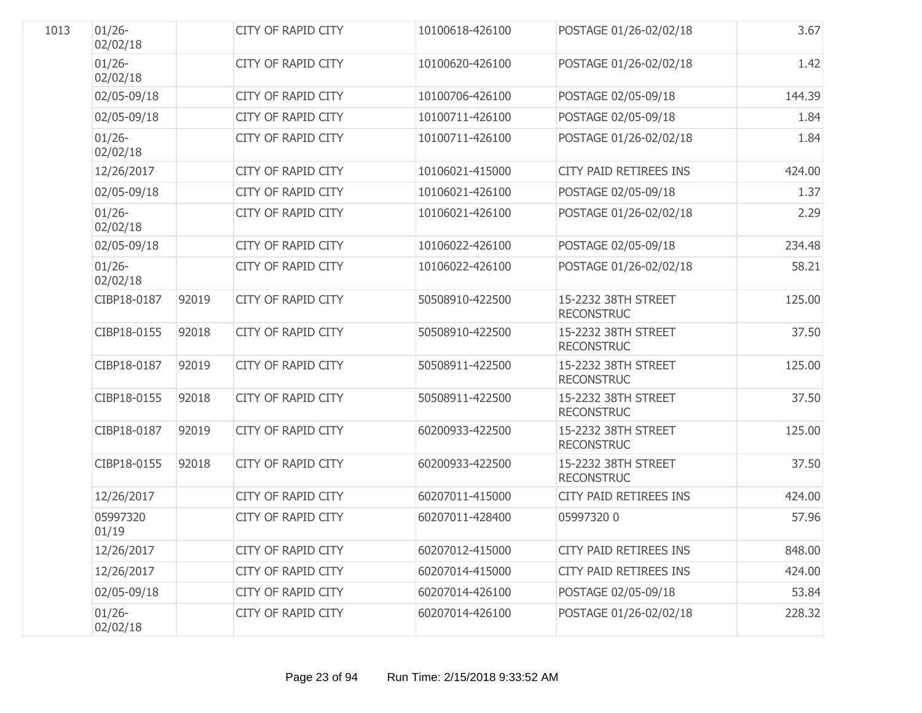| 1013 | $01/26 -$<br>02/02/18 |       | <b>CITY OF RAPID CITY</b> | 10100618-426100 | POSTAGE 01/26-02/02/18                   | 3.67   |
|------|-----------------------|-------|---------------------------|-----------------|------------------------------------------|--------|
|      | $01/26 -$<br>02/02/18 |       | <b>CITY OF RAPID CITY</b> | 10100620-426100 | POSTAGE 01/26-02/02/18                   | 1.42   |
|      | 02/05-09/18           |       | <b>CITY OF RAPID CITY</b> | 10100706-426100 | POSTAGE 02/05-09/18                      | 144.39 |
|      | 02/05-09/18           |       | <b>CITY OF RAPID CITY</b> | 10100711-426100 | POSTAGE 02/05-09/18                      | 1.84   |
|      | $01/26 -$<br>02/02/18 |       | <b>CITY OF RAPID CITY</b> | 10100711-426100 | POSTAGE 01/26-02/02/18                   | 1.84   |
|      | 12/26/2017            |       | <b>CITY OF RAPID CITY</b> | 10106021-415000 | <b>CITY PAID RETIREES INS</b>            | 424.00 |
|      | 02/05-09/18           |       | <b>CITY OF RAPID CITY</b> | 10106021-426100 | POSTAGE 02/05-09/18                      | 1.37   |
|      | $01/26 -$<br>02/02/18 |       | <b>CITY OF RAPID CITY</b> | 10106021-426100 | POSTAGE 01/26-02/02/18                   | 2.29   |
|      | 02/05-09/18           |       | <b>CITY OF RAPID CITY</b> | 10106022-426100 | POSTAGE 02/05-09/18                      | 234.48 |
|      | $01/26 -$<br>02/02/18 |       | <b>CITY OF RAPID CITY</b> | 10106022-426100 | POSTAGE 01/26-02/02/18                   | 58.21  |
|      | CIBP18-0187           | 92019 | <b>CITY OF RAPID CITY</b> | 50508910-422500 | 15-2232 38TH STREET<br><b>RECONSTRUC</b> | 125.00 |
|      | CIBP18-0155           | 92018 | <b>CITY OF RAPID CITY</b> | 50508910-422500 | 15-2232 38TH STREET<br><b>RECONSTRUC</b> | 37.50  |
|      | CIBP18-0187           | 92019 | <b>CITY OF RAPID CITY</b> | 50508911-422500 | 15-2232 38TH STREET<br><b>RECONSTRUC</b> | 125.00 |
|      | CIBP18-0155           | 92018 | <b>CITY OF RAPID CITY</b> | 50508911-422500 | 15-2232 38TH STREET<br><b>RECONSTRUC</b> | 37.50  |
|      | CIBP18-0187           | 92019 | CITY OF RAPID CITY        | 60200933-422500 | 15-2232 38TH STREET<br><b>RECONSTRUC</b> | 125.00 |
|      | CIBP18-0155           | 92018 | <b>CITY OF RAPID CITY</b> | 60200933-422500 | 15-2232 38TH STREET<br><b>RECONSTRUC</b> | 37.50  |
|      | 12/26/2017            |       | <b>CITY OF RAPID CITY</b> | 60207011-415000 | CITY PAID RETIREES INS                   | 424.00 |
|      | 05997320<br>01/19     |       | <b>CITY OF RAPID CITY</b> | 60207011-428400 | 05997320 0                               | 57.96  |
|      | 12/26/2017            |       | <b>CITY OF RAPID CITY</b> | 60207012-415000 | <b>CITY PAID RETIREES INS</b>            | 848.00 |
|      | 12/26/2017            |       | <b>CITY OF RAPID CITY</b> | 60207014-415000 | CITY PAID RETIREES INS                   | 424.00 |
|      | 02/05-09/18           |       | <b>CITY OF RAPID CITY</b> | 60207014-426100 | POSTAGE 02/05-09/18                      | 53.84  |
|      | $01/26 -$<br>02/02/18 |       | <b>CITY OF RAPID CITY</b> | 60207014-426100 | POSTAGE 01/26-02/02/18                   | 228.32 |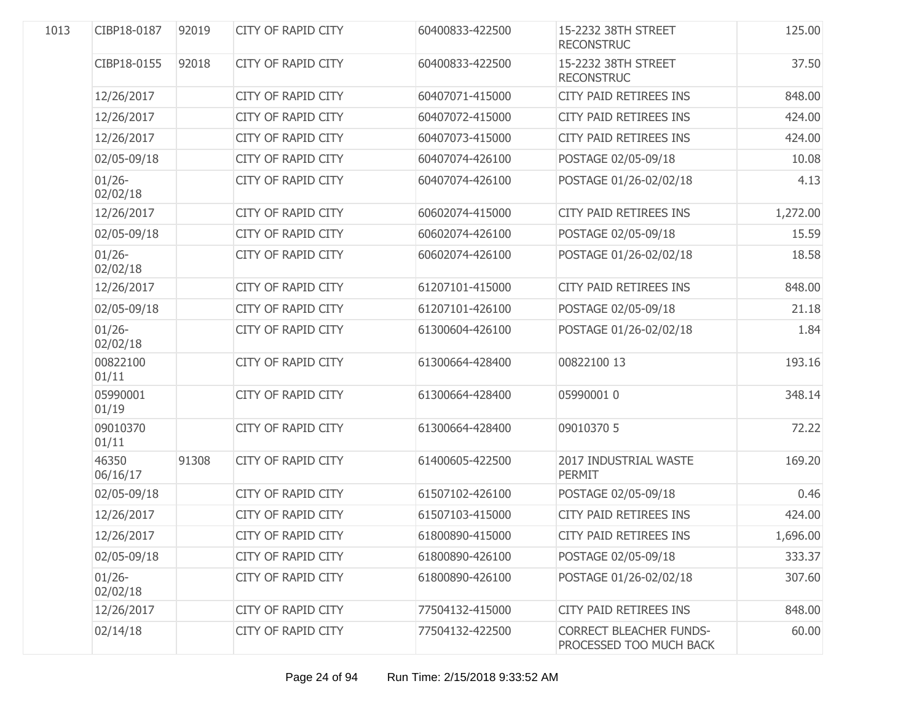| 1013 | CIBP18-0187           | 92019 | <b>CITY OF RAPID CITY</b> | 60400833-422500 | 15-2232 38TH STREET<br><b>RECONSTRUC</b>                  | 125.00   |
|------|-----------------------|-------|---------------------------|-----------------|-----------------------------------------------------------|----------|
|      | CIBP18-0155           | 92018 | <b>CITY OF RAPID CITY</b> | 60400833-422500 | 15-2232 38TH STREET<br><b>RECONSTRUC</b>                  | 37.50    |
|      | 12/26/2017            |       | <b>CITY OF RAPID CITY</b> | 60407071-415000 | CITY PAID RETIREES INS                                    | 848.00   |
|      | 12/26/2017            |       | <b>CITY OF RAPID CITY</b> | 60407072-415000 | CITY PAID RETIREES INS                                    | 424.00   |
|      | 12/26/2017            |       | <b>CITY OF RAPID CITY</b> | 60407073-415000 | <b>CITY PAID RETIREES INS</b>                             | 424.00   |
|      | 02/05-09/18           |       | <b>CITY OF RAPID CITY</b> | 60407074-426100 | POSTAGE 02/05-09/18                                       | 10.08    |
|      | $01/26 -$<br>02/02/18 |       | <b>CITY OF RAPID CITY</b> | 60407074-426100 | POSTAGE 01/26-02/02/18                                    | 4.13     |
|      | 12/26/2017            |       | <b>CITY OF RAPID CITY</b> | 60602074-415000 | CITY PAID RETIREES INS                                    | 1,272.00 |
|      | 02/05-09/18           |       | <b>CITY OF RAPID CITY</b> | 60602074-426100 | POSTAGE 02/05-09/18                                       | 15.59    |
|      | $01/26 -$<br>02/02/18 |       | <b>CITY OF RAPID CITY</b> | 60602074-426100 | POSTAGE 01/26-02/02/18                                    | 18.58    |
|      | 12/26/2017            |       | <b>CITY OF RAPID CITY</b> | 61207101-415000 | <b>CITY PAID RETIREES INS</b>                             | 848.00   |
|      | 02/05-09/18           |       | <b>CITY OF RAPID CITY</b> | 61207101-426100 | POSTAGE 02/05-09/18                                       | 21.18    |
|      | $01/26 -$<br>02/02/18 |       | <b>CITY OF RAPID CITY</b> | 61300604-426100 | POSTAGE 01/26-02/02/18                                    | 1.84     |
|      | 00822100<br>01/11     |       | <b>CITY OF RAPID CITY</b> | 61300664-428400 | 00822100 13                                               | 193.16   |
|      | 05990001<br>01/19     |       | <b>CITY OF RAPID CITY</b> | 61300664-428400 | 05990001 0                                                | 348.14   |
|      | 09010370<br>01/11     |       | <b>CITY OF RAPID CITY</b> | 61300664-428400 | 09010370 5                                                | 72.22    |
|      | 46350<br>06/16/17     | 91308 | <b>CITY OF RAPID CITY</b> | 61400605-422500 | 2017 INDUSTRIAL WASTE<br><b>PERMIT</b>                    | 169.20   |
|      | 02/05-09/18           |       | <b>CITY OF RAPID CITY</b> | 61507102-426100 | POSTAGE 02/05-09/18                                       | 0.46     |
|      | 12/26/2017            |       | <b>CITY OF RAPID CITY</b> | 61507103-415000 | <b>CITY PAID RETIREES INS</b>                             | 424.00   |
|      | 12/26/2017            |       | <b>CITY OF RAPID CITY</b> | 61800890-415000 | <b>CITY PAID RETIREES INS</b>                             | 1,696.00 |
|      | 02/05-09/18           |       | <b>CITY OF RAPID CITY</b> | 61800890-426100 | POSTAGE 02/05-09/18                                       | 333.37   |
|      | $01/26 -$<br>02/02/18 |       | <b>CITY OF RAPID CITY</b> | 61800890-426100 | POSTAGE 01/26-02/02/18                                    | 307.60   |
|      | 12/26/2017            |       | <b>CITY OF RAPID CITY</b> | 77504132-415000 | CITY PAID RETIREES INS                                    | 848.00   |
|      | 02/14/18              |       | <b>CITY OF RAPID CITY</b> | 77504132-422500 | <b>CORRECT BLEACHER FUNDS-</b><br>PROCESSED TOO MUCH BACK | 60.00    |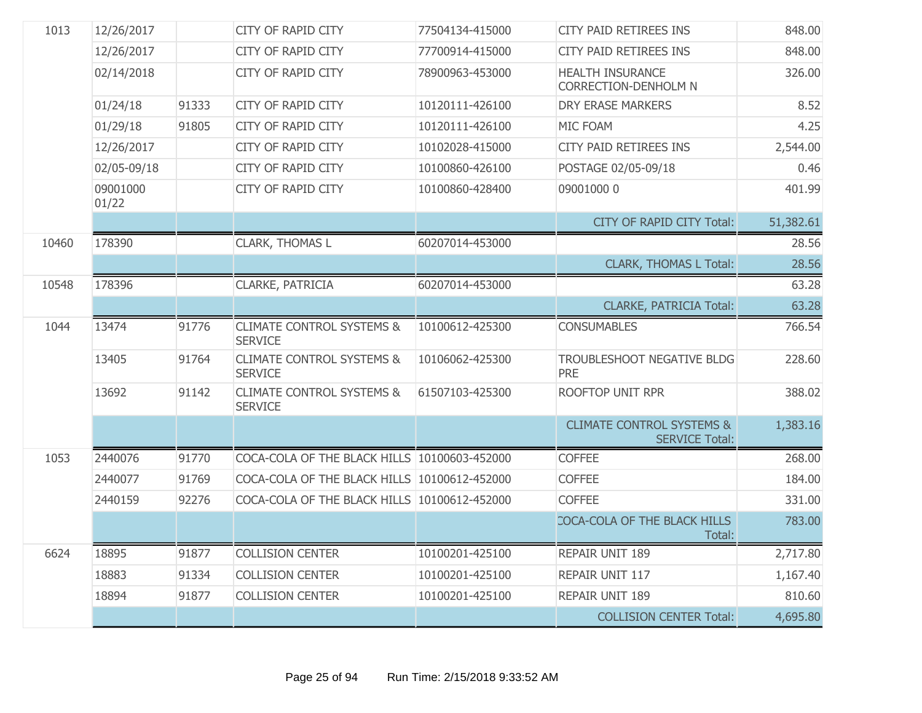| 1013  | 12/26/2017        |       | <b>CITY OF RAPID CITY</b>                              | 77504134-415000 | <b>CITY PAID RETIREES INS</b>                                 | 848.00    |
|-------|-------------------|-------|--------------------------------------------------------|-----------------|---------------------------------------------------------------|-----------|
|       | 12/26/2017        |       | <b>CITY OF RAPID CITY</b>                              | 77700914-415000 | CITY PAID RETIREES INS                                        | 848.00    |
|       | 02/14/2018        |       | <b>CITY OF RAPID CITY</b>                              | 78900963-453000 | <b>HEALTH INSURANCE</b><br><b>CORRECTION-DENHOLM N</b>        | 326.00    |
|       | 01/24/18          | 91333 | <b>CITY OF RAPID CITY</b>                              | 10120111-426100 | <b>DRY ERASE MARKERS</b>                                      | 8.52      |
|       | 01/29/18          | 91805 | <b>CITY OF RAPID CITY</b>                              | 10120111-426100 | MIC FOAM                                                      | 4.25      |
|       | 12/26/2017        |       | <b>CITY OF RAPID CITY</b>                              | 10102028-415000 | CITY PAID RETIREES INS                                        | 2,544.00  |
|       | 02/05-09/18       |       | <b>CITY OF RAPID CITY</b>                              | 10100860-426100 | POSTAGE 02/05-09/18                                           | 0.46      |
|       | 09001000<br>01/22 |       | <b>CITY OF RAPID CITY</b>                              | 10100860-428400 | 09001000 0                                                    | 401.99    |
|       |                   |       |                                                        |                 | <b>CITY OF RAPID CITY Total:</b>                              | 51,382.61 |
| 10460 | 178390            |       | CLARK, THOMAS L                                        | 60207014-453000 |                                                               | 28.56     |
|       |                   |       |                                                        |                 | <b>CLARK, THOMAS L Total:</b>                                 | 28.56     |
| 10548 | 178396            |       | CLARKE, PATRICIA                                       | 60207014-453000 |                                                               | 63.28     |
|       |                   |       |                                                        |                 | <b>CLARKE, PATRICIA Total:</b>                                | 63.28     |
| 1044  | 13474             | 91776 | <b>CLIMATE CONTROL SYSTEMS &amp;</b><br><b>SERVICE</b> | 10100612-425300 | <b>CONSUMABLES</b>                                            | 766.54    |
|       | 13405             | 91764 | <b>CLIMATE CONTROL SYSTEMS &amp;</b><br><b>SERVICE</b> | 10106062-425300 | TROUBLESHOOT NEGATIVE BLDG<br><b>PRE</b>                      | 228.60    |
|       | 13692             | 91142 | <b>CLIMATE CONTROL SYSTEMS &amp;</b><br><b>SERVICE</b> | 61507103-425300 | <b>ROOFTOP UNIT RPR</b>                                       | 388.02    |
|       |                   |       |                                                        |                 | <b>CLIMATE CONTROL SYSTEMS &amp;</b><br><b>SERVICE Total:</b> | 1,383.16  |
| 1053  | 2440076           | 91770 | COCA-COLA OF THE BLACK HILLS 10100603-452000           |                 | <b>COFFEE</b>                                                 | 268.00    |
|       | 2440077           | 91769 | COCA-COLA OF THE BLACK HILLS 10100612-452000           |                 | <b>COFFEE</b>                                                 | 184.00    |
|       | 2440159           | 92276 | COCA-COLA OF THE BLACK HILLS 10100612-452000           |                 | <b>COFFEE</b>                                                 | 331.00    |
|       |                   |       |                                                        |                 | COCA-COLA OF THE BLACK HILLS<br>Total:                        | 783.00    |
| 6624  | 18895             | 91877 | <b>COLLISION CENTER</b>                                | 10100201-425100 | REPAIR UNIT 189                                               | 2,717.80  |
|       | 18883             | 91334 | <b>COLLISION CENTER</b>                                | 10100201-425100 | REPAIR UNIT 117                                               | 1,167.40  |
|       | 18894             | 91877 | <b>COLLISION CENTER</b>                                | 10100201-425100 | REPAIR UNIT 189                                               | 810.60    |
|       |                   |       |                                                        |                 | <b>COLLISION CENTER Total:</b>                                | 4,695.80  |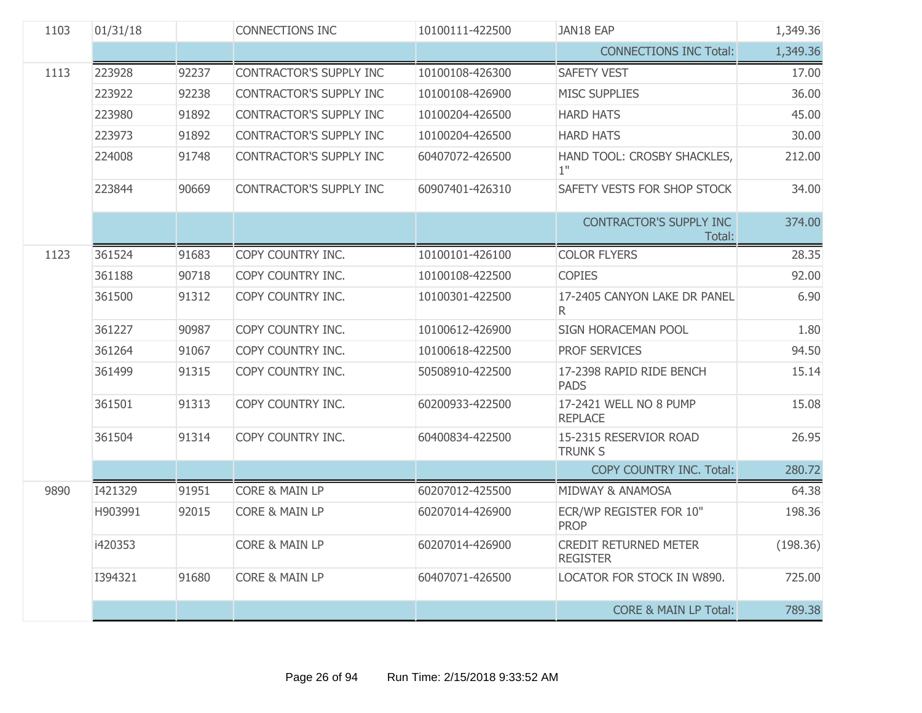| 1103 | 01/31/18 |       | <b>CONNECTIONS INC</b>         | 10100111-422500 | JAN18 EAP                                       | 1,349.36 |
|------|----------|-------|--------------------------------|-----------------|-------------------------------------------------|----------|
|      |          |       |                                |                 | <b>CONNECTIONS INC Total:</b>                   | 1,349.36 |
| 1113 | 223928   | 92237 | CONTRACTOR'S SUPPLY INC        | 10100108-426300 | <b>SAFETY VEST</b>                              | 17.00    |
|      | 223922   | 92238 | CONTRACTOR'S SUPPLY INC        | 10100108-426900 | <b>MISC SUPPLIES</b>                            | 36.00    |
|      | 223980   | 91892 | CONTRACTOR'S SUPPLY INC        | 10100204-426500 | <b>HARD HATS</b>                                | 45.00    |
|      | 223973   | 91892 | <b>CONTRACTOR'S SUPPLY INC</b> | 10100204-426500 | <b>HARD HATS</b>                                | 30.00    |
|      | 224008   | 91748 | CONTRACTOR'S SUPPLY INC        | 60407072-426500 | HAND TOOL: CROSBY SHACKLES,<br>1"               | 212.00   |
|      | 223844   | 90669 | CONTRACTOR'S SUPPLY INC        | 60907401-426310 | SAFETY VESTS FOR SHOP STOCK                     | 34.00    |
|      |          |       |                                |                 | CONTRACTOR'S SUPPLY INC<br>Total:               | 374.00   |
| 1123 | 361524   | 91683 | COPY COUNTRY INC.              | 10100101-426100 | <b>COLOR FLYERS</b>                             | 28.35    |
|      | 361188   | 90718 | COPY COUNTRY INC.              | 10100108-422500 | <b>COPIES</b>                                   | 92.00    |
|      | 361500   | 91312 | COPY COUNTRY INC.              | 10100301-422500 | 17-2405 CANYON LAKE DR PANEL<br>R.              | 6.90     |
|      | 361227   | 90987 | COPY COUNTRY INC.              | 10100612-426900 | SIGN HORACEMAN POOL                             | 1.80     |
|      | 361264   | 91067 | COPY COUNTRY INC.              | 10100618-422500 | PROF SERVICES                                   | 94.50    |
|      | 361499   | 91315 | COPY COUNTRY INC.              | 50508910-422500 | 17-2398 RAPID RIDE BENCH<br><b>PADS</b>         | 15.14    |
|      | 361501   | 91313 | COPY COUNTRY INC.              | 60200933-422500 | 17-2421 WELL NO 8 PUMP<br><b>REPLACE</b>        | 15.08    |
|      | 361504   | 91314 | COPY COUNTRY INC.              | 60400834-422500 | 15-2315 RESERVIOR ROAD<br><b>TRUNK S</b>        | 26.95    |
|      |          |       |                                |                 | <b>COPY COUNTRY INC. Total:</b>                 | 280.72   |
| 9890 | I421329  | 91951 | <b>CORE &amp; MAIN LP</b>      | 60207012-425500 | MIDWAY & ANAMOSA                                | 64.38    |
|      | H903991  | 92015 | <b>CORE &amp; MAIN LP</b>      | 60207014-426900 | ECR/WP REGISTER FOR 10"<br><b>PROP</b>          | 198.36   |
|      | i420353  |       | <b>CORE &amp; MAIN LP</b>      | 60207014-426900 | <b>CREDIT RETURNED METER</b><br><b>REGISTER</b> | (198.36) |
|      | I394321  | 91680 | <b>CORE &amp; MAIN LP</b>      | 60407071-426500 | LOCATOR FOR STOCK IN W890.                      | 725.00   |
|      |          |       |                                |                 | <b>CORE &amp; MAIN LP Total:</b>                | 789.38   |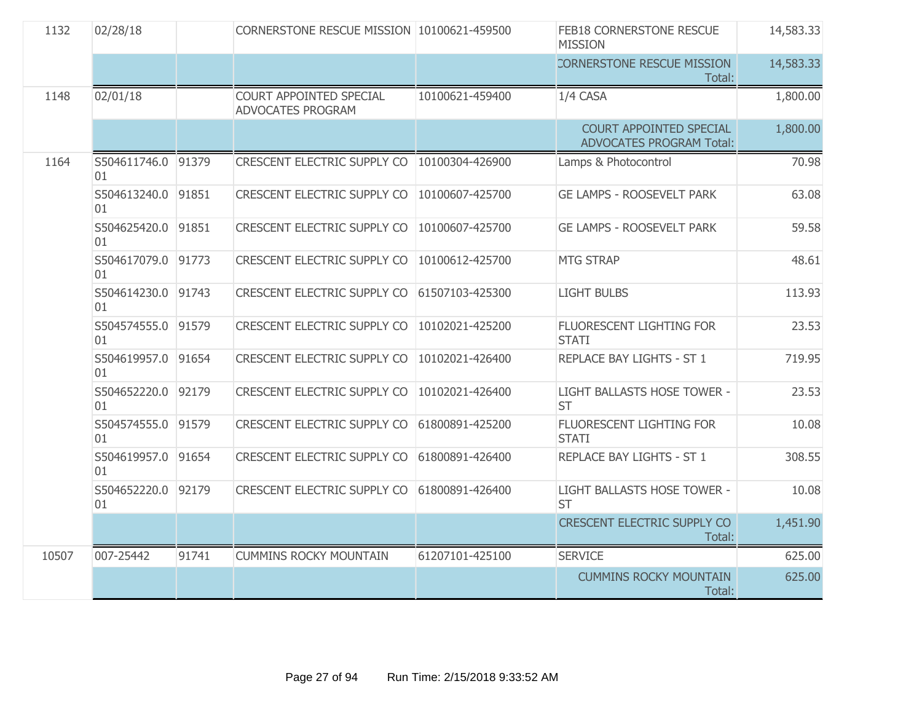| 1132  | 02/28/18                 |       | CORNERSTONE RESCUE MISSION 10100621-459500   |                 | FEB18 CORNERSTONE RESCUE<br><b>MISSION</b>                 | 14,583.33 |
|-------|--------------------------|-------|----------------------------------------------|-----------------|------------------------------------------------------------|-----------|
|       |                          |       |                                              |                 | CORNERSTONE RESCUE MISSION<br>Total:                       | 14,583.33 |
| 1148  | 02/01/18                 |       | COURT APPOINTED SPECIAL<br>ADVOCATES PROGRAM | 10100621-459400 | 1/4 CASA                                                   | 1,800.00  |
|       |                          |       |                                              |                 | COURT APPOINTED SPECIAL<br><b>ADVOCATES PROGRAM Total:</b> | 1,800.00  |
| 1164  | S504611746.0<br>01       | 91379 | CRESCENT ELECTRIC SUPPLY CO                  | 10100304-426900 | Lamps & Photocontrol                                       | 70.98     |
|       | S504613240.0 91851<br>01 |       | <b>CRESCENT ELECTRIC SUPPLY CO</b>           | 10100607-425700 | <b>GE LAMPS - ROOSEVELT PARK</b>                           | 63.08     |
|       | S504625420.0<br>01       | 91851 | <b>CRESCENT ELECTRIC SUPPLY CO</b>           | 10100607-425700 | <b>GE LAMPS - ROOSEVELT PARK</b>                           | 59.58     |
|       | S504617079.0 91773<br>01 |       | CRESCENT ELECTRIC SUPPLY CO                  | 10100612-425700 | <b>MTG STRAP</b>                                           | 48.61     |
|       | S504614230.0<br>01       | 91743 | CRESCENT ELECTRIC SUPPLY CO                  | 61507103-425300 | <b>LIGHT BULBS</b>                                         | 113.93    |
|       | S504574555.0 91579<br>01 |       | CRESCENT ELECTRIC SUPPLY CO                  | 10102021-425200 | FLUORESCENT LIGHTING FOR<br><b>STATI</b>                   | 23.53     |
|       | S504619957.0<br>01       | 91654 | <b>CRESCENT ELECTRIC SUPPLY CO</b>           | 10102021-426400 | REPLACE BAY LIGHTS - ST 1                                  | 719.95    |
|       | S504652220.0<br>01       | 92179 | <b>CRESCENT ELECTRIC SUPPLY CO</b>           | 10102021-426400 | LIGHT BALLASTS HOSE TOWER -<br><b>ST</b>                   | 23.53     |
|       | S504574555.0<br>01       | 91579 | CRESCENT ELECTRIC SUPPLY CO                  | 61800891-425200 | FLUORESCENT LIGHTING FOR<br><b>STATI</b>                   | 10.08     |
|       | S504619957.0<br>01       | 91654 | CRESCENT ELECTRIC SUPPLY CO                  | 61800891-426400 | REPLACE BAY LIGHTS - ST 1                                  | 308.55    |
|       | S504652220.0 92179<br>01 |       | <b>CRESCENT ELECTRIC SUPPLY CO</b>           | 61800891-426400 | LIGHT BALLASTS HOSE TOWER -<br><b>ST</b>                   | 10.08     |
|       |                          |       |                                              |                 | <b>CRESCENT ELECTRIC SUPPLY CO</b><br>Total:               | 1,451.90  |
| 10507 | 007-25442                | 91741 | <b>CUMMINS ROCKY MOUNTAIN</b>                | 61207101-425100 | <b>SERVICE</b>                                             | 625.00    |
|       |                          |       |                                              |                 | <b>CUMMINS ROCKY MOUNTAIN</b><br>Total:                    | 625.00    |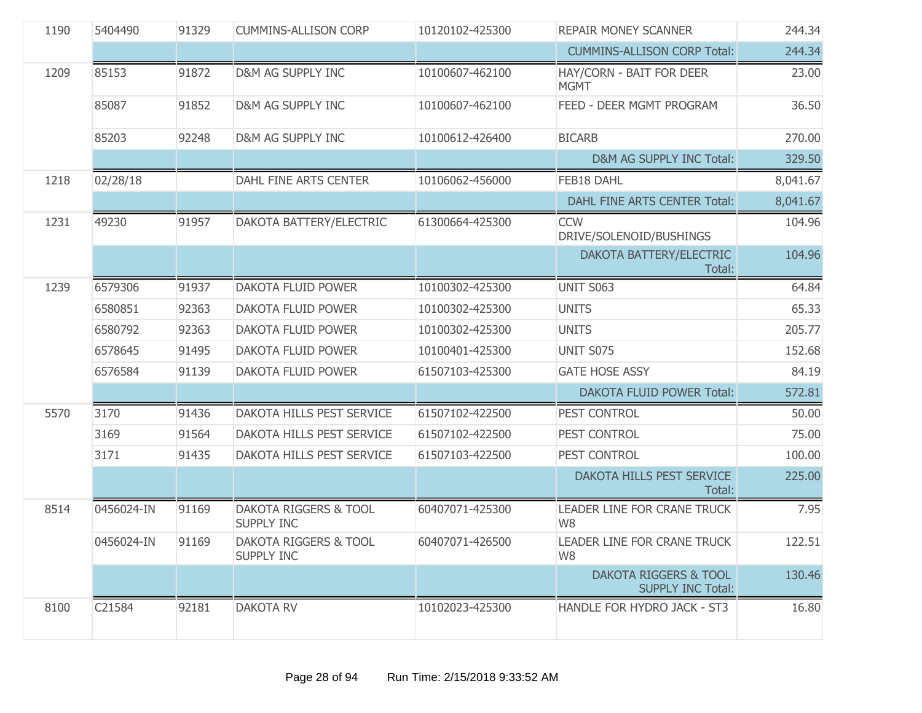| 1190 | 5404490    | 91329 | <b>CUMMINS-ALLISON CORP</b>                           | 10120102-425300 | <b>REPAIR MONEY SCANNER</b>                                  | 244.34   |
|------|------------|-------|-------------------------------------------------------|-----------------|--------------------------------------------------------------|----------|
|      |            |       |                                                       |                 | <b>CUMMINS-ALLISON CORP Total:</b>                           | 244.34   |
| 1209 | 85153      | 91872 | <b>D&amp;M AG SUPPLY INC</b>                          | 10100607-462100 | HAY/CORN - BAIT FOR DEER<br><b>MGMT</b>                      | 23.00    |
|      | 85087      | 91852 | D&M AG SUPPLY INC                                     | 10100607-462100 | FEED - DEER MGMT PROGRAM                                     | 36.50    |
|      | 85203      | 92248 | D&M AG SUPPLY INC                                     | 10100612-426400 | <b>BICARB</b>                                                | 270.00   |
|      |            |       |                                                       |                 | D&M AG SUPPLY INC Total:                                     | 329.50   |
| 1218 | 02/28/18   |       | DAHL FINE ARTS CENTER                                 | 10106062-456000 | FEB18 DAHL                                                   | 8,041.67 |
|      |            |       |                                                       |                 | DAHL FINE ARTS CENTER Total:                                 | 8,041.67 |
| 1231 | 49230      | 91957 | DAKOTA BATTERY/ELECTRIC                               | 61300664-425300 | <b>CCW</b><br>DRIVE/SOLENOID/BUSHINGS                        | 104.96   |
|      |            |       |                                                       |                 | DAKOTA BATTERY/ELECTRIC<br>Total:                            | 104.96   |
| 1239 | 6579306    | 91937 | <b>DAKOTA FLUID POWER</b>                             | 10100302-425300 | <b>UNIT S063</b>                                             | 64.84    |
|      | 6580851    | 92363 | DAKOTA FLUID POWER                                    | 10100302-425300 | <b>UNITS</b>                                                 | 65.33    |
|      | 6580792    | 92363 | DAKOTA FLUID POWER                                    | 10100302-425300 | <b>UNITS</b>                                                 | 205.77   |
|      | 6578645    | 91495 | DAKOTA FLUID POWER                                    | 10100401-425300 | UNIT S075                                                    | 152.68   |
|      | 6576584    | 91139 | DAKOTA FLUID POWER                                    | 61507103-425300 | <b>GATE HOSE ASSY</b>                                        | 84.19    |
|      |            |       |                                                       |                 | <b>DAKOTA FLUID POWER Total:</b>                             | 572.81   |
| 5570 | 3170       | 91436 | DAKOTA HILLS PEST SERVICE                             | 61507102-422500 | PEST CONTROL                                                 | 50.00    |
|      | 3169       | 91564 | DAKOTA HILLS PEST SERVICE                             | 61507102-422500 | PEST CONTROL                                                 | 75.00    |
|      | 3171       | 91435 | DAKOTA HILLS PEST SERVICE                             | 61507103-422500 | PEST CONTROL                                                 | 100.00   |
|      |            |       |                                                       |                 | DAKOTA HILLS PEST SERVICE<br>Total:                          | 225.00   |
| 8514 | 0456024-IN | 91169 | <b>DAKOTA RIGGERS &amp; TOOL</b><br><b>SUPPLY INC</b> | 60407071-425300 | LEADER LINE FOR CRANE TRUCK<br>W <sub>8</sub>                | 7.95     |
|      | 0456024-IN | 91169 | DAKOTA RIGGERS & TOOL<br><b>SUPPLY INC</b>            | 60407071-426500 | LEADER LINE FOR CRANE TRUCK<br>W <sub>8</sub>                | 122.51   |
|      |            |       |                                                       |                 | <b>DAKOTA RIGGERS &amp; TOOL</b><br><b>SUPPLY INC Total:</b> | 130.46   |
| 8100 | C21584     | 92181 | <b>DAKOTA RV</b>                                      | 10102023-425300 | HANDLE FOR HYDRO JACK - ST3                                  | 16.80    |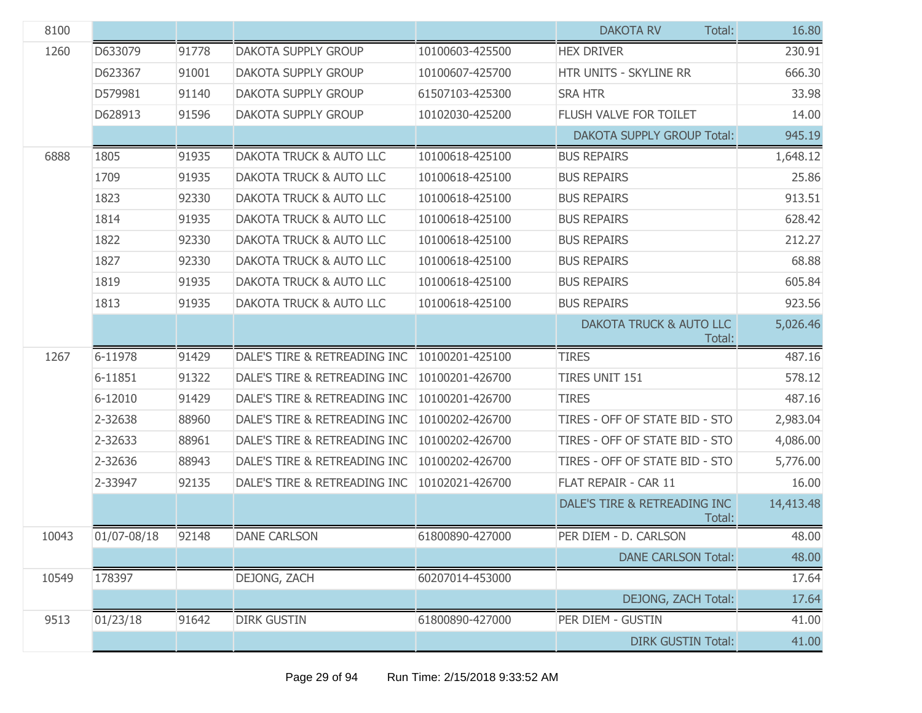| 8100  |             |       |                                    |                 | <b>DAKOTA RV</b><br>Total:             | 16.80     |
|-------|-------------|-------|------------------------------------|-----------------|----------------------------------------|-----------|
| 1260  | D633079     | 91778 | <b>DAKOTA SUPPLY GROUP</b>         | 10100603-425500 | <b>HEX DRIVER</b>                      | 230.91    |
|       | D623367     | 91001 | DAKOTA SUPPLY GROUP                | 10100607-425700 | HTR UNITS - SKYLINE RR                 | 666.30    |
|       | D579981     | 91140 | <b>DAKOTA SUPPLY GROUP</b>         | 61507103-425300 | <b>SRA HTR</b>                         | 33.98     |
|       | D628913     | 91596 | DAKOTA SUPPLY GROUP                | 10102030-425200 | FLUSH VALVE FOR TOILET                 | 14.00     |
|       |             |       |                                    |                 | <b>DAKOTA SUPPLY GROUP Total:</b>      | 945.19    |
| 6888  | 1805        | 91935 | <b>DAKOTA TRUCK &amp; AUTO LLC</b> | 10100618-425100 | <b>BUS REPAIRS</b>                     | 1,648.12  |
|       | 1709        | 91935 | <b>DAKOTA TRUCK &amp; AUTO LLC</b> | 10100618-425100 | <b>BUS REPAIRS</b>                     | 25.86     |
|       | 1823        | 92330 | DAKOTA TRUCK & AUTO LLC            | 10100618-425100 | <b>BUS REPAIRS</b>                     | 913.51    |
|       | 1814        | 91935 | <b>DAKOTA TRUCK &amp; AUTO LLC</b> | 10100618-425100 | <b>BUS REPAIRS</b>                     | 628.42    |
|       | 1822        | 92330 | DAKOTA TRUCK & AUTO LLC            | 10100618-425100 | <b>BUS REPAIRS</b>                     | 212.27    |
|       | 1827        | 92330 | DAKOTA TRUCK & AUTO LLC            | 10100618-425100 | <b>BUS REPAIRS</b>                     | 68.88     |
|       | 1819        | 91935 | DAKOTA TRUCK & AUTO LLC            | 10100618-425100 | <b>BUS REPAIRS</b>                     | 605.84    |
|       | 1813        | 91935 | <b>DAKOTA TRUCK &amp; AUTO LLC</b> | 10100618-425100 | <b>BUS REPAIRS</b>                     | 923.56    |
|       |             |       |                                    |                 | DAKOTA TRUCK & AUTO LLC<br>Total:      | 5,026.46  |
| 1267  | 6-11978     | 91429 | DALE'S TIRE & RETREADING INC       | 10100201-425100 | <b>TIRES</b>                           | 487.16    |
|       | 6-11851     | 91322 | DALE'S TIRE & RETREADING INC       | 10100201-426700 | <b>TIRES UNIT 151</b>                  | 578.12    |
|       | 6-12010     | 91429 | DALE'S TIRE & RETREADING INC       | 10100201-426700 | <b>TIRES</b>                           | 487.16    |
|       | 2-32638     | 88960 | DALE'S TIRE & RETREADING INC       | 10100202-426700 | TIRES - OFF OF STATE BID - STO         | 2,983.04  |
|       | 2-32633     | 88961 | DALE'S TIRE & RETREADING INC       | 10100202-426700 | TIRES - OFF OF STATE BID - STO         | 4,086.00  |
|       | 2-32636     | 88943 | DALE'S TIRE & RETREADING INC       | 10100202-426700 | TIRES - OFF OF STATE BID - STO         | 5,776.00  |
|       | 2-33947     | 92135 | DALE'S TIRE & RETREADING INC       | 10102021-426700 | FLAT REPAIR - CAR 11                   | 16.00     |
|       |             |       |                                    |                 | DALE'S TIRE & RETREADING INC<br>Total: | 14,413.48 |
| 10043 | 01/07-08/18 | 92148 | <b>DANE CARLSON</b>                | 61800890-427000 | PER DIEM - D. CARLSON                  | 48.00     |
|       |             |       |                                    |                 | <b>DANE CARLSON Total:</b>             | 48.00     |
| 10549 | 178397      |       | DEJONG, ZACH                       | 60207014-453000 |                                        | 17.64     |
|       |             |       |                                    |                 | DEJONG, ZACH Total:                    | 17.64     |
| 9513  | 01/23/18    | 91642 | <b>DIRK GUSTIN</b>                 | 61800890-427000 | PER DIEM - GUSTIN                      | 41.00     |
|       |             |       |                                    |                 | <b>DIRK GUSTIN Total:</b>              | 41.00     |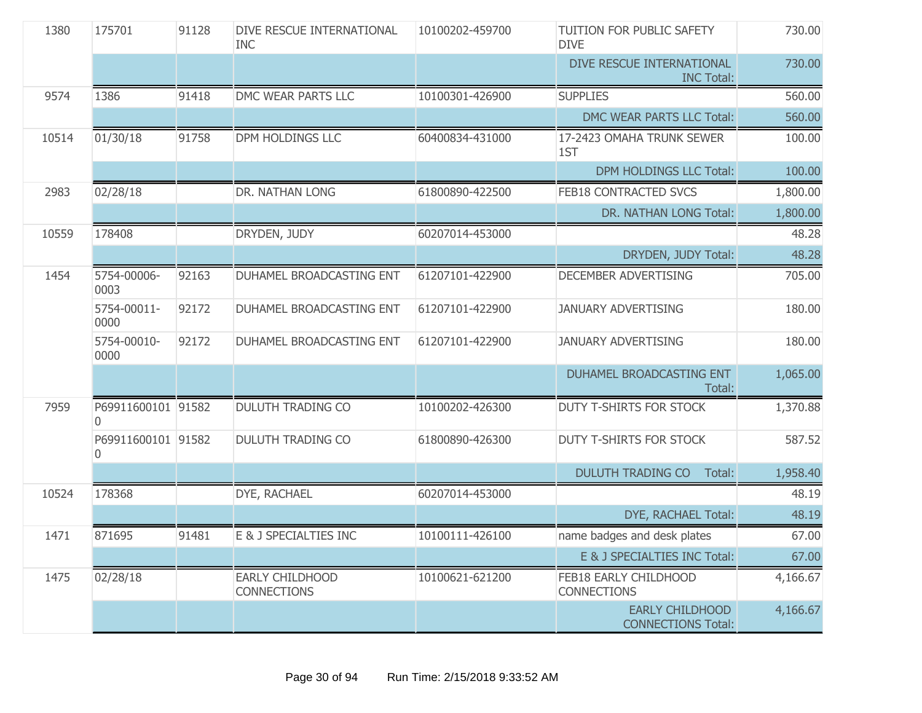| 1380  | 175701                  | 91128 | DIVE RESCUE INTERNATIONAL<br><b>INC</b>      | 10100202-459700 | TUITION FOR PUBLIC SAFETY<br><b>DIVE</b>            | 730.00   |
|-------|-------------------------|-------|----------------------------------------------|-----------------|-----------------------------------------------------|----------|
|       |                         |       |                                              |                 | DIVE RESCUE INTERNATIONAL<br><b>INC Total:</b>      | 730.00   |
| 9574  | 1386                    | 91418 | DMC WEAR PARTS LLC                           | 10100301-426900 | <b>SUPPLIES</b>                                     | 560.00   |
|       |                         |       |                                              |                 | DMC WEAR PARTS LLC Total:                           | 560.00   |
| 10514 | 01/30/18                | 91758 | DPM HOLDINGS LLC                             | 60400834-431000 | 17-2423 OMAHA TRUNK SEWER<br>1ST                    | 100.00   |
|       |                         |       |                                              |                 | DPM HOLDINGS LLC Total:                             | 100.00   |
| 2983  | 02/28/18                |       | DR. NATHAN LONG                              | 61800890-422500 | FEB18 CONTRACTED SVCS                               | 1,800.00 |
|       |                         |       |                                              |                 | DR. NATHAN LONG Total:                              | 1,800.00 |
| 10559 | 178408                  |       | DRYDEN, JUDY                                 | 60207014-453000 |                                                     | 48.28    |
|       |                         |       |                                              |                 | DRYDEN, JUDY Total:                                 | 48.28    |
| 1454  | 5754-00006-<br>0003     | 92163 | DUHAMEL BROADCASTING ENT                     | 61207101-422900 | DECEMBER ADVERTISING                                | 705.00   |
|       | 5754-00011-<br>0000     | 92172 | DUHAMEL BROADCASTING ENT                     | 61207101-422900 | <b>JANUARY ADVERTISING</b>                          | 180.00   |
|       | 5754-00010-<br>0000     | 92172 | DUHAMEL BROADCASTING ENT                     | 61207101-422900 | <b>JANUARY ADVERTISING</b>                          | 180.00   |
|       |                         |       |                                              |                 | DUHAMEL BROADCASTING ENT<br>Total:                  | 1,065.00 |
| 7959  | P69911600101 91582<br>0 |       | <b>DULUTH TRADING CO</b>                     | 10100202-426300 | <b>DUTY T-SHIRTS FOR STOCK</b>                      | 1,370.88 |
|       | P69911600101 91582<br>0 |       | <b>DULUTH TRADING CO</b>                     | 61800890-426300 | <b>DUTY T-SHIRTS FOR STOCK</b>                      | 587.52   |
|       |                         |       |                                              |                 | <b>DULUTH TRADING CO</b><br>Total:                  | 1,958.40 |
| 10524 | 178368                  |       | DYE, RACHAEL                                 | 60207014-453000 |                                                     | 48.19    |
|       |                         |       |                                              |                 | DYE, RACHAEL Total:                                 | 48.19    |
| 1471  | 871695                  | 91481 | E & J SPECIALTIES INC                        | 10100111-426100 | name badges and desk plates                         | 67.00    |
|       |                         |       |                                              |                 | E & J SPECIALTIES INC Total:                        | 67.00    |
| 1475  | 02/28/18                |       | <b>EARLY CHILDHOOD</b><br><b>CONNECTIONS</b> | 10100621-621200 | FEB18 EARLY CHILDHOOD<br><b>CONNECTIONS</b>         | 4,166.67 |
|       |                         |       |                                              |                 | <b>EARLY CHILDHOOD</b><br><b>CONNECTIONS Total:</b> | 4,166.67 |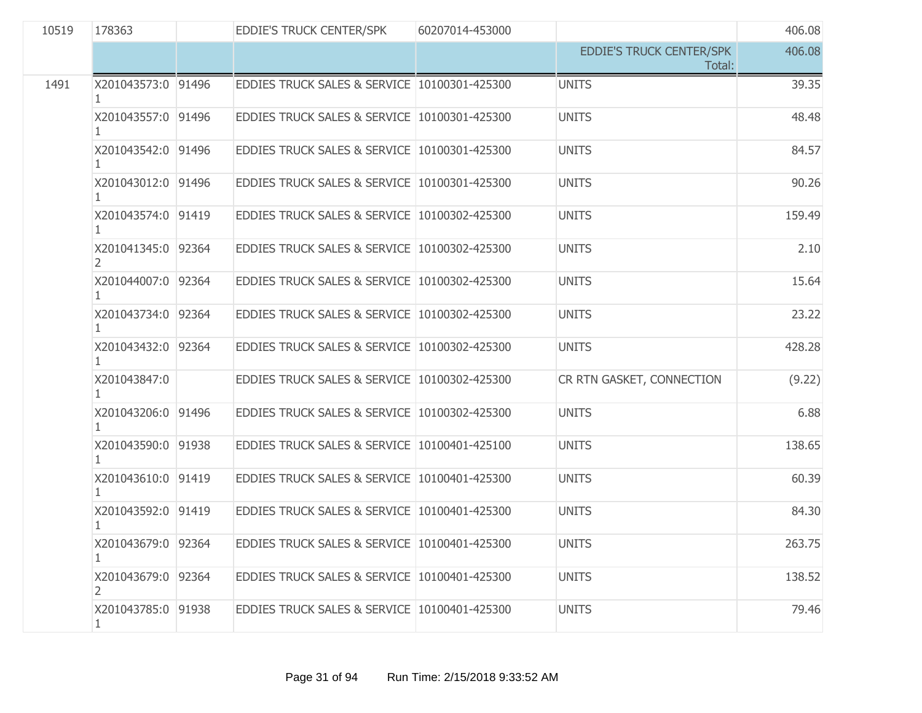| 10519 | 178363                   | EDDIE'S TRUCK CENTER/SPK                     | 60207014-453000 |                                           | 406.08 |
|-------|--------------------------|----------------------------------------------|-----------------|-------------------------------------------|--------|
|       |                          |                                              |                 | <b>EDDIE'S TRUCK CENTER/SPK</b><br>Total: | 406.08 |
| 1491  | X201043573:0 91496       | EDDIES TRUCK SALES & SERVICE 10100301-425300 |                 | <b>UNITS</b>                              | 39.35  |
|       | X201043557:0 91496       | EDDIES TRUCK SALES & SERVICE 10100301-425300 |                 | <b>UNITS</b>                              | 48.48  |
|       | X201043542:0 91496<br>1. | EDDIES TRUCK SALES & SERVICE 10100301-425300 |                 | <b>UNITS</b>                              | 84.57  |
|       | X201043012:0 91496       | EDDIES TRUCK SALES & SERVICE 10100301-425300 |                 | <b>UNITS</b>                              | 90.26  |
|       | X201043574:0 91419       | EDDIES TRUCK SALES & SERVICE 10100302-425300 |                 | <b>UNITS</b>                              | 159.49 |
|       | X201041345:0 92364<br>2. | EDDIES TRUCK SALES & SERVICE 10100302-425300 |                 | <b>UNITS</b>                              | 2.10   |
|       | X201044007:0 92364       | EDDIES TRUCK SALES & SERVICE 10100302-425300 |                 | <b>UNITS</b>                              | 15.64  |
|       | X201043734:0 92364       | EDDIES TRUCK SALES & SERVICE 10100302-425300 |                 | <b>UNITS</b>                              | 23.22  |
|       | X201043432:0 92364<br>1. | EDDIES TRUCK SALES & SERVICE 10100302-425300 |                 | <b>UNITS</b>                              | 428.28 |
|       | X201043847:0             | EDDIES TRUCK SALES & SERVICE 10100302-425300 |                 | CR RTN GASKET, CONNECTION                 | (9.22) |
|       | X201043206:0 91496       | EDDIES TRUCK SALES & SERVICE 10100302-425300 |                 | <b>UNITS</b>                              | 6.88   |
|       | X201043590:0 91938       | EDDIES TRUCK SALES & SERVICE 10100401-425100 |                 | <b>UNITS</b>                              | 138.65 |
|       | X201043610:0 91419       | EDDIES TRUCK SALES & SERVICE 10100401-425300 |                 | <b>UNITS</b>                              | 60.39  |
|       | X201043592:0 91419       | EDDIES TRUCK SALES & SERVICE 10100401-425300 |                 | <b>UNITS</b>                              | 84.30  |
|       | X201043679:0 92364       | EDDIES TRUCK SALES & SERVICE 10100401-425300 |                 | <b>UNITS</b>                              | 263.75 |
|       | X201043679:0 92364<br>2. | EDDIES TRUCK SALES & SERVICE 10100401-425300 |                 | <b>UNITS</b>                              | 138.52 |
|       | X201043785:0 91938<br>1. | EDDIES TRUCK SALES & SERVICE 10100401-425300 |                 | <b>UNITS</b>                              | 79.46  |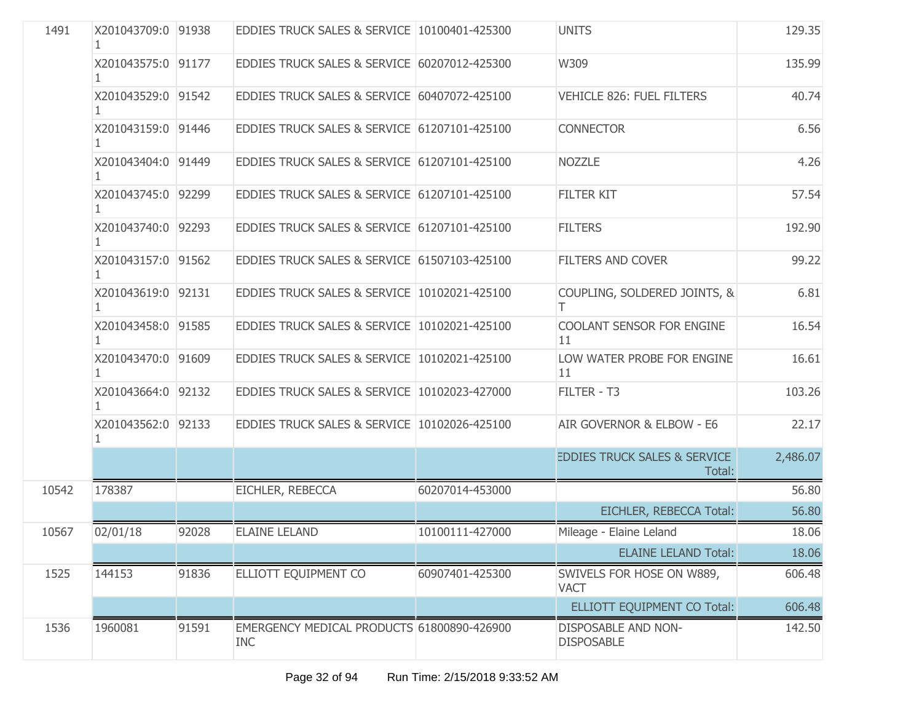| 1491  | X201043709:0 91938       |       | EDDIES TRUCK SALES & SERVICE 10100401-425300             |                 | <b>UNITS</b>                                      | 129.35   |
|-------|--------------------------|-------|----------------------------------------------------------|-----------------|---------------------------------------------------|----------|
|       | X201043575:0 91177       |       | EDDIES TRUCK SALES & SERVICE 60207012-425300             |                 | W309                                              | 135.99   |
|       | X201043529:0 91542       |       | EDDIES TRUCK SALES & SERVICE 60407072-425100             |                 | VEHICLE 826: FUEL FILTERS                         | 40.74    |
|       | X201043159:0 91446       |       | EDDIES TRUCK SALES & SERVICE 61207101-425100             |                 | <b>CONNECTOR</b>                                  | 6.56     |
|       | X201043404:0 91449<br>1  |       | EDDIES TRUCK SALES & SERVICE 61207101-425100             |                 | <b>NOZZLE</b>                                     | 4.26     |
|       | X201043745:0 92299       |       | EDDIES TRUCK SALES & SERVICE 61207101-425100             |                 | <b>FILTER KIT</b>                                 | 57.54    |
|       | X201043740:0 92293       |       | EDDIES TRUCK SALES & SERVICE 61207101-425100             |                 | <b>FILTERS</b>                                    | 192.90   |
|       | X201043157:0 91562<br>1. |       | EDDIES TRUCK SALES & SERVICE 61507103-425100             |                 | <b>FILTERS AND COVER</b>                          | 99.22    |
|       | X201043619:0 92131       |       | EDDIES TRUCK SALES & SERVICE 10102021-425100             |                 | COUPLING, SOLDERED JOINTS, &                      | 6.81     |
|       | X201043458:0 91585<br>1  |       | EDDIES TRUCK SALES & SERVICE 10102021-425100             |                 | COOLANT SENSOR FOR ENGINE<br>11                   | 16.54    |
|       | X201043470:0 91609<br>1. |       | EDDIES TRUCK SALES & SERVICE 10102021-425100             |                 | LOW WATER PROBE FOR ENGINE<br>11                  | 16.61    |
|       | X201043664:0 92132       |       | EDDIES TRUCK SALES & SERVICE 10102023-427000             |                 | FILTER - T3                                       | 103.26   |
|       | X201043562:0 92133       |       | EDDIES TRUCK SALES & SERVICE 10102026-425100             |                 | AIR GOVERNOR & ELBOW - E6                         | 22.17    |
|       |                          |       |                                                          |                 | <b>EDDIES TRUCK SALES &amp; SERVICE</b><br>Total: | 2,486.07 |
| 10542 | 178387                   |       | EICHLER, REBECCA                                         | 60207014-453000 |                                                   | 56.80    |
|       |                          |       |                                                          |                 | EICHLER, REBECCA Total:                           | 56.80    |
| 10567 | 02/01/18                 | 92028 | <b>ELAINE LELAND</b>                                     | 10100111-427000 | Mileage - Elaine Leland                           | 18.06    |
|       |                          |       |                                                          |                 | <b>ELAINE LELAND Total:</b>                       | 18.06    |
| 1525  | 144153                   | 91836 | ELLIOTT EQUIPMENT CO                                     | 60907401-425300 | SWIVELS FOR HOSE ON W889,<br><b>VACT</b>          | 606.48   |
|       |                          |       |                                                          |                 | ELLIOTT EQUIPMENT CO Total:                       | 606.48   |
| 1536  | 1960081                  | 91591 | EMERGENCY MEDICAL PRODUCTS 61800890-426900<br><b>INC</b> |                 | <b>DISPOSABLE AND NON-</b><br><b>DISPOSABLE</b>   | 142.50   |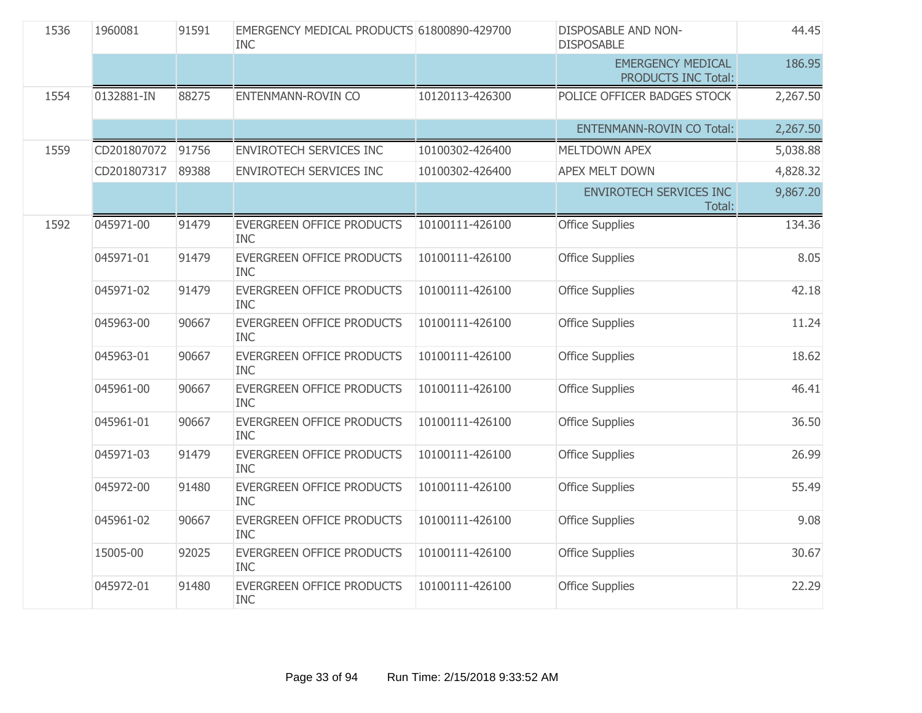| 1536 | 1960081     | 91591 | EMERGENCY MEDICAL PRODUCTS 61800890-429700<br><b>INC</b> |                 | <b>DISPOSABLE AND NON-</b><br><b>DISPOSABLE</b> | 44.45    |
|------|-------------|-------|----------------------------------------------------------|-----------------|-------------------------------------------------|----------|
|      |             |       |                                                          |                 | <b>EMERGENCY MEDICAL</b><br>PRODUCTS INC Total: | 186.95   |
| 1554 | 0132881-IN  | 88275 | ENTENMANN-ROVIN CO                                       | 10120113-426300 | POLICE OFFICER BADGES STOCK                     | 2,267.50 |
|      |             |       |                                                          |                 | <b>ENTENMANN-ROVIN CO Total:</b>                | 2,267.50 |
| 1559 | CD201807072 | 91756 | <b>ENVIROTECH SERVICES INC</b>                           | 10100302-426400 | MELTDOWN APEX                                   | 5,038.88 |
|      | CD201807317 | 89388 | <b>ENVIROTECH SERVICES INC</b>                           | 10100302-426400 | <b>APEX MELT DOWN</b>                           | 4,828.32 |
|      |             |       |                                                          |                 | <b>ENVIROTECH SERVICES INC</b><br>Total:        | 9,867.20 |
| 1592 | 045971-00   | 91479 | <b>EVERGREEN OFFICE PRODUCTS</b><br><b>INC</b>           | 10100111-426100 | <b>Office Supplies</b>                          | 134.36   |
|      | 045971-01   | 91479 | <b>EVERGREEN OFFICE PRODUCTS</b><br><b>INC</b>           | 10100111-426100 | <b>Office Supplies</b>                          | 8.05     |
|      | 045971-02   | 91479 | <b>EVERGREEN OFFICE PRODUCTS</b><br><b>INC</b>           | 10100111-426100 | <b>Office Supplies</b>                          | 42.18    |
|      | 045963-00   | 90667 | EVERGREEN OFFICE PRODUCTS<br><b>INC</b>                  | 10100111-426100 | <b>Office Supplies</b>                          | 11.24    |
|      | 045963-01   | 90667 | EVERGREEN OFFICE PRODUCTS<br><b>INC</b>                  | 10100111-426100 | <b>Office Supplies</b>                          | 18.62    |
|      | 045961-00   | 90667 | EVERGREEN OFFICE PRODUCTS<br><b>INC</b>                  | 10100111-426100 | <b>Office Supplies</b>                          | 46.41    |
|      | 045961-01   | 90667 | EVERGREEN OFFICE PRODUCTS<br><b>INC</b>                  | 10100111-426100 | <b>Office Supplies</b>                          | 36.50    |
|      | 045971-03   | 91479 | EVERGREEN OFFICE PRODUCTS<br><b>INC</b>                  | 10100111-426100 | <b>Office Supplies</b>                          | 26.99    |
|      | 045972-00   | 91480 | EVERGREEN OFFICE PRODUCTS<br><b>INC</b>                  | 10100111-426100 | <b>Office Supplies</b>                          | 55.49    |
|      | 045961-02   | 90667 | EVERGREEN OFFICE PRODUCTS<br><b>INC</b>                  | 10100111-426100 | <b>Office Supplies</b>                          | 9.08     |
|      | 15005-00    | 92025 | EVERGREEN OFFICE PRODUCTS<br><b>INC</b>                  | 10100111-426100 | <b>Office Supplies</b>                          | 30.67    |
|      | 045972-01   | 91480 | EVERGREEN OFFICE PRODUCTS<br><b>INC</b>                  | 10100111-426100 | <b>Office Supplies</b>                          | 22.29    |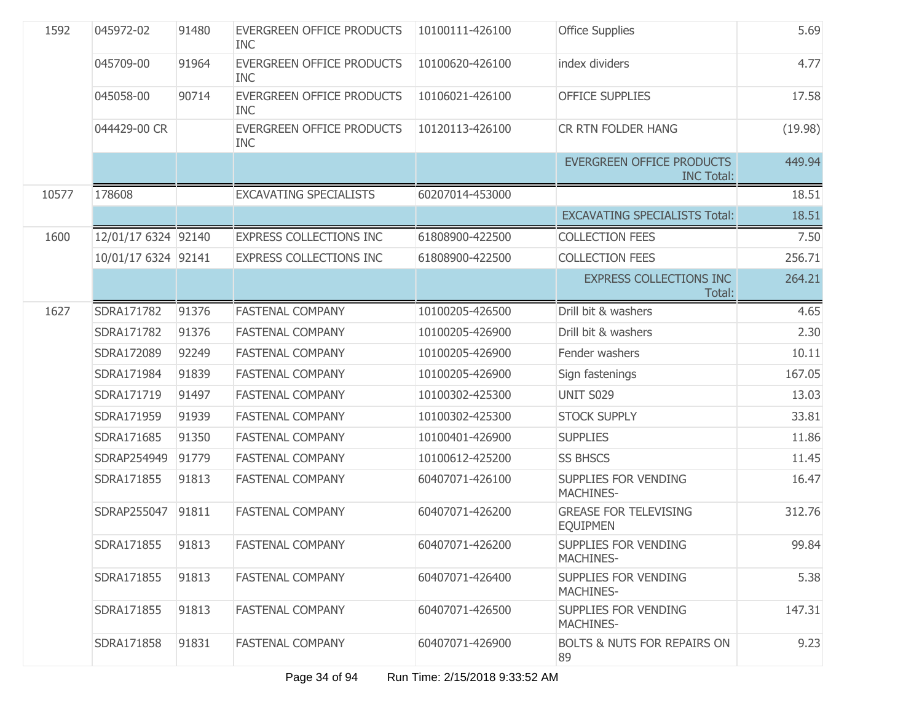| 1592  | 045972-02           | 91480 | <b>EVERGREEN OFFICE PRODUCTS</b><br><b>INC</b> | 10100111-426100 | <b>Office Supplies</b>                                | 5.69    |
|-------|---------------------|-------|------------------------------------------------|-----------------|-------------------------------------------------------|---------|
|       | 045709-00           | 91964 | <b>EVERGREEN OFFICE PRODUCTS</b><br><b>INC</b> | 10100620-426100 | index dividers                                        | 4.77    |
|       | 045058-00           | 90714 | <b>EVERGREEN OFFICE PRODUCTS</b><br><b>INC</b> | 10106021-426100 | <b>OFFICE SUPPLIES</b>                                | 17.58   |
|       | 044429-00 CR        |       | <b>EVERGREEN OFFICE PRODUCTS</b><br><b>INC</b> | 10120113-426100 | CR RTN FOLDER HANG                                    | (19.98) |
|       |                     |       |                                                |                 | <b>EVERGREEN OFFICE PRODUCTS</b><br><b>INC Total:</b> | 449.94  |
| 10577 | 178608              |       | <b>EXCAVATING SPECIALISTS</b>                  | 60207014-453000 |                                                       | 18.51   |
|       |                     |       |                                                |                 | <b>EXCAVATING SPECIALISTS Total:</b>                  | 18.51   |
| 1600  | 12/01/17 6324 92140 |       | <b>EXPRESS COLLECTIONS INC</b>                 | 61808900-422500 | <b>COLLECTION FEES</b>                                | 7.50    |
|       | 10/01/17 6324 92141 |       | <b>EXPRESS COLLECTIONS INC</b>                 | 61808900-422500 | <b>COLLECTION FEES</b>                                | 256.71  |
|       |                     |       |                                                |                 | <b>EXPRESS COLLECTIONS INC</b><br>Total:              | 264.21  |
| 1627  | SDRA171782          | 91376 | <b>FASTENAL COMPANY</b>                        | 10100205-426500 | Drill bit & washers                                   | 4.65    |
|       | SDRA171782          | 91376 | <b>FASTENAL COMPANY</b>                        | 10100205-426900 | Drill bit & washers                                   | 2.30    |
|       | SDRA172089          | 92249 | <b>FASTENAL COMPANY</b>                        | 10100205-426900 | Fender washers                                        | 10.11   |
|       | SDRA171984          | 91839 | <b>FASTENAL COMPANY</b>                        | 10100205-426900 | Sign fastenings                                       | 167.05  |
|       | SDRA171719          | 91497 | <b>FASTENAL COMPANY</b>                        | 10100302-425300 | <b>UNIT S029</b>                                      | 13.03   |
|       | SDRA171959          | 91939 | <b>FASTENAL COMPANY</b>                        | 10100302-425300 | <b>STOCK SUPPLY</b>                                   | 33.81   |
|       | SDRA171685          | 91350 | <b>FASTENAL COMPANY</b>                        | 10100401-426900 | <b>SUPPLIES</b>                                       | 11.86   |
|       | SDRAP254949         | 91779 | <b>FASTENAL COMPANY</b>                        | 10100612-425200 | <b>SS BHSCS</b>                                       | 11.45   |
|       | SDRA171855          | 91813 | <b>FASTENAL COMPANY</b>                        | 60407071-426100 | <b>SUPPLIES FOR VENDING</b><br>MACHINES-              | 16.47   |
|       | SDRAP255047         | 91811 | <b>FASTENAL COMPANY</b>                        | 60407071-426200 | <b>GREASE FOR TELEVISING</b><br><b>EQUIPMEN</b>       | 312.76  |
|       | SDRA171855          | 91813 | <b>FASTENAL COMPANY</b>                        | 60407071-426200 | SUPPLIES FOR VENDING<br>MACHINES-                     | 99.84   |
|       | SDRA171855          | 91813 | <b>FASTENAL COMPANY</b>                        | 60407071-426400 | <b>SUPPLIES FOR VENDING</b><br><b>MACHINES-</b>       | 5.38    |
|       | SDRA171855          | 91813 | <b>FASTENAL COMPANY</b>                        | 60407071-426500 | <b>SUPPLIES FOR VENDING</b><br><b>MACHINES-</b>       | 147.31  |
|       | SDRA171858          | 91831 | <b>FASTENAL COMPANY</b>                        | 60407071-426900 | <b>BOLTS &amp; NUTS FOR REPAIRS ON</b><br>89          | 9.23    |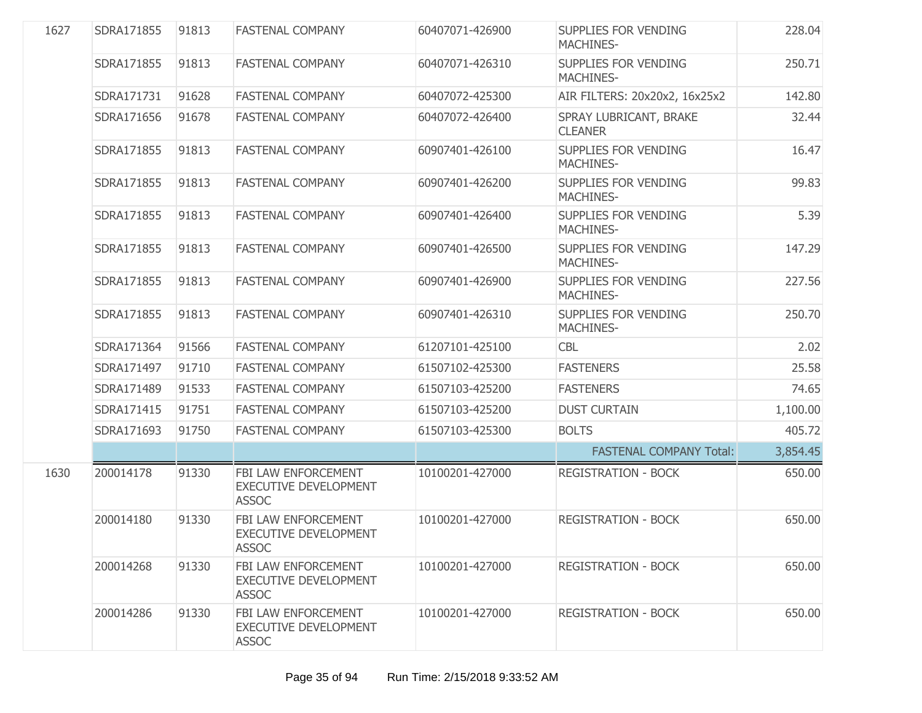| 1627 | SDRA171855 | 91813 | <b>FASTENAL COMPANY</b>                                             | 60407071-426900 | SUPPLIES FOR VENDING<br><b>MACHINES-</b>        | 228.04   |
|------|------------|-------|---------------------------------------------------------------------|-----------------|-------------------------------------------------|----------|
|      | SDRA171855 | 91813 | <b>FASTENAL COMPANY</b>                                             | 60407071-426310 | SUPPLIES FOR VENDING<br><b>MACHINES-</b>        | 250.71   |
|      | SDRA171731 | 91628 | <b>FASTENAL COMPANY</b>                                             | 60407072-425300 | AIR FILTERS: 20x20x2, 16x25x2                   | 142.80   |
|      | SDRA171656 | 91678 | <b>FASTENAL COMPANY</b>                                             | 60407072-426400 | SPRAY LUBRICANT, BRAKE<br><b>CLEANER</b>        | 32.44    |
|      | SDRA171855 | 91813 | <b>FASTENAL COMPANY</b>                                             | 60907401-426100 | SUPPLIES FOR VENDING<br><b>MACHINES-</b>        | 16.47    |
|      | SDRA171855 | 91813 | <b>FASTENAL COMPANY</b>                                             | 60907401-426200 | <b>SUPPLIES FOR VENDING</b><br><b>MACHINES-</b> | 99.83    |
|      | SDRA171855 | 91813 | <b>FASTENAL COMPANY</b>                                             | 60907401-426400 | SUPPLIES FOR VENDING<br><b>MACHINES-</b>        | 5.39     |
|      | SDRA171855 | 91813 | <b>FASTENAL COMPANY</b>                                             | 60907401-426500 | SUPPLIES FOR VENDING<br><b>MACHINES-</b>        | 147.29   |
|      | SDRA171855 | 91813 | <b>FASTENAL COMPANY</b>                                             | 60907401-426900 | SUPPLIES FOR VENDING<br><b>MACHINES-</b>        | 227.56   |
|      | SDRA171855 | 91813 | <b>FASTENAL COMPANY</b>                                             | 60907401-426310 | SUPPLIES FOR VENDING<br><b>MACHINES-</b>        | 250.70   |
|      | SDRA171364 | 91566 | <b>FASTENAL COMPANY</b>                                             | 61207101-425100 | <b>CBL</b>                                      | 2.02     |
|      | SDRA171497 | 91710 | <b>FASTENAL COMPANY</b>                                             | 61507102-425300 | <b>FASTENERS</b>                                | 25.58    |
|      | SDRA171489 | 91533 | <b>FASTENAL COMPANY</b>                                             | 61507103-425200 | <b>FASTENERS</b>                                | 74.65    |
|      | SDRA171415 | 91751 | <b>FASTENAL COMPANY</b>                                             | 61507103-425200 | <b>DUST CURTAIN</b>                             | 1,100.00 |
|      | SDRA171693 | 91750 | <b>FASTENAL COMPANY</b>                                             | 61507103-425300 | <b>BOLTS</b>                                    | 405.72   |
|      |            |       |                                                                     |                 | <b>FASTENAL COMPANY Total:</b>                  | 3,854.45 |
| 1630 | 200014178  | 91330 | FBI LAW ENFORCEMENT<br><b>EXECUTIVE DEVELOPMENT</b><br><b>ASSOC</b> | 10100201-427000 | <b>REGISTRATION - BOCK</b>                      | 650.00   |
|      | 200014180  | 91330 | FBI LAW ENFORCEMENT<br><b>EXECUTIVE DEVELOPMENT</b><br><b>ASSOC</b> | 10100201-427000 | <b>REGISTRATION - BOCK</b>                      | 650.00   |
|      | 200014268  | 91330 | FBI LAW ENFORCEMENT<br><b>EXECUTIVE DEVELOPMENT</b><br><b>ASSOC</b> | 10100201-427000 | <b>REGISTRATION - BOCK</b>                      | 650.00   |
|      | 200014286  | 91330 | FBI LAW ENFORCEMENT<br><b>EXECUTIVE DEVELOPMENT</b><br><b>ASSOC</b> | 10100201-427000 | <b>REGISTRATION - BOCK</b>                      | 650.00   |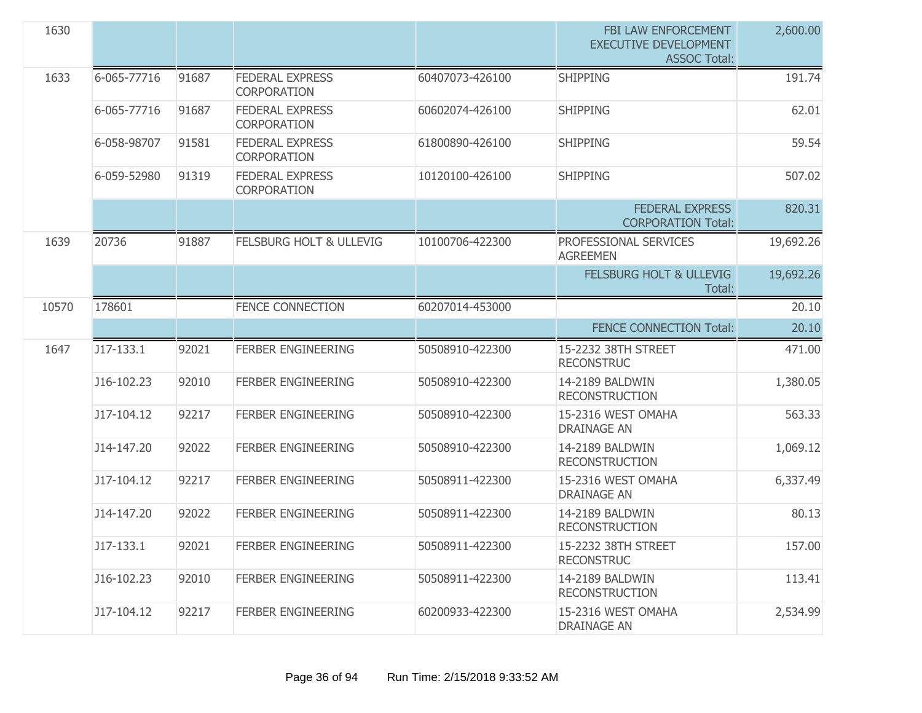| 1630  |             |       |                                              |                 | FBI LAW ENFORCEMENT<br><b>EXECUTIVE DEVELOPMENT</b><br><b>ASSOC Total:</b> | 2,600.00  |
|-------|-------------|-------|----------------------------------------------|-----------------|----------------------------------------------------------------------------|-----------|
| 1633  | 6-065-77716 | 91687 | <b>FEDERAL EXPRESS</b><br><b>CORPORATION</b> | 60407073-426100 | <b>SHIPPING</b>                                                            | 191.74    |
|       | 6-065-77716 | 91687 | <b>FEDERAL EXPRESS</b><br><b>CORPORATION</b> | 60602074-426100 | <b>SHIPPING</b>                                                            | 62.01     |
|       | 6-058-98707 | 91581 | <b>FEDERAL EXPRESS</b><br><b>CORPORATION</b> | 61800890-426100 | <b>SHIPPING</b>                                                            | 59.54     |
|       | 6-059-52980 | 91319 | <b>FEDERAL EXPRESS</b><br><b>CORPORATION</b> | 10120100-426100 | <b>SHIPPING</b>                                                            | 507.02    |
|       |             |       |                                              |                 | <b>FEDERAL EXPRESS</b><br><b>CORPORATION Total:</b>                        | 820.31    |
| 1639  | 20736       | 91887 | <b>FELSBURG HOLT &amp; ULLEVIG</b>           | 10100706-422300 | PROFESSIONAL SERVICES<br><b>AGREEMEN</b>                                   | 19,692.26 |
|       |             |       |                                              |                 | <b>FELSBURG HOLT &amp; ULLEVIG</b><br>Total:                               | 19,692.26 |
| 10570 | 178601      |       | <b>FENCE CONNECTION</b>                      | 60207014-453000 |                                                                            | 20.10     |
|       |             |       |                                              |                 | <b>FENCE CONNECTION Total:</b>                                             | 20.10     |
| 1647  | J17-133.1   | 92021 | <b>FERBER ENGINEERING</b>                    | 50508910-422300 | 15-2232 38TH STREET<br><b>RECONSTRUC</b>                                   | 471.00    |
|       | J16-102.23  | 92010 | <b>FERBER ENGINEERING</b>                    | 50508910-422300 | 14-2189 BALDWIN<br><b>RECONSTRUCTION</b>                                   | 1,380.05  |
|       | J17-104.12  | 92217 | <b>FERBER ENGINEERING</b>                    | 50508910-422300 | 15-2316 WEST OMAHA<br><b>DRAINAGE AN</b>                                   | 563.33    |
|       | J14-147.20  | 92022 | <b>FERBER ENGINEERING</b>                    | 50508910-422300 | 14-2189 BALDWIN<br><b>RECONSTRUCTION</b>                                   | 1,069.12  |
|       | J17-104.12  | 92217 | <b>FERBER ENGINEERING</b>                    | 50508911-422300 | 15-2316 WEST OMAHA<br><b>DRAINAGE AN</b>                                   | 6,337.49  |
|       | J14-147.20  | 92022 | <b>FERBER ENGINEERING</b>                    | 50508911-422300 | 14-2189 BALDWIN<br><b>RECONSTRUCTION</b>                                   | 80.13     |
|       | J17-133.1   | 92021 | <b>FERBER ENGINEERING</b>                    | 50508911-422300 | 15-2232 38TH STREET<br><b>RECONSTRUC</b>                                   | 157.00    |
|       | J16-102.23  | 92010 | <b>FERBER ENGINEERING</b>                    | 50508911-422300 | 14-2189 BALDWIN<br><b>RECONSTRUCTION</b>                                   | 113.41    |
|       | J17-104.12  | 92217 | <b>FERBER ENGINEERING</b>                    | 60200933-422300 | 15-2316 WEST OMAHA<br><b>DRAINAGE AN</b>                                   | 2,534.99  |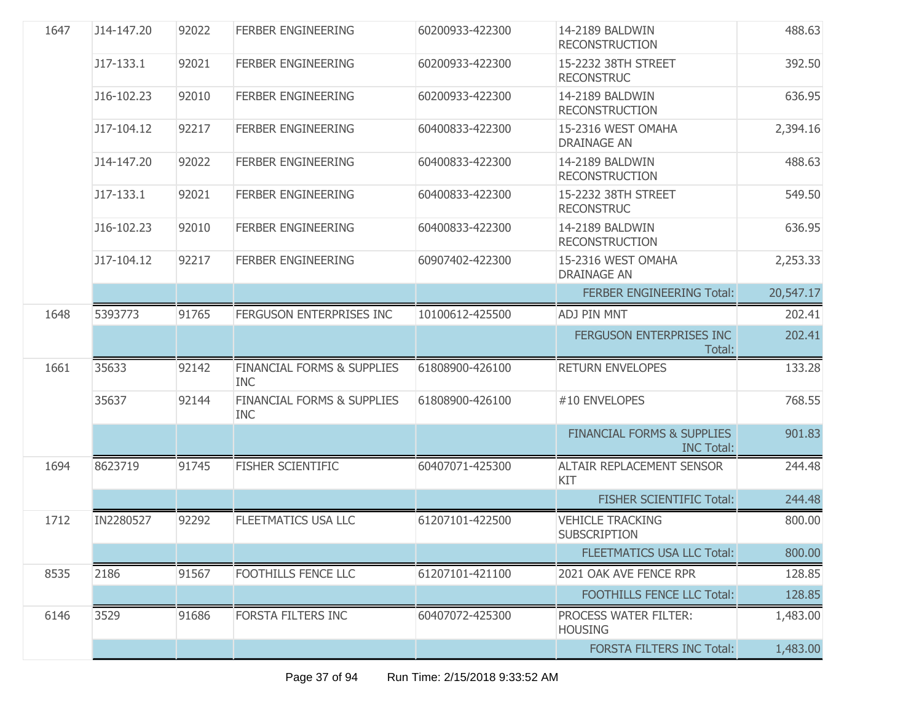| 1647 | J14-147.20 | 92022 | <b>FERBER ENGINEERING</b>                           | 60200933-422300 | 14-2189 BALDWIN<br><b>RECONSTRUCTION</b>                   | 488.63    |
|------|------------|-------|-----------------------------------------------------|-----------------|------------------------------------------------------------|-----------|
|      | J17-133.1  | 92021 | <b>FERBER ENGINEERING</b>                           | 60200933-422300 | 15-2232 38TH STREET<br><b>RECONSTRUC</b>                   | 392.50    |
|      | J16-102.23 | 92010 | <b>FERBER ENGINEERING</b>                           | 60200933-422300 | 14-2189 BALDWIN<br><b>RECONSTRUCTION</b>                   | 636.95    |
|      | J17-104.12 | 92217 | <b>FERBER ENGINEERING</b>                           | 60400833-422300 | 15-2316 WEST OMAHA<br><b>DRAINAGE AN</b>                   | 2,394.16  |
|      | J14-147.20 | 92022 | <b>FERBER ENGINEERING</b>                           | 60400833-422300 | 14-2189 BALDWIN<br><b>RECONSTRUCTION</b>                   | 488.63    |
|      | J17-133.1  | 92021 | <b>FERBER ENGINEERING</b>                           | 60400833-422300 | 15-2232 38TH STREET<br><b>RECONSTRUC</b>                   | 549.50    |
|      | J16-102.23 | 92010 | <b>FERBER ENGINEERING</b>                           | 60400833-422300 | 14-2189 BALDWIN<br><b>RECONSTRUCTION</b>                   | 636.95    |
|      | J17-104.12 | 92217 | <b>FERBER ENGINEERING</b>                           | 60907402-422300 | 15-2316 WEST OMAHA<br><b>DRAINAGE AN</b>                   | 2,253.33  |
|      |            |       |                                                     |                 | <b>FERBER ENGINEERING Total:</b>                           | 20,547.17 |
| 1648 | 5393773    | 91765 | FERGUSON ENTERPRISES INC                            | 10100612-425500 | ADJ PIN MNT                                                | 202.41    |
|      |            |       |                                                     |                 | FERGUSON ENTERPRISES INC<br>Total:                         | 202.41    |
| 1661 | 35633      | 92142 | <b>FINANCIAL FORMS &amp; SUPPLIES</b><br><b>INC</b> | 61808900-426100 | <b>RETURN ENVELOPES</b>                                    | 133.28    |
|      | 35637      | 92144 | <b>FINANCIAL FORMS &amp; SUPPLIES</b><br><b>INC</b> | 61808900-426100 | #10 ENVELOPES                                              | 768.55    |
|      |            |       |                                                     |                 | <b>FINANCIAL FORMS &amp; SUPPLIES</b><br><b>INC Total:</b> | 901.83    |
| 1694 | 8623719    | 91745 | <b>FISHER SCIENTIFIC</b>                            | 60407071-425300 | <b>ALTAIR REPLACEMENT SENSOR</b><br>KIT                    | 244.48    |
|      |            |       |                                                     |                 | <b>FISHER SCIENTIFIC Total:</b>                            | 244.48    |
| 1712 | IN2280527  | 92292 | <b>FLEETMATICS USA LLC</b>                          | 61207101-422500 | <b>VEHICLE TRACKING</b><br><b>SUBSCRIPTION</b>             | 800.00    |
|      |            |       |                                                     |                 | <b>FLEETMATICS USA LLC Total:</b>                          | 800.00    |
| 8535 | 2186       | 91567 | FOOTHILLS FENCE LLC                                 | 61207101-421100 | 2021 OAK AVE FENCE RPR                                     | 128.85    |
|      |            |       |                                                     |                 | <b>FOOTHILLS FENCE LLC Total:</b>                          | 128.85    |
| 6146 | 3529       | 91686 | <b>FORSTA FILTERS INC</b>                           | 60407072-425300 | PROCESS WATER FILTER:<br><b>HOUSING</b>                    | 1,483.00  |
|      |            |       |                                                     |                 | <b>FORSTA FILTERS INC Total:</b>                           | 1,483.00  |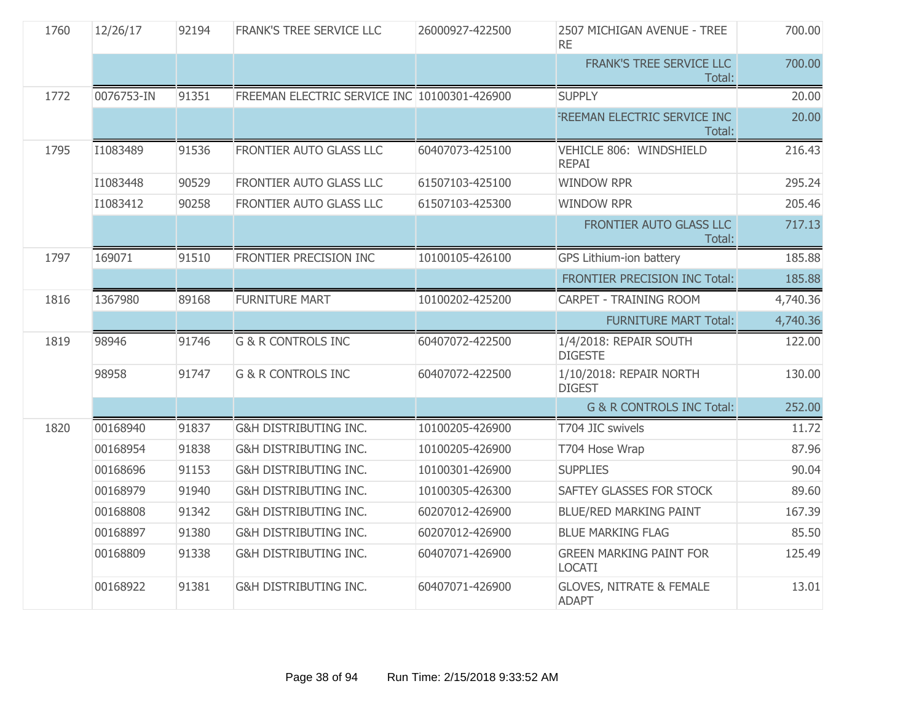| 1760 | 12/26/17   | 92194 | FRANK'S TREE SERVICE LLC                     | 26000927-422500 | 2507 MICHIGAN AVENUE - TREE<br><b>RE</b>            | 700.00   |
|------|------------|-------|----------------------------------------------|-----------------|-----------------------------------------------------|----------|
|      |            |       |                                              |                 | FRANK'S TREE SERVICE LLC<br>Total:                  | 700.00   |
| 1772 | 0076753-IN | 91351 | FREEMAN ELECTRIC SERVICE INC 10100301-426900 |                 | <b>SUPPLY</b>                                       | 20.00    |
|      |            |       |                                              |                 | FREEMAN ELECTRIC SERVICE INC<br>Total:              | 20.00    |
| 1795 | I1083489   | 91536 | FRONTIER AUTO GLASS LLC                      | 60407073-425100 | VEHICLE 806: WINDSHIELD<br><b>REPAI</b>             | 216.43   |
|      | I1083448   | 90529 | FRONTIER AUTO GLASS LLC                      | 61507103-425100 | <b>WINDOW RPR</b>                                   | 295.24   |
|      | I1083412   | 90258 | FRONTIER AUTO GLASS LLC                      | 61507103-425300 | <b>WINDOW RPR</b>                                   | 205.46   |
|      |            |       |                                              |                 | FRONTIER AUTO GLASS LLC<br>Total:                   | 717.13   |
| 1797 | 169071     | 91510 | FRONTIER PRECISION INC                       | 10100105-426100 | GPS Lithium-ion battery                             | 185.88   |
|      |            |       |                                              |                 | FRONTIER PRECISION INC Total:                       | 185.88   |
| 1816 | 1367980    | 89168 | <b>FURNITURE MART</b>                        | 10100202-425200 | CARPET - TRAINING ROOM                              | 4,740.36 |
|      |            |       |                                              |                 | <b>FURNITURE MART Total:</b>                        | 4,740.36 |
| 1819 | 98946      | 91746 | <b>G &amp; R CONTROLS INC</b>                | 60407072-422500 | 1/4/2018: REPAIR SOUTH<br><b>DIGESTE</b>            | 122.00   |
|      | 98958      | 91747 | <b>G &amp; R CONTROLS INC</b>                | 60407072-422500 | 1/10/2018: REPAIR NORTH<br><b>DIGEST</b>            | 130.00   |
|      |            |       |                                              |                 | <b>G &amp; R CONTROLS INC Total:</b>                | 252.00   |
| 1820 | 00168940   | 91837 | <b>G&amp;H DISTRIBUTING INC.</b>             | 10100205-426900 | T704 JIC swivels                                    | 11.72    |
|      | 00168954   | 91838 | G&H DISTRIBUTING INC.                        | 10100205-426900 | T704 Hose Wrap                                      | 87.96    |
|      | 00168696   | 91153 | <b>G&amp;H DISTRIBUTING INC.</b>             | 10100301-426900 | <b>SUPPLIES</b>                                     | 90.04    |
|      | 00168979   | 91940 | G&H DISTRIBUTING INC.                        | 10100305-426300 | SAFTEY GLASSES FOR STOCK                            | 89.60    |
|      | 00168808   | 91342 | G&H DISTRIBUTING INC.                        | 60207012-426900 | <b>BLUE/RED MARKING PAINT</b>                       | 167.39   |
|      | 00168897   | 91380 | <b>G&amp;H DISTRIBUTING INC.</b>             | 60207012-426900 | <b>BLUE MARKING FLAG</b>                            | 85.50    |
|      | 00168809   | 91338 | G&H DISTRIBUTING INC.                        | 60407071-426900 | <b>GREEN MARKING PAINT FOR</b><br><b>LOCATI</b>     | 125.49   |
|      | 00168922   | 91381 | G&H DISTRIBUTING INC.                        | 60407071-426900 | <b>GLOVES, NITRATE &amp; FEMALE</b><br><b>ADAPT</b> | 13.01    |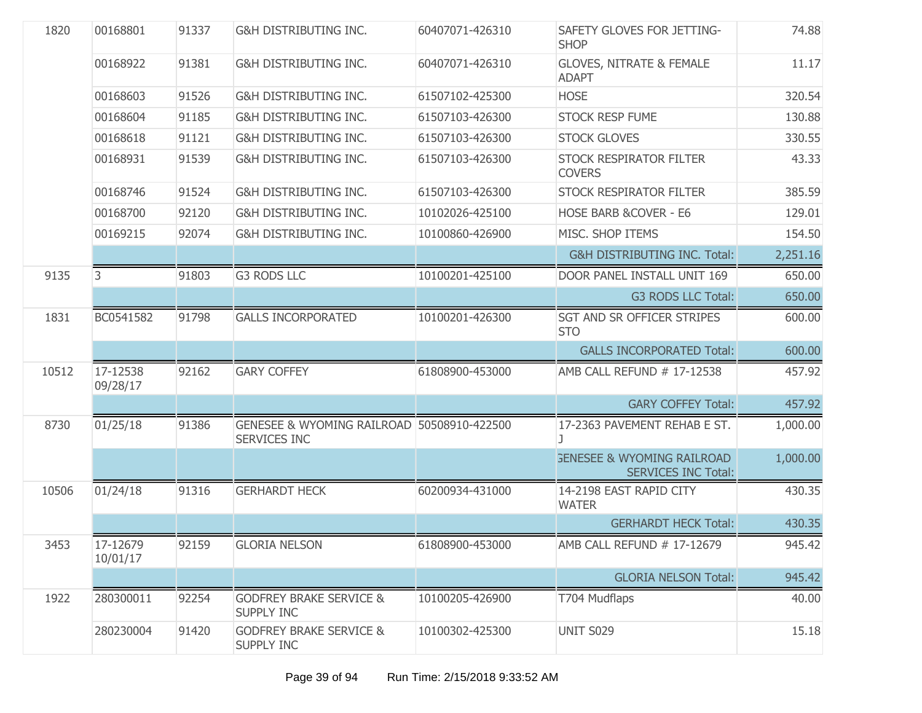| 1820  | 00168801             | 91337 | G&H DISTRIBUTING INC.                                      | 60407071-426310 | SAFETY GLOVES FOR JETTING-<br><b>SHOP</b>                           | 74.88    |
|-------|----------------------|-------|------------------------------------------------------------|-----------------|---------------------------------------------------------------------|----------|
|       | 00168922             | 91381 | G&H DISTRIBUTING INC.                                      | 60407071-426310 | <b>GLOVES, NITRATE &amp; FEMALE</b><br><b>ADAPT</b>                 | 11.17    |
|       | 00168603             | 91526 | G&H DISTRIBUTING INC.                                      | 61507102-425300 | <b>HOSE</b>                                                         | 320.54   |
|       | 00168604             | 91185 | <b>G&amp;H DISTRIBUTING INC.</b>                           | 61507103-426300 | <b>STOCK RESP FUME</b>                                              | 130.88   |
|       | 00168618             | 91121 | <b>G&amp;H DISTRIBUTING INC.</b>                           | 61507103-426300 | <b>STOCK GLOVES</b>                                                 | 330.55   |
|       | 00168931             | 91539 | G&H DISTRIBUTING INC.                                      | 61507103-426300 | <b>STOCK RESPIRATOR FILTER</b><br><b>COVERS</b>                     | 43.33    |
|       | 00168746             | 91524 | G&H DISTRIBUTING INC.                                      | 61507103-426300 | <b>STOCK RESPIRATOR FILTER</b>                                      | 385.59   |
|       | 00168700             | 92120 | G&H DISTRIBUTING INC.                                      | 10102026-425100 | HOSE BARB & COVER - E6                                              | 129.01   |
|       | 00169215             | 92074 | <b>G&amp;H DISTRIBUTING INC.</b>                           | 10100860-426900 | MISC. SHOP ITEMS                                                    | 154.50   |
|       |                      |       |                                                            |                 | <b>G&amp;H DISTRIBUTING INC. Total:</b>                             | 2,251.16 |
| 9135  | 3                    | 91803 | <b>G3 RODS LLC</b>                                         | 10100201-425100 | DOOR PANEL INSTALL UNIT 169                                         | 650.00   |
|       |                      |       |                                                            |                 | <b>G3 RODS LLC Total:</b>                                           | 650.00   |
| 1831  | BC0541582            | 91798 | <b>GALLS INCORPORATED</b>                                  | 10100201-426300 | <b>SGT AND SR OFFICER STRIPES</b><br><b>STO</b>                     | 600.00   |
|       |                      |       |                                                            |                 | <b>GALLS INCORPORATED Total:</b>                                    | 600.00   |
| 10512 | 17-12538<br>09/28/17 | 92162 | <b>GARY COFFEY</b>                                         | 61808900-453000 | AMB CALL REFUND # 17-12538                                          | 457.92   |
|       |                      |       |                                                            |                 | <b>GARY COFFEY Total:</b>                                           | 457.92   |
| 8730  | 01/25/18             | 91386 | GENESEE & WYOMING RAILROAD 50508910-422500<br>SERVICES INC |                 | 17-2363 PAVEMENT REHAB E ST.                                        | 1,000.00 |
|       |                      |       |                                                            |                 | <b>GENESEE &amp; WYOMING RAILROAD</b><br><b>SERVICES INC Total:</b> | 1,000.00 |
| 10506 | 01/24/18             | 91316 | <b>GERHARDT HECK</b>                                       | 60200934-431000 | 14-2198 EAST RAPID CITY<br><b>WATER</b>                             | 430.35   |
|       |                      |       |                                                            |                 | <b>GERHARDT HECK Total:</b>                                         | 430.35   |
| 3453  | 17-12679<br>10/01/17 | 92159 | <b>GLORIA NELSON</b>                                       | 61808900-453000 | AMB CALL REFUND # 17-12679                                          | 945.42   |
|       |                      |       |                                                            |                 | <b>GLORIA NELSON Total:</b>                                         | 945.42   |
| 1922  | 280300011            | 92254 | <b>GODFREY BRAKE SERVICE &amp;</b><br>SUPPLY INC           | 10100205-426900 | T704 Mudflaps                                                       | 40.00    |
|       | 280230004            | 91420 | <b>GODFREY BRAKE SERVICE &amp;</b><br><b>SUPPLY INC</b>    | 10100302-425300 | UNIT S029                                                           | 15.18    |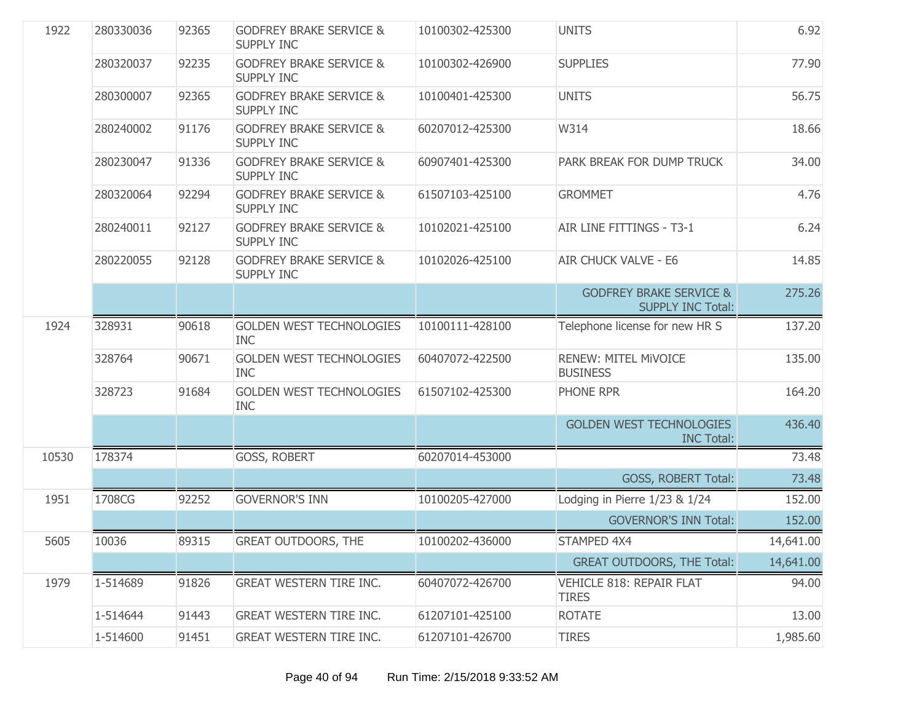| 1922  | 280330036 | 92365 | <b>GODFREY BRAKE SERVICE &amp;</b><br><b>SUPPLY INC</b> | 10100302-425300 | <b>UNITS</b>                                                   | 6.92      |
|-------|-----------|-------|---------------------------------------------------------|-----------------|----------------------------------------------------------------|-----------|
|       | 280320037 | 92235 | <b>GODFREY BRAKE SERVICE &amp;</b><br><b>SUPPLY INC</b> | 10100302-426900 | <b>SUPPLIES</b>                                                | 77.90     |
|       | 280300007 | 92365 | <b>GODFREY BRAKE SERVICE &amp;</b><br><b>SUPPLY INC</b> | 10100401-425300 | <b>UNITS</b>                                                   | 56.75     |
|       | 280240002 | 91176 | <b>GODFREY BRAKE SERVICE &amp;</b><br><b>SUPPLY INC</b> | 60207012-425300 | W314                                                           | 18.66     |
|       | 280230047 | 91336 | <b>GODFREY BRAKE SERVICE &amp;</b><br><b>SUPPLY INC</b> | 60907401-425300 | PARK BREAK FOR DUMP TRUCK                                      | 34.00     |
|       | 280320064 | 92294 | <b>GODFREY BRAKE SERVICE &amp;</b><br><b>SUPPLY INC</b> | 61507103-425100 | <b>GROMMET</b>                                                 | 4.76      |
|       | 280240011 | 92127 | <b>GODFREY BRAKE SERVICE &amp;</b><br><b>SUPPLY INC</b> | 10102021-425100 | AIR LINE FITTINGS - T3-1                                       | 6.24      |
|       | 280220055 | 92128 | <b>GODFREY BRAKE SERVICE &amp;</b><br><b>SUPPLY INC</b> | 10102026-425100 | <b>AIR CHUCK VALVE - E6</b>                                    | 14.85     |
|       |           |       |                                                         |                 | <b>GODFREY BRAKE SERVICE &amp;</b><br><b>SUPPLY INC Total:</b> | 275.26    |
| 1924  | 328931    | 90618 | <b>GOLDEN WEST TECHNOLOGIES</b><br><b>INC</b>           | 10100111-428100 | Telephone license for new HR S                                 | 137.20    |
|       | 328764    | 90671 | <b>GOLDEN WEST TECHNOLOGIES</b><br><b>INC</b>           | 60407072-422500 | <b>RENEW: MITEL MIVOICE</b><br><b>BUSINESS</b>                 | 135.00    |
|       | 328723    | 91684 | <b>GOLDEN WEST TECHNOLOGIES</b><br><b>INC</b>           | 61507102-425300 | PHONE RPR                                                      | 164.20    |
|       |           |       |                                                         |                 | <b>GOLDEN WEST TECHNOLOGIES</b><br><b>INC Total:</b>           | 436.40    |
| 10530 | 178374    |       | GOSS, ROBERT                                            | 60207014-453000 |                                                                | 73.48     |
|       |           |       |                                                         |                 | <b>GOSS, ROBERT Total:</b>                                     | 73.48     |
| 1951  | 1708CG    | 92252 | <b>GOVERNOR'S INN</b>                                   | 10100205-427000 | Lodging in Pierre 1/23 & 1/24                                  | 152.00    |
|       |           |       |                                                         |                 | <b>GOVERNOR'S INN Total:</b>                                   | 152.00    |
| 5605  | 10036     | 89315 | <b>GREAT OUTDOORS, THE</b>                              | 10100202-436000 | STAMPED 4X4                                                    | 14,641.00 |
|       |           |       |                                                         |                 | <b>GREAT OUTDOORS, THE Total:</b>                              | 14,641.00 |
| 1979  | 1-514689  | 91826 | <b>GREAT WESTERN TIRE INC.</b>                          | 60407072-426700 | VEHICLE 818: REPAIR FLAT<br><b>TIRES</b>                       | 94.00     |
|       | 1-514644  | 91443 | <b>GREAT WESTERN TIRE INC.</b>                          | 61207101-425100 | <b>ROTATE</b>                                                  | 13.00     |
|       | 1-514600  | 91451 | GREAT WESTERN TIRE INC.                                 | 61207101-426700 | <b>TIRES</b>                                                   | 1,985.60  |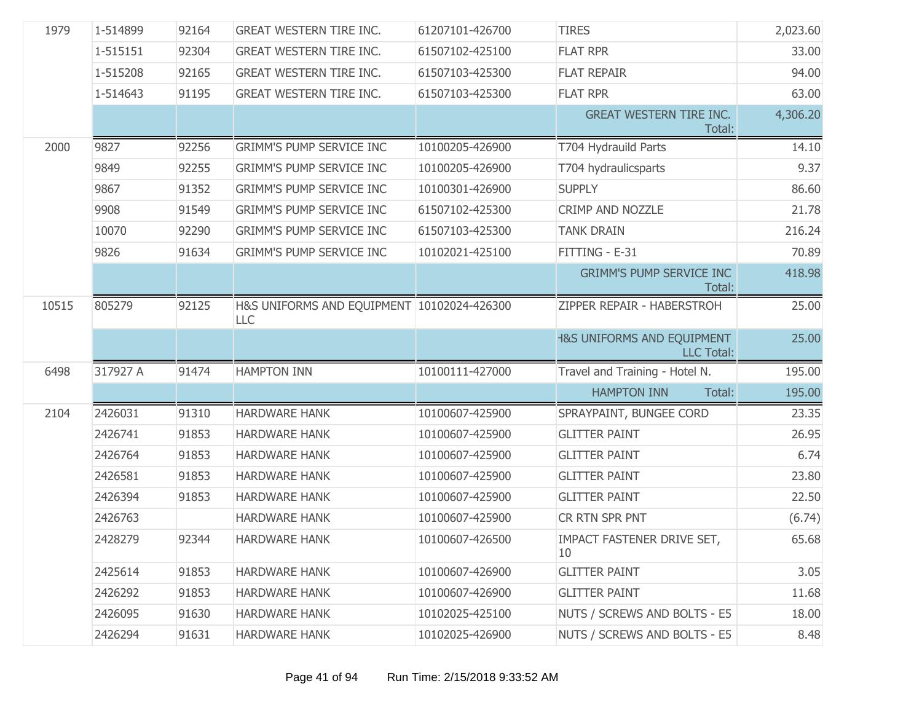| 1979  | 1-514899 | 92164 | <b>GREAT WESTERN TIRE INC.</b>                    | 61207101-426700 | <b>TIRES</b>                                               | 2,023.60 |
|-------|----------|-------|---------------------------------------------------|-----------------|------------------------------------------------------------|----------|
|       | 1-515151 | 92304 | <b>GREAT WESTERN TIRE INC.</b>                    | 61507102-425100 | <b>FLAT RPR</b>                                            | 33.00    |
|       | 1-515208 | 92165 | <b>GREAT WESTERN TIRE INC.</b>                    | 61507103-425300 | <b>FLAT REPAIR</b>                                         | 94.00    |
|       | 1-514643 | 91195 | <b>GREAT WESTERN TIRE INC.</b>                    | 61507103-425300 | <b>FLAT RPR</b>                                            | 63.00    |
|       |          |       |                                                   |                 | <b>GREAT WESTERN TIRE INC.</b><br>Total:                   | 4,306.20 |
| 2000  | 9827     | 92256 | <b>GRIMM'S PUMP SERVICE INC</b>                   | 10100205-426900 | T704 Hydrauild Parts                                       | 14.10    |
|       | 9849     | 92255 | <b>GRIMM'S PUMP SERVICE INC</b>                   | 10100205-426900 | T704 hydraulicsparts                                       | 9.37     |
|       | 9867     | 91352 | <b>GRIMM'S PUMP SERVICE INC</b>                   | 10100301-426900 | <b>SUPPLY</b>                                              | 86.60    |
|       | 9908     | 91549 | <b>GRIMM'S PUMP SERVICE INC</b>                   | 61507102-425300 | CRIMP AND NOZZLE                                           | 21.78    |
|       | 10070    | 92290 | <b>GRIMM'S PUMP SERVICE INC</b>                   | 61507103-425300 | <b>TANK DRAIN</b>                                          | 216.24   |
|       | 9826     | 91634 | <b>GRIMM'S PUMP SERVICE INC</b>                   | 10102021-425100 | FITTING - E-31                                             | 70.89    |
|       |          |       |                                                   |                 | <b>GRIMM'S PUMP SERVICE INC</b><br>Total:                  | 418.98   |
| 10515 | 805279   | 92125 | H&S UNIFORMS AND EQUIPMENT 10102024-426300<br>LLC |                 | ZIPPER REPAIR - HABERSTROH                                 | 25.00    |
|       |          |       |                                                   |                 | <b>1&amp;S UNIFORMS AND EQUIPMENT</b><br><b>LLC Total:</b> | 25.00    |
| 6498  | 317927 A | 91474 | <b>HAMPTON INN</b>                                | 10100111-427000 | Travel and Training - Hotel N.                             | 195.00   |
|       |          |       |                                                   |                 | Total:<br><b>HAMPTON INN</b>                               | 195.00   |
| 2104  | 2426031  | 91310 | <b>HARDWARE HANK</b>                              | 10100607-425900 | SPRAYPAINT, BUNGEE CORD                                    | 23.35    |
|       | 2426741  | 91853 | <b>HARDWARE HANK</b>                              | 10100607-425900 | <b>GLITTER PAINT</b>                                       | 26.95    |
|       | 2426764  | 91853 | <b>HARDWARE HANK</b>                              | 10100607-425900 | <b>GLITTER PAINT</b>                                       | 6.74     |
|       | 2426581  | 91853 | <b>HARDWARE HANK</b>                              | 10100607-425900 | <b>GLITTER PAINT</b>                                       | 23.80    |
|       | 2426394  | 91853 | <b>HARDWARE HANK</b>                              | 10100607-425900 | <b>GLITTER PAINT</b>                                       | 22.50    |
|       | 2426763  |       | <b>HARDWARE HANK</b>                              | 10100607-425900 | CR RTN SPR PNT                                             | (6.74)   |
|       | 2428279  | 92344 | <b>HARDWARE HANK</b>                              | 10100607-426500 | IMPACT FASTENER DRIVE SET,<br>10                           | 65.68    |
|       | 2425614  | 91853 | <b>HARDWARE HANK</b>                              | 10100607-426900 | <b>GLITTER PAINT</b>                                       | 3.05     |
|       | 2426292  | 91853 | <b>HARDWARE HANK</b>                              | 10100607-426900 | <b>GLITTER PAINT</b>                                       | 11.68    |
|       | 2426095  | 91630 | <b>HARDWARE HANK</b>                              | 10102025-425100 | NUTS / SCREWS AND BOLTS - E5                               | 18.00    |
|       | 2426294  | 91631 | <b>HARDWARE HANK</b>                              | 10102025-426900 | NUTS / SCREWS AND BOLTS - E5                               | 8.48     |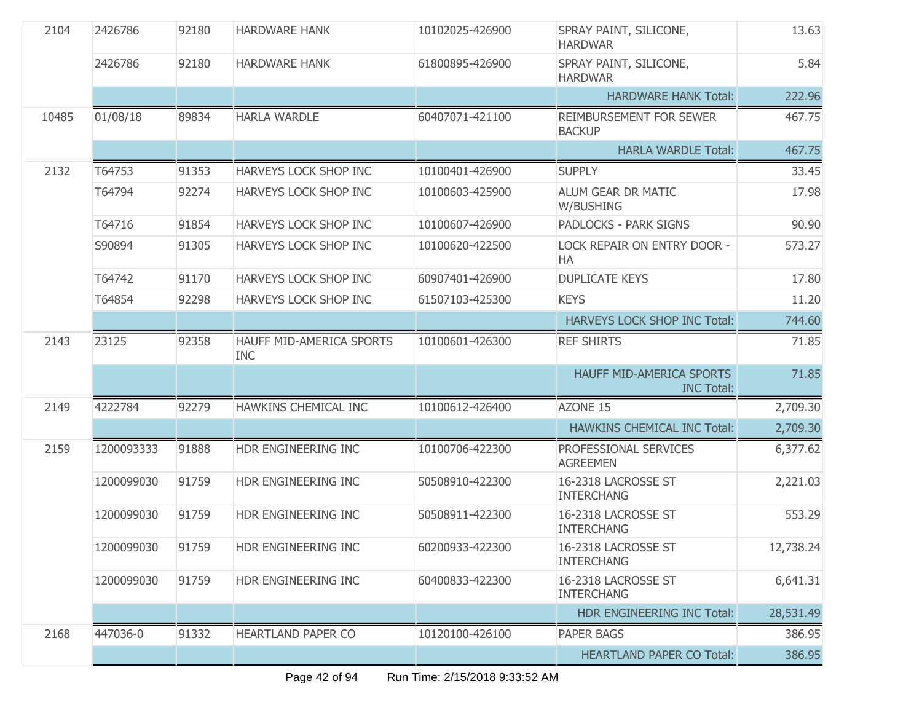| 2104  | 2426786    | 92180 | <b>HARDWARE HANK</b>                   | 10102025-426900 | SPRAY PAINT, SILICONE,<br><b>HARDWAR</b>      | 13.63     |
|-------|------------|-------|----------------------------------------|-----------------|-----------------------------------------------|-----------|
|       | 2426786    | 92180 | <b>HARDWARE HANK</b>                   | 61800895-426900 | SPRAY PAINT, SILICONE,<br><b>HARDWAR</b>      | 5.84      |
|       |            |       |                                        |                 | <b>HARDWARE HANK Total:</b>                   | 222.96    |
| 10485 | 01/08/18   | 89834 | <b>HARLA WARDLE</b>                    | 60407071-421100 | REIMBURSEMENT FOR SEWER<br><b>BACKUP</b>      | 467.75    |
|       |            |       |                                        |                 | <b>HARLA WARDLE Total:</b>                    | 467.75    |
| 2132  | T64753     | 91353 | <b>HARVEYS LOCK SHOP INC</b>           | 10100401-426900 | <b>SUPPLY</b>                                 | 33.45     |
|       | T64794     | 92274 | HARVEYS LOCK SHOP INC                  | 10100603-425900 | ALUM GEAR DR MATIC<br>W/BUSHING               | 17.98     |
|       | T64716     | 91854 | HARVEYS LOCK SHOP INC                  | 10100607-426900 | PADLOCKS - PARK SIGNS                         | 90.90     |
|       | S90894     | 91305 | HARVEYS LOCK SHOP INC                  | 10100620-422500 | LOCK REPAIR ON ENTRY DOOR -<br>HA             | 573.27    |
|       | T64742     | 91170 | <b>HARVEYS LOCK SHOP INC</b>           | 60907401-426900 | <b>DUPLICATE KEYS</b>                         | 17.80     |
|       | T64854     | 92298 | HARVEYS LOCK SHOP INC                  | 61507103-425300 | <b>KEYS</b>                                   | 11.20     |
|       |            |       |                                        |                 | HARVEYS LOCK SHOP INC Total:                  | 744.60    |
| 2143  | 23125      | 92358 | HAUFF MID-AMERICA SPORTS<br><b>INC</b> | 10100601-426300 | <b>REF SHIRTS</b>                             | 71.85     |
|       |            |       |                                        |                 | HAUFF MID-AMERICA SPORTS<br><b>INC Total:</b> | 71.85     |
| 2149  | 4222784    | 92279 | HAWKINS CHEMICAL INC                   | 10100612-426400 | AZONE 15                                      | 2,709.30  |
|       |            |       |                                        |                 | <b>HAWKINS CHEMICAL INC Total:</b>            | 2,709.30  |
| 2159  | 1200093333 | 91888 | HDR ENGINEERING INC                    | 10100706-422300 | PROFESSIONAL SERVICES<br><b>AGREEMEN</b>      | 6,377.62  |
|       | 1200099030 | 91759 | HDR ENGINEERING INC                    | 50508910-422300 | 16-2318 LACROSSE ST<br><b>INTERCHANG</b>      | 2,221.03  |
|       | 1200099030 | 91759 | HDR ENGINEERING INC                    | 50508911-422300 | 16-2318 LACROSSE ST<br><b>INTERCHANG</b>      | 553.29    |
|       | 1200099030 | 91759 | HDR ENGINEERING INC                    | 60200933-422300 | 16-2318 LACROSSE ST<br><b>INTERCHANG</b>      | 12,738.24 |
|       | 1200099030 | 91759 | HDR ENGINEERING INC                    | 60400833-422300 | 16-2318 LACROSSE ST<br><b>INTERCHANG</b>      | 6,641.31  |
|       |            |       |                                        |                 | HDR ENGINEERING INC Total:                    | 28,531.49 |
| 2168  | 447036-0   | 91332 | <b>HEARTLAND PAPER CO</b>              | 10120100-426100 | <b>PAPER BAGS</b>                             | 386.95    |
|       |            |       |                                        |                 | <b>HEARTLAND PAPER CO Total:</b>              | 386.95    |
|       |            |       |                                        |                 |                                               |           |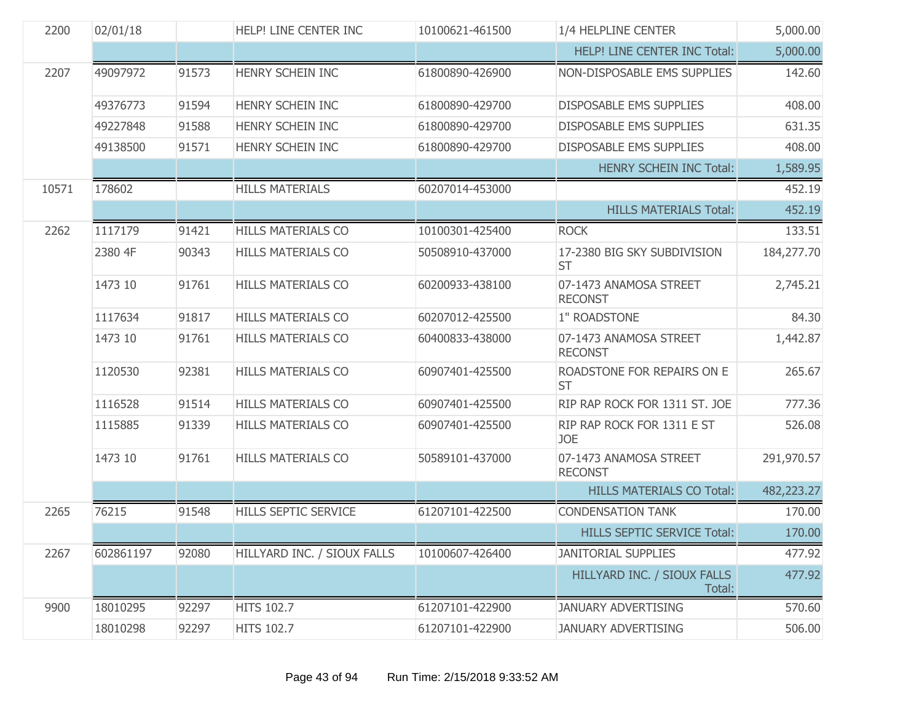| 2200  | 02/01/18  |       | HELP! LINE CENTER INC       | 10100621-461500 | 1/4 HELPLINE CENTER                      | 5,000.00   |
|-------|-----------|-------|-----------------------------|-----------------|------------------------------------------|------------|
|       |           |       |                             |                 | HELP! LINE CENTER INC Total:             | 5,000.00   |
| 2207  | 49097972  | 91573 | HENRY SCHEIN INC            | 61800890-426900 | NON-DISPOSABLE EMS SUPPLIES              | 142.60     |
|       | 49376773  | 91594 | HENRY SCHEIN INC            | 61800890-429700 | <b>DISPOSABLE EMS SUPPLIES</b>           | 408.00     |
|       | 49227848  | 91588 | HENRY SCHEIN INC            | 61800890-429700 | <b>DISPOSABLE EMS SUPPLIES</b>           | 631.35     |
|       | 49138500  | 91571 | HENRY SCHEIN INC            | 61800890-429700 | <b>DISPOSABLE EMS SUPPLIES</b>           | 408.00     |
|       |           |       |                             |                 | <b>HENRY SCHEIN INC Total:</b>           | 1,589.95   |
| 10571 | 178602    |       | <b>HILLS MATERIALS</b>      | 60207014-453000 |                                          | 452.19     |
|       |           |       |                             |                 | <b>HILLS MATERIALS Total:</b>            | 452.19     |
| 2262  | 1117179   | 91421 | <b>HILLS MATERIALS CO</b>   | 10100301-425400 | <b>ROCK</b>                              | 133.51     |
|       | 2380 4F   | 90343 | <b>HILLS MATERIALS CO</b>   | 50508910-437000 | 17-2380 BIG SKY SUBDIVISION<br><b>ST</b> | 184,277.70 |
|       | 1473 10   | 91761 | <b>HILLS MATERIALS CO</b>   | 60200933-438100 | 07-1473 ANAMOSA STREET<br><b>RECONST</b> | 2,745.21   |
|       | 1117634   | 91817 | <b>HILLS MATERIALS CO</b>   | 60207012-425500 | 1" ROADSTONE                             | 84.30      |
|       | 1473 10   | 91761 | <b>HILLS MATERIALS CO</b>   | 60400833-438000 | 07-1473 ANAMOSA STREET<br><b>RECONST</b> | 1,442.87   |
|       | 1120530   | 92381 | <b>HILLS MATERIALS CO</b>   | 60907401-425500 | ROADSTONE FOR REPAIRS ON E<br><b>ST</b>  | 265.67     |
|       | 1116528   | 91514 | <b>HILLS MATERIALS CO</b>   | 60907401-425500 | RIP RAP ROCK FOR 1311 ST. JOE            | 777.36     |
|       | 1115885   | 91339 | <b>HILLS MATERIALS CO</b>   | 60907401-425500 | RIP RAP ROCK FOR 1311 E ST<br><b>JOE</b> | 526.08     |
|       | 1473 10   | 91761 | <b>HILLS MATERIALS CO</b>   | 50589101-437000 | 07-1473 ANAMOSA STREET<br><b>RECONST</b> | 291,970.57 |
|       |           |       |                             |                 | <b>HILLS MATERIALS CO Total:</b>         | 482,223.27 |
| 2265  | 76215     | 91548 | <b>HILLS SEPTIC SERVICE</b> | 61207101-422500 | <b>CONDENSATION TANK</b>                 | 170.00     |
|       |           |       |                             |                 | <b>HILLS SEPTIC SERVICE Total:</b>       | 170.00     |
| 2267  | 602861197 | 92080 | HILLYARD INC. / SIOUX FALLS | 10100607-426400 | <b>JANITORIAL SUPPLIES</b>               | 477.92     |
|       |           |       |                             |                 | HILLYARD INC. / SIOUX FALLS<br>Total:    | 477.92     |
| 9900  | 18010295  | 92297 | <b>HITS 102.7</b>           | 61207101-422900 | <b>JANUARY ADVERTISING</b>               | 570.60     |
|       | 18010298  | 92297 | <b>HITS 102.7</b>           | 61207101-422900 | <b>JANUARY ADVERTISING</b>               | 506.00     |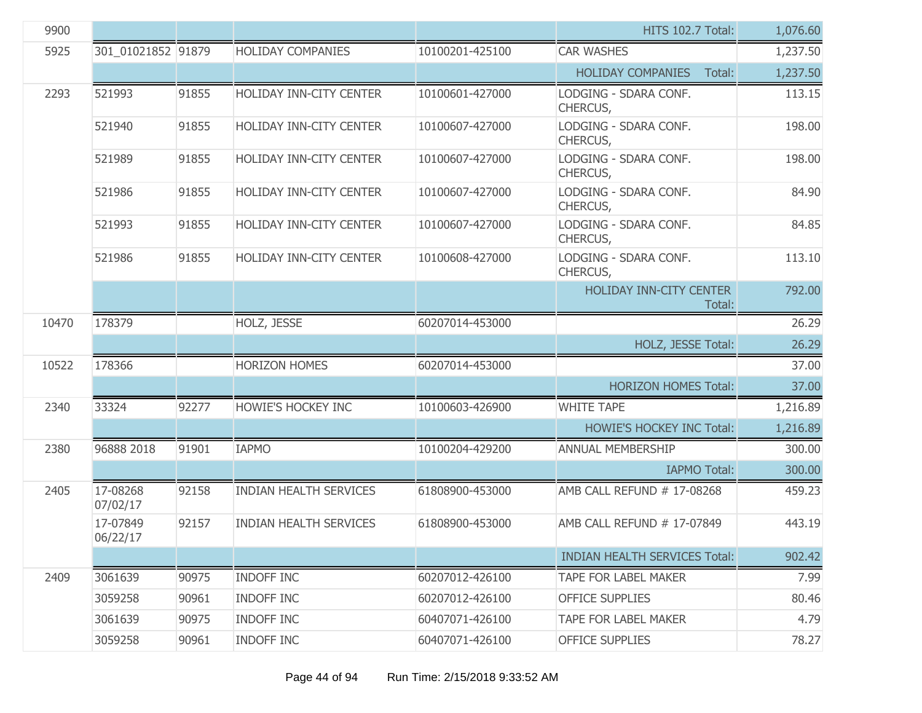| 9900  |                      |       |                                |                 | <b>HITS 102.7 Total:</b>                 | 1,076.60 |
|-------|----------------------|-------|--------------------------------|-----------------|------------------------------------------|----------|
| 5925  | 301 01021852 91879   |       | <b>HOLIDAY COMPANIES</b>       | 10100201-425100 | <b>CAR WASHES</b>                        | 1,237.50 |
|       |                      |       |                                |                 | <b>HOLIDAY COMPANIES</b><br>Total:       | 1,237.50 |
| 2293  | 521993               | 91855 | <b>HOLIDAY INN-CITY CENTER</b> | 10100601-427000 | LODGING - SDARA CONF.<br>CHERCUS,        | 113.15   |
|       | 521940               | 91855 | <b>HOLIDAY INN-CITY CENTER</b> | 10100607-427000 | LODGING - SDARA CONF.<br>CHERCUS,        | 198.00   |
|       | 521989               | 91855 | <b>HOLIDAY INN-CITY CENTER</b> | 10100607-427000 | LODGING - SDARA CONF.<br>CHERCUS,        | 198.00   |
|       | 521986               | 91855 | <b>HOLIDAY INN-CITY CENTER</b> | 10100607-427000 | LODGING - SDARA CONF.<br>CHERCUS,        | 84.90    |
|       | 521993               | 91855 | HOLIDAY INN-CITY CENTER        | 10100607-427000 | LODGING - SDARA CONF.<br>CHERCUS,        | 84.85    |
|       | 521986               | 91855 | <b>HOLIDAY INN-CITY CENTER</b> | 10100608-427000 | LODGING - SDARA CONF.<br>CHERCUS,        | 113.10   |
|       |                      |       |                                |                 | <b>HOLIDAY INN-CITY CENTER</b><br>Total: | 792.00   |
| 10470 | 178379               |       | HOLZ, JESSE                    | 60207014-453000 |                                          | 26.29    |
|       |                      |       |                                |                 | HOLZ, JESSE Total:                       | 26.29    |
| 10522 | 178366               |       | <b>HORIZON HOMES</b>           | 60207014-453000 |                                          | 37.00    |
|       |                      |       |                                |                 | <b>HORIZON HOMES Total:</b>              | 37.00    |
| 2340  | 33324                | 92277 | <b>HOWIE'S HOCKEY INC</b>      | 10100603-426900 | <b>WHITE TAPE</b>                        | 1,216.89 |
|       |                      |       |                                |                 | <b>HOWIE'S HOCKEY INC Total:</b>         | 1,216.89 |
| 2380  | 96888 2018           | 91901 | <b>IAPMO</b>                   | 10100204-429200 | ANNUAL MEMBERSHIP                        | 300.00   |
|       |                      |       |                                |                 | <b>IAPMO Total:</b>                      | 300.00   |
| 2405  | 17-08268<br>07/02/17 | 92158 | <b>INDIAN HEALTH SERVICES</b>  | 61808900-453000 | AMB CALL REFUND # 17-08268               | 459.23   |
|       | 17-07849<br>06/22/17 | 92157 | <b>INDIAN HEALTH SERVICES</b>  | 61808900-453000 | AMB CALL REFUND # 17-07849               | 443.19   |
|       |                      |       |                                |                 | <b>INDIAN HEALTH SERVICES Total:</b>     | 902.42   |
| 2409  | 3061639              | 90975 | INDOFF INC                     | 60207012-426100 | <b>TAPE FOR LABEL MAKER</b>              | 7.99     |
|       | 3059258              | 90961 | <b>INDOFF INC</b>              | 60207012-426100 | <b>OFFICE SUPPLIES</b>                   | 80.46    |
|       | 3061639              | 90975 | <b>INDOFF INC</b>              | 60407071-426100 | TAPE FOR LABEL MAKER                     | 4.79     |
|       | 3059258              | 90961 | <b>INDOFF INC</b>              | 60407071-426100 | <b>OFFICE SUPPLIES</b>                   | 78.27    |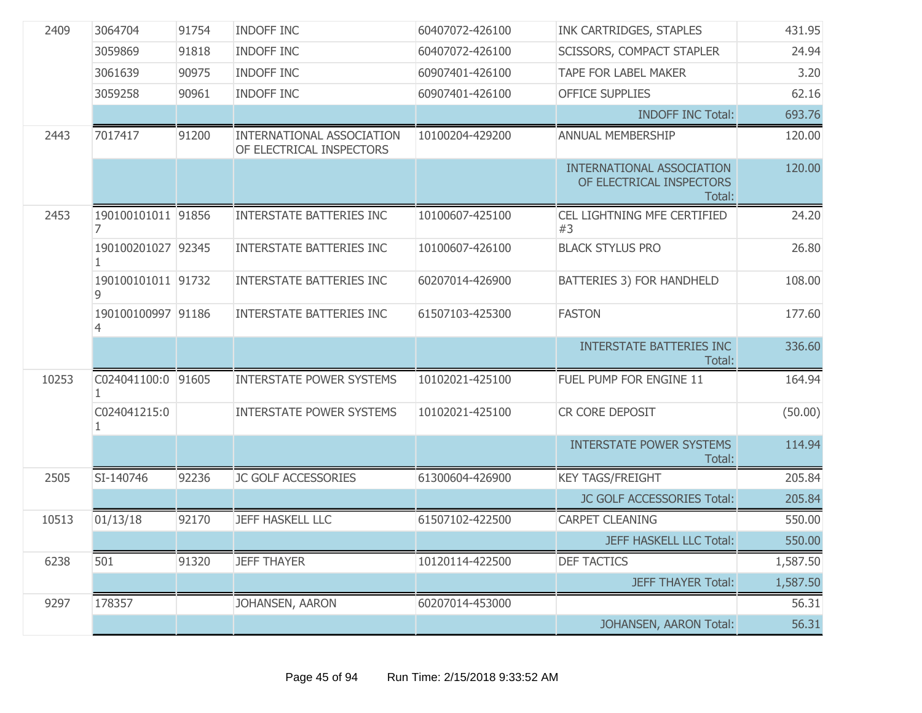| 2409  | 3064704                 | 91754 | <b>INDOFF INC</b>                                     | 60407072-426100 | INK CARTRIDGES, STAPLES                                                | 431.95   |
|-------|-------------------------|-------|-------------------------------------------------------|-----------------|------------------------------------------------------------------------|----------|
|       | 3059869                 | 91818 | <b>INDOFF INC</b>                                     | 60407072-426100 | <b>SCISSORS, COMPACT STAPLER</b>                                       | 24.94    |
|       | 3061639                 | 90975 | <b>INDOFF INC</b>                                     | 60907401-426100 | <b>TAPE FOR LABEL MAKER</b>                                            | 3.20     |
|       | 3059258                 | 90961 | <b>INDOFF INC</b>                                     | 60907401-426100 | <b>OFFICE SUPPLIES</b>                                                 | 62.16    |
|       |                         |       |                                                       |                 | <b>INDOFF INC Total:</b>                                               | 693.76   |
| 2443  | 7017417                 | 91200 | INTERNATIONAL ASSOCIATION<br>OF ELECTRICAL INSPECTORS | 10100204-429200 | ANNUAL MEMBERSHIP                                                      | 120.00   |
|       |                         |       |                                                       |                 | <b>INTERNATIONAL ASSOCIATION</b><br>OF ELECTRICAL INSPECTORS<br>Total: | 120.00   |
| 2453  | 190100101011 91856<br>7 |       | <b>INTERSTATE BATTERIES INC</b>                       | 10100607-425100 | CEL LIGHTNING MFE CERTIFIED<br>#3                                      | 24.20    |
|       | 190100201027 92345      |       | <b>INTERSTATE BATTERIES INC</b>                       | 10100607-426100 | <b>BLACK STYLUS PRO</b>                                                | 26.80    |
|       | 190100101011 91732      |       | <b>INTERSTATE BATTERIES INC</b>                       | 60207014-426900 | <b>BATTERIES 3) FOR HANDHELD</b>                                       | 108.00   |
|       | 190100100997 91186<br>4 |       | <b>INTERSTATE BATTERIES INC</b>                       | 61507103-425300 | <b>FASTON</b>                                                          | 177.60   |
|       |                         |       |                                                       |                 | <b>INTERSTATE BATTERIES INC</b><br>Total:                              | 336.60   |
| 10253 | C024041100:0 91605      |       | <b>INTERSTATE POWER SYSTEMS</b>                       | 10102021-425100 | FUEL PUMP FOR ENGINE 11                                                | 164.94   |
|       | C024041215:0            |       | <b>INTERSTATE POWER SYSTEMS</b>                       | 10102021-425100 | CR CORE DEPOSIT                                                        | (50.00)  |
|       |                         |       |                                                       |                 | <b>INTERSTATE POWER SYSTEMS</b><br>Total:                              | 114.94   |
| 2505  | SI-140746               | 92236 | JC GOLF ACCESSORIES                                   | 61300604-426900 | <b>KEY TAGS/FREIGHT</b>                                                | 205.84   |
|       |                         |       |                                                       |                 | JC GOLF ACCESSORIES Total:                                             | 205.84   |
| 10513 | 01/13/18                | 92170 | <b>JEFF HASKELL LLC</b>                               | 61507102-422500 | <b>CARPET CLEANING</b>                                                 | 550.00   |
|       |                         |       |                                                       |                 | <b>JEFF HASKELL LLC Total:</b>                                         | 550.00   |
| 6238  | 501                     | 91320 | <b>JEFF THAYER</b>                                    | 10120114-422500 | <b>DEF TACTICS</b>                                                     | 1,587.50 |
|       |                         |       |                                                       |                 | <b>JEFF THAYER Total:</b>                                              | 1,587.50 |
| 9297  | 178357                  |       | JOHANSEN, AARON                                       | 60207014-453000 |                                                                        | 56.31    |
|       |                         |       |                                                       |                 | JOHANSEN, AARON Total:                                                 | 56.31    |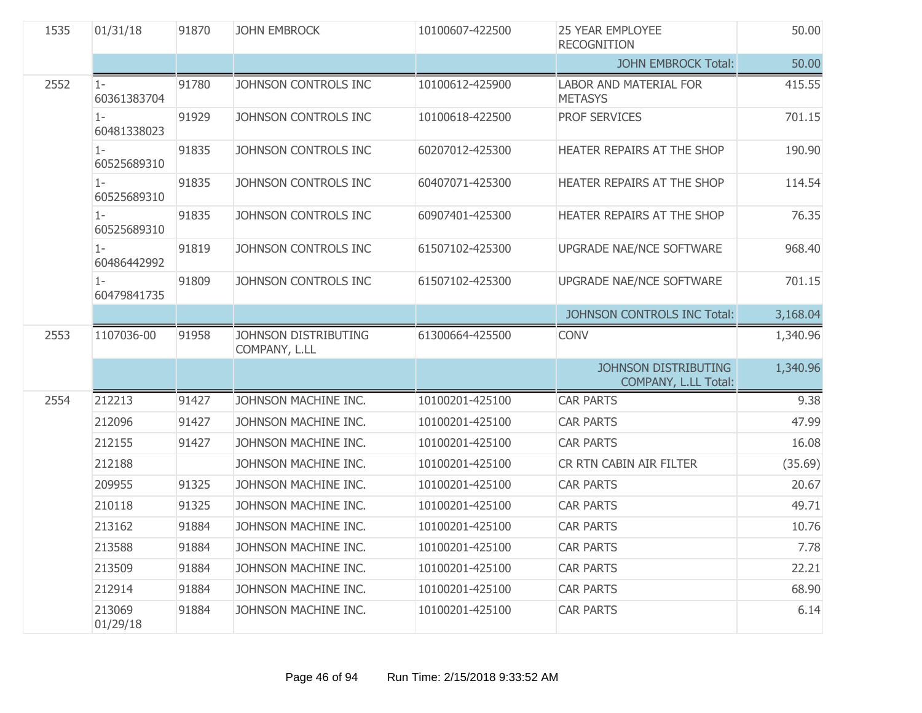| 1535 | 01/31/18             | 91870 | <b>JOHN EMBROCK</b>                   | 10100607-422500 | <b>25 YEAR EMPLOYEE</b><br><b>RECOGNITION</b>       | 50.00    |
|------|----------------------|-------|---------------------------------------|-----------------|-----------------------------------------------------|----------|
|      |                      |       |                                       |                 | <b>JOHN EMBROCK Total:</b>                          | 50.00    |
| 2552 | $1-$<br>60361383704  | 91780 | JOHNSON CONTROLS INC                  | 10100612-425900 | <b>LABOR AND MATERIAL FOR</b><br><b>METASYS</b>     | 415.55   |
|      | $1 -$<br>60481338023 | 91929 | JOHNSON CONTROLS INC                  | 10100618-422500 | <b>PROF SERVICES</b>                                | 701.15   |
|      | $1 -$<br>60525689310 | 91835 | JOHNSON CONTROLS INC                  | 60207012-425300 | HEATER REPAIRS AT THE SHOP                          | 190.90   |
|      | $1 -$<br>60525689310 | 91835 | JOHNSON CONTROLS INC                  | 60407071-425300 | HEATER REPAIRS AT THE SHOP                          | 114.54   |
|      | $1-$<br>60525689310  | 91835 | JOHNSON CONTROLS INC                  | 60907401-425300 | HEATER REPAIRS AT THE SHOP                          | 76.35    |
|      | $1 -$<br>60486442992 | 91819 | JOHNSON CONTROLS INC                  | 61507102-425300 | UPGRADE NAE/NCE SOFTWARE                            | 968.40   |
|      | $1 -$<br>60479841735 | 91809 | JOHNSON CONTROLS INC                  | 61507102-425300 | UPGRADE NAE/NCE SOFTWARE                            | 701.15   |
|      |                      |       |                                       |                 | JOHNSON CONTROLS INC Total:                         | 3,168.04 |
| 2553 | 1107036-00           | 91958 | JOHNSON DISTRIBUTING<br>COMPANY, L.LL | 61300664-425500 | <b>CONV</b>                                         | 1,340.96 |
|      |                      |       |                                       |                 | <b>JOHNSON DISTRIBUTING</b><br>COMPANY, L.LL Total: | 1,340.96 |
| 2554 | 212213               | 91427 | JOHNSON MACHINE INC.                  | 10100201-425100 | <b>CAR PARTS</b>                                    | 9.38     |
|      | 212096               | 91427 | JOHNSON MACHINE INC.                  | 10100201-425100 | <b>CAR PARTS</b>                                    | 47.99    |
|      | 212155               | 91427 | JOHNSON MACHINE INC.                  | 10100201-425100 | <b>CAR PARTS</b>                                    | 16.08    |
|      | 212188               |       | JOHNSON MACHINE INC.                  | 10100201-425100 | CR RTN CABIN AIR FILTER                             | (35.69)  |
|      | 209955               | 91325 | JOHNSON MACHINE INC.                  | 10100201-425100 | <b>CAR PARTS</b>                                    | 20.67    |
|      | 210118               | 91325 | JOHNSON MACHINE INC.                  | 10100201-425100 | <b>CAR PARTS</b>                                    | 49.71    |
|      | 213162               | 91884 | JOHNSON MACHINE INC.                  | 10100201-425100 | <b>CAR PARTS</b>                                    | 10.76    |
|      | 213588               | 91884 | JOHNSON MACHINE INC.                  | 10100201-425100 | <b>CAR PARTS</b>                                    | 7.78     |
|      | 213509               | 91884 | JOHNSON MACHINE INC.                  | 10100201-425100 | <b>CAR PARTS</b>                                    | 22.21    |
|      | 212914               | 91884 | JOHNSON MACHINE INC.                  | 10100201-425100 | <b>CAR PARTS</b>                                    | 68.90    |
|      | 213069<br>01/29/18   | 91884 | JOHNSON MACHINE INC.                  | 10100201-425100 | <b>CAR PARTS</b>                                    | 6.14     |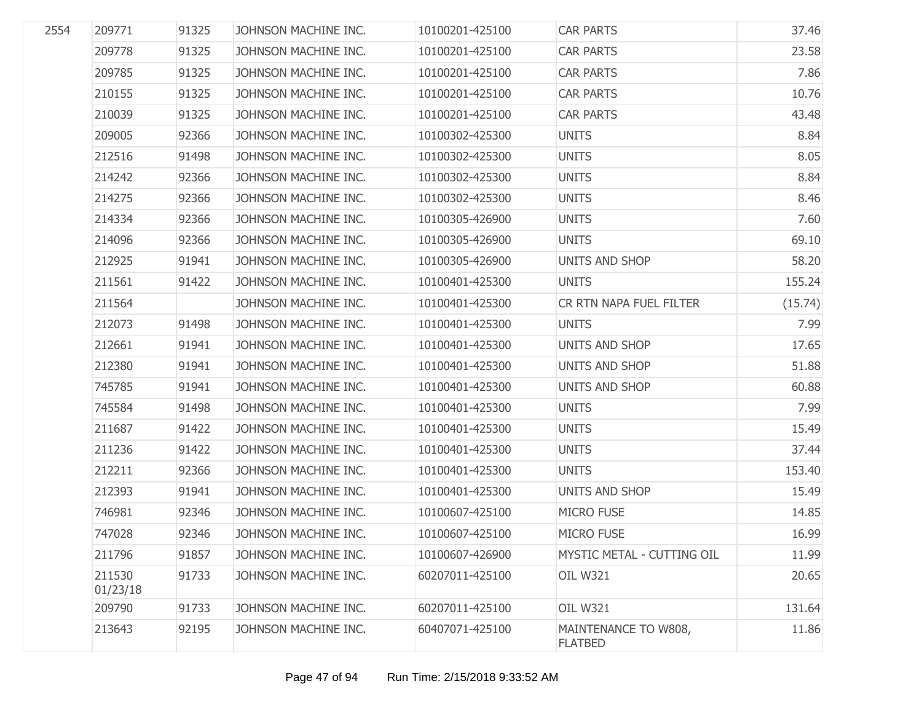| 2554 | 209771             | 91325 | JOHNSON MACHINE INC. | 10100201-425100 | <b>CAR PARTS</b>                       | 37.46   |
|------|--------------------|-------|----------------------|-----------------|----------------------------------------|---------|
|      | 209778             | 91325 | JOHNSON MACHINE INC. | 10100201-425100 | <b>CAR PARTS</b>                       | 23.58   |
|      | 209785             | 91325 | JOHNSON MACHINE INC. | 10100201-425100 | <b>CAR PARTS</b>                       | 7.86    |
|      | 210155             | 91325 | JOHNSON MACHINE INC. | 10100201-425100 | <b>CAR PARTS</b>                       | 10.76   |
|      | 210039             | 91325 | JOHNSON MACHINE INC. | 10100201-425100 | <b>CAR PARTS</b>                       | 43.48   |
|      | 209005             | 92366 | JOHNSON MACHINE INC. | 10100302-425300 | <b>UNITS</b>                           | 8.84    |
|      | 212516             | 91498 | JOHNSON MACHINE INC. | 10100302-425300 | <b>UNITS</b>                           | 8.05    |
|      | 214242             | 92366 | JOHNSON MACHINE INC. | 10100302-425300 | <b>UNITS</b>                           | 8.84    |
|      | 214275             | 92366 | JOHNSON MACHINE INC. | 10100302-425300 | <b>UNITS</b>                           | 8.46    |
|      | 214334             | 92366 | JOHNSON MACHINE INC. | 10100305-426900 | <b>UNITS</b>                           | 7.60    |
|      | 214096             | 92366 | JOHNSON MACHINE INC. | 10100305-426900 | <b>UNITS</b>                           | 69.10   |
|      | 212925             | 91941 | JOHNSON MACHINE INC. | 10100305-426900 | UNITS AND SHOP                         | 58.20   |
|      | 211561             | 91422 | JOHNSON MACHINE INC. | 10100401-425300 | <b>UNITS</b>                           | 155.24  |
|      | 211564             |       | JOHNSON MACHINE INC. | 10100401-425300 | CR RTN NAPA FUEL FILTER                | (15.74) |
|      | 212073             | 91498 | JOHNSON MACHINE INC. | 10100401-425300 | <b>UNITS</b>                           | 7.99    |
|      | 212661             | 91941 | JOHNSON MACHINE INC. | 10100401-425300 | UNITS AND SHOP                         | 17.65   |
|      | 212380             | 91941 | JOHNSON MACHINE INC. | 10100401-425300 | UNITS AND SHOP                         | 51.88   |
|      | 745785             | 91941 | JOHNSON MACHINE INC. | 10100401-425300 | UNITS AND SHOP                         | 60.88   |
|      | 745584             | 91498 | JOHNSON MACHINE INC. | 10100401-425300 | <b>UNITS</b>                           | 7.99    |
|      | 211687             | 91422 | JOHNSON MACHINE INC. | 10100401-425300 | <b>UNITS</b>                           | 15.49   |
|      | 211236             | 91422 | JOHNSON MACHINE INC. | 10100401-425300 | <b>UNITS</b>                           | 37.44   |
|      | 212211             | 92366 | JOHNSON MACHINE INC. | 10100401-425300 | <b>UNITS</b>                           | 153.40  |
|      | 212393             | 91941 | JOHNSON MACHINE INC. | 10100401-425300 | UNITS AND SHOP                         | 15.49   |
|      | 746981             | 92346 | JOHNSON MACHINE INC. | 10100607-425100 | <b>MICRO FUSE</b>                      | 14.85   |
|      | 747028             | 92346 | JOHNSON MACHINE INC. | 10100607-425100 | <b>MICRO FUSE</b>                      | 16.99   |
|      | 211796             | 91857 | JOHNSON MACHINE INC. | 10100607-426900 | MYSTIC METAL - CUTTING OIL             | 11.99   |
|      | 211530<br>01/23/18 | 91733 | JOHNSON MACHINE INC. | 60207011-425100 | <b>OIL W321</b>                        | 20.65   |
|      | 209790             | 91733 | JOHNSON MACHINE INC. | 60207011-425100 | <b>OIL W321</b>                        | 131.64  |
|      | 213643             | 92195 | JOHNSON MACHINE INC. | 60407071-425100 | MAINTENANCE TO W808,<br><b>FLATBED</b> | 11.86   |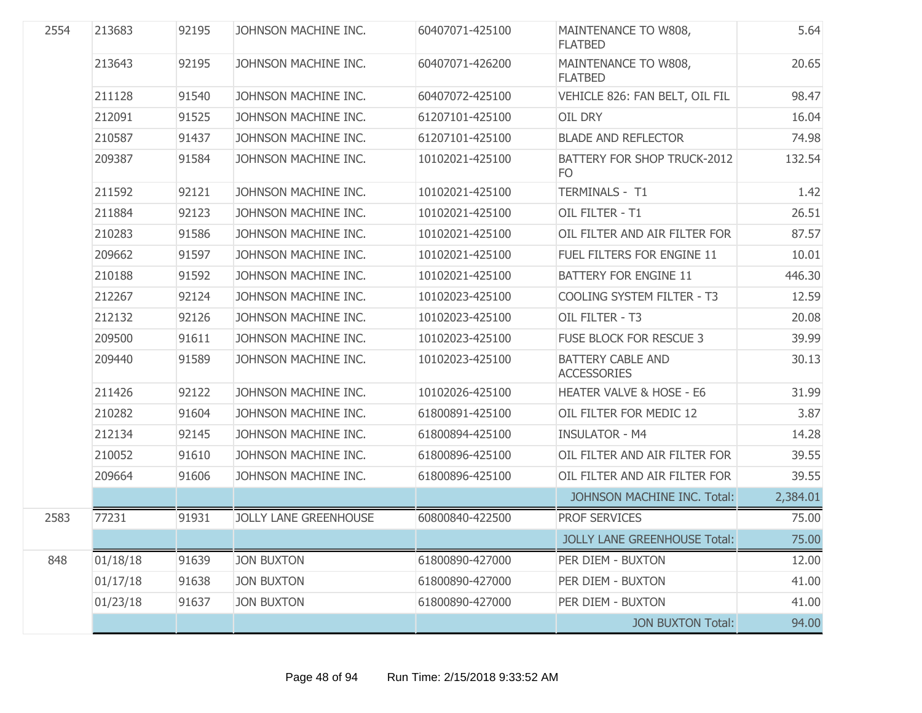| 2554 | 213683   | 92195 | JOHNSON MACHINE INC.         | 60407071-425100 | MAINTENANCE TO W808,<br><b>FLATBED</b>         | 5.64     |
|------|----------|-------|------------------------------|-----------------|------------------------------------------------|----------|
|      | 213643   | 92195 | JOHNSON MACHINE INC.         | 60407071-426200 | MAINTENANCE TO W808,<br><b>FLATBED</b>         | 20.65    |
|      | 211128   | 91540 | JOHNSON MACHINE INC.         | 60407072-425100 | VEHICLE 826: FAN BELT, OIL FIL                 | 98.47    |
|      | 212091   | 91525 | JOHNSON MACHINE INC.         | 61207101-425100 | OIL DRY                                        | 16.04    |
|      | 210587   | 91437 | JOHNSON MACHINE INC.         | 61207101-425100 | <b>BLADE AND REFLECTOR</b>                     | 74.98    |
|      | 209387   | 91584 | JOHNSON MACHINE INC.         | 10102021-425100 | BATTERY FOR SHOP TRUCK-2012<br>F <sub>O</sub>  | 132.54   |
|      | 211592   | 92121 | JOHNSON MACHINE INC.         | 10102021-425100 | TERMINALS - T1                                 | 1.42     |
|      | 211884   | 92123 | JOHNSON MACHINE INC.         | 10102021-425100 | OIL FILTER - T1                                | 26.51    |
|      | 210283   | 91586 | JOHNSON MACHINE INC.         | 10102021-425100 | OIL FILTER AND AIR FILTER FOR                  | 87.57    |
|      | 209662   | 91597 | JOHNSON MACHINE INC.         | 10102021-425100 | FUEL FILTERS FOR ENGINE 11                     | 10.01    |
|      | 210188   | 91592 | JOHNSON MACHINE INC.         | 10102021-425100 | <b>BATTERY FOR ENGINE 11</b>                   | 446.30   |
|      | 212267   | 92124 | JOHNSON MACHINE INC.         | 10102023-425100 | COOLING SYSTEM FILTER - T3                     | 12.59    |
|      | 212132   | 92126 | JOHNSON MACHINE INC.         | 10102023-425100 | OIL FILTER - T3                                | 20.08    |
|      | 209500   | 91611 | JOHNSON MACHINE INC.         | 10102023-425100 | <b>FUSE BLOCK FOR RESCUE 3</b>                 | 39.99    |
|      | 209440   | 91589 | JOHNSON MACHINE INC.         | 10102023-425100 | <b>BATTERY CABLE AND</b><br><b>ACCESSORIES</b> | 30.13    |
|      | 211426   | 92122 | JOHNSON MACHINE INC.         | 10102026-425100 | HEATER VALVE & HOSE - E6                       | 31.99    |
|      | 210282   | 91604 | JOHNSON MACHINE INC.         | 61800891-425100 | OIL FILTER FOR MEDIC 12                        | 3.87     |
|      | 212134   | 92145 | JOHNSON MACHINE INC.         | 61800894-425100 | <b>INSULATOR - M4</b>                          | 14.28    |
|      | 210052   | 91610 | JOHNSON MACHINE INC.         | 61800896-425100 | OIL FILTER AND AIR FILTER FOR                  | 39.55    |
|      | 209664   | 91606 | JOHNSON MACHINE INC.         | 61800896-425100 | OIL FILTER AND AIR FILTER FOR                  | 39.55    |
|      |          |       |                              |                 | JOHNSON MACHINE INC. Total:                    | 2,384.01 |
| 2583 | 77231    | 91931 | <b>JOLLY LANE GREENHOUSE</b> | 60800840-422500 | <b>PROF SERVICES</b>                           | 75.00    |
|      |          |       |                              |                 | <b>JOLLY LANE GREENHOUSE Total:</b>            | 75.00    |
| 848  | 01/18/18 | 91639 | <b>JON BUXTON</b>            | 61800890-427000 | PER DIEM - BUXTON                              | 12.00    |
|      | 01/17/18 | 91638 | <b>JON BUXTON</b>            | 61800890-427000 | PER DIEM - BUXTON                              | 41.00    |
|      | 01/23/18 | 91637 | <b>JON BUXTON</b>            | 61800890-427000 | PER DIEM - BUXTON                              | 41.00    |
|      |          |       |                              |                 | <b>JON BUXTON Total:</b>                       | 94.00    |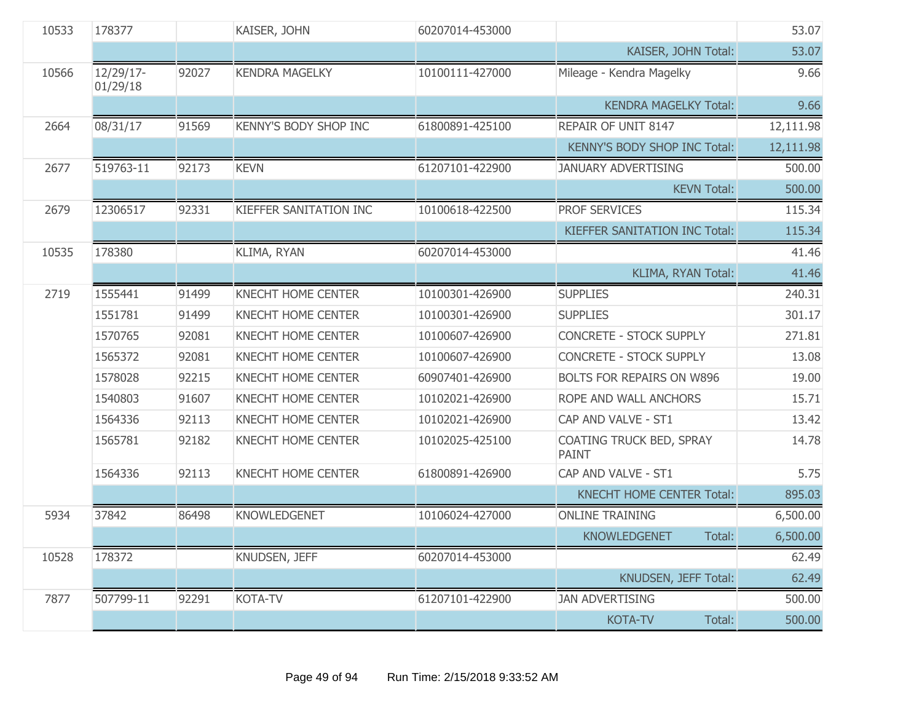| 10533 | 178377                |       | KAISER, JOHN              | 60207014-453000 |                                          | 53.07     |
|-------|-----------------------|-------|---------------------------|-----------------|------------------------------------------|-----------|
|       |                       |       |                           |                 | KAISER, JOHN Total:                      | 53.07     |
| 10566 | 12/29/17-<br>01/29/18 | 92027 | <b>KENDRA MAGELKY</b>     | 10100111-427000 | Mileage - Kendra Magelky                 | 9.66      |
|       |                       |       |                           |                 | <b>KENDRA MAGELKY Total:</b>             | 9.66      |
| 2664  | 08/31/17              | 91569 | KENNY'S BODY SHOP INC     | 61800891-425100 | REPAIR OF UNIT 8147                      | 12,111.98 |
|       |                       |       |                           |                 | <b>KENNY'S BODY SHOP INC Total:</b>      | 12,111.98 |
| 2677  | 519763-11             | 92173 | <b>KEVN</b>               | 61207101-422900 | <b>JANUARY ADVERTISING</b>               | 500.00    |
|       |                       |       |                           |                 | <b>KEVN Total:</b>                       | 500.00    |
| 2679  | 12306517              | 92331 | KIEFFER SANITATION INC    | 10100618-422500 | PROF SERVICES                            | 115.34    |
|       |                       |       |                           |                 | KIEFFER SANITATION INC Total:            | 115.34    |
| 10535 | 178380                |       | KLIMA, RYAN               | 60207014-453000 |                                          | 41.46     |
|       |                       |       |                           |                 | KLIMA, RYAN Total:                       | 41.46     |
| 2719  | 1555441               | 91499 | KNECHT HOME CENTER        | 10100301-426900 | <b>SUPPLIES</b>                          | 240.31    |
|       | 1551781               | 91499 | <b>KNECHT HOME CENTER</b> | 10100301-426900 | <b>SUPPLIES</b>                          | 301.17    |
|       | 1570765               | 92081 | <b>KNECHT HOME CENTER</b> | 10100607-426900 | <b>CONCRETE - STOCK SUPPLY</b>           | 271.81    |
|       | 1565372               | 92081 | <b>KNECHT HOME CENTER</b> | 10100607-426900 | <b>CONCRETE - STOCK SUPPLY</b>           | 13.08     |
|       | 1578028               | 92215 | <b>KNECHT HOME CENTER</b> | 60907401-426900 | BOLTS FOR REPAIRS ON W896                | 19.00     |
|       | 1540803               | 91607 | <b>KNECHT HOME CENTER</b> | 10102021-426900 | ROPE AND WALL ANCHORS                    | 15.71     |
|       | 1564336               | 92113 | <b>KNECHT HOME CENTER</b> | 10102021-426900 | CAP AND VALVE - ST1                      | 13.42     |
|       | 1565781               | 92182 | KNECHT HOME CENTER        | 10102025-425100 | COATING TRUCK BED, SPRAY<br><b>PAINT</b> | 14.78     |
|       | 1564336               | 92113 | KNECHT HOME CENTER        | 61800891-426900 | CAP AND VALVE - ST1                      | 5.75      |
|       |                       |       |                           |                 | <b>KNECHT HOME CENTER Total:</b>         | 895.03    |
| 5934  | 37842                 | 86498 | KNOWLEDGENET              | 10106024-427000 | <b>ONLINE TRAINING</b>                   | 6,500.00  |
|       |                       |       |                           |                 | <b>KNOWLEDGENET</b><br>Total:            | 6,500.00  |
| 10528 | 178372                |       | KNUDSEN, JEFF             | 60207014-453000 |                                          | 62.49     |
|       |                       |       |                           |                 | KNUDSEN, JEFF Total:                     | 62.49     |
| 7877  | 507799-11             | 92291 | KOTA-TV                   | 61207101-422900 | <b>JAN ADVERTISING</b>                   | 500.00    |
|       |                       |       |                           |                 | <b>KOTA-TV</b><br>Total:                 | 500.00    |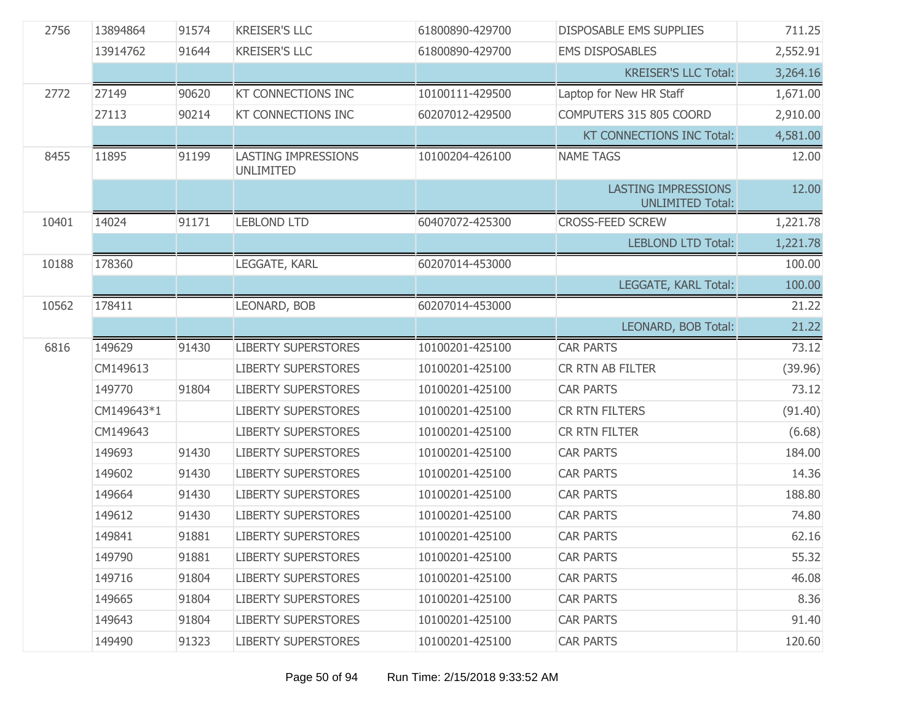| 2756  | 13894864   | 91574 | <b>KREISER'S LLC</b>                           | 61800890-429700 | <b>DISPOSABLE EMS SUPPLIES</b>                        | 711.25   |
|-------|------------|-------|------------------------------------------------|-----------------|-------------------------------------------------------|----------|
|       | 13914762   | 91644 | <b>KREISER'S LLC</b>                           | 61800890-429700 | <b>EMS DISPOSABLES</b>                                | 2,552.91 |
|       |            |       |                                                |                 | <b>KREISER'S LLC Total:</b>                           | 3,264.16 |
| 2772  | 27149      | 90620 | <b>KT CONNECTIONS INC</b>                      | 10100111-429500 | Laptop for New HR Staff                               | 1,671.00 |
|       | 27113      | 90214 | <b>KT CONNECTIONS INC</b>                      | 60207012-429500 | COMPUTERS 315 805 COORD                               | 2,910.00 |
|       |            |       |                                                |                 | KT CONNECTIONS INC Total:                             | 4,581.00 |
| 8455  | 11895      | 91199 | <b>LASTING IMPRESSIONS</b><br><b>UNLIMITED</b> | 10100204-426100 | <b>NAME TAGS</b>                                      | 12.00    |
|       |            |       |                                                |                 | <b>LASTING IMPRESSIONS</b><br><b>UNLIMITED Total:</b> | 12.00    |
| 10401 | 14024      | 91171 | <b>LEBLOND LTD</b>                             | 60407072-425300 | <b>CROSS-FEED SCREW</b>                               | 1,221.78 |
|       |            |       |                                                |                 | <b>LEBLOND LTD Total:</b>                             | 1,221.78 |
| 10188 | 178360     |       | LEGGATE, KARL                                  | 60207014-453000 |                                                       | 100.00   |
|       |            |       |                                                |                 | LEGGATE, KARL Total:                                  | 100.00   |
| 10562 | 178411     |       | LEONARD, BOB                                   | 60207014-453000 |                                                       | 21.22    |
|       |            |       |                                                |                 | LEONARD, BOB Total:                                   | 21.22    |
|       |            |       |                                                |                 |                                                       |          |
| 6816  | 149629     | 91430 | <b>LIBERTY SUPERSTORES</b>                     | 10100201-425100 | <b>CAR PARTS</b>                                      | 73.12    |
|       | CM149613   |       | <b>LIBERTY SUPERSTORES</b>                     | 10100201-425100 | CR RTN AB FILTER                                      | (39.96)  |
|       | 149770     | 91804 | <b>LIBERTY SUPERSTORES</b>                     | 10100201-425100 | <b>CAR PARTS</b>                                      | 73.12    |
|       | CM149643*1 |       | <b>LIBERTY SUPERSTORES</b>                     | 10100201-425100 | CR RTN FILTERS                                        | (91.40)  |
|       | CM149643   |       | <b>LIBERTY SUPERSTORES</b>                     | 10100201-425100 | CR RTN FILTER                                         | (6.68)   |
|       | 149693     | 91430 | <b>LIBERTY SUPERSTORES</b>                     | 10100201-425100 | <b>CAR PARTS</b>                                      | 184.00   |
|       | 149602     | 91430 | <b>LIBERTY SUPERSTORES</b>                     | 10100201-425100 | <b>CAR PARTS</b>                                      | 14.36    |
|       | 149664     | 91430 | <b>LIBERTY SUPERSTORES</b>                     | 10100201-425100 | <b>CAR PARTS</b>                                      | 188.80   |
|       | 149612     | 91430 | <b>LIBERTY SUPERSTORES</b>                     | 10100201-425100 | <b>CAR PARTS</b>                                      | 74.80    |
|       | 149841     | 91881 | <b>LIBERTY SUPERSTORES</b>                     | 10100201-425100 | <b>CAR PARTS</b>                                      | 62.16    |
|       | 149790     | 91881 | <b>LIBERTY SUPERSTORES</b>                     | 10100201-425100 | <b>CAR PARTS</b>                                      | 55.32    |
|       | 149716     | 91804 | <b>LIBERTY SUPERSTORES</b>                     | 10100201-425100 | <b>CAR PARTS</b>                                      | 46.08    |
|       | 149665     | 91804 | <b>LIBERTY SUPERSTORES</b>                     | 10100201-425100 | <b>CAR PARTS</b>                                      | 8.36     |
|       | 149643     | 91804 | <b>LIBERTY SUPERSTORES</b>                     | 10100201-425100 | <b>CAR PARTS</b>                                      | 91.40    |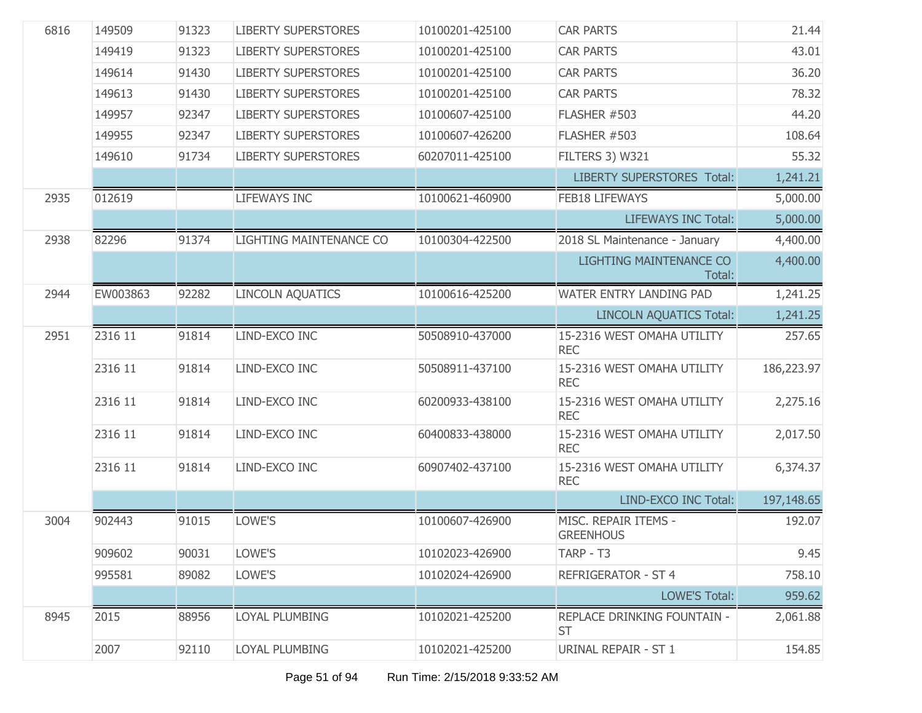| 6816 | 149509   | 91323 | <b>LIBERTY SUPERSTORES</b> | 10100201-425100 | <b>CAR PARTS</b>                                | 21.44      |
|------|----------|-------|----------------------------|-----------------|-------------------------------------------------|------------|
|      | 149419   | 91323 | <b>LIBERTY SUPERSTORES</b> | 10100201-425100 | <b>CAR PARTS</b>                                | 43.01      |
|      | 149614   | 91430 | <b>LIBERTY SUPERSTORES</b> | 10100201-425100 | <b>CAR PARTS</b>                                | 36.20      |
|      | 149613   | 91430 | <b>LIBERTY SUPERSTORES</b> | 10100201-425100 | <b>CAR PARTS</b>                                | 78.32      |
|      | 149957   | 92347 | <b>LIBERTY SUPERSTORES</b> | 10100607-425100 | FLASHER #503                                    | 44.20      |
|      | 149955   | 92347 | <b>LIBERTY SUPERSTORES</b> | 10100607-426200 | FLASHER #503                                    | 108.64     |
|      | 149610   | 91734 | <b>LIBERTY SUPERSTORES</b> | 60207011-425100 | FILTERS 3) W321                                 | 55.32      |
|      |          |       |                            |                 | <b>LIBERTY SUPERSTORES Total:</b>               | 1,241.21   |
| 2935 | 012619   |       | LIFEWAYS INC               | 10100621-460900 | <b>FEB18 LIFEWAYS</b>                           | 5,000.00   |
|      |          |       |                            |                 | <b>LIFEWAYS INC Total:</b>                      | 5,000.00   |
| 2938 | 82296    | 91374 | LIGHTING MAINTENANCE CO    | 10100304-422500 | 2018 SL Maintenance - January                   | 4,400.00   |
|      |          |       |                            |                 | LIGHTING MAINTENANCE CO<br>Total:               | 4,400.00   |
| 2944 | EW003863 | 92282 | <b>LINCOLN AQUATICS</b>    | 10100616-425200 | WATER ENTRY LANDING PAD                         | 1,241.25   |
|      |          |       |                            |                 | <b>LINCOLN AQUATICS Total:</b>                  | 1,241.25   |
| 2951 | 2316 11  | 91814 | LIND-EXCO INC              | 50508910-437000 | 15-2316 WEST OMAHA UTILITY<br><b>REC</b>        | 257.65     |
|      | 2316 11  | 91814 | LIND-EXCO INC              | 50508911-437100 | 15-2316 WEST OMAHA UTILITY<br><b>REC</b>        | 186,223.97 |
|      | 2316 11  | 91814 | LIND-EXCO INC              | 60200933-438100 | 15-2316 WEST OMAHA UTILITY<br><b>REC</b>        | 2,275.16   |
|      | 2316 11  | 91814 | LIND-EXCO INC              | 60400833-438000 | 15-2316 WEST OMAHA UTILITY<br><b>REC</b>        | 2,017.50   |
|      | 2316 11  | 91814 | LIND-EXCO INC              | 60907402-437100 | 15-2316 WEST OMAHA UTILITY<br><b>REC</b>        | 6,374.37   |
|      |          |       |                            |                 | LIND-EXCO INC Total:                            | 197,148.65 |
| 3004 | 902443   | 91015 | LOWE'S                     | 10100607-426900 | MISC. REPAIR ITEMS -<br><b>GREENHOUS</b>        | 192.07     |
|      | 909602   | 90031 | LOWE'S                     | 10102023-426900 | TARP - T3                                       | 9.45       |
|      | 995581   | 89082 | LOWE'S                     | 10102024-426900 | <b>REFRIGERATOR - ST 4</b>                      | 758.10     |
|      |          |       |                            |                 | <b>LOWE'S Total:</b>                            | 959.62     |
|      |          |       |                            |                 |                                                 |            |
| 8945 | 2015     | 88956 | LOYAL PLUMBING             | 10102021-425200 | <b>REPLACE DRINKING FOUNTAIN -</b><br><b>ST</b> | 2,061.88   |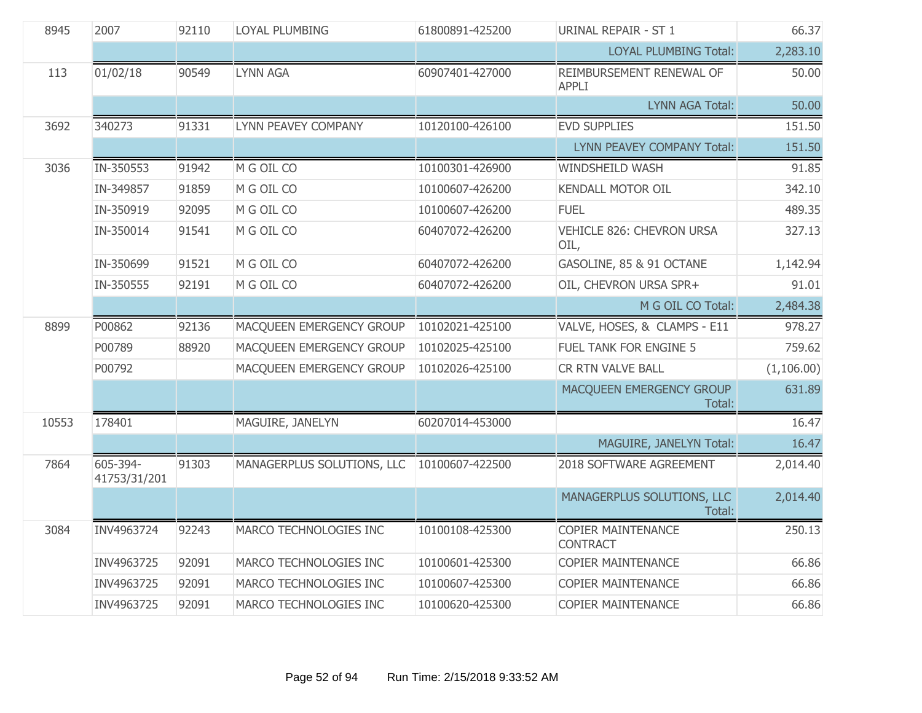| 8945  | 2007<br>92110<br>LOYAL PLUMBING<br>61800891-425200 |       | URINAL REPAIR - ST 1       | 66.37           |                                              |            |
|-------|----------------------------------------------------|-------|----------------------------|-----------------|----------------------------------------------|------------|
|       |                                                    |       |                            |                 | <b>LOYAL PLUMBING Total:</b>                 | 2,283.10   |
| 113   | 01/02/18                                           | 90549 | <b>LYNN AGA</b>            | 60907401-427000 | REIMBURSEMENT RENEWAL OF<br><b>APPLI</b>     | 50.00      |
|       |                                                    |       |                            |                 | <b>LYNN AGA Total:</b>                       | 50.00      |
| 3692  | 340273                                             | 91331 | <b>LYNN PEAVEY COMPANY</b> | 10120100-426100 | <b>EVD SUPPLIES</b>                          | 151.50     |
|       |                                                    |       |                            |                 | LYNN PEAVEY COMPANY Total:                   | 151.50     |
| 3036  | IN-350553                                          | 91942 | M G OIL CO                 | 10100301-426900 | <b>WINDSHEILD WASH</b>                       | 91.85      |
|       | IN-349857                                          | 91859 | M G OIL CO                 | 10100607-426200 | <b>KENDALL MOTOR OIL</b>                     | 342.10     |
|       | IN-350919                                          | 92095 | M G OIL CO                 | 10100607-426200 | <b>FUEL</b>                                  | 489.35     |
|       | IN-350014                                          | 91541 | M G OIL CO                 | 60407072-426200 | VEHICLE 826: CHEVRON URSA<br>OIL,            | 327.13     |
|       | IN-350699                                          | 91521 | M G OIL CO                 | 60407072-426200 | GASOLINE, 85 & 91 OCTANE                     | 1,142.94   |
|       | IN-350555                                          | 92191 | M G OIL CO                 | 60407072-426200 | OIL, CHEVRON URSA SPR+                       | 91.01      |
|       |                                                    |       |                            |                 | M G OIL CO Total:                            | 2,484.38   |
| 8899  | P00862                                             | 92136 | MACQUEEN EMERGENCY GROUP   | 10102021-425100 | VALVE, HOSES, & CLAMPS - E11                 | 978.27     |
|       | P00789                                             | 88920 | MACQUEEN EMERGENCY GROUP   | 10102025-425100 | FUEL TANK FOR ENGINE 5                       | 759.62     |
|       | P00792                                             |       | MACQUEEN EMERGENCY GROUP   | 10102026-425100 | CR RTN VALVE BALL                            | (1,106.00) |
|       |                                                    |       |                            |                 | MACQUEEN EMERGENCY GROUP<br>Total:           | 631.89     |
| 10553 | 178401                                             |       | MAGUIRE, JANELYN           | 60207014-453000 |                                              | 16.47      |
|       |                                                    |       |                            |                 | MAGUIRE, JANELYN Total:                      | 16.47      |
| 7864  | 605-394-<br>41753/31/201                           | 91303 | MANAGERPLUS SOLUTIONS, LLC | 10100607-422500 | 2018 SOFTWARE AGREEMENT                      | 2,014.40   |
|       |                                                    |       |                            |                 | MANAGERPLUS SOLUTIONS, LLC<br>Total:         | 2,014.40   |
| 3084  | INV4963724                                         | 92243 | MARCO TECHNOLOGIES INC     | 10100108-425300 | <b>COPIER MAINTENANCE</b><br><b>CONTRACT</b> | 250.13     |
|       | INV4963725                                         | 92091 | MARCO TECHNOLOGIES INC     | 10100601-425300 | COPIER MAINTENANCE                           | 66.86      |
|       | INV4963725                                         | 92091 | MARCO TECHNOLOGIES INC     | 10100607-425300 | <b>COPIER MAINTENANCE</b>                    | 66.86      |
|       | INV4963725                                         | 92091 | MARCO TECHNOLOGIES INC     | 10100620-425300 | <b>COPIER MAINTENANCE</b>                    | 66.86      |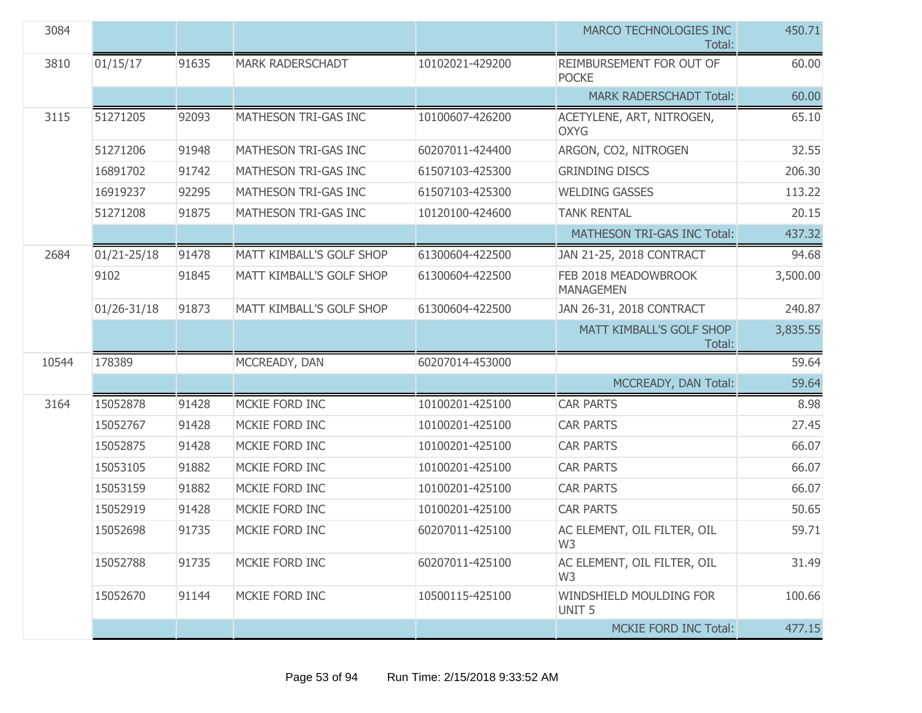| 3084  |                 |       |                          |                 | MARCO TECHNOLOGIES INC<br>Total:              | 450.71   |
|-------|-----------------|-------|--------------------------|-----------------|-----------------------------------------------|----------|
| 3810  | 01/15/17        | 91635 | <b>MARK RADERSCHADT</b>  | 10102021-429200 | REIMBURSEMENT FOR OUT OF<br><b>POCKE</b>      | 60.00    |
|       |                 |       |                          |                 | <b>MARK RADERSCHADT Total:</b>                | 60.00    |
| 3115  | 51271205        | 92093 | MATHESON TRI-GAS INC     | 10100607-426200 | ACETYLENE, ART, NITROGEN,<br><b>OXYG</b>      | 65.10    |
|       | 51271206        | 91948 | MATHESON TRI-GAS INC     | 60207011-424400 | ARGON, CO2, NITROGEN                          | 32.55    |
|       | 16891702        | 91742 | MATHESON TRI-GAS INC     | 61507103-425300 | <b>GRINDING DISCS</b>                         | 206.30   |
|       | 16919237        | 92295 | MATHESON TRI-GAS INC     | 61507103-425300 | <b>WELDING GASSES</b>                         | 113.22   |
|       | 51271208        | 91875 | MATHESON TRI-GAS INC     | 10120100-424600 | <b>TANK RENTAL</b>                            | 20.15    |
|       |                 |       |                          |                 | MATHESON TRI-GAS INC Total:                   | 437.32   |
| 2684  | $01/21 - 25/18$ | 91478 | MATT KIMBALL'S GOLF SHOP | 61300604-422500 | JAN 21-25, 2018 CONTRACT                      | 94.68    |
|       | 9102            | 91845 | MATT KIMBALL'S GOLF SHOP | 61300604-422500 | FEB 2018 MEADOWBROOK<br><b>MANAGEMEN</b>      | 3,500.00 |
|       | $01/26 - 31/18$ | 91873 | MATT KIMBALL'S GOLF SHOP | 61300604-422500 | JAN 26-31, 2018 CONTRACT                      | 240.87   |
|       |                 |       |                          |                 | MATT KIMBALL'S GOLF SHOP<br>Total:            | 3,835.55 |
| 10544 | 178389          |       | MCCREADY, DAN            | 60207014-453000 |                                               | 59.64    |
|       |                 |       |                          |                 | MCCREADY, DAN Total:                          | 59.64    |
| 3164  | 15052878        | 91428 | MCKIE FORD INC           | 10100201-425100 | <b>CAR PARTS</b>                              | 8.98     |
|       | 15052767        | 91428 | MCKIE FORD INC           | 10100201-425100 | <b>CAR PARTS</b>                              | 27.45    |
|       | 15052875        | 91428 | MCKIE FORD INC           | 10100201-425100 | <b>CAR PARTS</b>                              | 66.07    |
|       | 15053105        | 91882 | MCKIE FORD INC           | 10100201-425100 | <b>CAR PARTS</b>                              | 66.07    |
|       | 15053159        | 91882 | MCKIE FORD INC           | 10100201-425100 | <b>CAR PARTS</b>                              | 66.07    |
|       | 15052919        | 91428 | MCKIE FORD INC           | 10100201-425100 | <b>CAR PARTS</b>                              | 50.65    |
|       | 15052698        | 91735 | MCKIE FORD INC           | 60207011-425100 | AC ELEMENT, OIL FILTER, OIL<br>W3             | 59.71    |
|       | 15052788        | 91735 | MCKIE FORD INC           | 60207011-425100 | AC ELEMENT, OIL FILTER, OIL<br>W <sub>3</sub> | 31.49    |
|       | 15052670        | 91144 | MCKIE FORD INC           | 10500115-425100 | WINDSHIELD MOULDING FOR<br>UNIT <sub>5</sub>  | 100.66   |
|       |                 |       |                          |                 | <b>MCKIE FORD INC Total:</b>                  | 477.15   |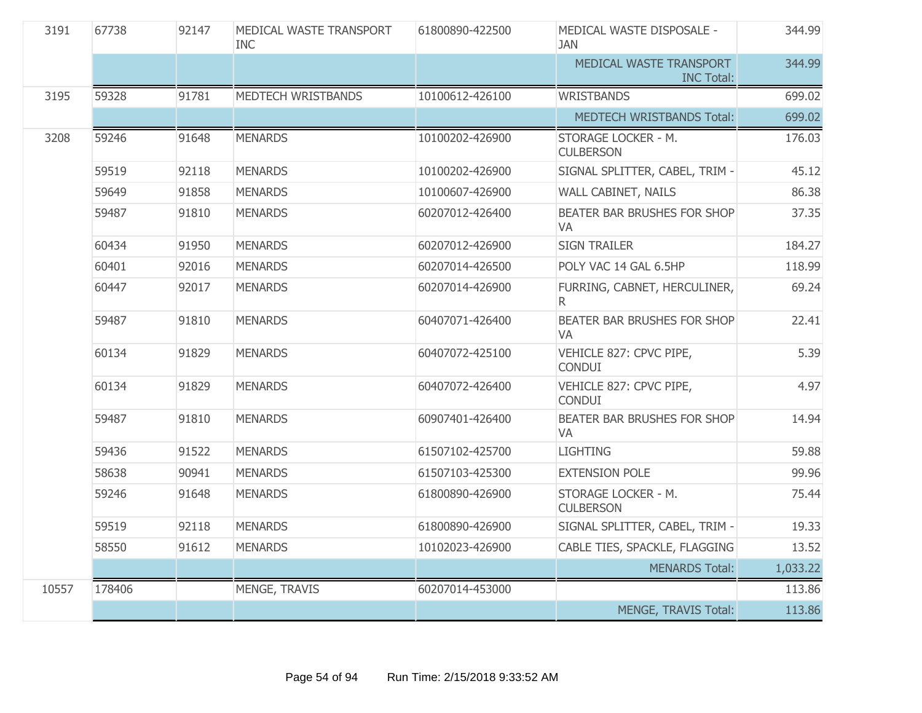| 3191  | 67738  | 92147 | MEDICAL WASTE TRANSPORT<br>INC. | 61800890-422500 | MEDICAL WASTE DISPOSALE -<br><b>JAN</b>      | 344.99   |
|-------|--------|-------|---------------------------------|-----------------|----------------------------------------------|----------|
|       |        |       |                                 |                 | MEDICAL WASTE TRANSPORT<br><b>INC Total:</b> | 344.99   |
| 3195  | 59328  | 91781 | MEDTECH WRISTBANDS              | 10100612-426100 | <b>WRISTBANDS</b>                            | 699.02   |
|       |        |       |                                 |                 | MEDTECH WRISTBANDS Total:                    | 699.02   |
| 3208  | 59246  | 91648 | <b>MENARDS</b>                  | 10100202-426900 | STORAGE LOCKER - M.<br><b>CULBERSON</b>      | 176.03   |
|       | 59519  | 92118 | <b>MENARDS</b>                  | 10100202-426900 | SIGNAL SPLITTER, CABEL, TRIM -               | 45.12    |
|       | 59649  | 91858 | <b>MENARDS</b>                  | 10100607-426900 | WALL CABINET, NAILS                          | 86.38    |
|       | 59487  | 91810 | <b>MENARDS</b>                  | 60207012-426400 | BEATER BAR BRUSHES FOR SHOP<br>VA            | 37.35    |
|       | 60434  | 91950 | <b>MENARDS</b>                  | 60207012-426900 | <b>SIGN TRAILER</b>                          | 184.27   |
|       | 60401  | 92016 | <b>MENARDS</b>                  | 60207014-426500 | POLY VAC 14 GAL 6.5HP                        | 118.99   |
|       | 60447  | 92017 | <b>MENARDS</b>                  | 60207014-426900 | FURRING, CABNET, HERCULINER,<br>R.           | 69.24    |
|       | 59487  | 91810 | <b>MENARDS</b>                  | 60407071-426400 | BEATER BAR BRUSHES FOR SHOP<br><b>VA</b>     | 22.41    |
|       | 60134  | 91829 | <b>MENARDS</b>                  | 60407072-425100 | VEHICLE 827: CPVC PIPE,<br><b>CONDUI</b>     | 5.39     |
|       | 60134  | 91829 | <b>MENARDS</b>                  | 60407072-426400 | VEHICLE 827: CPVC PIPE,<br><b>CONDUI</b>     | 4.97     |
|       | 59487  | 91810 | <b>MENARDS</b>                  | 60907401-426400 | BEATER BAR BRUSHES FOR SHOP<br>VA            | 14.94    |
|       | 59436  | 91522 | <b>MENARDS</b>                  | 61507102-425700 | <b>LIGHTING</b>                              | 59.88    |
|       | 58638  | 90941 | <b>MENARDS</b>                  | 61507103-425300 | <b>EXTENSION POLE</b>                        | 99.96    |
|       | 59246  | 91648 | <b>MENARDS</b>                  | 61800890-426900 | STORAGE LOCKER - M.<br><b>CULBERSON</b>      | 75.44    |
|       | 59519  | 92118 | <b>MENARDS</b>                  | 61800890-426900 | SIGNAL SPLITTER, CABEL, TRIM -               | 19.33    |
|       | 58550  | 91612 | <b>MENARDS</b>                  | 10102023-426900 | CABLE TIES, SPACKLE, FLAGGING                | 13.52    |
|       |        |       |                                 |                 | <b>MENARDS Total:</b>                        | 1,033.22 |
| 10557 | 178406 |       | MENGE, TRAVIS                   | 60207014-453000 |                                              | 113.86   |
|       |        |       |                                 |                 | MENGE, TRAVIS Total:                         | 113.86   |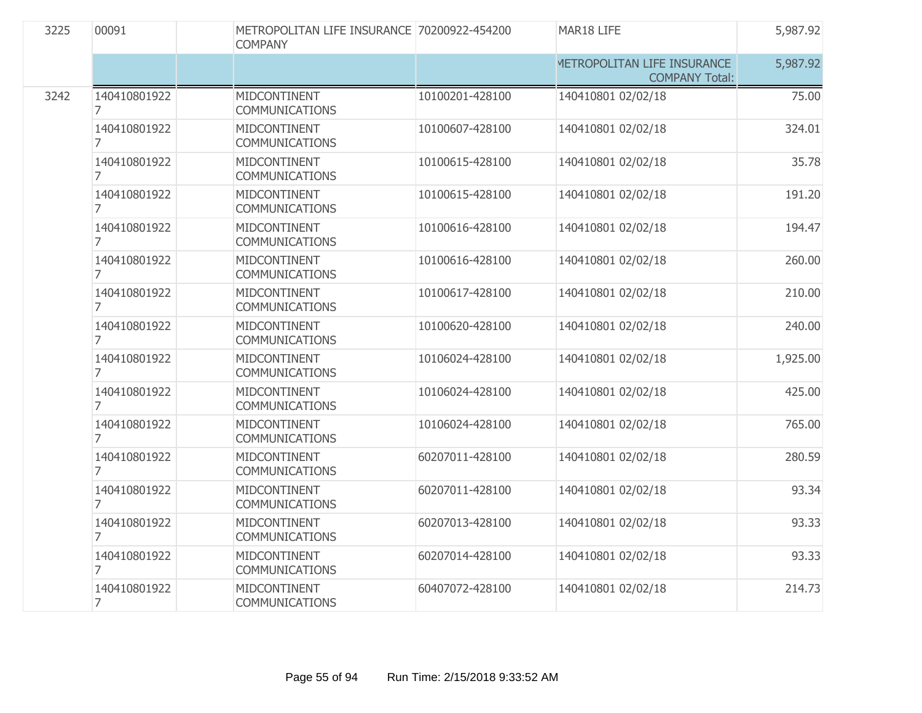| 3225 | 00091                          | <b>COMPANY</b> | METROPOLITAN LIFE INSURANCE 70200922-454200 |                 | MAR18 LIFE                                           | 5,987.92 |
|------|--------------------------------|----------------|---------------------------------------------|-----------------|------------------------------------------------------|----------|
|      |                                |                |                                             |                 | METROPOLITAN LIFE INSURANCE<br><b>COMPANY Total:</b> | 5,987.92 |
| 3242 | 140410801922<br>7              |                | MIDCONTINENT<br><b>COMMUNICATIONS</b>       | 10100201-428100 | 140410801 02/02/18                                   | 75.00    |
|      | 140410801922<br>7              |                | MIDCONTINENT<br><b>COMMUNICATIONS</b>       | 10100607-428100 | 140410801 02/02/18                                   | 324.01   |
|      | 140410801922<br>7              |                | MIDCONTINENT<br><b>COMMUNICATIONS</b>       | 10100615-428100 | 140410801 02/02/18                                   | 35.78    |
|      | 140410801922<br>7              |                | MIDCONTINENT<br><b>COMMUNICATIONS</b>       | 10100615-428100 | 140410801 02/02/18                                   | 191.20   |
|      | 140410801922<br>$\overline{7}$ |                | MIDCONTINENT<br><b>COMMUNICATIONS</b>       | 10100616-428100 | 140410801 02/02/18                                   | 194.47   |
|      | 140410801922<br>$\overline{7}$ |                | MIDCONTINENT<br><b>COMMUNICATIONS</b>       | 10100616-428100 | 140410801 02/02/18                                   | 260.00   |
|      | 140410801922<br>7              |                | MIDCONTINENT<br><b>COMMUNICATIONS</b>       | 10100617-428100 | 140410801 02/02/18                                   | 210.00   |
|      | 140410801922<br>7              |                | MIDCONTINENT<br><b>COMMUNICATIONS</b>       | 10100620-428100 | 140410801 02/02/18                                   | 240.00   |
|      | 140410801922<br>7              |                | MIDCONTINENT<br><b>COMMUNICATIONS</b>       | 10106024-428100 | 140410801 02/02/18                                   | 1,925.00 |
|      | 140410801922<br>7              |                | MIDCONTINENT<br><b>COMMUNICATIONS</b>       | 10106024-428100 | 140410801 02/02/18                                   | 425.00   |
|      | 140410801922<br>7              |                | MIDCONTINENT<br>COMMUNICATIONS              | 10106024-428100 | 140410801 02/02/18                                   | 765.00   |
|      | 140410801922<br>7              |                | MIDCONTINENT<br><b>COMMUNICATIONS</b>       | 60207011-428100 | 140410801 02/02/18                                   | 280.59   |
|      | 140410801922<br>7              |                | MIDCONTINENT<br>COMMUNICATIONS              | 60207011-428100 | 140410801 02/02/18                                   | 93.34    |
|      | 140410801922<br>7              |                | MIDCONTINENT<br><b>COMMUNICATIONS</b>       | 60207013-428100 | 140410801 02/02/18                                   | 93.33    |
|      | 140410801922<br>7              |                | MIDCONTINENT<br><b>COMMUNICATIONS</b>       | 60207014-428100 | 140410801 02/02/18                                   | 93.33    |
|      | 140410801922<br>7              |                | MIDCONTINENT<br><b>COMMUNICATIONS</b>       | 60407072-428100 | 140410801 02/02/18                                   | 214.73   |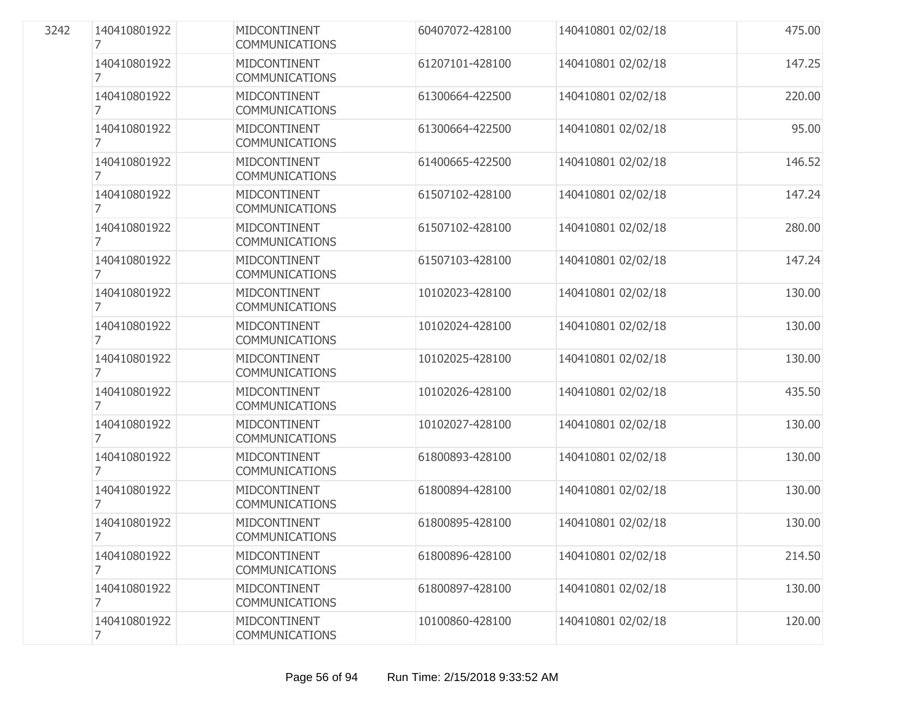| 3242 | 140410801922<br>7 | MIDCONTINENT<br><b>COMMUNICATIONS</b> | 60407072-428100 | 140410801 02/02/18 | 475.00 |
|------|-------------------|---------------------------------------|-----------------|--------------------|--------|
|      | 140410801922<br>7 | MIDCONTINENT<br><b>COMMUNICATIONS</b> | 61207101-428100 | 140410801 02/02/18 | 147.25 |
|      | 140410801922<br>7 | MIDCONTINENT<br><b>COMMUNICATIONS</b> | 61300664-422500 | 140410801 02/02/18 | 220.00 |
|      | 140410801922<br>7 | MIDCONTINENT<br><b>COMMUNICATIONS</b> | 61300664-422500 | 140410801 02/02/18 | 95.00  |
|      | 140410801922<br>7 | MIDCONTINENT<br><b>COMMUNICATIONS</b> | 61400665-422500 | 140410801 02/02/18 | 146.52 |
|      | 140410801922<br>7 | MIDCONTINENT<br><b>COMMUNICATIONS</b> | 61507102-428100 | 140410801 02/02/18 | 147.24 |
|      | 140410801922<br>7 | MIDCONTINENT<br><b>COMMUNICATIONS</b> | 61507102-428100 | 140410801 02/02/18 | 280.00 |
|      | 140410801922<br>7 | MIDCONTINENT<br><b>COMMUNICATIONS</b> | 61507103-428100 | 140410801 02/02/18 | 147.24 |
|      | 140410801922<br>7 | MIDCONTINENT<br><b>COMMUNICATIONS</b> | 10102023-428100 | 140410801 02/02/18 | 130.00 |
|      | 140410801922<br>7 | MIDCONTINENT<br><b>COMMUNICATIONS</b> | 10102024-428100 | 140410801 02/02/18 | 130.00 |
|      | 140410801922<br>7 | MIDCONTINENT<br><b>COMMUNICATIONS</b> | 10102025-428100 | 140410801 02/02/18 | 130.00 |
|      | 140410801922<br>7 | MIDCONTINENT<br><b>COMMUNICATIONS</b> | 10102026-428100 | 140410801 02/02/18 | 435.50 |
|      | 140410801922<br>7 | MIDCONTINENT<br><b>COMMUNICATIONS</b> | 10102027-428100 | 140410801 02/02/18 | 130.00 |
|      | 140410801922<br>7 | MIDCONTINENT<br><b>COMMUNICATIONS</b> | 61800893-428100 | 140410801 02/02/18 | 130.00 |
|      | 140410801922<br>7 | MIDCONTINENT<br><b>COMMUNICATIONS</b> | 61800894-428100 | 140410801 02/02/18 | 130.00 |
|      | 140410801922<br>7 | MIDCONTINENT<br><b>COMMUNICATIONS</b> | 61800895-428100 | 140410801 02/02/18 | 130.00 |
|      | 140410801922<br>7 | MIDCONTINENT<br><b>COMMUNICATIONS</b> | 61800896-428100 | 140410801 02/02/18 | 214.50 |
|      | 140410801922<br>7 | MIDCONTINENT<br><b>COMMUNICATIONS</b> | 61800897-428100 | 140410801 02/02/18 | 130.00 |
|      | 140410801922<br>7 | MIDCONTINENT<br>COMMUNICATIONS        | 10100860-428100 | 140410801 02/02/18 | 120.00 |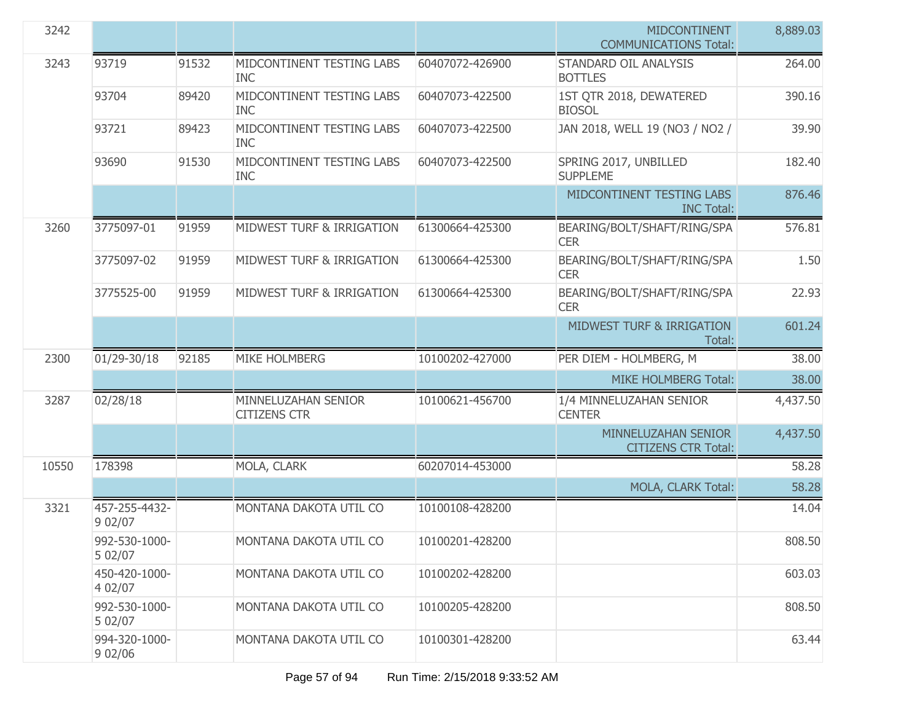| 3242  |                          |       |                                            |                 | <b>MIDCONTINENT</b><br><b>COMMUNICATIONS Total:</b> | 8,889.03 |
|-------|--------------------------|-------|--------------------------------------------|-----------------|-----------------------------------------------------|----------|
| 3243  | 93719                    | 91532 | MIDCONTINENT TESTING LABS<br><b>INC</b>    | 60407072-426900 | STANDARD OIL ANALYSIS<br><b>BOTTLES</b>             | 264.00   |
|       | 93704                    | 89420 | MIDCONTINENT TESTING LABS<br><b>INC</b>    | 60407073-422500 | 1ST QTR 2018, DEWATERED<br><b>BIOSOL</b>            | 390.16   |
|       | 93721                    | 89423 | MIDCONTINENT TESTING LABS<br><b>INC</b>    | 60407073-422500 | JAN 2018, WELL 19 (NO3 / NO2 /                      | 39.90    |
|       | 93690                    | 91530 | MIDCONTINENT TESTING LABS<br><b>INC</b>    | 60407073-422500 | SPRING 2017, UNBILLED<br><b>SUPPLEME</b>            | 182.40   |
|       |                          |       |                                            |                 | MIDCONTINENT TESTING LABS<br><b>INC Total:</b>      | 876.46   |
| 3260  | 3775097-01               | 91959 | MIDWEST TURF & IRRIGATION                  | 61300664-425300 | BEARING/BOLT/SHAFT/RING/SPA<br><b>CER</b>           | 576.81   |
|       | 3775097-02               | 91959 | MIDWEST TURF & IRRIGATION                  | 61300664-425300 | BEARING/BOLT/SHAFT/RING/SPA<br><b>CER</b>           | 1.50     |
|       | 3775525-00               | 91959 | MIDWEST TURF & IRRIGATION                  | 61300664-425300 | BEARING/BOLT/SHAFT/RING/SPA<br><b>CER</b>           | 22.93    |
|       |                          |       |                                            |                 | <b>MIDWEST TURF &amp; IRRIGATION</b><br>Total:      | 601.24   |
| 2300  | 01/29-30/18              | 92185 | MIKE HOLMBERG                              | 10100202-427000 | PER DIEM - HOLMBERG, M                              | 38.00    |
|       |                          |       |                                            |                 | <b>MIKE HOLMBERG Total:</b>                         | 38.00    |
| 3287  | 02/28/18                 |       | MINNELUZAHAN SENIOR<br><b>CITIZENS CTR</b> | 10100621-456700 | 1/4 MINNELUZAHAN SENIOR<br><b>CENTER</b>            | 4,437.50 |
|       |                          |       |                                            |                 | MINNELUZAHAN SENIOR<br><b>CITIZENS CTR Total:</b>   | 4,437.50 |
| 10550 | 178398                   |       | MOLA, CLARK                                | 60207014-453000 |                                                     | 58.28    |
|       |                          |       |                                            |                 | MOLA, CLARK Total:                                  | 58.28    |
| 3321  | 457-255-4432-<br>9 02/07 |       | MONTANA DAKOTA UTIL CO                     | 10100108-428200 |                                                     | 14.04    |
|       | 992-530-1000-<br>5 02/07 |       | MONTANA DAKOTA UTIL CO                     | 10100201-428200 |                                                     | 808.50   |
|       | 450-420-1000-<br>4 02/07 |       | MONTANA DAKOTA UTIL CO                     | 10100202-428200 |                                                     | 603.03   |
|       | 992-530-1000-<br>5 02/07 |       | MONTANA DAKOTA UTIL CO                     | 10100205-428200 |                                                     | 808.50   |
|       | 994-320-1000-<br>9 02/06 |       | MONTANA DAKOTA UTIL CO                     | 10100301-428200 |                                                     | 63.44    |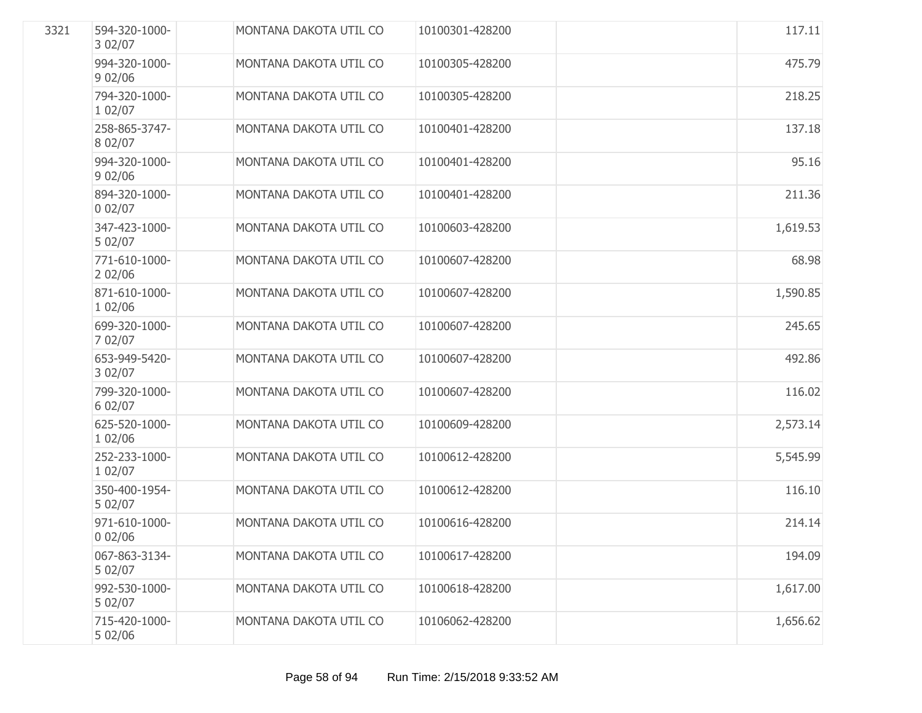| 3321 | 594-320-1000-<br>3 02/07 | MONTANA DAKOTA UTIL CO | 10100301-428200 | 117.11   |
|------|--------------------------|------------------------|-----------------|----------|
|      | 994-320-1000-<br>902/06  | MONTANA DAKOTA UTIL CO | 10100305-428200 | 475.79   |
|      | 794-320-1000-<br>1 02/07 | MONTANA DAKOTA UTIL CO | 10100305-428200 | 218.25   |
|      | 258-865-3747-<br>8 02/07 | MONTANA DAKOTA UTIL CO | 10100401-428200 | 137.18   |
|      | 994-320-1000-<br>902/06  | MONTANA DAKOTA UTIL CO | 10100401-428200 | 95.16    |
|      | 894-320-1000-<br>002/07  | MONTANA DAKOTA UTIL CO | 10100401-428200 | 211.36   |
|      | 347-423-1000-<br>5 02/07 | MONTANA DAKOTA UTIL CO | 10100603-428200 | 1,619.53 |
|      | 771-610-1000-<br>202/06  | MONTANA DAKOTA UTIL CO | 10100607-428200 | 68.98    |
|      | 871-610-1000-<br>1 02/06 | MONTANA DAKOTA UTIL CO | 10100607-428200 | 1,590.85 |
|      | 699-320-1000-<br>7 02/07 | MONTANA DAKOTA UTIL CO | 10100607-428200 | 245.65   |
|      | 653-949-5420-<br>3 02/07 | MONTANA DAKOTA UTIL CO | 10100607-428200 | 492.86   |
|      | 799-320-1000-<br>6 02/07 | MONTANA DAKOTA UTIL CO | 10100607-428200 | 116.02   |
|      | 625-520-1000-<br>1 02/06 | MONTANA DAKOTA UTIL CO | 10100609-428200 | 2,573.14 |
|      | 252-233-1000-<br>1 02/07 | MONTANA DAKOTA UTIL CO | 10100612-428200 | 5,545.99 |
|      | 350-400-1954-<br>5 02/07 | MONTANA DAKOTA UTIL CO | 10100612-428200 | 116.10   |
|      | 971-610-1000-<br>002/06  | MONTANA DAKOTA UTIL CO | 10100616-428200 | 214.14   |
|      | 067-863-3134-<br>5 02/07 | MONTANA DAKOTA UTIL CO | 10100617-428200 | 194.09   |
|      | 992-530-1000-<br>5 02/07 | MONTANA DAKOTA UTIL CO | 10100618-428200 | 1,617.00 |
|      | 715-420-1000-<br>5 02/06 | MONTANA DAKOTA UTIL CO | 10106062-428200 | 1,656.62 |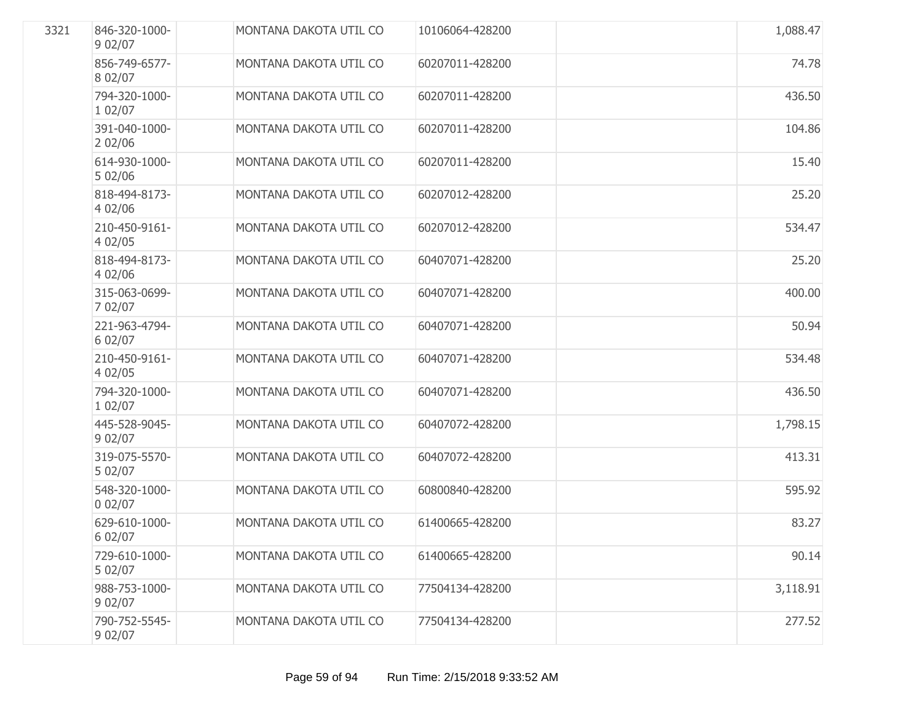| 3321 | 846-320-1000-<br>9 02/07 | MONTANA DAKOTA UTIL CO        | 10106064-428200 | 1,088.47 |
|------|--------------------------|-------------------------------|-----------------|----------|
|      | 856-749-6577-<br>8 02/07 | MONTANA DAKOTA UTIL CO        | 60207011-428200 | 74.78    |
|      | 794-320-1000-<br>1 02/07 | MONTANA DAKOTA UTIL CO        | 60207011-428200 | 436.50   |
|      | 391-040-1000-<br>202/06  | MONTANA DAKOTA UTIL CO        | 60207011-428200 | 104.86   |
|      | 614-930-1000-<br>5 02/06 | MONTANA DAKOTA UTIL CO        | 60207011-428200 | 15.40    |
|      | 818-494-8173-<br>4 02/06 | MONTANA DAKOTA UTIL CO        | 60207012-428200 | 25.20    |
|      | 210-450-9161-<br>4 02/05 | MONTANA DAKOTA UTIL CO        | 60207012-428200 | 534.47   |
|      | 818-494-8173-<br>4 02/06 | MONTANA DAKOTA UTIL CO        | 60407071-428200 | 25.20    |
|      | 315-063-0699-<br>7 02/07 | MONTANA DAKOTA UTIL CO        | 60407071-428200 | 400.00   |
|      | 221-963-4794-<br>6 02/07 | MONTANA DAKOTA UTIL CO        | 60407071-428200 | 50.94    |
|      | 210-450-9161-<br>4 02/05 | MONTANA DAKOTA UTIL CO        | 60407071-428200 | 534.48   |
|      | 794-320-1000-<br>1 02/07 | MONTANA DAKOTA UTIL CO        | 60407071-428200 | 436.50   |
|      | 445-528-9045-<br>9 02/07 | MONTANA DAKOTA UTIL CO        | 60407072-428200 | 1,798.15 |
|      | 319-075-5570-<br>5 02/07 | MONTANA DAKOTA UTIL CO        | 60407072-428200 | 413.31   |
|      | 548-320-1000-<br>002/07  | MONTANA DAKOTA UTIL CO        | 60800840-428200 | 595.92   |
|      | 629-610-1000-<br>6 02/07 | <b>MONTANA DAKOTA UTIL CO</b> | 61400665-428200 | 83.27    |
|      | 729-610-1000-<br>5 02/07 | MONTANA DAKOTA UTIL CO        | 61400665-428200 | 90.14    |
|      | 988-753-1000-<br>9 02/07 | MONTANA DAKOTA UTIL CO        | 77504134-428200 | 3,118.91 |
|      | 790-752-5545-<br>9 02/07 | MONTANA DAKOTA UTIL CO        | 77504134-428200 | 277.52   |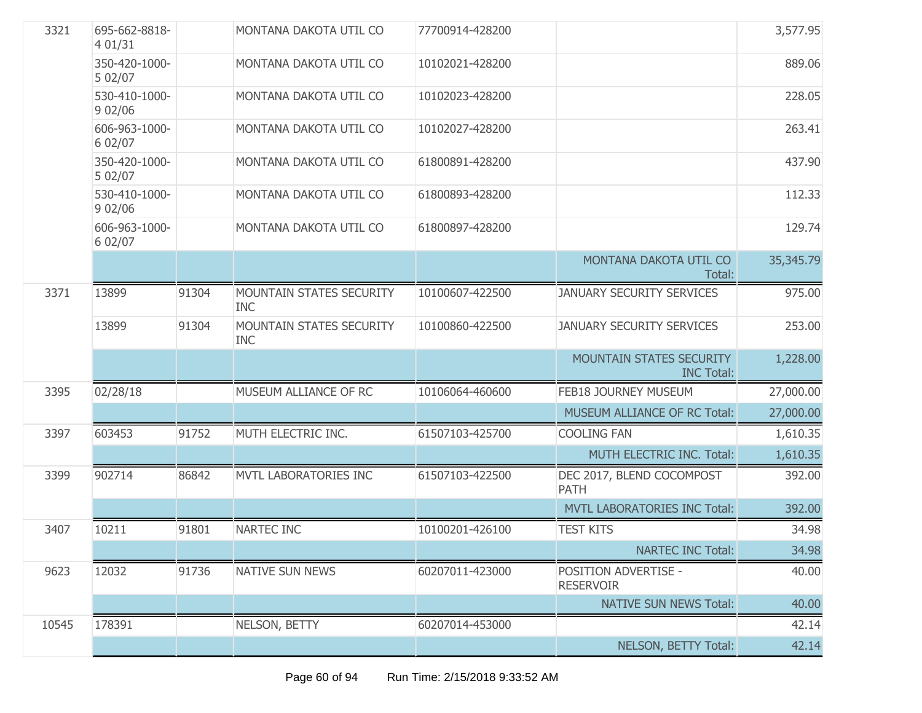| 3321  | 695-662-8818-<br>4 01/31 |       | MONTANA DAKOTA UTIL CO                        | 77700914-428200 |                                                      | 3,577.95  |
|-------|--------------------------|-------|-----------------------------------------------|-----------------|------------------------------------------------------|-----------|
|       | 350-420-1000-<br>5 02/07 |       | MONTANA DAKOTA UTIL CO                        | 10102021-428200 |                                                      | 889.06    |
|       | 530-410-1000-<br>9 02/06 |       | MONTANA DAKOTA UTIL CO                        | 10102023-428200 |                                                      | 228.05    |
|       | 606-963-1000-<br>6 02/07 |       | MONTANA DAKOTA UTIL CO                        | 10102027-428200 |                                                      | 263.41    |
|       | 350-420-1000-<br>5 02/07 |       | MONTANA DAKOTA UTIL CO                        | 61800891-428200 |                                                      | 437.90    |
|       | 530-410-1000-<br>902/06  |       | MONTANA DAKOTA UTIL CO                        | 61800893-428200 |                                                      | 112.33    |
|       | 606-963-1000-<br>6 02/07 |       | MONTANA DAKOTA UTIL CO                        | 61800897-428200 |                                                      | 129.74    |
|       |                          |       |                                               |                 | MONTANA DAKOTA UTIL CO<br>Total:                     | 35,345.79 |
| 3371  | 13899                    | 91304 | MOUNTAIN STATES SECURITY<br><b>INC</b>        | 10100607-422500 | <b>JANUARY SECURITY SERVICES</b>                     | 975.00    |
|       | 13899                    | 91304 | <b>MOUNTAIN STATES SECURITY</b><br><b>INC</b> | 10100860-422500 | <b>JANUARY SECURITY SERVICES</b>                     | 253.00    |
|       |                          |       |                                               |                 | <b>MOUNTAIN STATES SECURITY</b><br><b>INC Total:</b> | 1,228.00  |
| 3395  | 02/28/18                 |       | MUSEUM ALLIANCE OF RC                         | 10106064-460600 | FEB18 JOURNEY MUSEUM                                 | 27,000.00 |
|       |                          |       |                                               |                 | MUSEUM ALLIANCE OF RC Total:                         | 27,000.00 |
| 3397  | 603453                   | 91752 | MUTH ELECTRIC INC.                            | 61507103-425700 | <b>COOLING FAN</b>                                   | 1,610.35  |
|       |                          |       |                                               |                 | MUTH ELECTRIC INC. Total:                            | 1,610.35  |
| 3399  | 902714                   | 86842 | MVTL LABORATORIES INC                         | 61507103-422500 | DEC 2017, BLEND COCOMPOST<br><b>PATH</b>             | 392.00    |
|       |                          |       |                                               |                 | <b>MVTL LABORATORIES INC Total:</b>                  | 392.00    |
| 3407  | 10211                    | 91801 | NARTEC INC                                    | 10100201-426100 | <b>TEST KITS</b>                                     | 34.98     |
|       |                          |       |                                               |                 | <b>NARTEC INC Total:</b>                             | 34.98     |
| 9623  | 12032                    | 91736 | <b>NATIVE SUN NEWS</b>                        | 60207011-423000 | POSITION ADVERTISE -<br><b>RESERVOIR</b>             | 40.00     |
|       |                          |       |                                               |                 | <b>NATIVE SUN NEWS Total:</b>                        | 40.00     |
| 10545 | 178391                   |       | NELSON, BETTY                                 | 60207014-453000 |                                                      | 42.14     |
|       |                          |       |                                               |                 | NELSON, BETTY Total:                                 | 42.14     |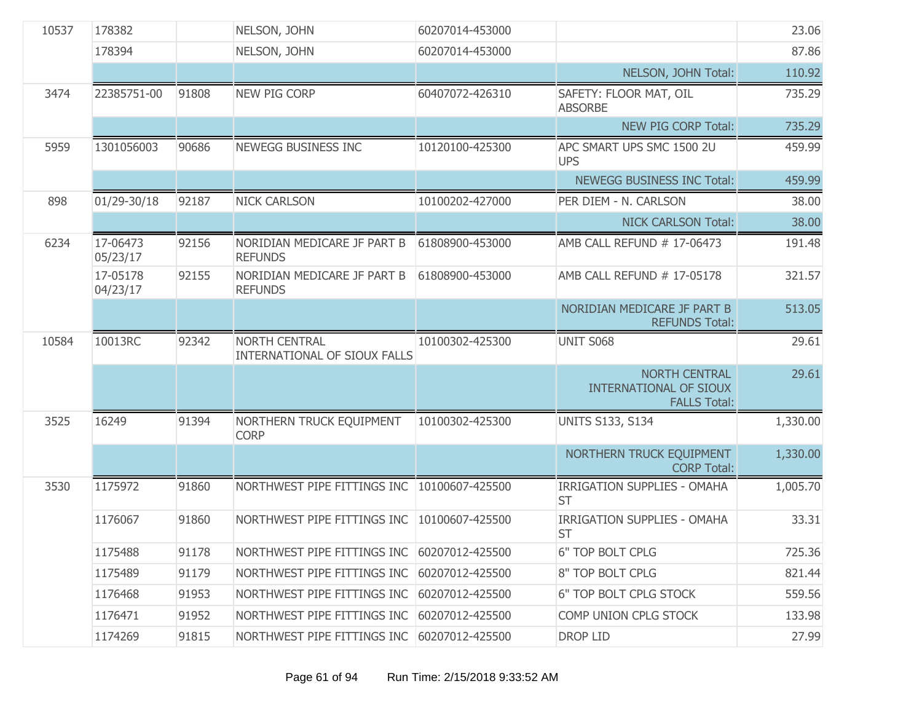| 10537 | 178382               |       | NELSON, JOHN                                  | 60207014-453000 |                                                                       | 23.06    |
|-------|----------------------|-------|-----------------------------------------------|-----------------|-----------------------------------------------------------------------|----------|
|       | 178394               |       | NELSON, JOHN                                  | 60207014-453000 |                                                                       | 87.86    |
|       |                      |       |                                               |                 | NELSON, JOHN Total:                                                   | 110.92   |
| 3474  | 22385751-00          | 91808 | <b>NEW PIG CORP</b>                           | 60407072-426310 | SAFETY: FLOOR MAT, OIL<br><b>ABSORBE</b>                              | 735.29   |
|       |                      |       |                                               |                 | NEW PIG CORP Total:                                                   | 735.29   |
| 5959  | 1301056003           | 90686 | NEWEGG BUSINESS INC                           | 10120100-425300 | APC SMART UPS SMC 1500 2U<br><b>UPS</b>                               | 459.99   |
|       |                      |       |                                               |                 | NEWEGG BUSINESS INC Total:                                            | 459.99   |
| 898   | 01/29-30/18          | 92187 | <b>NICK CARLSON</b>                           | 10100202-427000 | PER DIEM - N. CARLSON                                                 | 38.00    |
|       |                      |       |                                               |                 | <b>NICK CARLSON Total:</b>                                            | 38.00    |
| 6234  | 17-06473<br>05/23/17 | 92156 | NORIDIAN MEDICARE JF PART B<br><b>REFUNDS</b> | 61808900-453000 | AMB CALL REFUND # 17-06473                                            | 191.48   |
|       | 17-05178<br>04/23/17 | 92155 | NORIDIAN MEDICARE JF PART B<br><b>REFUNDS</b> | 61808900-453000 | AMB CALL REFUND # 17-05178                                            | 321.57   |
|       |                      |       |                                               |                 | NORIDIAN MEDICARE JF PART B<br><b>REFUNDS Total:</b>                  | 513.05   |
| 10584 | 10013RC              | 92342 | NORTH CENTRAL<br>INTERNATIONAL OF SIOUX FALLS | 10100302-425300 | <b>UNIT S068</b>                                                      | 29.61    |
|       |                      |       |                                               |                 |                                                                       |          |
|       |                      |       |                                               |                 | <b>NORTH CENTRAL</b><br>INTERNATIONAL OF SIOUX<br><b>FALLS Total:</b> | 29.61    |
| 3525  | 16249                | 91394 | NORTHERN TRUCK EQUIPMENT<br><b>CORP</b>       | 10100302-425300 | <b>UNITS S133, S134</b>                                               | 1,330.00 |
|       |                      |       |                                               |                 | NORTHERN TRUCK EQUIPMENT<br><b>CORP Total:</b>                        | 1,330.00 |
| 3530  | 1175972              | 91860 | NORTHWEST PIPE FITTINGS INC                   | 10100607-425500 | <b>IRRIGATION SUPPLIES - OMAHA</b><br><b>ST</b>                       | 1,005.70 |
|       | 1176067              | 91860 | NORTHWEST PIPE FITTINGS INC                   | 10100607-425500 | <b>IRRIGATION SUPPLIES - OMAHA</b><br><b>ST</b>                       | 33.31    |
|       | 1175488              | 91178 | NORTHWEST PIPE FITTINGS INC                   | 60207012-425500 | 6" TOP BOLT CPLG                                                      | 725.36   |
|       | 1175489              | 91179 | NORTHWEST PIPE FITTINGS INC                   | 60207012-425500 | 8" TOP BOLT CPLG                                                      | 821.44   |
|       | 1176468              | 91953 | NORTHWEST PIPE FITTINGS INC                   | 60207012-425500 | 6" TOP BOLT CPLG STOCK                                                | 559.56   |
|       | 1176471              | 91952 | NORTHWEST PIPE FITTINGS INC                   | 60207012-425500 | COMP UNION CPLG STOCK                                                 | 133.98   |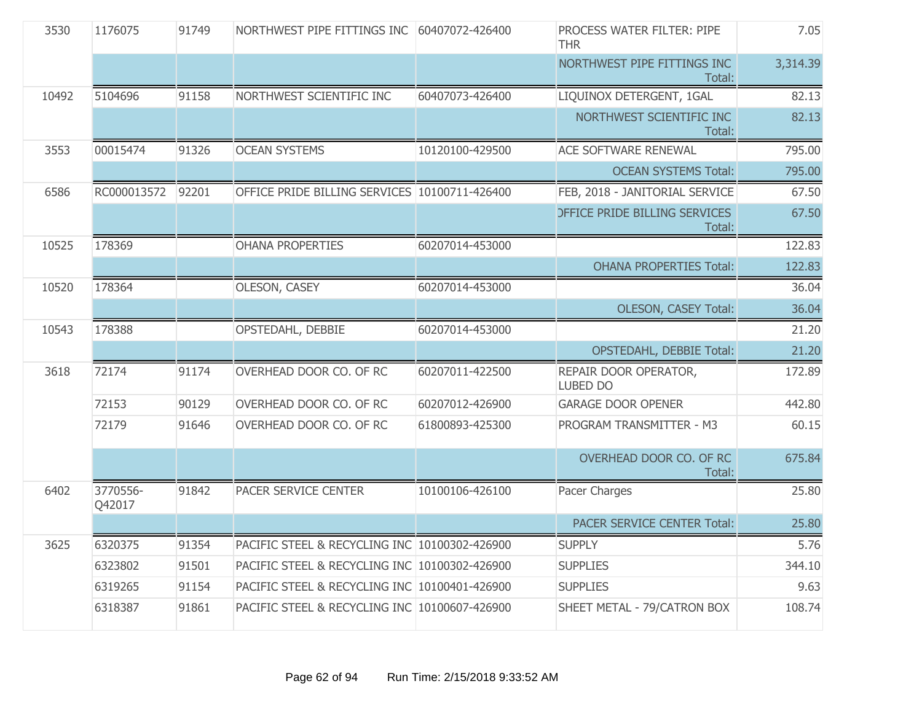| 3530  | 1176075            | 91749 | NORTHWEST PIPE FITTINGS INC                   | 60407072-426400 | <b>PROCESS WATER FILTER: PIPE</b><br><b>THR</b> | 7.05     |
|-------|--------------------|-------|-----------------------------------------------|-----------------|-------------------------------------------------|----------|
|       |                    |       |                                               |                 | NORTHWEST PIPE FITTINGS INC<br>Total:           | 3,314.39 |
| 10492 | 5104696            | 91158 | NORTHWEST SCIENTIFIC INC                      | 60407073-426400 | LIQUINOX DETERGENT, 1GAL                        | 82.13    |
|       |                    |       |                                               |                 | NORTHWEST SCIENTIFIC INC<br>Total:              | 82.13    |
| 3553  | 00015474           | 91326 | <b>OCEAN SYSTEMS</b>                          | 10120100-429500 | <b>ACE SOFTWARE RENEWAL</b>                     | 795.00   |
|       |                    |       |                                               |                 | <b>OCEAN SYSTEMS Total:</b>                     | 795.00   |
| 6586  | RC000013572        | 92201 | OFFICE PRIDE BILLING SERVICES 10100711-426400 |                 | FEB, 2018 - JANITORIAL SERVICE                  | 67.50    |
|       |                    |       |                                               |                 | <b>DEFICE PRIDE BILLING SERVICES</b><br>Total:  | 67.50    |
| 10525 | 178369             |       | <b>OHANA PROPERTIES</b>                       | 60207014-453000 |                                                 | 122.83   |
|       |                    |       |                                               |                 | <b>OHANA PROPERTIES Total:</b>                  | 122.83   |
| 10520 | 178364             |       | <b>OLESON, CASEY</b>                          | 60207014-453000 |                                                 | 36.04    |
|       |                    |       |                                               |                 | <b>OLESON, CASEY Total:</b>                     | 36.04    |
| 10543 | 178388             |       | OPSTEDAHL, DEBBIE                             | 60207014-453000 |                                                 | 21.20    |
|       |                    |       |                                               |                 | <b>OPSTEDAHL, DEBBIE Total:</b>                 | 21.20    |
| 3618  | 72174              | 91174 | OVERHEAD DOOR CO. OF RC                       | 60207011-422500 | REPAIR DOOR OPERATOR,<br><b>LUBED DO</b>        | 172.89   |
|       | 72153              | 90129 | OVERHEAD DOOR CO. OF RC                       | 60207012-426900 | <b>GARAGE DOOR OPENER</b>                       | 442.80   |
|       | 72179              | 91646 | OVERHEAD DOOR CO. OF RC                       | 61800893-425300 | PROGRAM TRANSMITTER - M3                        | 60.15    |
|       |                    |       |                                               |                 | OVERHEAD DOOR CO. OF RC<br>Total:               | 675.84   |
| 6402  | 3770556-<br>Q42017 | 91842 | PACER SERVICE CENTER                          | 10100106-426100 | Pacer Charges                                   | 25.80    |
|       |                    |       |                                               |                 | <b>PACER SERVICE CENTER Total:</b>              | 25.80    |
| 3625  | 6320375            | 91354 | PACIFIC STEEL & RECYCLING INC 10100302-426900 |                 | <b>SUPPLY</b>                                   | 5.76     |
|       | 6323802            | 91501 | PACIFIC STEEL & RECYCLING INC 10100302-426900 |                 | <b>SUPPLIES</b>                                 | 344.10   |
|       | 6319265            | 91154 | PACIFIC STEEL & RECYCLING INC 10100401-426900 |                 | <b>SUPPLIES</b>                                 | 9.63     |
|       | 6318387            | 91861 | PACIFIC STEEL & RECYCLING INC 10100607-426900 |                 | SHEET METAL - 79/CATRON BOX                     | 108.74   |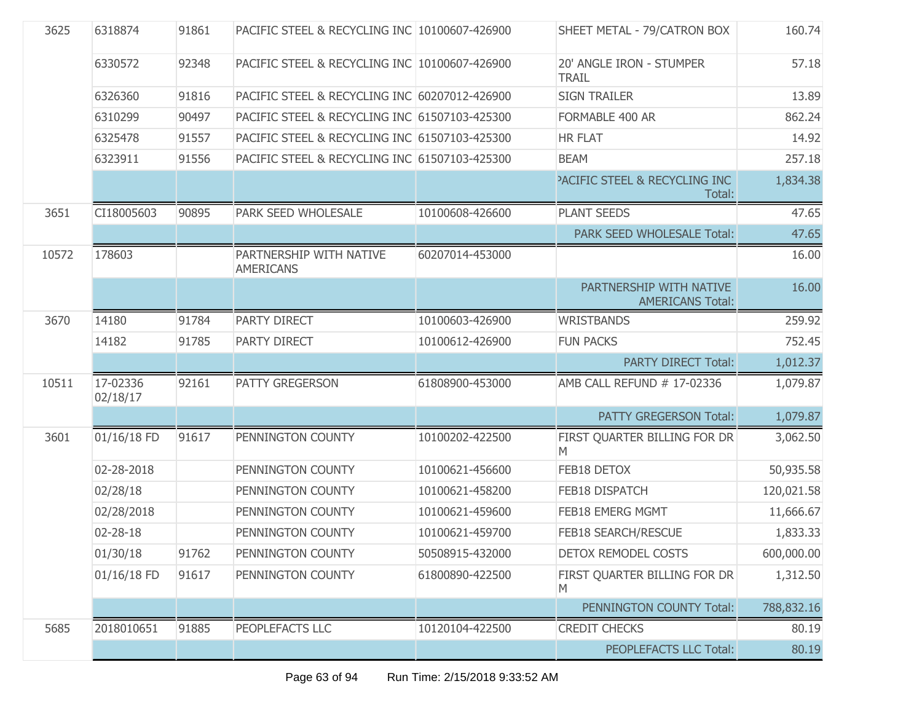| 3625  | 6318874              | 91861 | PACIFIC STEEL & RECYCLING INC 10100607-426900 |                 | SHEET METAL - 79/CATRON BOX                        | 160.74     |
|-------|----------------------|-------|-----------------------------------------------|-----------------|----------------------------------------------------|------------|
|       | 6330572              | 92348 | PACIFIC STEEL & RECYCLING INC 10100607-426900 |                 | 20' ANGLE IRON - STUMPER<br><b>TRAIL</b>           | 57.18      |
|       | 6326360              | 91816 | PACIFIC STEEL & RECYCLING INC 60207012-426900 |                 | <b>SIGN TRAILER</b>                                | 13.89      |
|       | 6310299              | 90497 | PACIFIC STEEL & RECYCLING INC 61507103-425300 |                 | FORMABLE 400 AR                                    | 862.24     |
|       | 6325478              | 91557 | PACIFIC STEEL & RECYCLING INC 61507103-425300 |                 | <b>HR FLAT</b>                                     | 14.92      |
|       | 6323911              | 91556 | PACIFIC STEEL & RECYCLING INC 61507103-425300 |                 | <b>BEAM</b>                                        | 257.18     |
|       |                      |       |                                               |                 | <b>PACIFIC STEEL &amp; RECYCLING INC</b><br>Total: | 1,834.38   |
| 3651  | CI18005603           | 90895 | PARK SEED WHOLESALE                           | 10100608-426600 | <b>PLANT SEEDS</b>                                 | 47.65      |
|       |                      |       |                                               |                 | PARK SEED WHOLESALE Total:                         | 47.65      |
| 10572 | 178603               |       | PARTNERSHIP WITH NATIVE<br><b>AMERICANS</b>   | 60207014-453000 |                                                    | 16.00      |
|       |                      |       |                                               |                 | PARTNERSHIP WITH NATIVE<br><b>AMERICANS Total:</b> | 16.00      |
| 3670  | 14180                | 91784 | PARTY DIRECT                                  | 10100603-426900 | <b>WRISTBANDS</b>                                  | 259.92     |
|       | 14182                | 91785 | PARTY DIRECT                                  | 10100612-426900 | <b>FUN PACKS</b>                                   | 752.45     |
|       |                      |       |                                               |                 | <b>PARTY DIRECT Total:</b>                         | 1,012.37   |
| 10511 | 17-02336<br>02/18/17 | 92161 | PATTY GREGERSON                               | 61808900-453000 | AMB CALL REFUND # 17-02336                         | 1,079.87   |
|       |                      |       |                                               |                 | PATTY GREGERSON Total:                             | 1,079.87   |
| 3601  | 01/16/18 FD          | 91617 | PENNINGTON COUNTY                             | 10100202-422500 | FIRST QUARTER BILLING FOR DR<br>M                  | 3,062.50   |
|       | 02-28-2018           |       | PENNINGTON COUNTY                             | 10100621-456600 | FEB18 DETOX                                        | 50,935.58  |
|       | 02/28/18             |       | PENNINGTON COUNTY                             | 10100621-458200 | FEB18 DISPATCH                                     | 120,021.58 |
|       | 02/28/2018           |       | PENNINGTON COUNTY                             | 10100621-459600 | FEB18 EMERG MGMT                                   | 11,666.67  |
|       | 02-28-18             |       | PENNINGTON COUNTY                             | 10100621-459700 | FEB18 SEARCH/RESCUE                                | 1,833.33   |
|       | 01/30/18             | 91762 | PENNINGTON COUNTY                             | 50508915-432000 | DETOX REMODEL COSTS                                | 600,000.00 |
|       | 01/16/18 FD          | 91617 | PENNINGTON COUNTY                             | 61800890-422500 | FIRST QUARTER BILLING FOR DR<br>M                  | 1,312.50   |
|       |                      |       |                                               |                 | PENNINGTON COUNTY Total:                           | 788,832.16 |
| 5685  | 2018010651           | 91885 | PEOPLEFACTS LLC                               | 10120104-422500 | <b>CREDIT CHECKS</b>                               | 80.19      |
|       |                      |       |                                               |                 | PEOPLEFACTS LLC Total:                             | 80.19      |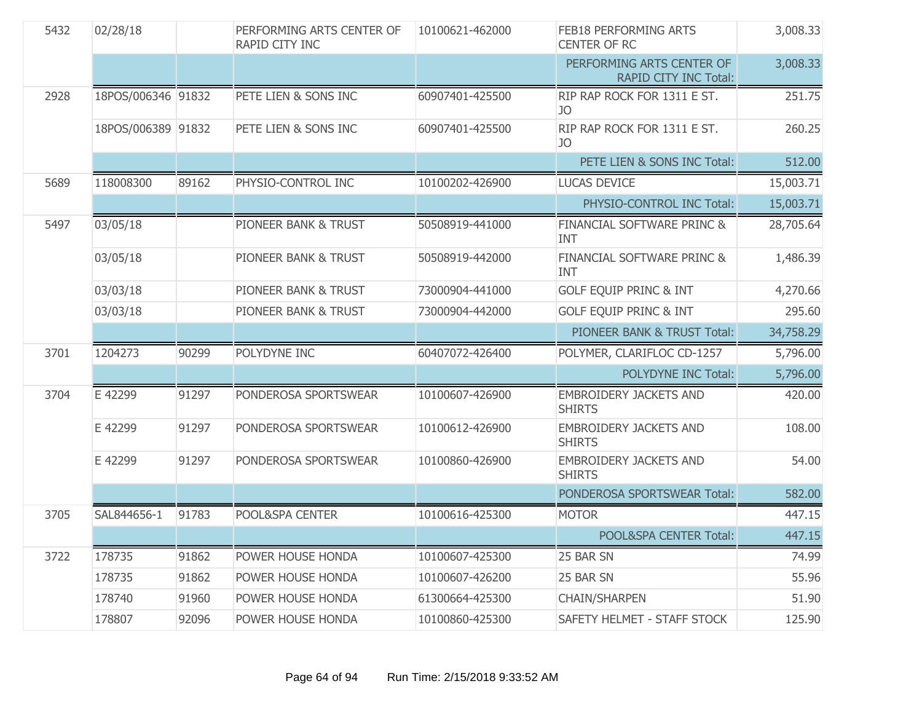| 5432 | 02/28/18           |       | PERFORMING ARTS CENTER OF<br>RAPID CITY INC | 10100621-462000 | FEB18 PERFORMING ARTS<br><b>CENTER OF RC</b>       | 3,008.33  |
|------|--------------------|-------|---------------------------------------------|-----------------|----------------------------------------------------|-----------|
|      |                    |       |                                             |                 | PERFORMING ARTS CENTER OF<br>RAPID CITY INC Total: | 3,008.33  |
| 2928 | 18POS/006346 91832 |       | PETE LIEN & SONS INC                        | 60907401-425500 | RIP RAP ROCK FOR 1311 E ST.<br>JO                  | 251.75    |
|      | 18POS/006389 91832 |       | PETE LIEN & SONS INC                        | 60907401-425500 | RIP RAP ROCK FOR 1311 E ST.<br>JO                  | 260.25    |
|      |                    |       |                                             |                 | PETE LIEN & SONS INC Total:                        | 512.00    |
| 5689 | 118008300          | 89162 | PHYSIO-CONTROL INC                          | 10100202-426900 | <b>LUCAS DEVICE</b>                                | 15,003.71 |
|      |                    |       |                                             |                 | PHYSIO-CONTROL INC Total:                          | 15,003.71 |
| 5497 | 03/05/18           |       | PIONEER BANK & TRUST                        | 50508919-441000 | FINANCIAL SOFTWARE PRINC &<br><b>INT</b>           | 28,705.64 |
|      | 03/05/18           |       | <b>PIONEER BANK &amp; TRUST</b>             | 50508919-442000 | FINANCIAL SOFTWARE PRINC &<br><b>INT</b>           | 1,486.39  |
|      | 03/03/18           |       | PIONEER BANK & TRUST                        | 73000904-441000 | <b>GOLF EQUIP PRINC &amp; INT</b>                  | 4,270.66  |
|      | 03/03/18           |       | PIONEER BANK & TRUST                        | 73000904-442000 | <b>GOLF EQUIP PRINC &amp; INT</b>                  | 295.60    |
|      |                    |       |                                             |                 | PIONEER BANK & TRUST Total:                        | 34,758.29 |
| 3701 | 1204273            | 90299 | POLYDYNE INC                                | 60407072-426400 | POLYMER, CLARIFLOC CD-1257                         | 5,796.00  |
|      |                    |       |                                             |                 | POLYDYNE INC Total:                                | 5,796.00  |
| 3704 | E 42299            | 91297 | PONDEROSA SPORTSWEAR                        | 10100607-426900 | <b>EMBROIDERY JACKETS AND</b><br><b>SHIRTS</b>     | 420.00    |
|      | E 42299            | 91297 | PONDEROSA SPORTSWEAR                        | 10100612-426900 | <b>EMBROIDERY JACKETS AND</b><br><b>SHIRTS</b>     | 108.00    |
|      | E 42299            | 91297 | PONDEROSA SPORTSWEAR                        | 10100860-426900 | <b>EMBROIDERY JACKETS AND</b><br><b>SHIRTS</b>     | 54.00     |
|      |                    |       |                                             |                 | PONDEROSA SPORTSWEAR Total:                        | 582.00    |
| 3705 | SAL844656-1        | 91783 | POOL&SPA CENTER                             | 10100616-425300 | <b>MOTOR</b>                                       | 447.15    |
|      |                    |       |                                             |                 | POOL&SPA CENTER Total:                             | 447.15    |
| 3722 | 178735             | 91862 | POWER HOUSE HONDA                           | 10100607-425300 | 25 BAR SN                                          | 74.99     |
|      | 178735             | 91862 | POWER HOUSE HONDA                           | 10100607-426200 | 25 BAR SN                                          | 55.96     |
|      | 178740             | 91960 | POWER HOUSE HONDA                           | 61300664-425300 | <b>CHAIN/SHARPEN</b>                               | 51.90     |
|      | 178807             | 92096 | POWER HOUSE HONDA                           | 10100860-425300 | SAFETY HELMET - STAFF STOCK                        | 125.90    |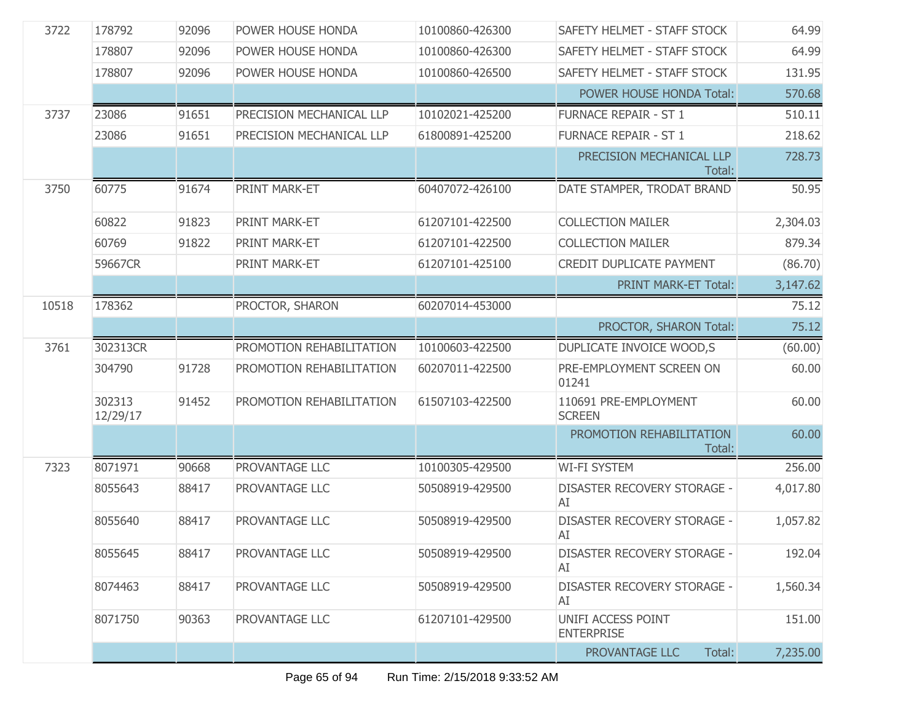| 3722  | 178792             | 92096 | POWER HOUSE HONDA        | 10100860-426300 | SAFETY HELMET - STAFF STOCK              | 64.99    |
|-------|--------------------|-------|--------------------------|-----------------|------------------------------------------|----------|
|       | 178807             | 92096 | POWER HOUSE HONDA        | 10100860-426300 | SAFETY HELMET - STAFF STOCK              | 64.99    |
|       | 178807             | 92096 | POWER HOUSE HONDA        | 10100860-426500 | SAFETY HELMET - STAFF STOCK              | 131.95   |
|       |                    |       |                          |                 | POWER HOUSE HONDA Total:                 | 570.68   |
| 3737  | 23086              | 91651 | PRECISION MECHANICAL LLP | 10102021-425200 | <b>FURNACE REPAIR - ST 1</b>             | 510.11   |
|       | 23086              | 91651 | PRECISION MECHANICAL LLP | 61800891-425200 | <b>FURNACE REPAIR - ST 1</b>             | 218.62   |
|       |                    |       |                          |                 | PRECISION MECHANICAL LLP<br>Total:       | 728.73   |
| 3750  | 60775              | 91674 | PRINT MARK-ET            | 60407072-426100 | DATE STAMPER, TRODAT BRAND               | 50.95    |
|       | 60822              | 91823 | PRINT MARK-ET            | 61207101-422500 | <b>COLLECTION MAILER</b>                 | 2,304.03 |
|       | 60769              | 91822 | PRINT MARK-ET            | 61207101-422500 | <b>COLLECTION MAILER</b>                 | 879.34   |
|       | 59667CR            |       | PRINT MARK-ET            | 61207101-425100 | <b>CREDIT DUPLICATE PAYMENT</b>          | (86.70)  |
|       |                    |       |                          |                 | PRINT MARK-ET Total:                     | 3,147.62 |
| 10518 | 178362             |       | PROCTOR, SHARON          | 60207014-453000 |                                          | 75.12    |
|       |                    |       |                          |                 | PROCTOR, SHARON Total:                   | 75.12    |
| 3761  | 302313CR           |       | PROMOTION REHABILITATION | 10100603-422500 | DUPLICATE INVOICE WOOD,S                 | (60.00)  |
|       | 304790             | 91728 | PROMOTION REHABILITATION | 60207011-422500 | PRE-EMPLOYMENT SCREEN ON<br>01241        | 60.00    |
|       | 302313<br>12/29/17 | 91452 | PROMOTION REHABILITATION | 61507103-422500 | 110691 PRE-EMPLOYMENT<br><b>SCREEN</b>   | 60.00    |
|       |                    |       |                          |                 | PROMOTION REHABILITATION<br>Total:       | 60.00    |
| 7323  | 8071971            | 90668 | PROVANTAGE LLC           | 10100305-429500 | <b>WI-FI SYSTEM</b>                      | 256.00   |
|       | 8055643            | 88417 | PROVANTAGE LLC           | 50508919-429500 | DISASTER RECOVERY STORAGE -<br>AI        | 4,017.80 |
|       | 8055640            | 88417 | PROVANTAGE LLC           | 50508919-429500 | DISASTER RECOVERY STORAGE -<br>AI        | 1,057.82 |
|       | 8055645            | 88417 | PROVANTAGE LLC           | 50508919-429500 | <b>DISASTER RECOVERY STORAGE -</b><br>AI | 192.04   |
|       | 8074463            | 88417 | PROVANTAGE LLC           | 50508919-429500 | <b>DISASTER RECOVERY STORAGE -</b><br>AI | 1,560.34 |
|       | 8071750            | 90363 | PROVANTAGE LLC           | 61207101-429500 | UNIFI ACCESS POINT<br><b>ENTERPRISE</b>  | 151.00   |
|       |                    |       |                          |                 | Total:<br>PROVANTAGE LLC                 | 7,235.00 |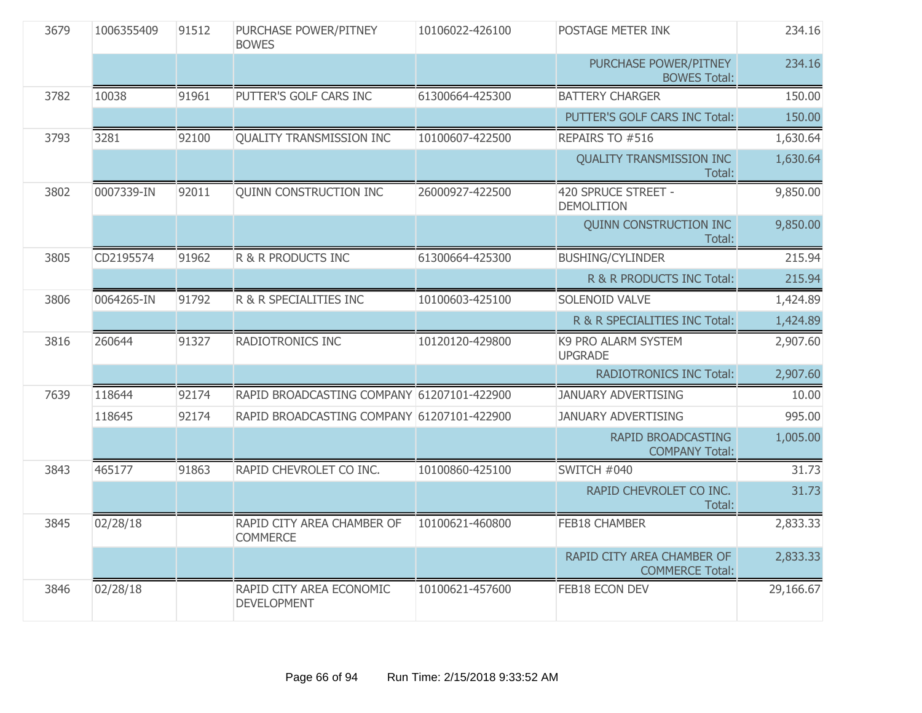| 3679 | 1006355409 | 91512 | PURCHASE POWER/PITNEY<br><b>BOWES</b>          | 10106022-426100 | POSTAGE METER INK                                    | 234.16    |
|------|------------|-------|------------------------------------------------|-----------------|------------------------------------------------------|-----------|
|      |            |       |                                                |                 | PURCHASE POWER/PITNEY<br><b>BOWES Total:</b>         | 234.16    |
| 3782 | 10038      | 91961 | PUTTER'S GOLF CARS INC                         | 61300664-425300 | <b>BATTERY CHARGER</b>                               | 150.00    |
|      |            |       |                                                |                 | PUTTER'S GOLF CARS INC Total:                        | 150.00    |
| 3793 | 3281       | 92100 | <b>QUALITY TRANSMISSION INC</b>                | 10100607-422500 | REPAIRS TO #516                                      | 1,630.64  |
|      |            |       |                                                |                 | <b>QUALITY TRANSMISSION INC</b><br>Total:            | 1,630.64  |
| 3802 | 0007339-IN | 92011 | QUINN CONSTRUCTION INC                         | 26000927-422500 | 420 SPRUCE STREET -<br><b>DEMOLITION</b>             | 9,850.00  |
|      |            |       |                                                |                 | <b>QUINN CONSTRUCTION INC</b><br>Total:              | 9,850.00  |
| 3805 | CD2195574  | 91962 | R & R PRODUCTS INC                             | 61300664-425300 | <b>BUSHING/CYLINDER</b>                              | 215.94    |
|      |            |       |                                                |                 | R & R PRODUCTS INC Total:                            | 215.94    |
| 3806 | 0064265-IN | 91792 | R & R SPECIALITIES INC                         | 10100603-425100 | SOLENOID VALVE                                       | 1,424.89  |
|      |            |       |                                                |                 | R & R SPECIALITIES INC Total:                        | 1,424.89  |
| 3816 | 260644     | 91327 | RADIOTRONICS INC                               | 10120120-429800 | K9 PRO ALARM SYSTEM<br><b>UPGRADE</b>                | 2,907.60  |
|      |            |       |                                                |                 | <b>RADIOTRONICS INC Total:</b>                       | 2,907.60  |
| 7639 | 118644     | 92174 | RAPID BROADCASTING COMPANY 61207101-422900     |                 | <b>JANUARY ADVERTISING</b>                           | 10.00     |
|      | 118645     | 92174 | RAPID BROADCASTING COMPANY 61207101-422900     |                 | <b>JANUARY ADVERTISING</b>                           | 995.00    |
|      |            |       |                                                |                 | RAPID BROADCASTING<br><b>COMPANY Total:</b>          | 1,005.00  |
| 3843 | 465177     | 91863 | RAPID CHEVROLET CO INC.                        | 10100860-425100 | SWITCH #040                                          | 31.73     |
|      |            |       |                                                |                 | RAPID CHEVROLET CO INC.<br>Total:                    | 31.73     |
| 3845 | 02/28/18   |       | RAPID CITY AREA CHAMBER OF<br><b>COMMERCE</b>  | 10100621-460800 | <b>FEB18 CHAMBER</b>                                 | 2,833.33  |
|      |            |       |                                                |                 | RAPID CITY AREA CHAMBER OF<br><b>COMMERCE Total:</b> | 2,833.33  |
| 3846 | 02/28/18   |       | RAPID CITY AREA ECONOMIC<br><b>DEVELOPMENT</b> | 10100621-457600 | FEB18 ECON DEV                                       | 29,166.67 |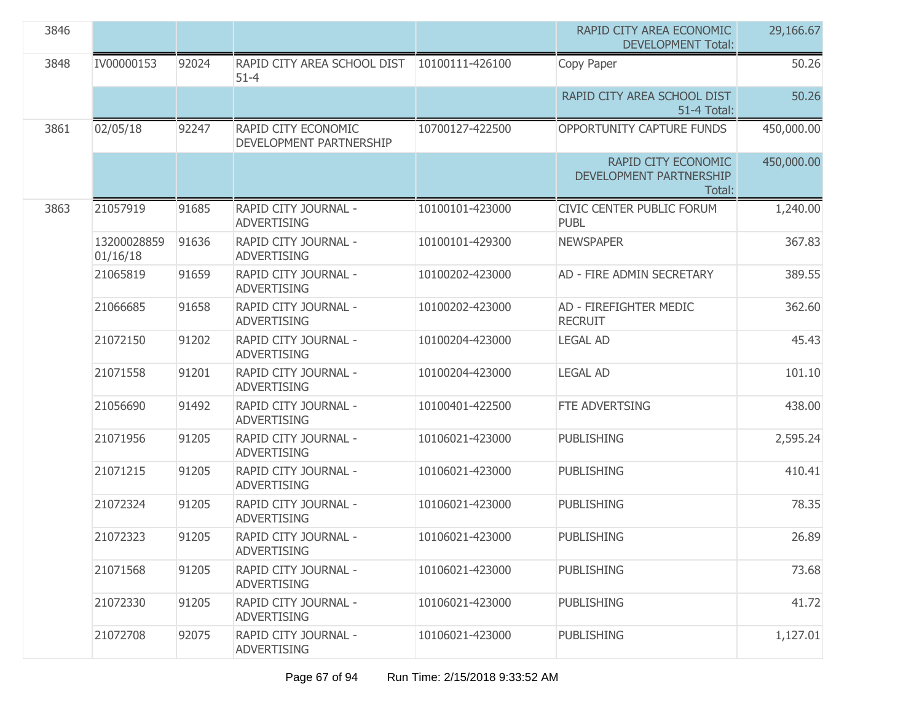| 3846 |                         |       |                                                |                 | RAPID CITY AREA ECONOMIC<br><b>DEVELOPMENT Total:</b>    | 29,166.67  |
|------|-------------------------|-------|------------------------------------------------|-----------------|----------------------------------------------------------|------------|
| 3848 | IV00000153              | 92024 | RAPID CITY AREA SCHOOL DIST<br>$51 - 4$        | 10100111-426100 | Copy Paper                                               | 50.26      |
|      |                         |       |                                                |                 | RAPID CITY AREA SCHOOL DIST<br>51-4 Total:               | 50.26      |
| 3861 | 02/05/18                | 92247 | RAPID CITY ECONOMIC<br>DEVELOPMENT PARTNERSHIP | 10700127-422500 | OPPORTUNITY CAPTURE FUNDS                                | 450,000.00 |
|      |                         |       |                                                |                 | RAPID CITY ECONOMIC<br>DEVELOPMENT PARTNERSHIP<br>Total: | 450,000.00 |
| 3863 | 21057919                | 91685 | RAPID CITY JOURNAL -<br><b>ADVERTISING</b>     | 10100101-423000 | CIVIC CENTER PUBLIC FORUM<br><b>PUBL</b>                 | 1,240.00   |
|      | 13200028859<br>01/16/18 | 91636 | RAPID CITY JOURNAL -<br><b>ADVERTISING</b>     | 10100101-429300 | <b>NEWSPAPER</b>                                         | 367.83     |
|      | 21065819                | 91659 | RAPID CITY JOURNAL -<br><b>ADVERTISING</b>     | 10100202-423000 | AD - FIRE ADMIN SECRETARY                                | 389.55     |
|      | 21066685                | 91658 | RAPID CITY JOURNAL -<br><b>ADVERTISING</b>     | 10100202-423000 | AD - FIREFIGHTER MEDIC<br><b>RECRUIT</b>                 | 362.60     |
|      | 21072150                | 91202 | RAPID CITY JOURNAL -<br><b>ADVERTISING</b>     | 10100204-423000 | <b>LEGAL AD</b>                                          | 45.43      |
|      | 21071558                | 91201 | RAPID CITY JOURNAL -<br><b>ADVERTISING</b>     | 10100204-423000 | <b>LEGAL AD</b>                                          | 101.10     |
|      | 21056690                | 91492 | RAPID CITY JOURNAL -<br><b>ADVERTISING</b>     | 10100401-422500 | FTE ADVERTSING                                           | 438.00     |
|      | 21071956                | 91205 | RAPID CITY JOURNAL -<br><b>ADVERTISING</b>     | 10106021-423000 | <b>PUBLISHING</b>                                        | 2,595.24   |
|      | 21071215                | 91205 | RAPID CITY JOURNAL -<br><b>ADVERTISING</b>     | 10106021-423000 | <b>PUBLISHING</b>                                        | 410.41     |
|      | 21072324                | 91205 | RAPID CITY JOURNAL -<br><b>ADVERTISING</b>     | 10106021-423000 | <b>PUBLISHING</b>                                        | 78.35      |
|      | 21072323                | 91205 | RAPID CITY JOURNAL -<br><b>ADVERTISING</b>     | 10106021-423000 | <b>PUBLISHING</b>                                        | 26.89      |
|      | 21071568                | 91205 | RAPID CITY JOURNAL -<br><b>ADVERTISING</b>     | 10106021-423000 | <b>PUBLISHING</b>                                        | 73.68      |
|      | 21072330                | 91205 | RAPID CITY JOURNAL -<br><b>ADVERTISING</b>     | 10106021-423000 | <b>PUBLISHING</b>                                        | 41.72      |
|      | 21072708                | 92075 | RAPID CITY JOURNAL -<br><b>ADVERTISING</b>     | 10106021-423000 | <b>PUBLISHING</b>                                        | 1,127.01   |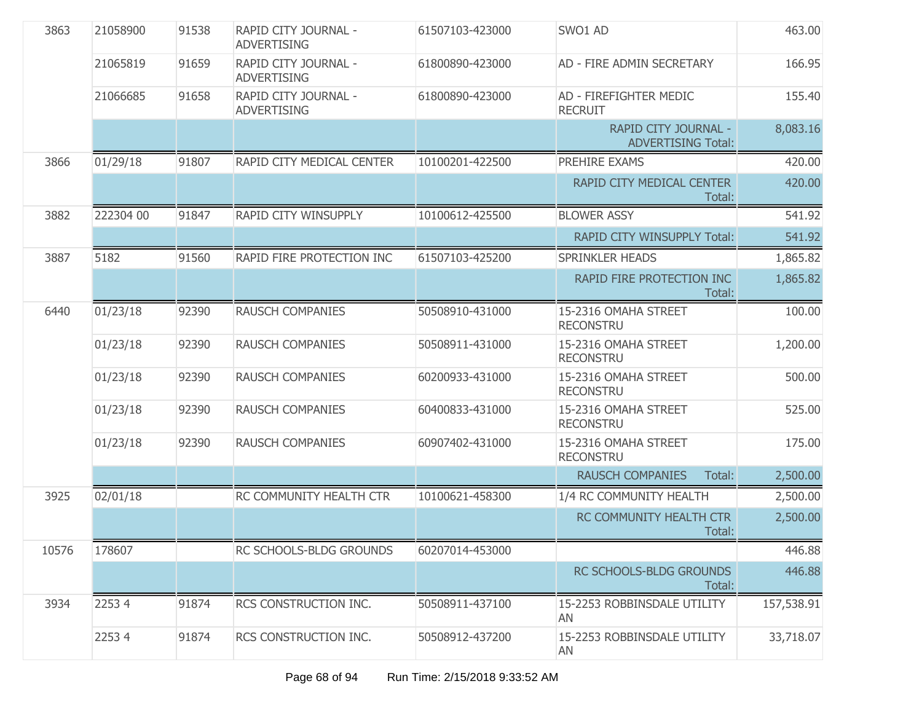| 3863  | 21058900  | 91538 | RAPID CITY JOURNAL -<br><b>ADVERTISING</b> | 61507103-423000 | SWO1 AD                                           | 463.00     |
|-------|-----------|-------|--------------------------------------------|-----------------|---------------------------------------------------|------------|
|       | 21065819  | 91659 | RAPID CITY JOURNAL -<br><b>ADVERTISING</b> | 61800890-423000 | AD - FIRE ADMIN SECRETARY                         | 166.95     |
|       | 21066685  | 91658 | RAPID CITY JOURNAL -<br><b>ADVERTISING</b> | 61800890-423000 | AD - FIREFIGHTER MEDIC<br><b>RECRUIT</b>          | 155.40     |
|       |           |       |                                            |                 | RAPID CITY JOURNAL -<br><b>ADVERTISING Total:</b> | 8,083.16   |
| 3866  | 01/29/18  | 91807 | RAPID CITY MEDICAL CENTER                  | 10100201-422500 | PREHIRE EXAMS                                     | 420.00     |
|       |           |       |                                            |                 | RAPID CITY MEDICAL CENTER<br>Total:               | 420.00     |
| 3882  | 222304 00 | 91847 | <b>RAPID CITY WINSUPPLY</b>                | 10100612-425500 | <b>BLOWER ASSY</b>                                | 541.92     |
|       |           |       |                                            |                 | RAPID CITY WINSUPPLY Total:                       | 541.92     |
| 3887  | 5182      | 91560 | RAPID FIRE PROTECTION INC                  | 61507103-425200 | <b>SPRINKLER HEADS</b>                            | 1,865.82   |
|       |           |       |                                            |                 | RAPID FIRE PROTECTION INC<br>Total:               | 1,865.82   |
| 6440  | 01/23/18  | 92390 | <b>RAUSCH COMPANIES</b>                    | 50508910-431000 | 15-2316 OMAHA STREET<br><b>RECONSTRU</b>          | 100.00     |
|       | 01/23/18  | 92390 | <b>RAUSCH COMPANIES</b>                    | 50508911-431000 | 15-2316 OMAHA STREET<br><b>RECONSTRU</b>          | 1,200.00   |
|       | 01/23/18  | 92390 | RAUSCH COMPANIES                           | 60200933-431000 | 15-2316 OMAHA STREET<br><b>RECONSTRU</b>          | 500.00     |
|       | 01/23/18  | 92390 | <b>RAUSCH COMPANIES</b>                    | 60400833-431000 | 15-2316 OMAHA STREET<br><b>RECONSTRU</b>          | 525.00     |
|       | 01/23/18  | 92390 | <b>RAUSCH COMPANIES</b>                    | 60907402-431000 | 15-2316 OMAHA STREET<br><b>RECONSTRU</b>          | 175.00     |
|       |           |       |                                            |                 | <b>RAUSCH COMPANIES</b><br>Total:                 | 2,500.00   |
| 3925  | 02/01/18  |       | RC COMMUNITY HEALTH CTR                    | 10100621-458300 | 1/4 RC COMMUNITY HEALTH                           | 2,500.00   |
|       |           |       |                                            |                 | RC COMMUNITY HEALTH CTR<br>Total:                 | 2,500.00   |
| 10576 | 178607    |       | RC SCHOOLS-BLDG GROUNDS                    | 60207014-453000 |                                                   | 446.88     |
|       |           |       |                                            |                 | RC SCHOOLS-BLDG GROUNDS<br>Total:                 | 446.88     |
| 3934  | 22534     | 91874 | RCS CONSTRUCTION INC.                      | 50508911-437100 | 15-2253 ROBBINSDALE UTILITY<br><b>AN</b>          | 157,538.91 |
|       | 22534     | 91874 | RCS CONSTRUCTION INC.                      | 50508912-437200 | 15-2253 ROBBINSDALE UTILITY<br>AN                 | 33,718.07  |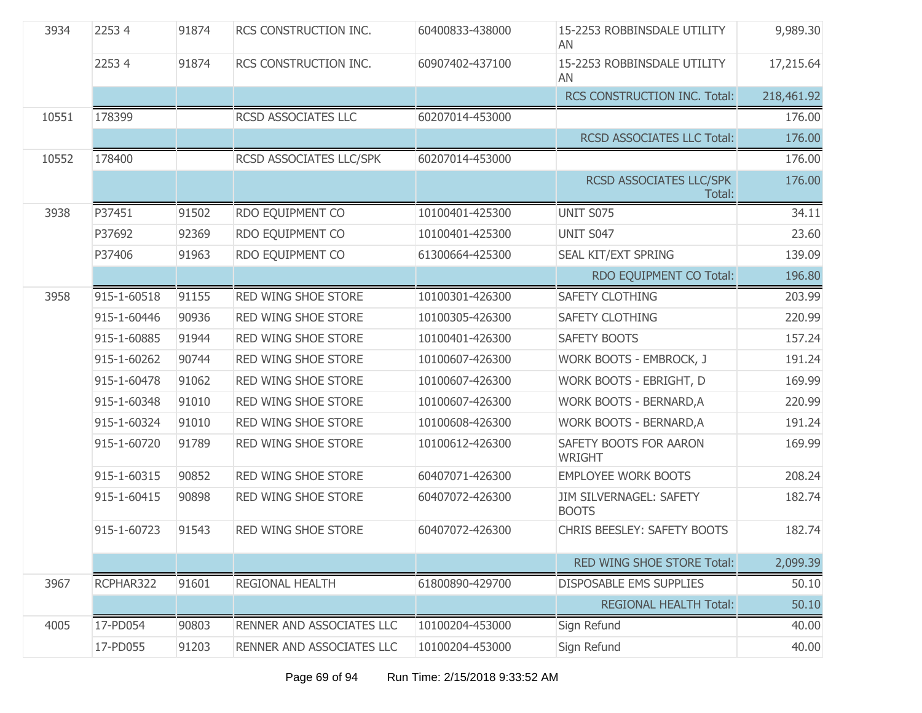| 3934  | 22534       | 91874 | RCS CONSTRUCTION INC.     | 60400833-438000 | 15-2253 ROBBINSDALE UTILITY<br>AN       | 9,989.30   |
|-------|-------------|-------|---------------------------|-----------------|-----------------------------------------|------------|
|       | 22534       | 91874 | RCS CONSTRUCTION INC.     | 60907402-437100 | 15-2253 ROBBINSDALE UTILITY<br>AN       | 17,215.64  |
|       |             |       |                           |                 | RCS CONSTRUCTION INC. Total:            | 218,461.92 |
| 10551 | 178399      |       | RCSD ASSOCIATES LLC       | 60207014-453000 |                                         | 176.00     |
|       |             |       |                           |                 | <b>RCSD ASSOCIATES LLC Total:</b>       | 176.00     |
| 10552 | 178400      |       | RCSD ASSOCIATES LLC/SPK   | 60207014-453000 |                                         | 176.00     |
|       |             |       |                           |                 | RCSD ASSOCIATES LLC/SPK<br>Total:       | 176.00     |
| 3938  | P37451      | 91502 | RDO EQUIPMENT CO          | 10100401-425300 | UNIT S075                               | 34.11      |
|       | P37692      | 92369 | RDO EQUIPMENT CO          | 10100401-425300 | UNIT S047                               | 23.60      |
|       | P37406      | 91963 | RDO EQUIPMENT CO          | 61300664-425300 | SEAL KIT/EXT SPRING                     | 139.09     |
|       |             |       |                           |                 | RDO EQUIPMENT CO Total:                 | 196.80     |
| 3958  | 915-1-60518 | 91155 | RED WING SHOE STORE       | 10100301-426300 | <b>SAFETY CLOTHING</b>                  | 203.99     |
|       | 915-1-60446 | 90936 | RED WING SHOE STORE       | 10100305-426300 | SAFETY CLOTHING                         | 220.99     |
|       | 915-1-60885 | 91944 | RED WING SHOE STORE       | 10100401-426300 | SAFETY BOOTS                            | 157.24     |
|       | 915-1-60262 | 90744 | RED WING SHOE STORE       | 10100607-426300 | WORK BOOTS - EMBROCK, J                 | 191.24     |
|       | 915-1-60478 | 91062 | RED WING SHOE STORE       | 10100607-426300 | WORK BOOTS - EBRIGHT, D                 | 169.99     |
|       | 915-1-60348 | 91010 | RED WING SHOE STORE       | 10100607-426300 | <b>WORK BOOTS - BERNARD, A</b>          | 220.99     |
|       | 915-1-60324 | 91010 | RED WING SHOE STORE       | 10100608-426300 | WORK BOOTS - BERNARD, A                 | 191.24     |
|       | 915-1-60720 | 91789 | RED WING SHOE STORE       | 10100612-426300 | SAFETY BOOTS FOR AARON<br>WRIGHT        | 169.99     |
|       | 915-1-60315 | 90852 | RED WING SHOE STORE       | 60407071-426300 | <b>EMPLOYEE WORK BOOTS</b>              | 208.24     |
|       | 915-1-60415 | 90898 | RED WING SHOE STORE       | 60407072-426300 | JIM SILVERNAGEL: SAFETY<br><b>BOOTS</b> | 182.74     |
|       | 915-1-60723 | 91543 | RED WING SHOE STORE       | 60407072-426300 | CHRIS BEESLEY: SAFETY BOOTS             | 182.74     |
|       |             |       |                           |                 | RED WING SHOE STORE Total:              | 2,099.39   |
| 3967  | RCPHAR322   | 91601 | REGIONAL HEALTH           | 61800890-429700 | <b>DISPOSABLE EMS SUPPLIES</b>          | 50.10      |
|       |             |       |                           |                 | <b>REGIONAL HEALTH Total:</b>           | 50.10      |
| 4005  | 17-PD054    | 90803 | RENNER AND ASSOCIATES LLC | 10100204-453000 | Sign Refund                             | 40.00      |
|       | 17-PD055    | 91203 | RENNER AND ASSOCIATES LLC | 10100204-453000 | Sign Refund                             | 40.00      |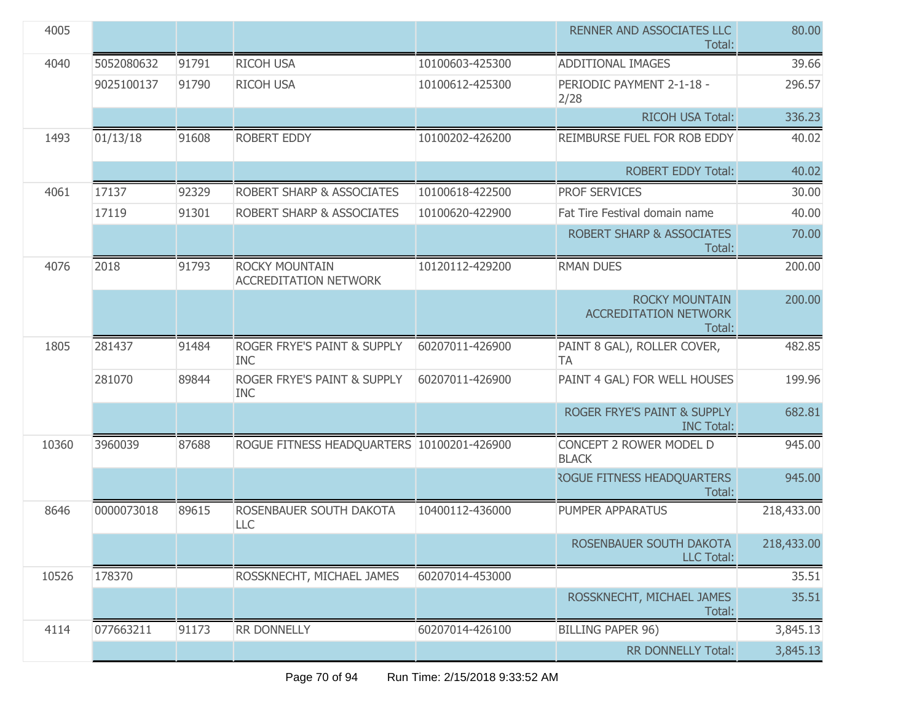| 4005  |            |       |                                                      |                 | RENNER AND ASSOCIATES LLC<br>Total:                             | 80.00      |
|-------|------------|-------|------------------------------------------------------|-----------------|-----------------------------------------------------------------|------------|
| 4040  | 5052080632 | 91791 | <b>RICOH USA</b>                                     | 10100603-425300 | <b>ADDITIONAL IMAGES</b>                                        | 39.66      |
|       | 9025100137 | 91790 | <b>RICOH USA</b>                                     | 10100612-425300 | PERIODIC PAYMENT 2-1-18 -<br>2/28                               | 296.57     |
|       |            |       |                                                      |                 | RICOH USA Total:                                                | 336.23     |
| 1493  | 01/13/18   | 91608 | ROBERT EDDY                                          | 10100202-426200 | REIMBURSE FUEL FOR ROB EDDY                                     | 40.02      |
|       |            |       |                                                      |                 | <b>ROBERT EDDY Total:</b>                                       | 40.02      |
| 4061  | 17137      | 92329 | <b>ROBERT SHARP &amp; ASSOCIATES</b>                 | 10100618-422500 | <b>PROF SERVICES</b>                                            | 30.00      |
|       | 17119      | 91301 | ROBERT SHARP & ASSOCIATES                            | 10100620-422900 | Fat Tire Festival domain name                                   | 40.00      |
|       |            |       |                                                      |                 | <b>ROBERT SHARP &amp; ASSOCIATES</b><br>Total:                  | 70.00      |
| 4076  | 2018       | 91793 | ROCKY MOUNTAIN<br><b>ACCREDITATION NETWORK</b>       | 10120112-429200 | <b>RMAN DUES</b>                                                | 200.00     |
|       |            |       |                                                      |                 | <b>ROCKY MOUNTAIN</b><br><b>ACCREDITATION NETWORK</b><br>Total: | 200.00     |
| 1805  | 281437     | 91484 | <b>ROGER FRYE'S PAINT &amp; SUPPLY</b><br><b>INC</b> | 60207011-426900 | PAINT 8 GAL), ROLLER COVER,<br><b>TA</b>                        | 482.85     |
|       | 281070     | 89844 | ROGER FRYE'S PAINT & SUPPLY<br><b>INC</b>            | 60207011-426900 | PAINT 4 GAL) FOR WELL HOUSES                                    | 199.96     |
|       |            |       |                                                      |                 | ROGER FRYE'S PAINT & SUPPLY<br><b>INC Total:</b>                | 682.81     |
| 10360 | 3960039    | 87688 | ROGUE FITNESS HEADQUARTERS 10100201-426900           |                 | CONCEPT 2 ROWER MODEL D<br><b>BLACK</b>                         | 945.00     |
|       |            |       |                                                      |                 | <b>ROGUE FITNESS HEADQUARTERS</b><br>Total:                     | 945.00     |
| 8646  | 0000073018 | 89615 | ROSENBAUER SOUTH DAKOTA<br><b>LLC</b>                | 10400112-436000 | PUMPER APPARATUS                                                | 218,433.00 |
|       |            |       |                                                      |                 | ROSENBAUER SOUTH DAKOTA<br><b>LLC Total:</b>                    | 218,433.00 |
| 10526 | 178370     |       | ROSSKNECHT, MICHAEL JAMES                            | 60207014-453000 |                                                                 | 35.51      |
|       |            |       |                                                      |                 | ROSSKNECHT, MICHAEL JAMES<br>Total:                             | 35.51      |
| 4114  | 077663211  | 91173 | RR DONNELLY                                          | 60207014-426100 | <b>BILLING PAPER 96)</b>                                        | 3,845.13   |
|       |            |       |                                                      |                 | <b>RR DONNELLY Total:</b>                                       | 3,845.13   |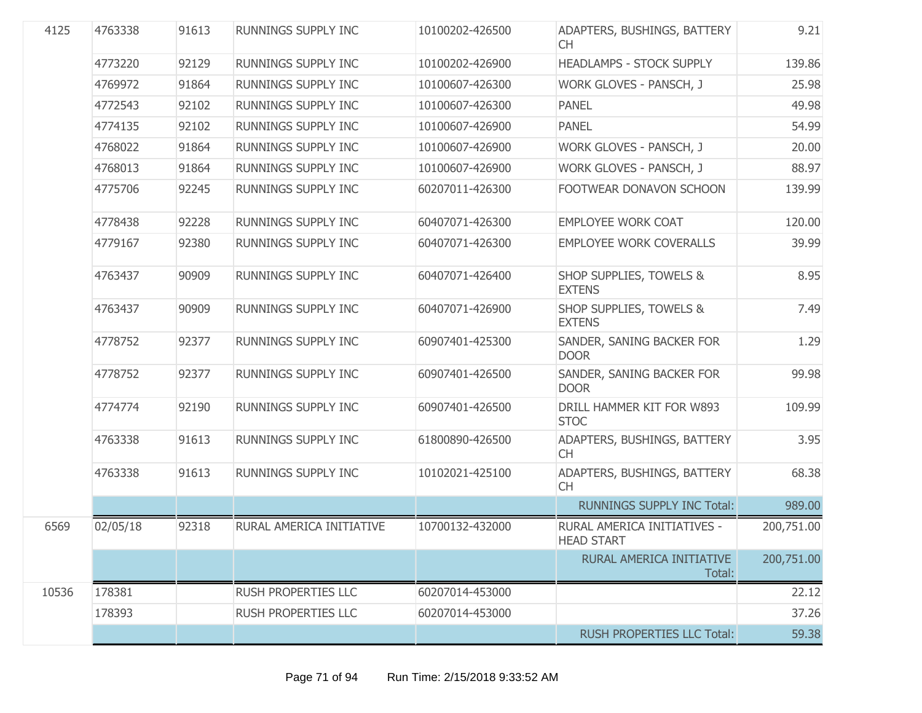| 4125  | 4763338  | 91613 | RUNNINGS SUPPLY INC        | 10100202-426500 | ADAPTERS, BUSHINGS, BATTERY<br>CH.                  | 9.21       |
|-------|----------|-------|----------------------------|-----------------|-----------------------------------------------------|------------|
|       | 4773220  | 92129 | RUNNINGS SUPPLY INC        | 10100202-426900 | <b>HEADLAMPS - STOCK SUPPLY</b>                     | 139.86     |
|       | 4769972  | 91864 | RUNNINGS SUPPLY INC        | 10100607-426300 | WORK GLOVES - PANSCH, J                             | 25.98      |
|       | 4772543  | 92102 | <b>RUNNINGS SUPPLY INC</b> | 10100607-426300 | <b>PANEL</b>                                        | 49.98      |
|       | 4774135  | 92102 | RUNNINGS SUPPLY INC        | 10100607-426900 | <b>PANEL</b>                                        | 54.99      |
|       | 4768022  | 91864 | RUNNINGS SUPPLY INC        | 10100607-426900 | WORK GLOVES - PANSCH, J                             | 20.00      |
|       | 4768013  | 91864 | RUNNINGS SUPPLY INC        | 10100607-426900 | WORK GLOVES - PANSCH, J                             | 88.97      |
|       | 4775706  | 92245 | RUNNINGS SUPPLY INC        | 60207011-426300 | FOOTWEAR DONAVON SCHOON                             | 139.99     |
|       | 4778438  | 92228 | RUNNINGS SUPPLY INC        | 60407071-426300 | <b>EMPLOYEE WORK COAT</b>                           | 120.00     |
|       | 4779167  | 92380 | RUNNINGS SUPPLY INC        | 60407071-426300 | <b>EMPLOYEE WORK COVERALLS</b>                      | 39.99      |
|       | 4763437  | 90909 | RUNNINGS SUPPLY INC        | 60407071-426400 | <b>SHOP SUPPLIES, TOWELS &amp;</b><br><b>EXTENS</b> | 8.95       |
|       | 4763437  | 90909 | RUNNINGS SUPPLY INC        | 60407071-426900 | SHOP SUPPLIES, TOWELS &<br><b>EXTENS</b>            | 7.49       |
|       | 4778752  | 92377 | <b>RUNNINGS SUPPLY INC</b> | 60907401-425300 | SANDER, SANING BACKER FOR<br><b>DOOR</b>            | 1.29       |
|       | 4778752  | 92377 | RUNNINGS SUPPLY INC        | 60907401-426500 | SANDER, SANING BACKER FOR<br><b>DOOR</b>            | 99.98      |
|       | 4774774  | 92190 | RUNNINGS SUPPLY INC        | 60907401-426500 | DRILL HAMMER KIT FOR W893<br><b>STOC</b>            | 109.99     |
|       | 4763338  | 91613 | RUNNINGS SUPPLY INC        | 61800890-426500 | ADAPTERS, BUSHINGS, BATTERY<br><b>CH</b>            | 3.95       |
|       | 4763338  | 91613 | RUNNINGS SUPPLY INC        | 10102021-425100 | ADAPTERS, BUSHINGS, BATTERY<br><b>CH</b>            | 68.38      |
|       |          |       |                            |                 | <b>RUNNINGS SUPPLY INC Total:</b>                   | 989.00     |
| 6569  | 02/05/18 | 92318 | RURAL AMERICA INITIATIVE   | 10700132-432000 | RURAL AMERICA INITIATIVES -<br>HEAD START           | 200,751.00 |
|       |          |       |                            |                 | RURAL AMERICA INITIATIVE<br>Total:                  | 200,751.00 |
| 10536 | 178381   |       | <b>RUSH PROPERTIES LLC</b> | 60207014-453000 |                                                     | 22.12      |
|       | 178393   |       | <b>RUSH PROPERTIES LLC</b> | 60207014-453000 |                                                     | 37.26      |
|       |          |       |                            |                 | <b>RUSH PROPERTIES LLC Total:</b>                   | 59.38      |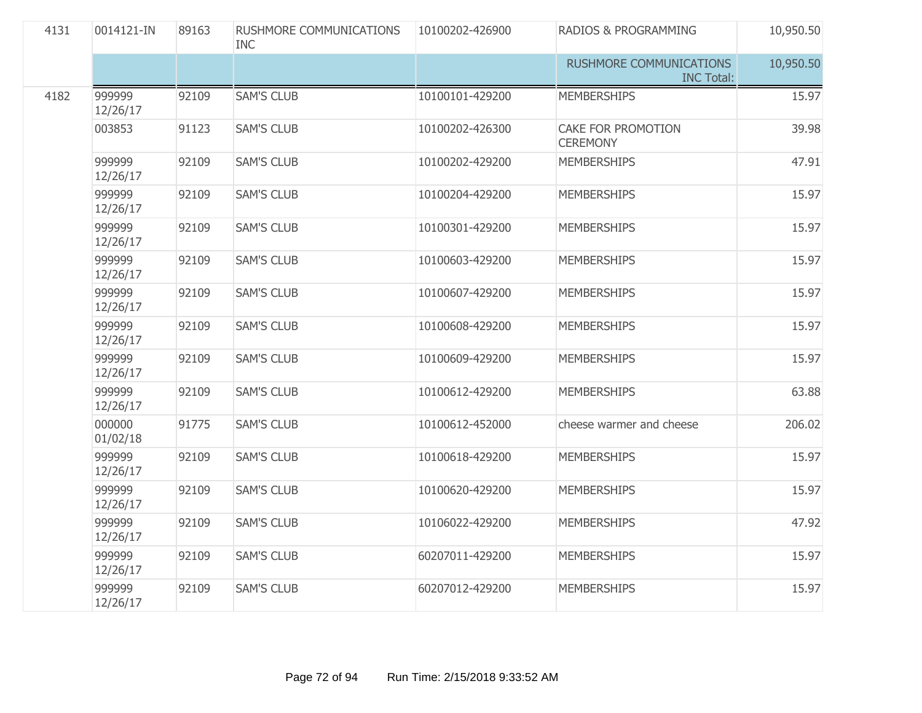| 4131 | 0014121-IN         | 89163 | RUSHMORE COMMUNICATIONS<br><b>INC</b> | 10100202-426900 | RADIOS & PROGRAMMING                         | 10,950.50 |
|------|--------------------|-------|---------------------------------------|-----------------|----------------------------------------------|-----------|
|      |                    |       |                                       |                 | RUSHMORE COMMUNICATIONS<br><b>INC Total:</b> | 10,950.50 |
| 4182 | 999999<br>12/26/17 | 92109 | <b>SAM'S CLUB</b>                     | 10100101-429200 | <b>MEMBERSHIPS</b>                           | 15.97     |
|      | 003853             | 91123 | <b>SAM'S CLUB</b>                     | 10100202-426300 | CAKE FOR PROMOTION<br><b>CEREMONY</b>        | 39.98     |
|      | 999999<br>12/26/17 | 92109 | <b>SAM'S CLUB</b>                     | 10100202-429200 | <b>MEMBERSHIPS</b>                           | 47.91     |
|      | 999999<br>12/26/17 | 92109 | <b>SAM'S CLUB</b>                     | 10100204-429200 | <b>MEMBERSHIPS</b>                           | 15.97     |
|      | 999999<br>12/26/17 | 92109 | <b>SAM'S CLUB</b>                     | 10100301-429200 | <b>MEMBERSHIPS</b>                           | 15.97     |
|      | 999999<br>12/26/17 | 92109 | <b>SAM'S CLUB</b>                     | 10100603-429200 | <b>MEMBERSHIPS</b>                           | 15.97     |
|      | 999999<br>12/26/17 | 92109 | <b>SAM'S CLUB</b>                     | 10100607-429200 | <b>MEMBERSHIPS</b>                           | 15.97     |
|      | 999999<br>12/26/17 | 92109 | <b>SAM'S CLUB</b>                     | 10100608-429200 | <b>MEMBERSHIPS</b>                           | 15.97     |
|      | 999999<br>12/26/17 | 92109 | <b>SAM'S CLUB</b>                     | 10100609-429200 | <b>MEMBERSHIPS</b>                           | 15.97     |
|      | 999999<br>12/26/17 | 92109 | <b>SAM'S CLUB</b>                     | 10100612-429200 | <b>MEMBERSHIPS</b>                           | 63.88     |
|      | 000000<br>01/02/18 | 91775 | <b>SAM'S CLUB</b>                     | 10100612-452000 | cheese warmer and cheese                     | 206.02    |
|      | 999999<br>12/26/17 | 92109 | <b>SAM'S CLUB</b>                     | 10100618-429200 | <b>MEMBERSHIPS</b>                           | 15.97     |
|      | 999999<br>12/26/17 | 92109 | <b>SAM'S CLUB</b>                     | 10100620-429200 | <b>MEMBERSHIPS</b>                           | 15.97     |
|      | 999999<br>12/26/17 | 92109 | <b>SAM'S CLUB</b>                     | 10106022-429200 | <b>MEMBERSHIPS</b>                           | 47.92     |
|      | 999999<br>12/26/17 | 92109 | <b>SAM'S CLUB</b>                     | 60207011-429200 | <b>MEMBERSHIPS</b>                           | 15.97     |
|      | 999999<br>12/26/17 | 92109 | <b>SAM'S CLUB</b>                     | 60207012-429200 | <b>MEMBERSHIPS</b>                           | 15.97     |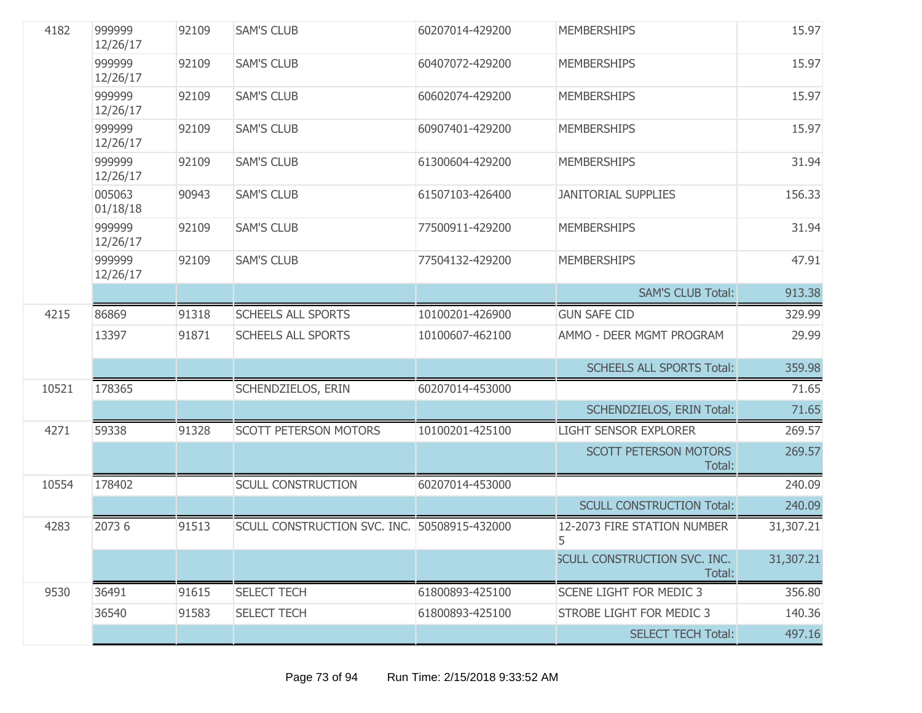| 4182  | 999999<br>12/26/17 | 92109 | <b>SAM'S CLUB</b>                            | 60207014-429200 | <b>MEMBERSHIPS</b>                     | 15.97     |
|-------|--------------------|-------|----------------------------------------------|-----------------|----------------------------------------|-----------|
|       | 999999<br>12/26/17 | 92109 | <b>SAM'S CLUB</b>                            | 60407072-429200 | <b>MEMBERSHIPS</b>                     | 15.97     |
|       | 999999<br>12/26/17 | 92109 | <b>SAM'S CLUB</b>                            | 60602074-429200 | <b>MEMBERSHIPS</b>                     | 15.97     |
|       | 999999<br>12/26/17 | 92109 | <b>SAM'S CLUB</b>                            | 60907401-429200 | <b>MEMBERSHIPS</b>                     | 15.97     |
|       | 999999<br>12/26/17 | 92109 | <b>SAM'S CLUB</b>                            | 61300604-429200 | <b>MEMBERSHIPS</b>                     | 31.94     |
|       | 005063<br>01/18/18 | 90943 | <b>SAM'S CLUB</b>                            | 61507103-426400 | <b>JANITORIAL SUPPLIES</b>             | 156.33    |
|       | 999999<br>12/26/17 | 92109 | <b>SAM'S CLUB</b>                            | 77500911-429200 | <b>MEMBERSHIPS</b>                     | 31.94     |
|       | 999999<br>12/26/17 | 92109 | <b>SAM'S CLUB</b>                            | 77504132-429200 | <b>MEMBERSHIPS</b>                     | 47.91     |
|       |                    |       |                                              |                 | <b>SAM'S CLUB Total:</b>               | 913.38    |
| 4215  | 86869              | 91318 | <b>SCHEELS ALL SPORTS</b>                    | 10100201-426900 | <b>GUN SAFE CID</b>                    | 329.99    |
|       | 13397              | 91871 | <b>SCHEELS ALL SPORTS</b>                    | 10100607-462100 | AMMO - DEER MGMT PROGRAM               | 29.99     |
|       |                    |       |                                              |                 | <b>SCHEELS ALL SPORTS Total:</b>       | 359.98    |
| 10521 | 178365             |       | SCHENDZIELOS, ERIN                           | 60207014-453000 |                                        | 71.65     |
|       |                    |       |                                              |                 | <b>SCHENDZIELOS, ERIN Total:</b>       | 71.65     |
| 4271  | 59338              | 91328 | <b>SCOTT PETERSON MOTORS</b>                 | 10100201-425100 | <b>LIGHT SENSOR EXPLORER</b>           | 269.57    |
|       |                    |       |                                              |                 | <b>SCOTT PETERSON MOTORS</b><br>Total: | 269.57    |
| 10554 | 178402             |       | <b>SCULL CONSTRUCTION</b>                    | 60207014-453000 |                                        | 240.09    |
|       |                    |       |                                              |                 | <b>SCULL CONSTRUCTION Total:</b>       | 240.09    |
| 4283  | 2073 6             | 91513 | SCULL CONSTRUCTION SVC. INC. 50508915-432000 |                 | 12-2073 FIRE STATION NUMBER<br>5       | 31,307.21 |
|       |                    |       |                                              |                 | SCULL CONSTRUCTION SVC. INC.<br>Total: | 31,307.21 |
| 9530  | 36491              | 91615 | <b>SELECT TECH</b>                           | 61800893-425100 | <b>SCENE LIGHT FOR MEDIC 3</b>         | 356.80    |
|       | 36540              | 91583 | <b>SELECT TECH</b>                           | 61800893-425100 | STROBE LIGHT FOR MEDIC 3               | 140.36    |
|       |                    |       |                                              |                 | <b>SELECT TECH Total:</b>              | 497.16    |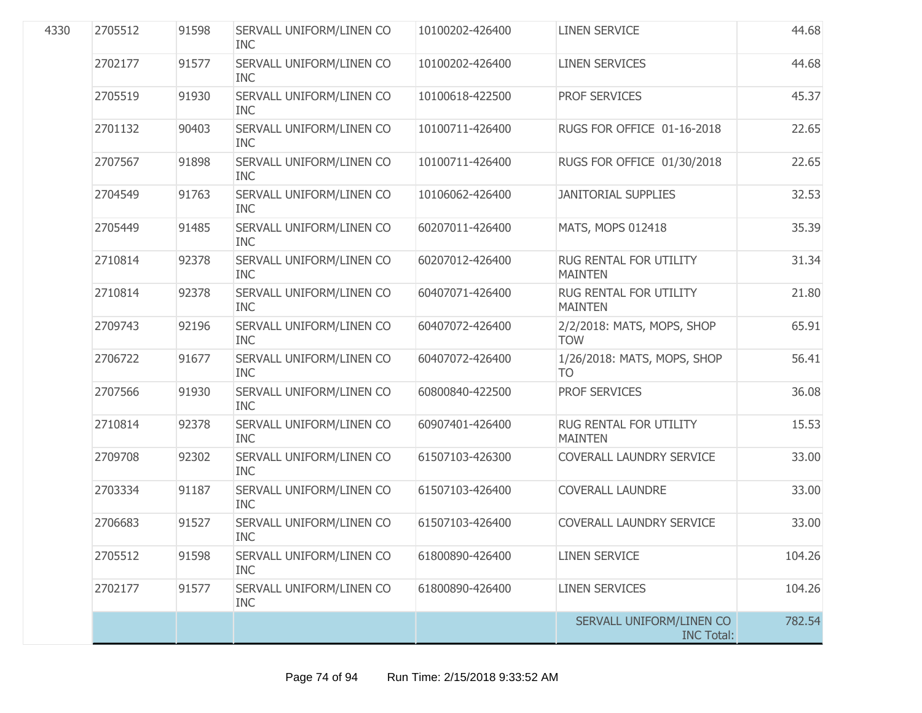| 4330 | 2705512 | 91598 | SERVALL UNIFORM/LINEN CO<br><b>INC</b> | 10100202-426400 | <b>LINEN SERVICE</b>                          | 44.68  |
|------|---------|-------|----------------------------------------|-----------------|-----------------------------------------------|--------|
|      | 2702177 | 91577 | SERVALL UNIFORM/LINEN CO<br><b>INC</b> | 10100202-426400 | <b>LINEN SERVICES</b>                         | 44.68  |
|      | 2705519 | 91930 | SERVALL UNIFORM/LINEN CO<br><b>INC</b> | 10100618-422500 | PROF SERVICES                                 | 45.37  |
|      | 2701132 | 90403 | SERVALL UNIFORM/LINEN CO<br><b>INC</b> | 10100711-426400 | RUGS FOR OFFICE 01-16-2018                    | 22.65  |
|      | 2707567 | 91898 | SERVALL UNIFORM/LINEN CO<br><b>INC</b> | 10100711-426400 | RUGS FOR OFFICE 01/30/2018                    | 22.65  |
|      | 2704549 | 91763 | SERVALL UNIFORM/LINEN CO<br><b>INC</b> | 10106062-426400 | <b>JANITORIAL SUPPLIES</b>                    | 32.53  |
|      | 2705449 | 91485 | SERVALL UNIFORM/LINEN CO<br><b>INC</b> | 60207011-426400 | MATS, MOPS 012418                             | 35.39  |
|      | 2710814 | 92378 | SERVALL UNIFORM/LINEN CO<br><b>INC</b> | 60207012-426400 | RUG RENTAL FOR UTILITY<br><b>MAINTEN</b>      | 31.34  |
|      | 2710814 | 92378 | SERVALL UNIFORM/LINEN CO<br><b>INC</b> | 60407071-426400 | RUG RENTAL FOR UTILITY<br><b>MAINTEN</b>      | 21.80  |
|      | 2709743 | 92196 | SERVALL UNIFORM/LINEN CO<br><b>INC</b> | 60407072-426400 | 2/2/2018: MATS, MOPS, SHOP<br><b>TOW</b>      | 65.91  |
|      | 2706722 | 91677 | SERVALL UNIFORM/LINEN CO<br><b>INC</b> | 60407072-426400 | 1/26/2018: MATS, MOPS, SHOP<br><b>TO</b>      | 56.41  |
|      | 2707566 | 91930 | SERVALL UNIFORM/LINEN CO<br><b>INC</b> | 60800840-422500 | PROF SERVICES                                 | 36.08  |
|      | 2710814 | 92378 | SERVALL UNIFORM/LINEN CO<br><b>INC</b> | 60907401-426400 | RUG RENTAL FOR UTILITY<br><b>MAINTEN</b>      | 15.53  |
|      | 2709708 | 92302 | SERVALL UNIFORM/LINEN CO<br><b>INC</b> | 61507103-426300 | COVERALL LAUNDRY SERVICE                      | 33.00  |
|      | 2703334 | 91187 | SERVALL UNIFORM/LINEN CO<br><b>INC</b> | 61507103-426400 | <b>COVERALL LAUNDRE</b>                       | 33.00  |
|      | 2706683 | 91527 | SERVALL UNIFORM/LINEN CO<br><b>INC</b> | 61507103-426400 | <b>COVERALL LAUNDRY SERVICE</b>               | 33.00  |
|      | 2705512 | 91598 | SERVALL UNIFORM/LINEN CO<br><b>INC</b> | 61800890-426400 | <b>LINEN SERVICE</b>                          | 104.26 |
|      | 2702177 | 91577 | SERVALL UNIFORM/LINEN CO<br><b>INC</b> | 61800890-426400 | <b>LINEN SERVICES</b>                         | 104.26 |
|      |         |       |                                        |                 | SERVALL UNIFORM/LINEN CO<br><b>INC Total:</b> | 782.54 |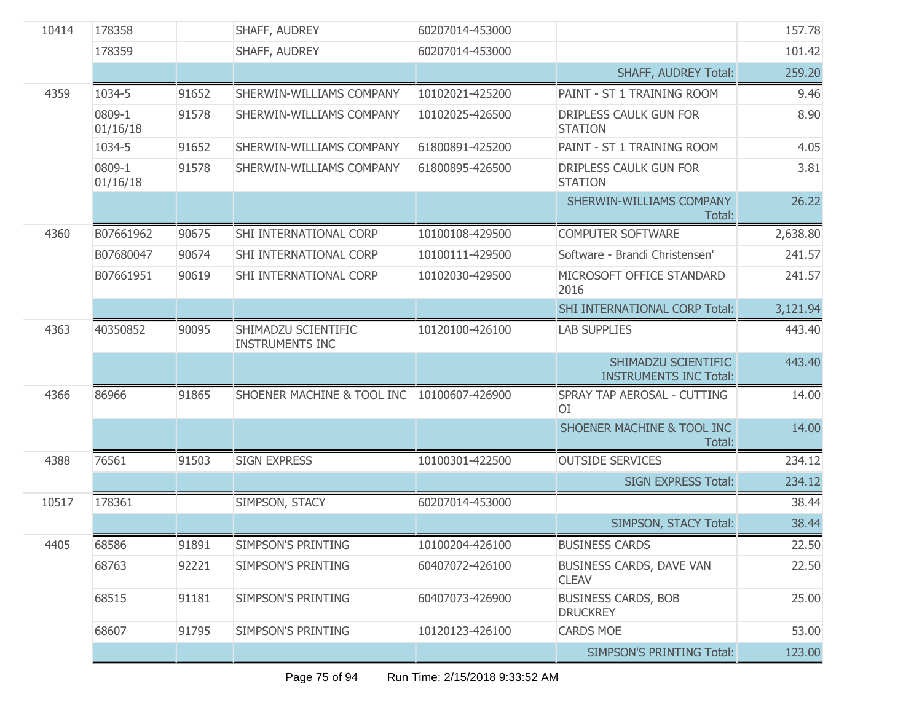| 10414                       | 178358                                                             |                          | SHAFF, AUDREY                   | 60207014-453000                          |                                                      | 157.78   |
|-----------------------------|--------------------------------------------------------------------|--------------------------|---------------------------------|------------------------------------------|------------------------------------------------------|----------|
|                             | 178359                                                             |                          | SHAFF, AUDREY                   | 60207014-453000                          |                                                      | 101.42   |
|                             |                                                                    |                          |                                 |                                          | SHAFF, AUDREY Total:                                 | 259.20   |
| 4359                        | 1034-5                                                             | 91652                    | <b>SHERWIN-WILLIAMS COMPANY</b> | 10102021-425200                          | PAINT - ST 1 TRAINING ROOM                           |          |
| 0809-1<br>91578<br>01/16/18 |                                                                    | SHERWIN-WILLIAMS COMPANY | 10102025-426500                 | DRIPLESS CAULK GUN FOR<br><b>STATION</b> | 8.90                                                 |          |
|                             | 1034-5                                                             | 91652                    | SHERWIN-WILLIAMS COMPANY        | 61800891-425200                          | PAINT - ST 1 TRAINING ROOM                           | 4.05     |
|                             | 0809-1<br>01/16/18                                                 | 91578                    | SHERWIN-WILLIAMS COMPANY        | 61800895-426500                          | DRIPLESS CAULK GUN FOR<br><b>STATION</b>             | 3.81     |
|                             |                                                                    |                          |                                 |                                          | SHERWIN-WILLIAMS COMPANY<br>Total:                   | 26.22    |
| 4360                        | B07661962                                                          | 90675                    | SHI INTERNATIONAL CORP          | 10100108-429500                          | <b>COMPUTER SOFTWARE</b>                             | 2,638.80 |
|                             | B07680047                                                          | 90674                    | SHI INTERNATIONAL CORP          | 10100111-429500                          | Software - Brandi Christensen'                       | 241.57   |
|                             | B07661951                                                          | 90619                    | SHI INTERNATIONAL CORP          | 10102030-429500                          | MICROSOFT OFFICE STANDARD<br>2016                    | 241.57   |
|                             |                                                                    |                          |                                 |                                          | SHI INTERNATIONAL CORP Total:                        | 3,121.94 |
| 4363                        | 40350852<br>90095<br>SHIMADZU SCIENTIFIC<br><b>INSTRUMENTS INC</b> |                          | 10120100-426100                 | <b>LAB SUPPLIES</b>                      | 443.40                                               |          |
|                             |                                                                    |                          |                                 |                                          | SHIMADZU SCIENTIFIC<br><b>INSTRUMENTS INC Total:</b> | 443.40   |
| 4366                        | 86966                                                              | 91865                    | SHOENER MACHINE & TOOL INC      | 10100607-426900                          | SPRAY TAP AEROSAL - CUTTING<br><b>OI</b>             | 14.00    |
|                             |                                                                    |                          |                                 |                                          | SHOENER MACHINE & TOOL INC<br>Total:                 | 14.00    |
| 4388                        | 76561                                                              | 91503                    | <b>SIGN EXPRESS</b>             | 10100301-422500                          | <b>OUTSIDE SERVICES</b>                              | 234.12   |
|                             |                                                                    |                          |                                 |                                          | <b>SIGN EXPRESS Total:</b>                           | 234.12   |
| 10517                       | 178361                                                             |                          | SIMPSON, STACY                  | 60207014-453000                          |                                                      | 38.44    |
|                             |                                                                    |                          |                                 |                                          | SIMPSON, STACY Total:                                | 38.44    |
| 4405                        | 68586                                                              | 91891                    | SIMPSON'S PRINTING              | 10100204-426100                          | <b>BUSINESS CARDS</b>                                | 22.50    |
|                             | 68763                                                              | 92221                    | SIMPSON'S PRINTING              | 60407072-426100                          | BUSINESS CARDS, DAVE VAN<br><b>CLEAV</b>             | 22.50    |
|                             | 68515                                                              | 91181                    | SIMPSON'S PRINTING              | 60407073-426900                          | <b>BUSINESS CARDS, BOB</b><br><b>DRUCKREY</b>        | 25.00    |
|                             | 68607                                                              | 91795                    | <b>SIMPSON'S PRINTING</b>       | 10120123-426100                          | <b>CARDS MOE</b>                                     | 53.00    |
|                             |                                                                    |                          |                                 |                                          | <b>SIMPSON'S PRINTING Total:</b>                     | 123.00   |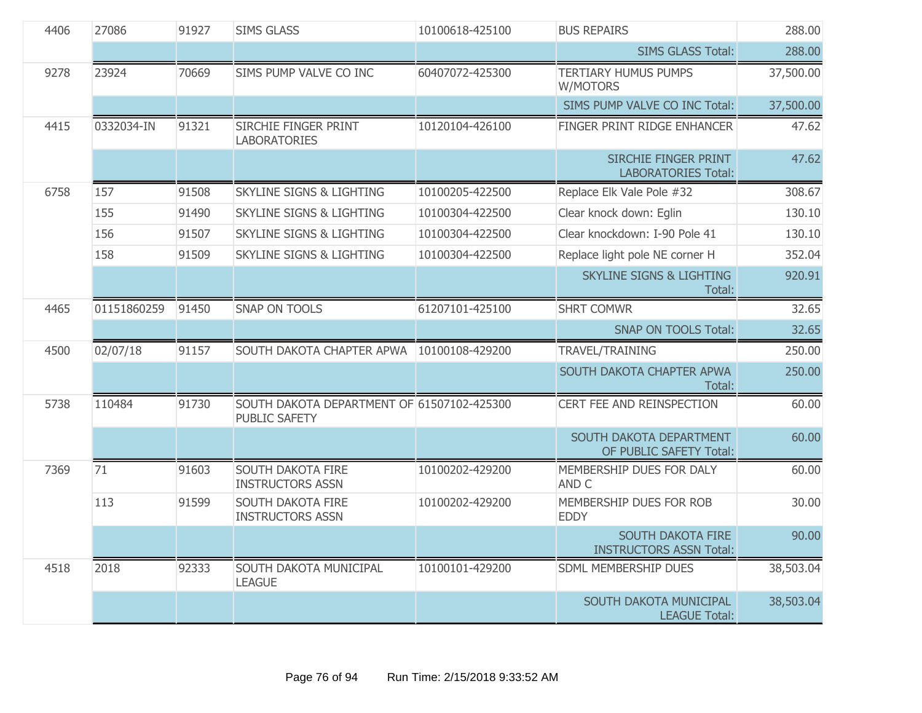| 4406 | 27086       | 91927 | <b>SIMS GLASS</b>                                                  | 10100618-425100 | <b>BUS REPAIRS</b>                                         | 288.00    |
|------|-------------|-------|--------------------------------------------------------------------|-----------------|------------------------------------------------------------|-----------|
|      |             |       |                                                                    |                 | <b>SIMS GLASS Total:</b>                                   | 288.00    |
| 9278 | 23924       | 70669 | SIMS PUMP VALVE CO INC                                             | 60407072-425300 | <b>TERTIARY HUMUS PUMPS</b><br>W/MOTORS                    | 37,500.00 |
|      |             |       |                                                                    |                 | SIMS PUMP VALVE CO INC Total:                              | 37,500.00 |
| 4415 | 0332034-IN  | 91321 | <b>SIRCHIE FINGER PRINT</b><br><b>LABORATORIES</b>                 | 10120104-426100 | FINGER PRINT RIDGE ENHANCER                                | 47.62     |
|      |             |       |                                                                    |                 | SIRCHIE FINGER PRINT<br><b>LABORATORIES Total:</b>         | 47.62     |
| 6758 | 157         | 91508 | <b>SKYLINE SIGNS &amp; LIGHTING</b>                                | 10100205-422500 | Replace Elk Vale Pole #32                                  | 308.67    |
|      | 155         | 91490 | <b>SKYLINE SIGNS &amp; LIGHTING</b>                                | 10100304-422500 | Clear knock down: Eglin                                    | 130.10    |
|      | 156         | 91507 | <b>SKYLINE SIGNS &amp; LIGHTING</b>                                | 10100304-422500 | Clear knockdown: I-90 Pole 41                              | 130.10    |
|      | 158         | 91509 | <b>SKYLINE SIGNS &amp; LIGHTING</b>                                | 10100304-422500 | Replace light pole NE corner H                             | 352.04    |
|      |             |       |                                                                    |                 | <b>SKYLINE SIGNS &amp; LIGHTING</b><br>Total:              | 920.91    |
| 4465 | 01151860259 | 91450 | <b>SNAP ON TOOLS</b>                                               | 61207101-425100 | <b>SHRT COMWR</b>                                          | 32.65     |
|      |             |       |                                                                    |                 | <b>SNAP ON TOOLS Total:</b>                                | 32.65     |
| 4500 | 02/07/18    | 91157 | SOUTH DAKOTA CHAPTER APWA                                          | 10100108-429200 | TRAVEL/TRAINING                                            | 250.00    |
|      |             |       |                                                                    |                 | SOUTH DAKOTA CHAPTER APWA<br>Total:                        | 250.00    |
| 5738 | 110484      | 91730 | SOUTH DAKOTA DEPARTMENT OF 61507102-425300<br><b>PUBLIC SAFETY</b> |                 | CERT FEE AND REINSPECTION                                  | 60.00     |
|      |             |       |                                                                    |                 | SOUTH DAKOTA DEPARTMENT<br>OF PUBLIC SAFETY Total:         | 60.00     |
| 7369 | 71          | 91603 | <b>SOUTH DAKOTA FIRE</b><br><b>INSTRUCTORS ASSN</b>                | 10100202-429200 | MEMBERSHIP DUES FOR DALY<br>AND C                          | 60.00     |
|      | 113         | 91599 | <b>SOUTH DAKOTA FIRE</b><br><b>INSTRUCTORS ASSN</b>                | 10100202-429200 | MEMBERSHIP DUES FOR ROB<br><b>EDDY</b>                     | 30.00     |
|      |             |       |                                                                    |                 | <b>SOUTH DAKOTA FIRE</b><br><b>INSTRUCTORS ASSN Total:</b> | 90.00     |
| 4518 | 2018        | 92333 | SOUTH DAKOTA MUNICIPAL<br><b>LEAGUE</b>                            | 10100101-429200 | SDML MEMBERSHIP DUES                                       | 38,503.04 |
|      |             |       |                                                                    |                 | SOUTH DAKOTA MUNICIPAL<br><b>LEAGUE Total:</b>             | 38,503.04 |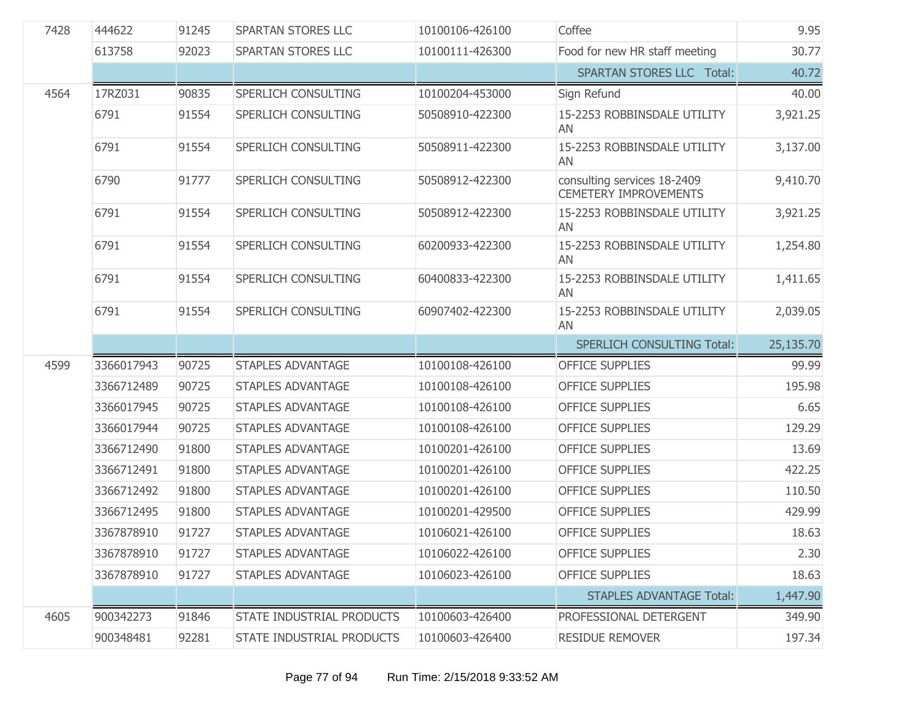| 7428 | 444622     | 91245 | SPARTAN STORES LLC               | 10100106-426100 | Coffee                                                      | 9.95      |
|------|------------|-------|----------------------------------|-----------------|-------------------------------------------------------------|-----------|
|      | 613758     | 92023 | SPARTAN STORES LLC               | 10100111-426300 | Food for new HR staff meeting                               | 30.77     |
|      |            |       |                                  |                 | <b>SPARTAN STORES LLC Total:</b>                            | 40.72     |
| 4564 | 17RZ031    | 90835 | SPERLICH CONSULTING              | 10100204-453000 | Sign Refund                                                 | 40.00     |
|      | 6791       | 91554 | SPERLICH CONSULTING              | 50508910-422300 | 15-2253 ROBBINSDALE UTILITY<br>AN                           | 3,921.25  |
|      | 6791       | 91554 | SPERLICH CONSULTING              | 50508911-422300 | 15-2253 ROBBINSDALE UTILITY<br>AN                           | 3,137.00  |
|      | 6790       | 91777 | SPERLICH CONSULTING              | 50508912-422300 | consulting services 18-2409<br><b>CEMETERY IMPROVEMENTS</b> | 9,410.70  |
|      | 6791       | 91554 | SPERLICH CONSULTING              | 50508912-422300 | 15-2253 ROBBINSDALE UTILITY<br>AN                           | 3,921.25  |
|      | 6791       | 91554 | SPERLICH CONSULTING              | 60200933-422300 | 15-2253 ROBBINSDALE UTILITY<br>AN                           | 1,254.80  |
|      | 6791       | 91554 | SPERLICH CONSULTING              | 60400833-422300 | 15-2253 ROBBINSDALE UTILITY<br>AN                           | 1,411.65  |
|      | 6791       | 91554 | SPERLICH CONSULTING              | 60907402-422300 | 15-2253 ROBBINSDALE UTILITY<br>AN                           | 2,039.05  |
|      |            |       |                                  |                 |                                                             |           |
|      |            |       |                                  |                 | <b>SPERLICH CONSULTING Total:</b>                           | 25,135.70 |
| 4599 | 3366017943 | 90725 | <b>STAPLES ADVANTAGE</b>         | 10100108-426100 | <b>OFFICE SUPPLIES</b>                                      | 99.99     |
|      | 3366712489 | 90725 | <b>STAPLES ADVANTAGE</b>         | 10100108-426100 | <b>OFFICE SUPPLIES</b>                                      | 195.98    |
|      | 3366017945 | 90725 | <b>STAPLES ADVANTAGE</b>         | 10100108-426100 | <b>OFFICE SUPPLIES</b>                                      | 6.65      |
|      | 3366017944 | 90725 | <b>STAPLES ADVANTAGE</b>         | 10100108-426100 | <b>OFFICE SUPPLIES</b>                                      | 129.29    |
|      | 3366712490 | 91800 | <b>STAPLES ADVANTAGE</b>         | 10100201-426100 | <b>OFFICE SUPPLIES</b>                                      | 13.69     |
|      | 3366712491 | 91800 | <b>STAPLES ADVANTAGE</b>         | 10100201-426100 | <b>OFFICE SUPPLIES</b>                                      | 422.25    |
|      | 3366712492 | 91800 | <b>STAPLES ADVANTAGE</b>         | 10100201-426100 | <b>OFFICE SUPPLIES</b>                                      | 110.50    |
|      | 3366712495 | 91800 | <b>STAPLES ADVANTAGE</b>         | 10100201-429500 | <b>OFFICE SUPPLIES</b>                                      | 429.99    |
|      | 3367878910 | 91727 | <b>STAPLES ADVANTAGE</b>         | 10106021-426100 | <b>OFFICE SUPPLIES</b>                                      | 18.63     |
|      | 3367878910 | 91727 | <b>STAPLES ADVANTAGE</b>         | 10106022-426100 | <b>OFFICE SUPPLIES</b>                                      | 2.30      |
|      | 3367878910 | 91727 | <b>STAPLES ADVANTAGE</b>         | 10106023-426100 | <b>OFFICE SUPPLIES</b>                                      | 18.63     |
|      |            |       |                                  |                 | <b>STAPLES ADVANTAGE Total:</b>                             | 1,447.90  |
| 4605 | 900342273  | 91846 | <b>STATE INDUSTRIAL PRODUCTS</b> | 10100603-426400 | PROFESSIONAL DETERGENT                                      | 349.90    |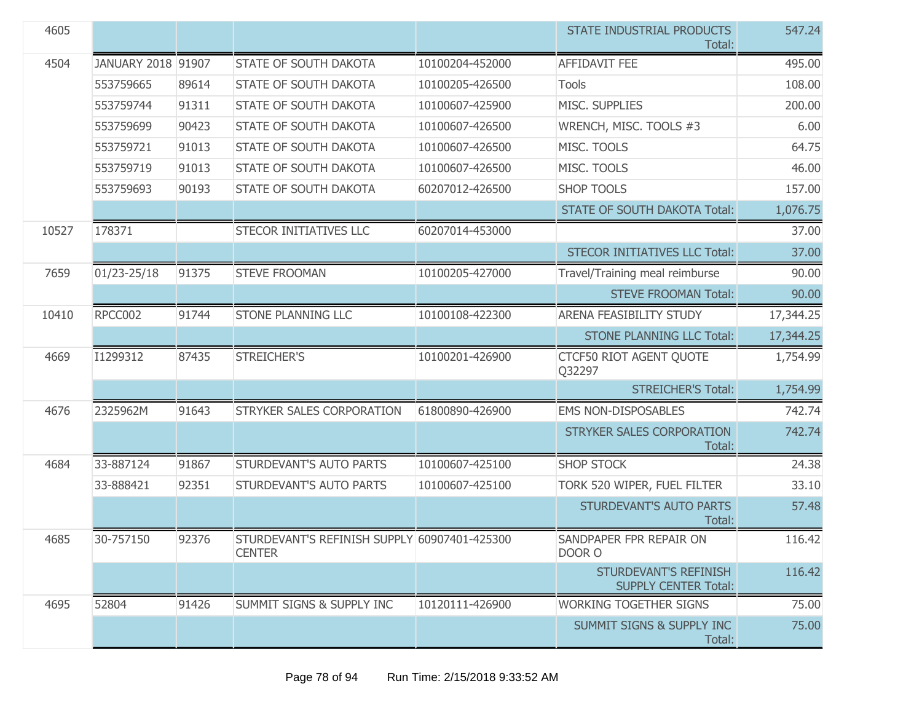| 4605  |                    |       |                                                               |                 | STATE INDUSTRIAL PRODUCTS<br>Total:                  | 547.24    |
|-------|--------------------|-------|---------------------------------------------------------------|-----------------|------------------------------------------------------|-----------|
| 4504  | JANUARY 2018 91907 |       | STATE OF SOUTH DAKOTA                                         | 10100204-452000 | <b>AFFIDAVIT FEE</b>                                 | 495.00    |
|       | 553759665          | 89614 | <b>STATE OF SOUTH DAKOTA</b>                                  | 10100205-426500 | <b>Tools</b>                                         | 108.00    |
|       | 553759744          | 91311 | <b>STATE OF SOUTH DAKOTA</b>                                  | 10100607-425900 | MISC. SUPPLIES                                       | 200.00    |
|       | 553759699          | 90423 | <b>STATE OF SOUTH DAKOTA</b>                                  | 10100607-426500 | WRENCH, MISC. TOOLS #3                               | 6.00      |
|       | 553759721          | 91013 | <b>STATE OF SOUTH DAKOTA</b>                                  | 10100607-426500 | MISC. TOOLS                                          | 64.75     |
|       | 553759719          | 91013 | <b>STATE OF SOUTH DAKOTA</b>                                  | 10100607-426500 | MISC. TOOLS                                          | 46.00     |
|       | 553759693          | 90193 | <b>STATE OF SOUTH DAKOTA</b>                                  | 60207012-426500 | <b>SHOP TOOLS</b>                                    | 157.00    |
|       |                    |       |                                                               |                 | <b>STATE OF SOUTH DAKOTA Total:</b>                  | 1,076.75  |
| 10527 | 178371             |       | <b>STECOR INITIATIVES LLC</b>                                 | 60207014-453000 |                                                      | 37.00     |
|       |                    |       |                                                               |                 | <b>STECOR INITIATIVES LLC Total:</b>                 | 37.00     |
| 7659  | 01/23-25/18        | 91375 | <b>STEVE FROOMAN</b>                                          | 10100205-427000 | Travel/Training meal reimburse                       | 90.00     |
|       |                    |       |                                                               |                 | <b>STEVE FROOMAN Total:</b>                          | 90.00     |
| 10410 | RPCC002            | 91744 | <b>STONE PLANNING LLC</b>                                     | 10100108-422300 | <b>ARENA FEASIBILITY STUDY</b>                       | 17,344.25 |
|       |                    |       |                                                               |                 | <b>STONE PLANNING LLC Total:</b>                     | 17,344.25 |
| 4669  | I1299312           | 87435 | STREICHER'S                                                   | 10100201-426900 | CTCF50 RIOT AGENT QUOTE<br>Q32297                    | 1,754.99  |
|       |                    |       |                                                               |                 | <b>STREICHER'S Total:</b>                            | 1,754.99  |
| 4676  | 2325962M           | 91643 | STRYKER SALES CORPORATION                                     | 61800890-426900 | <b>EMS NON-DISPOSABLES</b>                           | 742.74    |
|       |                    |       |                                                               |                 | STRYKER SALES CORPORATION<br>Total:                  | 742.74    |
| 4684  | 33-887124          | 91867 | STURDEVANT'S AUTO PARTS                                       | 10100607-425100 | <b>SHOP STOCK</b>                                    | 24.38     |
|       | 33-888421          | 92351 | STURDEVANT'S AUTO PARTS                                       | 10100607-425100 | TORK 520 WIPER, FUEL FILTER                          | 33.10     |
|       |                    |       |                                                               |                 | STURDEVANT'S AUTO PARTS<br>Total:                    | 57.48     |
| 4685  | 30-757150          | 92376 | STURDEVANT'S REFINISH SUPPLY 60907401-425300<br><b>CENTER</b> |                 | SANDPAPER FPR REPAIR ON<br>DOOR O                    | 116.42    |
|       |                    |       |                                                               |                 | STURDEVANT'S REFINISH<br><b>SUPPLY CENTER Total:</b> | 116.42    |
| 4695  | 52804              | 91426 | <b>SUMMIT SIGNS &amp; SUPPLY INC</b>                          | 10120111-426900 | <b>WORKING TOGETHER SIGNS</b>                        | 75.00     |
|       |                    |       |                                                               |                 | SUMMIT SIGNS & SUPPLY INC<br>Total:                  | 75.00     |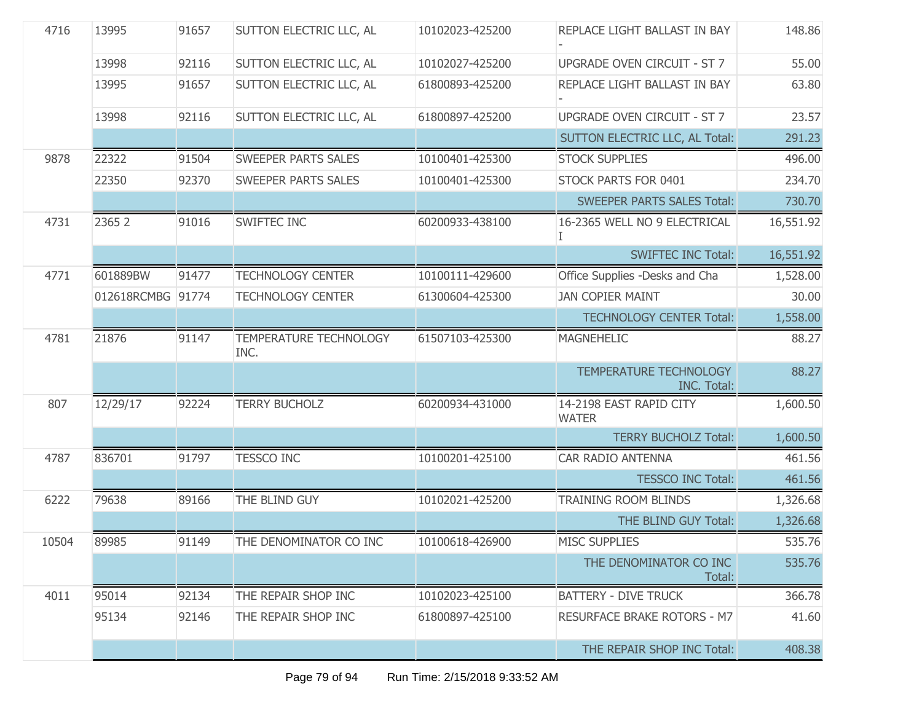| 4716  | 13995             | 91657 | SUTTON ELECTRIC LLC, AL               | 10102023-425200 | REPLACE LIGHT BALLAST IN BAY                 | 148.86    |
|-------|-------------------|-------|---------------------------------------|-----------------|----------------------------------------------|-----------|
|       | 13998             | 92116 | SUTTON ELECTRIC LLC, AL               | 10102027-425200 | <b>UPGRADE OVEN CIRCUIT - ST 7</b>           | 55.00     |
|       | 13995             | 91657 | SUTTON ELECTRIC LLC, AL               | 61800893-425200 | REPLACE LIGHT BALLAST IN BAY                 | 63.80     |
|       | 13998             | 92116 | SUTTON ELECTRIC LLC, AL               | 61800897-425200 | <b>UPGRADE OVEN CIRCUIT - ST 7</b>           | 23.57     |
|       |                   |       |                                       |                 | SUTTON ELECTRIC LLC, AL Total:               | 291.23    |
| 9878  | 22322             | 91504 | <b>SWEEPER PARTS SALES</b>            | 10100401-425300 | <b>STOCK SUPPLIES</b>                        | 496.00    |
|       | 22350             | 92370 | <b>SWEEPER PARTS SALES</b>            | 10100401-425300 | STOCK PARTS FOR 0401                         | 234.70    |
|       |                   |       |                                       |                 | <b>SWEEPER PARTS SALES Total:</b>            | 730.70    |
| 4731  | 2365 2            | 91016 | SWIFTEC INC                           | 60200933-438100 | 16-2365 WELL NO 9 ELECTRICAL                 | 16,551.92 |
|       |                   |       |                                       |                 | <b>SWIFTEC INC Total:</b>                    | 16,551.92 |
| 4771  | 601889BW          | 91477 | <b>TECHNOLOGY CENTER</b>              | 10100111-429600 | Office Supplies -Desks and Cha               | 1,528.00  |
|       | 012618RCMBG 91774 |       | <b>TECHNOLOGY CENTER</b>              | 61300604-425300 | <b>JAN COPIER MAINT</b>                      | 30.00     |
|       |                   |       |                                       |                 | <b>TECHNOLOGY CENTER Total:</b>              | 1,558.00  |
| 4781  | 21876             | 91147 | <b>TEMPERATURE TECHNOLOGY</b><br>INC. | 61507103-425300 | <b>MAGNEHELIC</b>                            | 88.27     |
|       |                   |       |                                       |                 | TEMPERATURE TECHNOLOGY<br><b>INC. Total:</b> | 88.27     |
| 807   | 12/29/17          | 92224 | <b>TERRY BUCHOLZ</b>                  | 60200934-431000 | 14-2198 EAST RAPID CITY<br><b>WATER</b>      | 1,600.50  |
|       |                   |       |                                       |                 | <b>TERRY BUCHOLZ Total:</b>                  | 1,600.50  |
| 4787  | 836701            | 91797 | <b>TESSCO INC</b>                     | 10100201-425100 | <b>CAR RADIO ANTENNA</b>                     | 461.56    |
|       |                   |       |                                       |                 | <b>TESSCO INC Total:</b>                     | 461.56    |
| 6222  | 79638             | 89166 | THE BLIND GUY                         | 10102021-425200 | <b>TRAINING ROOM BLINDS</b>                  | 1,326.68  |
|       |                   |       |                                       |                 | THE BLIND GUY Total:                         | 1,326.68  |
| 10504 | 89985             | 91149 | THE DENOMINATOR CO INC                | 10100618-426900 | <b>MISC SUPPLIES</b>                         | 535.76    |
|       |                   |       |                                       |                 | THE DENOMINATOR CO INC<br>Total:             | 535.76    |
| 4011  | 95014             | 92134 | THE REPAIR SHOP INC                   | 10102023-425100 | <b>BATTERY - DIVE TRUCK</b>                  | 366.78    |
|       | 95134             | 92146 | THE REPAIR SHOP INC                   | 61800897-425100 | <b>RESURFACE BRAKE ROTORS - M7</b>           | 41.60     |
|       |                   |       |                                       |                 | THE REPAIR SHOP INC Total:                   | 408.38    |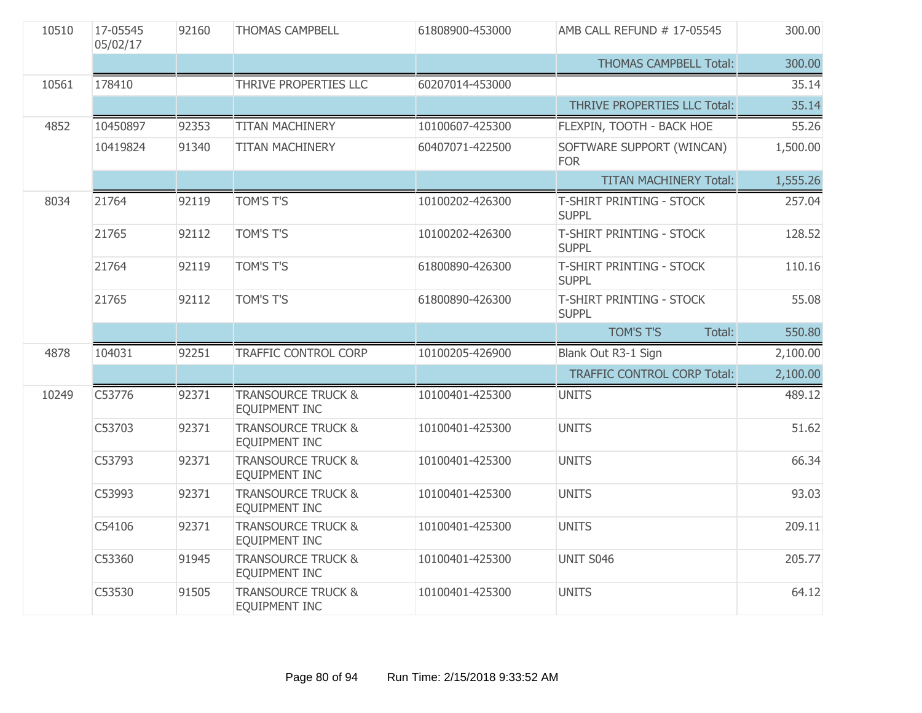| 10510 | 17-05545<br>05/02/17 | 92160 | <b>THOMAS CAMPBELL</b>                                | 61808900-453000 | AMB CALL REFUND # 17-05545               | 300.00   |
|-------|----------------------|-------|-------------------------------------------------------|-----------------|------------------------------------------|----------|
|       |                      |       |                                                       |                 | <b>THOMAS CAMPBELL Total:</b>            | 300.00   |
| 10561 | 178410               |       | THRIVE PROPERTIES LLC                                 | 60207014-453000 |                                          | 35.14    |
|       |                      |       |                                                       |                 | THRIVE PROPERTIES LLC Total:             | 35.14    |
| 4852  | 10450897             | 92353 | <b>TITAN MACHINERY</b>                                | 10100607-425300 | FLEXPIN, TOOTH - BACK HOE                | 55.26    |
|       | 10419824             | 91340 | <b>TITAN MACHINERY</b>                                | 60407071-422500 | SOFTWARE SUPPORT (WINCAN)<br><b>FOR</b>  | 1,500.00 |
|       |                      |       |                                                       |                 | <b>TITAN MACHINERY Total:</b>            | 1,555.26 |
| 8034  | 21764                | 92119 | <b>TOM'S T'S</b>                                      | 10100202-426300 | T-SHIRT PRINTING - STOCK<br><b>SUPPL</b> | 257.04   |
|       | 21765                | 92112 | <b>TOM'S T'S</b>                                      | 10100202-426300 | T-SHIRT PRINTING - STOCK<br><b>SUPPL</b> | 128.52   |
|       | 21764                | 92119 | <b>TOM'S T'S</b>                                      | 61800890-426300 | T-SHIRT PRINTING - STOCK<br><b>SUPPL</b> | 110.16   |
|       | 21765                | 92112 | <b>TOM'S T'S</b>                                      | 61800890-426300 | T-SHIRT PRINTING - STOCK<br><b>SUPPL</b> | 55.08    |
|       |                      |       |                                                       |                 | <b>TOM'S T'S</b><br>Total:               | 550.80   |
| 4878  | 104031               | 92251 | <b>TRAFFIC CONTROL CORP</b>                           | 10100205-426900 | Blank Out R3-1 Sign                      | 2,100.00 |
|       |                      |       |                                                       |                 | <b>TRAFFIC CONTROL CORP Total:</b>       | 2,100.00 |
| 10249 | C53776               | 92371 | <b>TRANSOURCE TRUCK &amp;</b><br>EQUIPMENT INC        | 10100401-425300 | <b>UNITS</b>                             | 489.12   |
|       | C53703               | 92371 | <b>TRANSOURCE TRUCK &amp;</b><br><b>EQUIPMENT INC</b> | 10100401-425300 | <b>UNITS</b>                             | 51.62    |
|       | C53793               | 92371 | <b>TRANSOURCE TRUCK &amp;</b><br><b>EQUIPMENT INC</b> | 10100401-425300 | <b>UNITS</b>                             | 66.34    |
|       | C53993               | 92371 | <b>TRANSOURCE TRUCK &amp;</b><br>EQUIPMENT INC        | 10100401-425300 | <b>UNITS</b>                             | 93.03    |
|       | C54106               | 92371 | <b>TRANSOURCE TRUCK &amp;</b><br><b>EQUIPMENT INC</b> | 10100401-425300 | <b>UNITS</b>                             | 209.11   |
|       | C53360               | 91945 | <b>TRANSOURCE TRUCK &amp;</b><br><b>EQUIPMENT INC</b> | 10100401-425300 | UNIT S046                                | 205.77   |
|       | C53530               | 91505 | <b>TRANSOURCE TRUCK &amp;</b><br>EQUIPMENT INC        | 10100401-425300 | <b>UNITS</b>                             | 64.12    |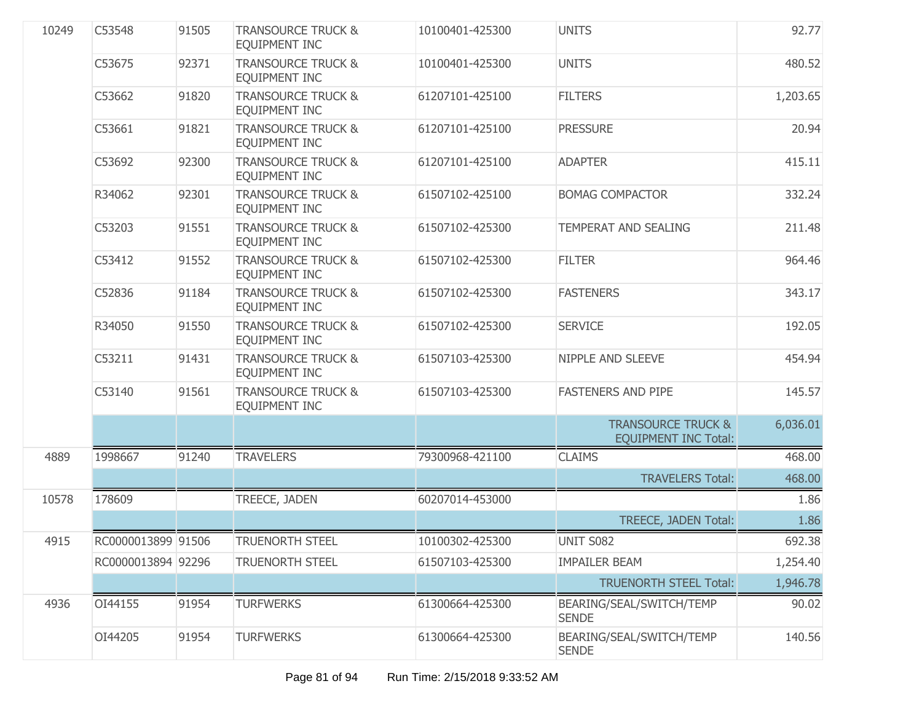| 10249 | C53548             | 91505 | <b>TRANSOURCE TRUCK &amp;</b><br>EQUIPMENT INC | 10100401-425300 | <b>UNITS</b>                                                 | 92.77    |
|-------|--------------------|-------|------------------------------------------------|-----------------|--------------------------------------------------------------|----------|
|       | C53675             | 92371 | <b>TRANSOURCE TRUCK &amp;</b><br>EQUIPMENT INC | 10100401-425300 | <b>UNITS</b>                                                 | 480.52   |
|       | C53662             | 91820 | <b>TRANSOURCE TRUCK &amp;</b><br>EQUIPMENT INC | 61207101-425100 | <b>FILTERS</b>                                               | 1,203.65 |
|       | C53661             | 91821 | <b>TRANSOURCE TRUCK &amp;</b><br>EQUIPMENT INC | 61207101-425100 | <b>PRESSURE</b>                                              | 20.94    |
|       | C53692             | 92300 | <b>TRANSOURCE TRUCK &amp;</b><br>EQUIPMENT INC | 61207101-425100 | <b>ADAPTER</b>                                               | 415.11   |
|       | R34062             | 92301 | <b>TRANSOURCE TRUCK &amp;</b><br>EQUIPMENT INC | 61507102-425100 | <b>BOMAG COMPACTOR</b>                                       | 332.24   |
|       | C53203             | 91551 | <b>TRANSOURCE TRUCK &amp;</b><br>EQUIPMENT INC | 61507102-425300 | <b>TEMPERAT AND SEALING</b>                                  | 211.48   |
|       | C53412             | 91552 | <b>TRANSOURCE TRUCK &amp;</b><br>EQUIPMENT INC | 61507102-425300 | <b>FILTER</b>                                                | 964.46   |
|       | C52836             | 91184 | <b>TRANSOURCE TRUCK &amp;</b><br>EQUIPMENT INC | 61507102-425300 | <b>FASTENERS</b>                                             | 343.17   |
|       | R34050             | 91550 | <b>TRANSOURCE TRUCK &amp;</b><br>EQUIPMENT INC | 61507102-425300 | <b>SERVICE</b>                                               | 192.05   |
|       | C53211             | 91431 | <b>TRANSOURCE TRUCK &amp;</b><br>EQUIPMENT INC | 61507103-425300 | <b>NIPPLE AND SLEEVE</b>                                     | 454.94   |
|       | C53140             | 91561 | <b>TRANSOURCE TRUCK &amp;</b><br>EQUIPMENT INC | 61507103-425300 | <b>FASTENERS AND PIPE</b>                                    | 145.57   |
|       |                    |       |                                                |                 | <b>TRANSOURCE TRUCK &amp;</b><br><b>EQUIPMENT INC Total:</b> | 6,036.01 |
| 4889  | 1998667            | 91240 | <b>TRAVELERS</b>                               | 79300968-421100 | <b>CLAIMS</b>                                                | 468.00   |
|       |                    |       |                                                |                 | <b>TRAVELERS Total:</b>                                      | 468.00   |
| 10578 | 178609             |       | TREECE, JADEN                                  | 60207014-453000 |                                                              | 1.86     |
|       |                    |       |                                                |                 | TREECE, JADEN Total:                                         | 1.86     |
| 4915  | RC0000013899 91506 |       | <b>TRUENORTH STEEL</b>                         | 10100302-425300 | UNIT S082                                                    | 692.38   |
|       | RC0000013894 92296 |       | <b>TRUENORTH STEEL</b>                         | 61507103-425300 | <b>IMPAILER BEAM</b>                                         | 1,254.40 |
|       |                    |       |                                                |                 | <b>TRUENORTH STEEL Total:</b>                                | 1,946.78 |
| 4936  | OI44155            | 91954 | <b>TURFWERKS</b>                               | 61300664-425300 | BEARING/SEAL/SWITCH/TEMP<br><b>SENDE</b>                     | 90.02    |
|       | OI44205            | 91954 | <b>TURFWERKS</b>                               | 61300664-425300 | BEARING/SEAL/SWITCH/TEMP<br><b>SENDE</b>                     | 140.56   |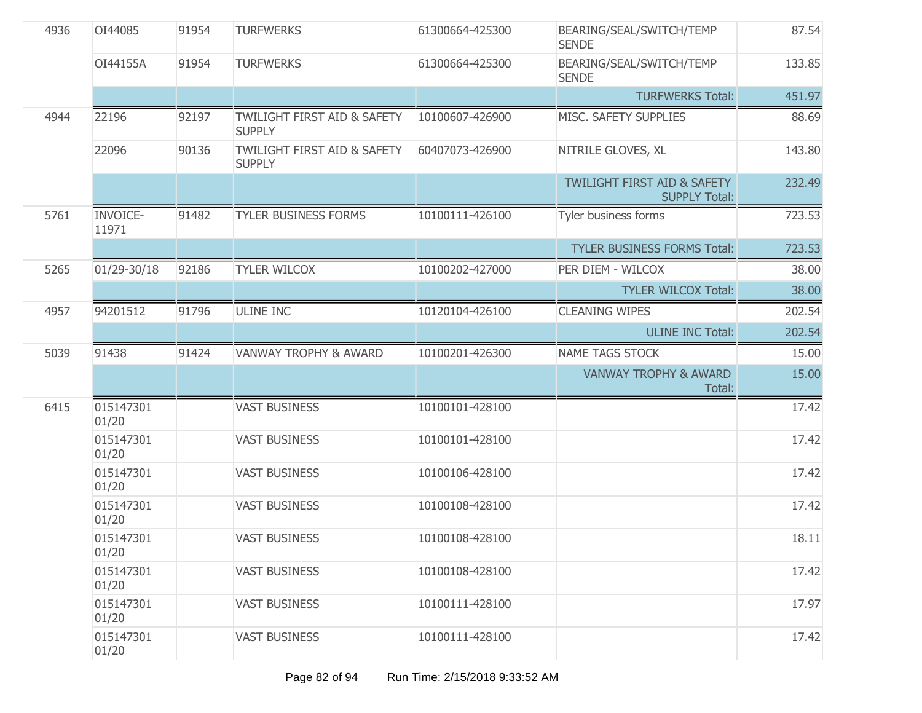| 4936<br>OI44085 |                          | 91954 | <b>TURFWERKS</b>                                        | 61300664-425300 | BEARING/SEAL/SWITCH/TEMP<br><b>SENDE</b>                       | 87.54  |
|-----------------|--------------------------|-------|---------------------------------------------------------|-----------------|----------------------------------------------------------------|--------|
|                 | OI44155A                 | 91954 | <b>TURFWERKS</b>                                        | 61300664-425300 | BEARING/SEAL/SWITCH/TEMP<br><b>SENDE</b>                       | 133.85 |
|                 |                          |       |                                                         |                 | <b>TURFWERKS Total:</b>                                        | 451.97 |
| 4944            | 22196                    | 92197 | <b>TWILIGHT FIRST AID &amp; SAFETY</b><br><b>SUPPLY</b> | 10100607-426900 | MISC. SAFETY SUPPLIES                                          | 88.69  |
|                 | 22096                    | 90136 | <b>TWILIGHT FIRST AID &amp; SAFETY</b><br><b>SUPPLY</b> | 60407073-426900 | NITRILE GLOVES, XL                                             | 143.80 |
|                 |                          |       |                                                         |                 | <b>TWILIGHT FIRST AID &amp; SAFETY</b><br><b>SUPPLY Total:</b> | 232.49 |
| 5761            | <b>INVOICE-</b><br>11971 | 91482 | <b>TYLER BUSINESS FORMS</b>                             | 10100111-426100 | Tyler business forms                                           | 723.53 |
|                 |                          |       |                                                         |                 | <b>TYLER BUSINESS FORMS Total:</b>                             | 723.53 |
| 5265            | 01/29-30/18              | 92186 | <b>TYLER WILCOX</b>                                     | 10100202-427000 | PER DIEM - WILCOX                                              | 38.00  |
|                 |                          |       |                                                         |                 | <b>TYLER WILCOX Total:</b>                                     | 38.00  |
| 4957            | 94201512                 | 91796 | <b>ULINE INC</b>                                        | 10120104-426100 | <b>CLEANING WIPES</b>                                          | 202.54 |
|                 |                          |       |                                                         |                 | <b>ULINE INC Total:</b>                                        | 202.54 |
| 5039            | 91438                    | 91424 | <b>VANWAY TROPHY &amp; AWARD</b>                        | 10100201-426300 | <b>NAME TAGS STOCK</b>                                         | 15.00  |
|                 |                          |       |                                                         |                 | <b>VANWAY TROPHY &amp; AWARD</b><br>Total:                     | 15.00  |
| 6415            | 015147301<br>01/20       |       | <b>VAST BUSINESS</b>                                    | 10100101-428100 |                                                                | 17.42  |
|                 | 015147301<br>01/20       |       | <b>VAST BUSINESS</b>                                    | 10100101-428100 |                                                                | 17.42  |
|                 | 015147301<br>01/20       |       | <b>VAST BUSINESS</b>                                    | 10100106-428100 |                                                                | 17.42  |
|                 | 015147301<br>01/20       |       | <b>VAST BUSINESS</b>                                    | 10100108-428100 |                                                                | 17.42  |
|                 | 015147301<br>01/20       |       | <b>VAST BUSINESS</b>                                    | 10100108-428100 |                                                                | 18.11  |
|                 | 015147301<br>01/20       |       | <b>VAST BUSINESS</b>                                    | 10100108-428100 |                                                                | 17.42  |
|                 | 015147301<br>01/20       |       | <b>VAST BUSINESS</b>                                    | 10100111-428100 |                                                                | 17.97  |
|                 | 015147301<br>01/20       |       | <b>VAST BUSINESS</b>                                    | 10100111-428100 |                                                                | 17.42  |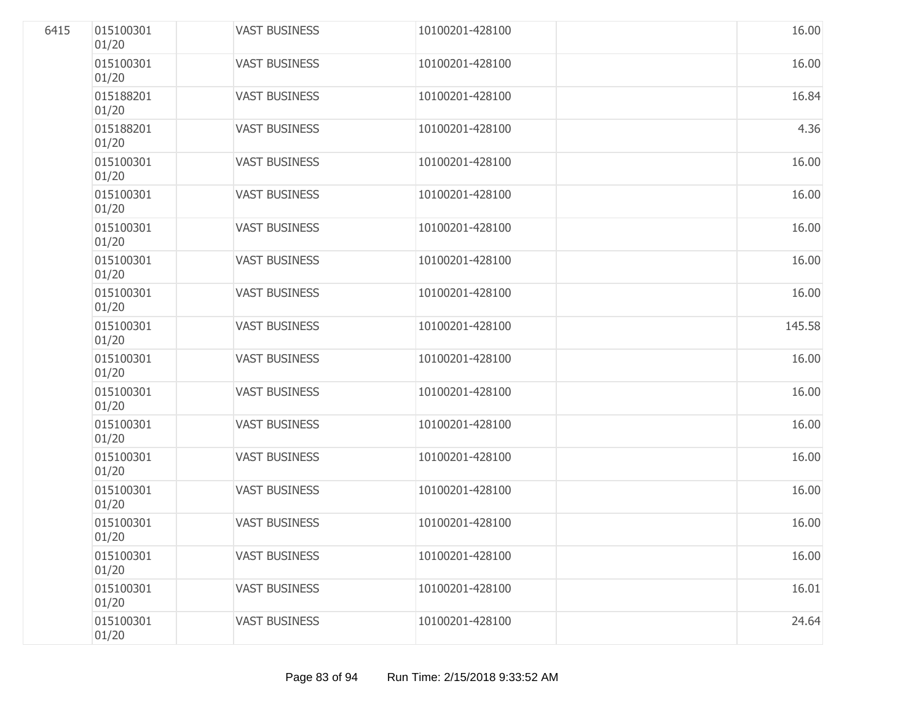| 6415 | 015100301<br>01/20 | <b>VAST BUSINESS</b> | 10100201-428100 | 16.00  |
|------|--------------------|----------------------|-----------------|--------|
|      | 015100301<br>01/20 | <b>VAST BUSINESS</b> | 10100201-428100 | 16.00  |
|      | 015188201<br>01/20 | <b>VAST BUSINESS</b> | 10100201-428100 | 16.84  |
|      | 015188201<br>01/20 | <b>VAST BUSINESS</b> | 10100201-428100 | 4.36   |
|      | 015100301<br>01/20 | <b>VAST BUSINESS</b> | 10100201-428100 | 16.00  |
|      | 015100301<br>01/20 | <b>VAST BUSINESS</b> | 10100201-428100 | 16.00  |
|      | 015100301<br>01/20 | <b>VAST BUSINESS</b> | 10100201-428100 | 16.00  |
|      | 015100301<br>01/20 | <b>VAST BUSINESS</b> | 10100201-428100 | 16.00  |
|      | 015100301<br>01/20 | <b>VAST BUSINESS</b> | 10100201-428100 | 16.00  |
|      | 015100301<br>01/20 | <b>VAST BUSINESS</b> | 10100201-428100 | 145.58 |
|      | 015100301<br>01/20 | <b>VAST BUSINESS</b> | 10100201-428100 | 16.00  |
|      | 015100301<br>01/20 | <b>VAST BUSINESS</b> | 10100201-428100 | 16.00  |
|      | 015100301<br>01/20 | <b>VAST BUSINESS</b> | 10100201-428100 | 16.00  |
|      | 015100301<br>01/20 | <b>VAST BUSINESS</b> | 10100201-428100 | 16.00  |
|      | 015100301<br>01/20 | <b>VAST BUSINESS</b> | 10100201-428100 | 16.00  |
|      | 015100301<br>01/20 | <b>VAST BUSINESS</b> | 10100201-428100 | 16.00  |
|      | 015100301<br>01/20 | <b>VAST BUSINESS</b> | 10100201-428100 | 16.00  |
|      | 015100301<br>01/20 | <b>VAST BUSINESS</b> | 10100201-428100 | 16.01  |
|      | 015100301<br>01/20 | <b>VAST BUSINESS</b> | 10100201-428100 | 24.64  |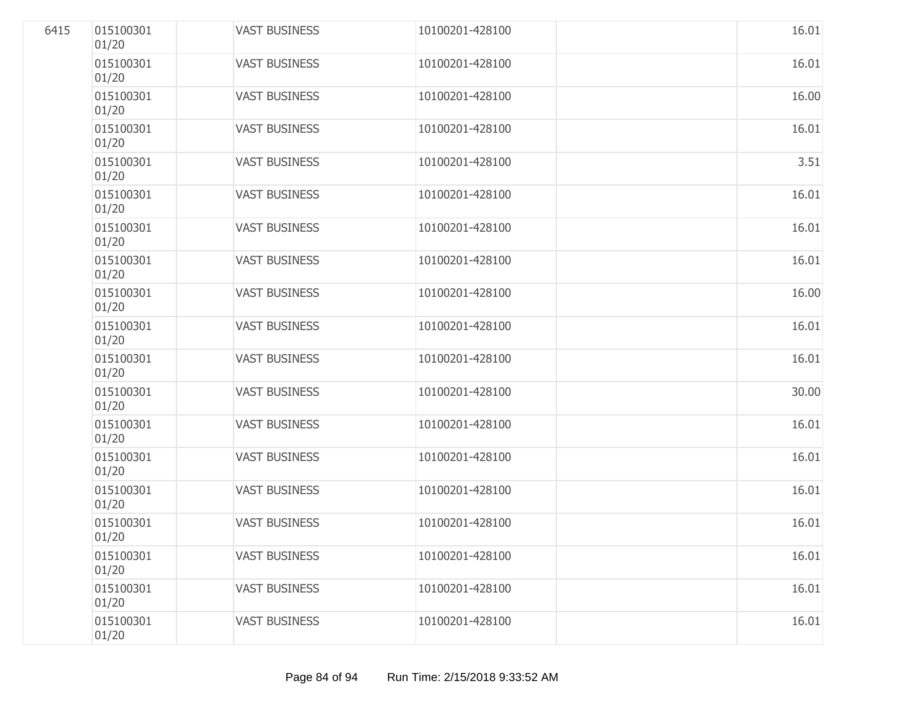| 6415 | 015100301<br>01/20 | <b>VAST BUSINESS</b> | 10100201-428100 | 16.01 |
|------|--------------------|----------------------|-----------------|-------|
|      | 015100301<br>01/20 | <b>VAST BUSINESS</b> | 10100201-428100 | 16.01 |
|      | 015100301<br>01/20 | <b>VAST BUSINESS</b> | 10100201-428100 | 16.00 |
|      | 015100301<br>01/20 | <b>VAST BUSINESS</b> | 10100201-428100 | 16.01 |
|      | 015100301<br>01/20 | <b>VAST BUSINESS</b> | 10100201-428100 | 3.51  |
|      | 015100301<br>01/20 | <b>VAST BUSINESS</b> | 10100201-428100 | 16.01 |
|      | 015100301<br>01/20 | <b>VAST BUSINESS</b> | 10100201-428100 | 16.01 |
|      | 015100301<br>01/20 | <b>VAST BUSINESS</b> | 10100201-428100 | 16.01 |
|      | 015100301<br>01/20 | <b>VAST BUSINESS</b> | 10100201-428100 | 16.00 |
|      | 015100301<br>01/20 | <b>VAST BUSINESS</b> | 10100201-428100 | 16.01 |
|      | 015100301<br>01/20 | <b>VAST BUSINESS</b> | 10100201-428100 | 16.01 |
|      | 015100301<br>01/20 | <b>VAST BUSINESS</b> | 10100201-428100 | 30.00 |
|      | 015100301<br>01/20 | <b>VAST BUSINESS</b> | 10100201-428100 | 16.01 |
|      | 015100301<br>01/20 | <b>VAST BUSINESS</b> | 10100201-428100 | 16.01 |
|      | 015100301<br>01/20 | <b>VAST BUSINESS</b> | 10100201-428100 | 16.01 |
|      | 015100301<br>01/20 | <b>VAST BUSINESS</b> | 10100201-428100 | 16.01 |
|      | 015100301<br>01/20 | <b>VAST BUSINESS</b> | 10100201-428100 | 16.01 |
|      | 015100301<br>01/20 | <b>VAST BUSINESS</b> | 10100201-428100 | 16.01 |
|      | 015100301<br>01/20 | <b>VAST BUSINESS</b> | 10100201-428100 | 16.01 |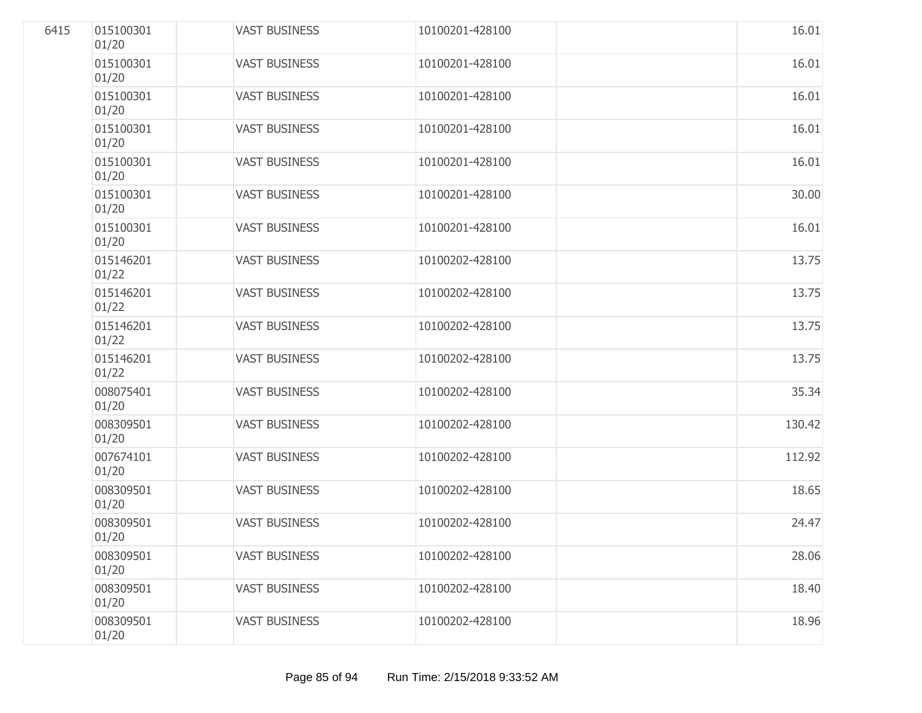| 6415 | 015100301<br>01/20 | <b>VAST BUSINESS</b> | 10100201-428100 | 16.01  |
|------|--------------------|----------------------|-----------------|--------|
|      | 015100301<br>01/20 | <b>VAST BUSINESS</b> | 10100201-428100 | 16.01  |
|      | 015100301<br>01/20 | <b>VAST BUSINESS</b> | 10100201-428100 | 16.01  |
|      | 015100301<br>01/20 | <b>VAST BUSINESS</b> | 10100201-428100 | 16.01  |
|      | 015100301<br>01/20 | <b>VAST BUSINESS</b> | 10100201-428100 | 16.01  |
|      | 015100301<br>01/20 | <b>VAST BUSINESS</b> | 10100201-428100 | 30.00  |
|      | 015100301<br>01/20 | <b>VAST BUSINESS</b> | 10100201-428100 | 16.01  |
|      | 015146201<br>01/22 | <b>VAST BUSINESS</b> | 10100202-428100 | 13.75  |
|      | 015146201<br>01/22 | <b>VAST BUSINESS</b> | 10100202-428100 | 13.75  |
|      | 015146201<br>01/22 | <b>VAST BUSINESS</b> | 10100202-428100 | 13.75  |
|      | 015146201<br>01/22 | <b>VAST BUSINESS</b> | 10100202-428100 | 13.75  |
|      | 008075401<br>01/20 | <b>VAST BUSINESS</b> | 10100202-428100 | 35.34  |
|      | 008309501<br>01/20 | <b>VAST BUSINESS</b> | 10100202-428100 | 130.42 |
|      | 007674101<br>01/20 | <b>VAST BUSINESS</b> | 10100202-428100 | 112.92 |
|      | 008309501<br>01/20 | <b>VAST BUSINESS</b> | 10100202-428100 | 18.65  |
|      | 008309501<br>01/20 | <b>VAST BUSINESS</b> | 10100202-428100 | 24.47  |
|      | 008309501<br>01/20 | <b>VAST BUSINESS</b> | 10100202-428100 | 28.06  |
|      | 008309501<br>01/20 | <b>VAST BUSINESS</b> | 10100202-428100 | 18.40  |
|      | 008309501<br>01/20 | <b>VAST BUSINESS</b> | 10100202-428100 | 18.96  |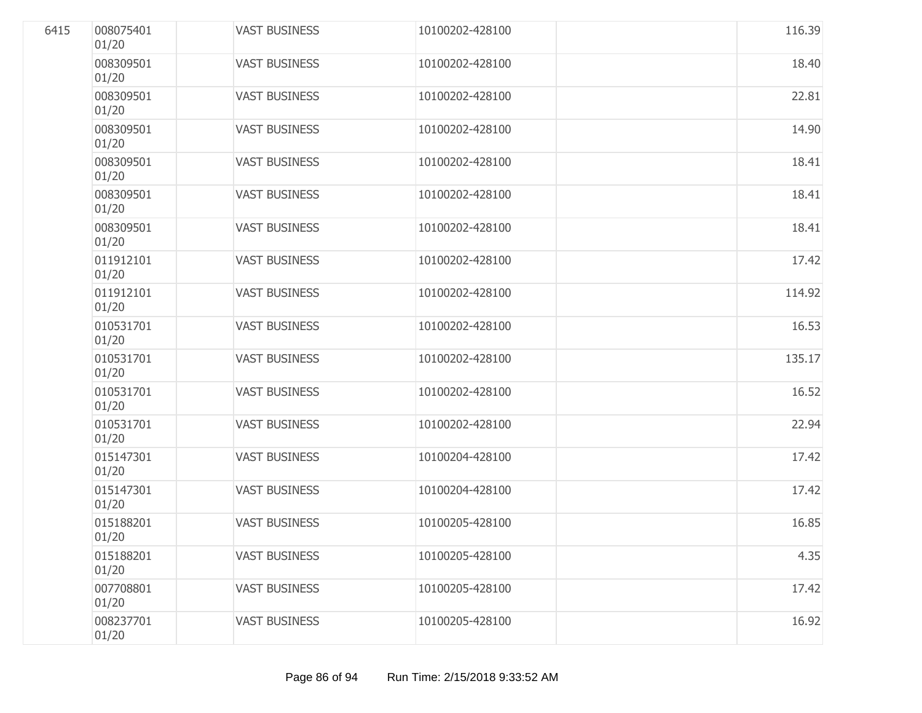| 6415 | 008075401<br>01/20 | <b>VAST BUSINESS</b> | 10100202-428100 | 116.39 |
|------|--------------------|----------------------|-----------------|--------|
|      | 008309501<br>01/20 | <b>VAST BUSINESS</b> | 10100202-428100 | 18.40  |
|      | 008309501<br>01/20 | <b>VAST BUSINESS</b> | 10100202-428100 | 22.81  |
|      | 008309501<br>01/20 | <b>VAST BUSINESS</b> | 10100202-428100 | 14.90  |
|      | 008309501<br>01/20 | <b>VAST BUSINESS</b> | 10100202-428100 | 18.41  |
|      | 008309501<br>01/20 | <b>VAST BUSINESS</b> | 10100202-428100 | 18.41  |
|      | 008309501<br>01/20 | <b>VAST BUSINESS</b> | 10100202-428100 | 18.41  |
|      | 011912101<br>01/20 | <b>VAST BUSINESS</b> | 10100202-428100 | 17.42  |
|      | 011912101<br>01/20 | <b>VAST BUSINESS</b> | 10100202-428100 | 114.92 |
|      | 010531701<br>01/20 | <b>VAST BUSINESS</b> | 10100202-428100 | 16.53  |
|      | 010531701<br>01/20 | <b>VAST BUSINESS</b> | 10100202-428100 | 135.17 |
|      | 010531701<br>01/20 | <b>VAST BUSINESS</b> | 10100202-428100 | 16.52  |
|      | 010531701<br>01/20 | <b>VAST BUSINESS</b> | 10100202-428100 | 22.94  |
|      | 015147301<br>01/20 | <b>VAST BUSINESS</b> | 10100204-428100 | 17.42  |
|      | 015147301<br>01/20 | <b>VAST BUSINESS</b> | 10100204-428100 | 17.42  |
|      | 015188201<br>01/20 | <b>VAST BUSINESS</b> | 10100205-428100 | 16.85  |
|      | 015188201<br>01/20 | <b>VAST BUSINESS</b> | 10100205-428100 | 4.35   |
|      | 007708801<br>01/20 | <b>VAST BUSINESS</b> | 10100205-428100 | 17.42  |
|      | 008237701<br>01/20 | <b>VAST BUSINESS</b> | 10100205-428100 | 16.92  |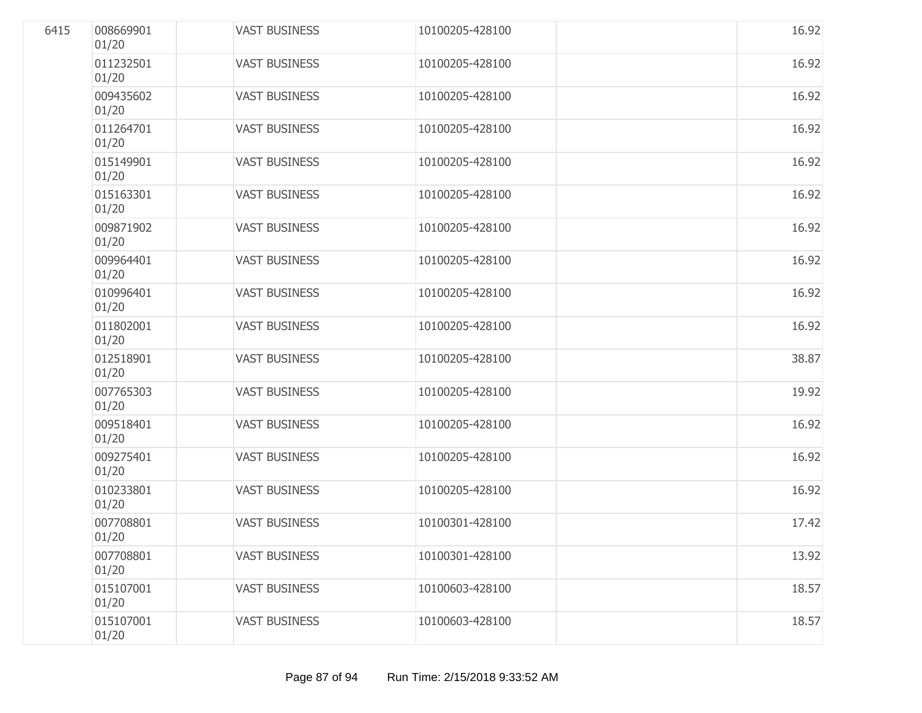| 6415 | 008669901<br>01/20 | <b>VAST BUSINESS</b> | 10100205-428100 | 16.92 |
|------|--------------------|----------------------|-----------------|-------|
|      | 011232501<br>01/20 | <b>VAST BUSINESS</b> | 10100205-428100 | 16.92 |
|      | 009435602<br>01/20 | <b>VAST BUSINESS</b> | 10100205-428100 | 16.92 |
|      | 011264701<br>01/20 | <b>VAST BUSINESS</b> | 10100205-428100 | 16.92 |
|      | 015149901<br>01/20 | <b>VAST BUSINESS</b> | 10100205-428100 | 16.92 |
|      | 015163301<br>01/20 | <b>VAST BUSINESS</b> | 10100205-428100 | 16.92 |
|      | 009871902<br>01/20 | <b>VAST BUSINESS</b> | 10100205-428100 | 16.92 |
|      | 009964401<br>01/20 | <b>VAST BUSINESS</b> | 10100205-428100 | 16.92 |
|      | 010996401<br>01/20 | <b>VAST BUSINESS</b> | 10100205-428100 | 16.92 |
|      | 011802001<br>01/20 | <b>VAST BUSINESS</b> | 10100205-428100 | 16.92 |
|      | 012518901<br>01/20 | <b>VAST BUSINESS</b> | 10100205-428100 | 38.87 |
|      | 007765303<br>01/20 | <b>VAST BUSINESS</b> | 10100205-428100 | 19.92 |
|      | 009518401<br>01/20 | <b>VAST BUSINESS</b> | 10100205-428100 | 16.92 |
|      | 009275401<br>01/20 | <b>VAST BUSINESS</b> | 10100205-428100 | 16.92 |
|      | 010233801<br>01/20 | <b>VAST BUSINESS</b> | 10100205-428100 | 16.92 |
|      | 007708801<br>01/20 | <b>VAST BUSINESS</b> | 10100301-428100 | 17.42 |
|      | 007708801<br>01/20 | <b>VAST BUSINESS</b> | 10100301-428100 | 13.92 |
|      | 015107001<br>01/20 | <b>VAST BUSINESS</b> | 10100603-428100 | 18.57 |
|      | 015107001<br>01/20 | <b>VAST BUSINESS</b> | 10100603-428100 | 18.57 |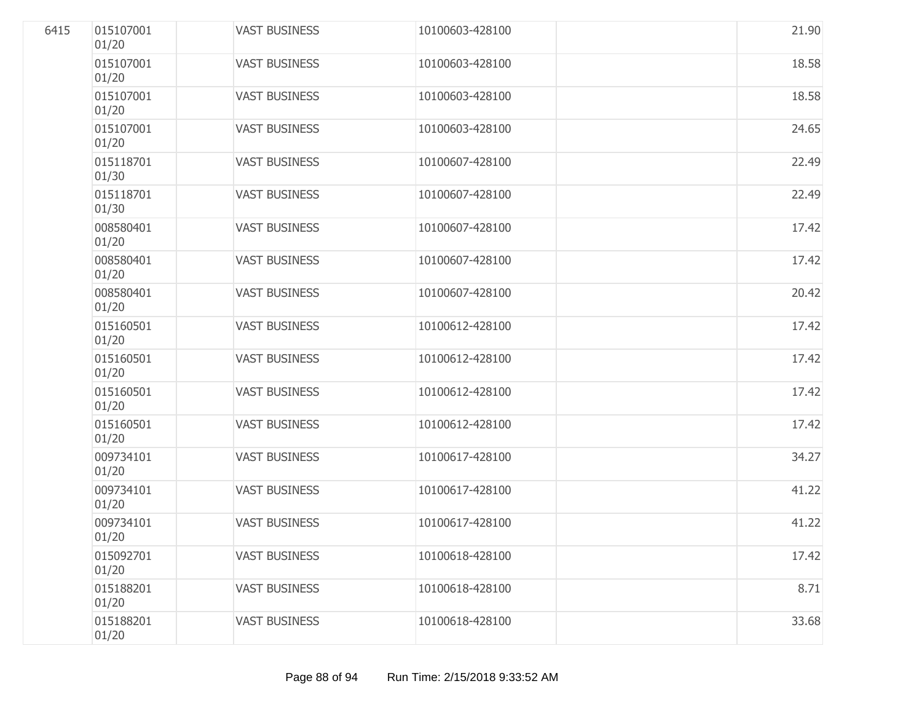| 6415 | 015107001<br>01/20 | <b>VAST BUSINESS</b> | 10100603-428100 | 21.90 |
|------|--------------------|----------------------|-----------------|-------|
|      | 015107001<br>01/20 | <b>VAST BUSINESS</b> | 10100603-428100 | 18.58 |
|      | 015107001<br>01/20 | <b>VAST BUSINESS</b> | 10100603-428100 | 18.58 |
|      | 015107001<br>01/20 | <b>VAST BUSINESS</b> | 10100603-428100 | 24.65 |
|      | 015118701<br>01/30 | <b>VAST BUSINESS</b> | 10100607-428100 | 22.49 |
|      | 015118701<br>01/30 | <b>VAST BUSINESS</b> | 10100607-428100 | 22.49 |
|      | 008580401<br>01/20 | <b>VAST BUSINESS</b> | 10100607-428100 | 17.42 |
|      | 008580401<br>01/20 | <b>VAST BUSINESS</b> | 10100607-428100 | 17.42 |
|      | 008580401<br>01/20 | <b>VAST BUSINESS</b> | 10100607-428100 | 20.42 |
|      | 015160501<br>01/20 | <b>VAST BUSINESS</b> | 10100612-428100 | 17.42 |
|      | 015160501<br>01/20 | <b>VAST BUSINESS</b> | 10100612-428100 | 17.42 |
|      | 015160501<br>01/20 | <b>VAST BUSINESS</b> | 10100612-428100 | 17.42 |
|      | 015160501<br>01/20 | <b>VAST BUSINESS</b> | 10100612-428100 | 17.42 |
|      | 009734101<br>01/20 | <b>VAST BUSINESS</b> | 10100617-428100 | 34.27 |
|      | 009734101<br>01/20 | <b>VAST BUSINESS</b> | 10100617-428100 | 41.22 |
|      | 009734101<br>01/20 | <b>VAST BUSINESS</b> | 10100617-428100 | 41.22 |
|      | 015092701<br>01/20 | <b>VAST BUSINESS</b> | 10100618-428100 | 17.42 |
|      | 015188201<br>01/20 | <b>VAST BUSINESS</b> | 10100618-428100 | 8.71  |
|      | 015188201<br>01/20 | <b>VAST BUSINESS</b> | 10100618-428100 | 33.68 |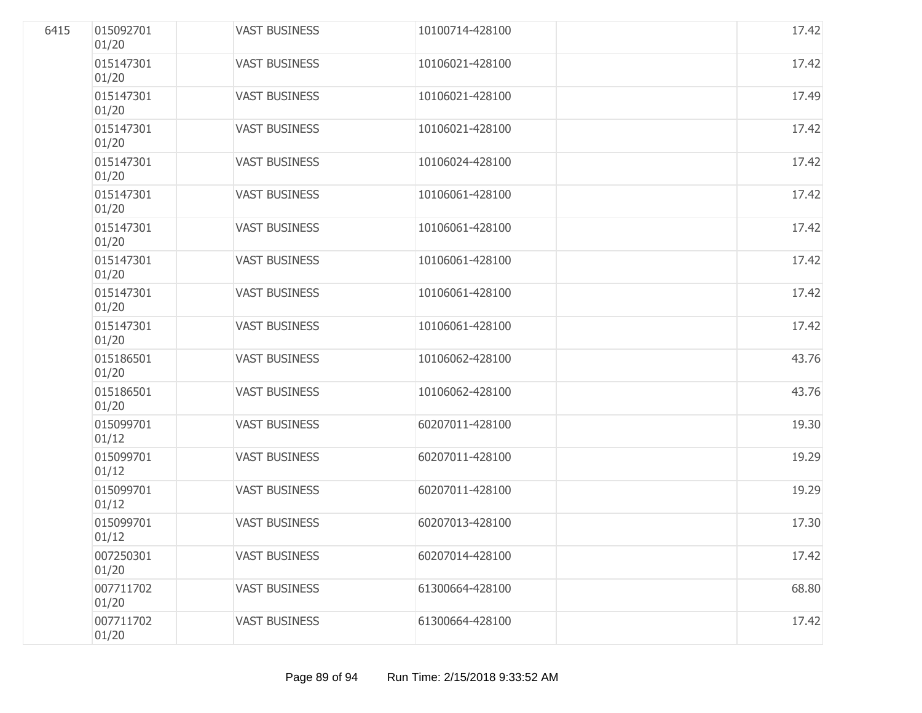| 6415 | 015092701<br>01/20 | <b>VAST BUSINESS</b> | 10100714-428100 | 17.42 |
|------|--------------------|----------------------|-----------------|-------|
|      | 015147301<br>01/20 | <b>VAST BUSINESS</b> | 10106021-428100 | 17.42 |
|      | 015147301<br>01/20 | <b>VAST BUSINESS</b> | 10106021-428100 | 17.49 |
|      | 015147301<br>01/20 | <b>VAST BUSINESS</b> | 10106021-428100 | 17.42 |
|      | 015147301<br>01/20 | <b>VAST BUSINESS</b> | 10106024-428100 | 17.42 |
|      | 015147301<br>01/20 | <b>VAST BUSINESS</b> | 10106061-428100 | 17.42 |
|      | 015147301<br>01/20 | <b>VAST BUSINESS</b> | 10106061-428100 | 17.42 |
|      | 015147301<br>01/20 | <b>VAST BUSINESS</b> | 10106061-428100 | 17.42 |
|      | 015147301<br>01/20 | <b>VAST BUSINESS</b> | 10106061-428100 | 17.42 |
|      | 015147301<br>01/20 | <b>VAST BUSINESS</b> | 10106061-428100 | 17.42 |
|      | 015186501<br>01/20 | <b>VAST BUSINESS</b> | 10106062-428100 | 43.76 |
|      | 015186501<br>01/20 | <b>VAST BUSINESS</b> | 10106062-428100 | 43.76 |
|      | 015099701<br>01/12 | <b>VAST BUSINESS</b> | 60207011-428100 | 19.30 |
|      | 015099701<br>01/12 | <b>VAST BUSINESS</b> | 60207011-428100 | 19.29 |
|      | 015099701<br>01/12 | <b>VAST BUSINESS</b> | 60207011-428100 | 19.29 |
|      | 015099701<br>01/12 | <b>VAST BUSINESS</b> | 60207013-428100 | 17.30 |
|      | 007250301<br>01/20 | <b>VAST BUSINESS</b> | 60207014-428100 | 17.42 |
|      | 007711702<br>01/20 | <b>VAST BUSINESS</b> | 61300664-428100 | 68.80 |
|      | 007711702<br>01/20 | <b>VAST BUSINESS</b> | 61300664-428100 | 17.42 |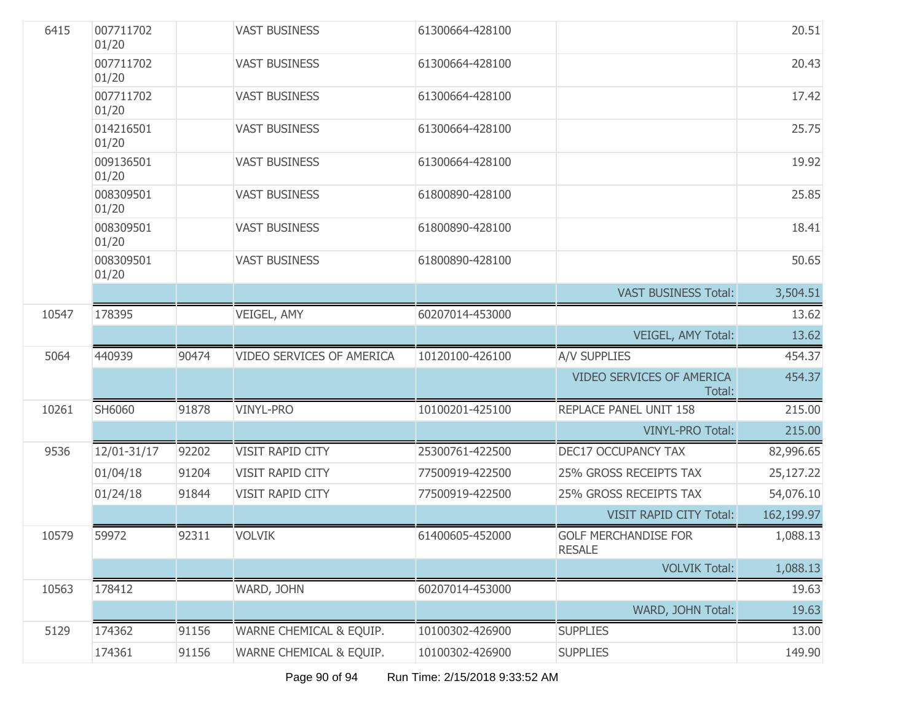| 6415  | 007711702<br>01/20 |       | <b>VAST BUSINESS</b>      | 61300664-428100 |                                              | 20.51      |
|-------|--------------------|-------|---------------------------|-----------------|----------------------------------------------|------------|
|       | 007711702<br>01/20 |       | <b>VAST BUSINESS</b>      | 61300664-428100 |                                              | 20.43      |
|       | 007711702<br>01/20 |       | <b>VAST BUSINESS</b>      | 61300664-428100 |                                              | 17.42      |
|       | 014216501<br>01/20 |       | <b>VAST BUSINESS</b>      | 61300664-428100 |                                              | 25.75      |
|       | 009136501<br>01/20 |       | <b>VAST BUSINESS</b>      | 61300664-428100 |                                              | 19.92      |
|       | 008309501<br>01/20 |       | <b>VAST BUSINESS</b>      | 61800890-428100 |                                              | 25.85      |
|       | 008309501<br>01/20 |       | <b>VAST BUSINESS</b>      | 61800890-428100 |                                              | 18.41      |
|       | 008309501<br>01/20 |       | <b>VAST BUSINESS</b>      | 61800890-428100 |                                              | 50.65      |
|       |                    |       |                           |                 | <b>VAST BUSINESS Total:</b>                  | 3,504.51   |
| 10547 | 178395             |       | VEIGEL, AMY               | 60207014-453000 |                                              | 13.62      |
|       |                    |       |                           |                 | VEIGEL, AMY Total:                           | 13.62      |
| 5064  | 440939             | 90474 | VIDEO SERVICES OF AMERICA | 10120100-426100 | <b>A/V SUPPLIES</b>                          | 454.37     |
|       |                    |       |                           |                 | <b>VIDEO SERVICES OF AMERICA</b><br>Total:   | 454.37     |
| 10261 | SH6060             | 91878 | <b>VINYL-PRO</b>          | 10100201-425100 | REPLACE PANEL UNIT 158                       | 215.00     |
|       |                    |       |                           |                 | <b>VINYL-PRO Total:</b>                      | 215.00     |
| 9536  | 12/01-31/17        | 92202 | VISIT RAPID CITY          | 25300761-422500 | <b>DEC17 OCCUPANCY TAX</b>                   | 82,996.65  |
|       | 01/04/18           | 91204 | VISIT RAPID CITY          | 77500919-422500 | 25% GROSS RECEIPTS TAX                       | 25,127.22  |
|       | 01/24/18           | 91844 | VISIT RAPID CITY          | 77500919-422500 | 25% GROSS RECEIPTS TAX                       | 54,076.10  |
|       |                    |       |                           |                 | <b>VISIT RAPID CITY Total:</b>               | 162,199.97 |
| 10579 | 59972              | 92311 | <b>VOLVIK</b>             | 61400605-452000 | <b>GOLF MERCHANDISE FOR</b><br><b>RESALE</b> | 1,088.13   |
|       |                    |       |                           |                 | <b>VOLVIK Total:</b>                         | 1,088.13   |
| 10563 | 178412             |       | WARD, JOHN                | 60207014-453000 |                                              | 19.63      |
|       |                    |       |                           |                 | WARD, JOHN Total:                            | 19.63      |
| 5129  | 174362             | 91156 | WARNE CHEMICAL & EQUIP.   | 10100302-426900 | <b>SUPPLIES</b>                              | 13.00      |
|       | 174361             | 91156 | WARNE CHEMICAL & EQUIP.   | 10100302-426900 | <b>SUPPLIES</b>                              | 149.90     |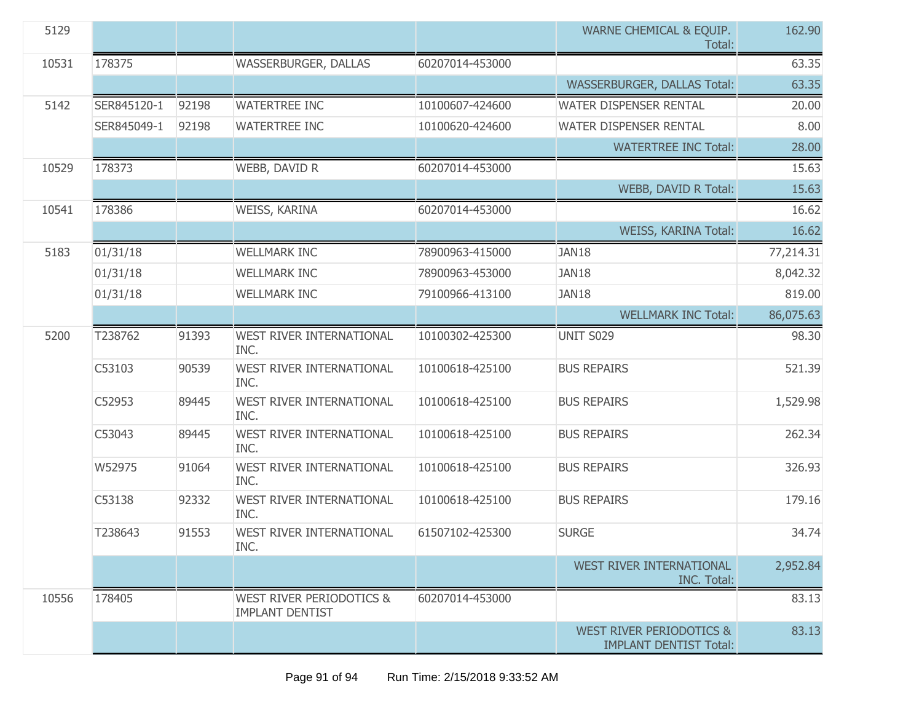| 5129  |             |       |                                                               |                 | WARNE CHEMICAL & EQUIP.<br>Total:                                    | 162.90    |
|-------|-------------|-------|---------------------------------------------------------------|-----------------|----------------------------------------------------------------------|-----------|
| 10531 | 178375      |       | WASSERBURGER, DALLAS                                          | 60207014-453000 |                                                                      | 63.35     |
|       |             |       |                                                               |                 | <b>WASSERBURGER, DALLAS Total:</b>                                   | 63.35     |
| 5142  | SER845120-1 | 92198 | <b>WATERTREE INC</b>                                          | 10100607-424600 | WATER DISPENSER RENTAL                                               | 20.00     |
|       | SER845049-1 | 92198 | <b>WATERTREE INC</b>                                          | 10100620-424600 | WATER DISPENSER RENTAL                                               | 8.00      |
|       |             |       |                                                               |                 | <b>WATERTREE INC Total:</b>                                          | 28.00     |
| 10529 | 178373      |       | WEBB, DAVID R                                                 | 60207014-453000 |                                                                      | 15.63     |
|       |             |       |                                                               |                 | WEBB, DAVID R Total:                                                 | 15.63     |
| 10541 | 178386      |       | WEISS, KARINA                                                 | 60207014-453000 |                                                                      | 16.62     |
|       |             |       |                                                               |                 | WEISS, KARINA Total:                                                 | 16.62     |
| 5183  | 01/31/18    |       | <b>WELLMARK INC</b>                                           | 78900963-415000 | JAN18                                                                | 77,214.31 |
|       | 01/31/18    |       | <b>WELLMARK INC</b>                                           | 78900963-453000 | JAN18                                                                | 8,042.32  |
|       | 01/31/18    |       | <b>WELLMARK INC</b>                                           | 79100966-413100 | JAN18                                                                | 819.00    |
|       |             |       |                                                               |                 | <b>WELLMARK INC Total:</b>                                           | 86,075.63 |
| 5200  | T238762     | 91393 | WEST RIVER INTERNATIONAL<br>INC.                              | 10100302-425300 | <b>UNIT S029</b>                                                     | 98.30     |
|       | C53103      | 90539 | <b>WEST RIVER INTERNATIONAL</b><br>INC.                       | 10100618-425100 | <b>BUS REPAIRS</b>                                                   | 521.39    |
|       | C52953      | 89445 | WEST RIVER INTERNATIONAL<br>INC.                              | 10100618-425100 | <b>BUS REPAIRS</b>                                                   | 1,529.98  |
|       | C53043      | 89445 | WEST RIVER INTERNATIONAL<br>INC.                              | 10100618-425100 | <b>BUS REPAIRS</b>                                                   | 262.34    |
|       | W52975      | 91064 | <b>WEST RIVER INTERNATIONAL</b><br>INC.                       | 10100618-425100 | <b>BUS REPAIRS</b>                                                   | 326.93    |
|       | C53138      | 92332 | <b>WEST RIVER INTERNATIONAL</b><br>INC.                       | 10100618-425100 | <b>BUS REPAIRS</b>                                                   | 179.16    |
|       | T238643     | 91553 | WEST RIVER INTERNATIONAL<br>INC.                              | 61507102-425300 | <b>SURGE</b>                                                         | 34.74     |
|       |             |       |                                                               |                 | WEST RIVER INTERNATIONAL<br><b>INC. Total:</b>                       | 2,952.84  |
| 10556 | 178405      |       | <b>WEST RIVER PERIODOTICS &amp;</b><br><b>IMPLANT DENTIST</b> | 60207014-453000 |                                                                      | 83.13     |
|       |             |       |                                                               |                 | <b>WEST RIVER PERIODOTICS &amp;</b><br><b>IMPLANT DENTIST Total:</b> | 83.13     |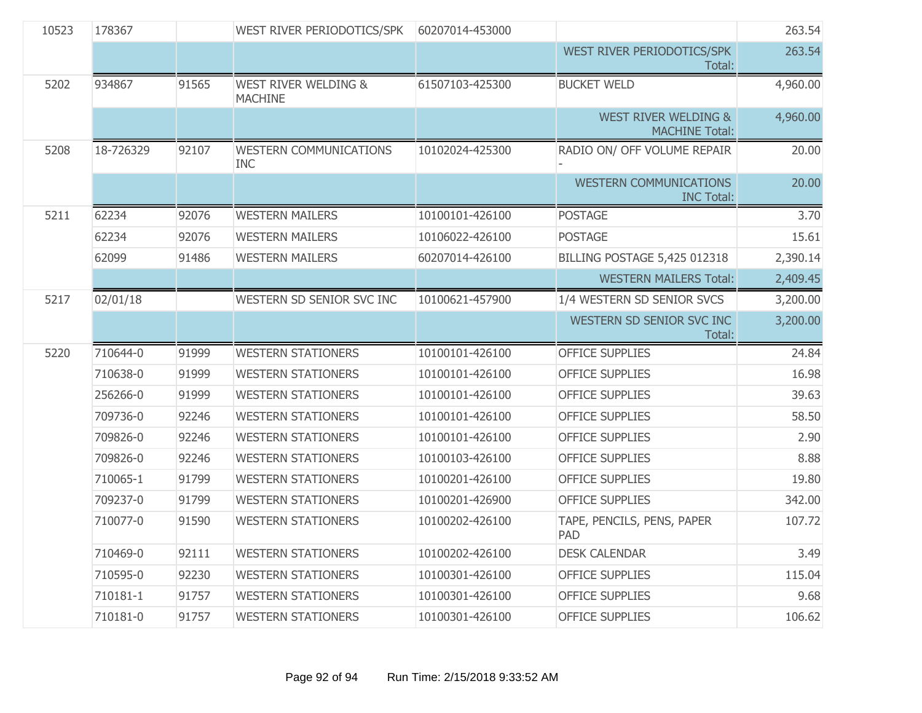| 10523 | 178367    |       | WEST RIVER PERIODOTICS/SPK                        | 60207014-453000 |                                                          | 263.54   |
|-------|-----------|-------|---------------------------------------------------|-----------------|----------------------------------------------------------|----------|
|       |           |       |                                                   |                 | WEST RIVER PERIODOTICS/SPK<br>Total:                     | 263.54   |
| 5202  | 934867    | 91565 | <b>WEST RIVER WELDING &amp;</b><br><b>MACHINE</b> | 61507103-425300 | <b>BUCKET WELD</b>                                       | 4,960.00 |
|       |           |       |                                                   |                 | <b>WEST RIVER WELDING &amp;</b><br><b>MACHINE Total:</b> | 4,960.00 |
| 5208  | 18-726329 | 92107 | <b>WESTERN COMMUNICATIONS</b><br><b>INC</b>       | 10102024-425300 | RADIO ON/ OFF VOLUME REPAIR                              | 20.00    |
|       |           |       |                                                   |                 | <b>WESTERN COMMUNICATIONS</b><br><b>INC Total:</b>       | 20.00    |
| 5211  | 62234     | 92076 | <b>WESTERN MAILERS</b>                            | 10100101-426100 | <b>POSTAGE</b>                                           | 3.70     |
|       | 62234     | 92076 | <b>WESTERN MAILERS</b>                            | 10106022-426100 | <b>POSTAGE</b>                                           | 15.61    |
|       | 62099     | 91486 | <b>WESTERN MAILERS</b>                            | 60207014-426100 | <b>BILLING POSTAGE 5,425 012318</b>                      | 2,390.14 |
|       |           |       |                                                   |                 | <b>WESTERN MAILERS Total:</b>                            | 2,409.45 |
| 5217  | 02/01/18  |       | WESTERN SD SENIOR SVC INC                         | 10100621-457900 | 1/4 WESTERN SD SENIOR SVCS                               | 3,200.00 |
|       |           |       |                                                   |                 | WESTERN SD SENIOR SVC INC<br>Total:                      | 3,200.00 |
| 5220  | 710644-0  | 91999 | <b>WESTERN STATIONERS</b>                         | 10100101-426100 | <b>OFFICE SUPPLIES</b>                                   | 24.84    |
|       | 710638-0  | 91999 | <b>WESTERN STATIONERS</b>                         | 10100101-426100 | <b>OFFICE SUPPLIES</b>                                   | 16.98    |
|       | 256266-0  | 91999 | <b>WESTERN STATIONERS</b>                         | 10100101-426100 | <b>OFFICE SUPPLIES</b>                                   | 39.63    |
|       | 709736-0  | 92246 | <b>WESTERN STATIONERS</b>                         | 10100101-426100 | <b>OFFICE SUPPLIES</b>                                   | 58.50    |
|       | 709826-0  | 92246 | <b>WESTERN STATIONERS</b>                         | 10100101-426100 | <b>OFFICE SUPPLIES</b>                                   | 2.90     |
|       | 709826-0  | 92246 | <b>WESTERN STATIONERS</b>                         | 10100103-426100 | <b>OFFICE SUPPLIES</b>                                   | 8.88     |
|       | 710065-1  | 91799 | <b>WESTERN STATIONERS</b>                         | 10100201-426100 | <b>OFFICE SUPPLIES</b>                                   | 19.80    |
|       | 709237-0  | 91799 | <b>WESTERN STATIONERS</b>                         | 10100201-426900 | <b>OFFICE SUPPLIES</b>                                   | 342.00   |
|       | 710077-0  | 91590 | <b>WESTERN STATIONERS</b>                         | 10100202-426100 | TAPE, PENCILS, PENS, PAPER<br><b>PAD</b>                 | 107.72   |
|       | 710469-0  | 92111 | <b>WESTERN STATIONERS</b>                         | 10100202-426100 | <b>DESK CALENDAR</b>                                     | 3.49     |
|       | 710595-0  | 92230 | <b>WESTERN STATIONERS</b>                         | 10100301-426100 | <b>OFFICE SUPPLIES</b>                                   | 115.04   |
|       |           |       |                                                   |                 |                                                          |          |
|       | 710181-1  | 91757 | <b>WESTERN STATIONERS</b>                         | 10100301-426100 | <b>OFFICE SUPPLIES</b>                                   | 9.68     |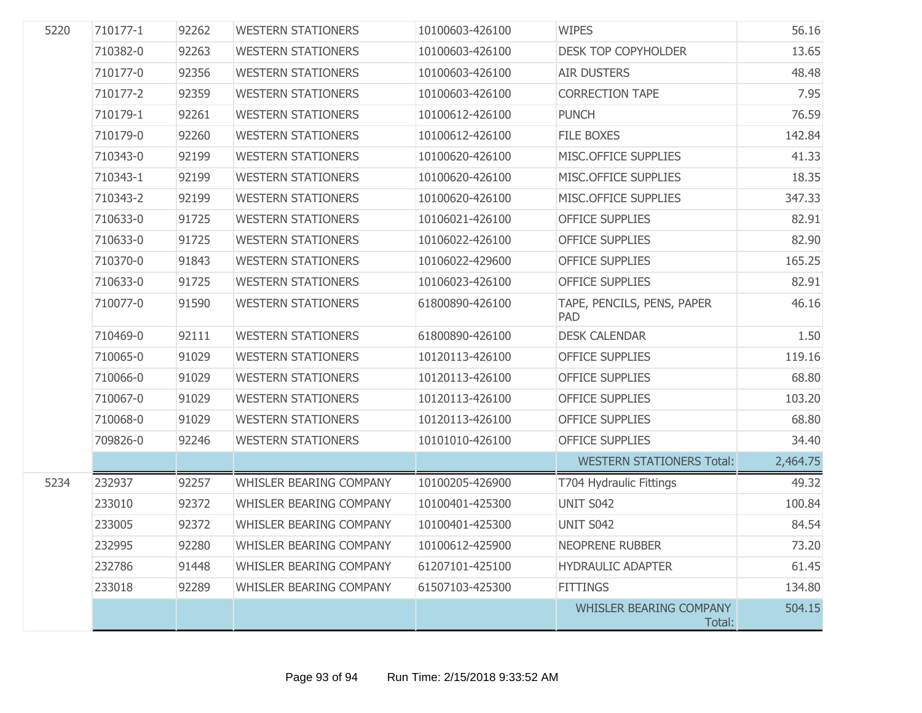| 5220 | 710177-1 | 92262 | <b>WESTERN STATIONERS</b>      | 10100603-426100 | <b>WIPES</b>                             | 56.16    |
|------|----------|-------|--------------------------------|-----------------|------------------------------------------|----------|
|      | 710382-0 | 92263 | <b>WESTERN STATIONERS</b>      | 10100603-426100 | <b>DESK TOP COPYHOLDER</b>               | 13.65    |
|      | 710177-0 | 92356 | <b>WESTERN STATIONERS</b>      | 10100603-426100 | <b>AIR DUSTERS</b>                       | 48.48    |
|      | 710177-2 | 92359 | <b>WESTERN STATIONERS</b>      | 10100603-426100 | <b>CORRECTION TAPE</b>                   | 7.95     |
|      | 710179-1 | 92261 | <b>WESTERN STATIONERS</b>      | 10100612-426100 | <b>PUNCH</b>                             | 76.59    |
|      | 710179-0 | 92260 | <b>WESTERN STATIONERS</b>      | 10100612-426100 | <b>FILE BOXES</b>                        | 142.84   |
|      | 710343-0 | 92199 | <b>WESTERN STATIONERS</b>      | 10100620-426100 | MISC.OFFICE SUPPLIES                     | 41.33    |
|      | 710343-1 | 92199 | <b>WESTERN STATIONERS</b>      | 10100620-426100 | MISC.OFFICE SUPPLIES                     | 18.35    |
|      | 710343-2 | 92199 | <b>WESTERN STATIONERS</b>      | 10100620-426100 | MISC.OFFICE SUPPLIES                     | 347.33   |
|      | 710633-0 | 91725 | <b>WESTERN STATIONERS</b>      | 10106021-426100 | <b>OFFICE SUPPLIES</b>                   | 82.91    |
|      | 710633-0 | 91725 | <b>WESTERN STATIONERS</b>      | 10106022-426100 | <b>OFFICE SUPPLIES</b>                   | 82.90    |
|      | 710370-0 | 91843 | <b>WESTERN STATIONERS</b>      | 10106022-429600 | <b>OFFICE SUPPLIES</b>                   | 165.25   |
|      | 710633-0 | 91725 | <b>WESTERN STATIONERS</b>      | 10106023-426100 | <b>OFFICE SUPPLIES</b>                   | 82.91    |
|      | 710077-0 | 91590 | <b>WESTERN STATIONERS</b>      | 61800890-426100 | TAPE, PENCILS, PENS, PAPER<br><b>PAD</b> | 46.16    |
|      | 710469-0 | 92111 | <b>WESTERN STATIONERS</b>      | 61800890-426100 | <b>DESK CALENDAR</b>                     | 1.50     |
|      | 710065-0 | 91029 | <b>WESTERN STATIONERS</b>      | 10120113-426100 | <b>OFFICE SUPPLIES</b>                   | 119.16   |
|      | 710066-0 | 91029 | <b>WESTERN STATIONERS</b>      | 10120113-426100 | <b>OFFICE SUPPLIES</b>                   | 68.80    |
|      | 710067-0 | 91029 | <b>WESTERN STATIONERS</b>      | 10120113-426100 | <b>OFFICE SUPPLIES</b>                   | 103.20   |
|      | 710068-0 | 91029 | <b>WESTERN STATIONERS</b>      | 10120113-426100 | <b>OFFICE SUPPLIES</b>                   | 68.80    |
|      | 709826-0 | 92246 | <b>WESTERN STATIONERS</b>      | 10101010-426100 | <b>OFFICE SUPPLIES</b>                   | 34.40    |
|      |          |       |                                |                 | <b>WESTERN STATIONERS Total:</b>         | 2,464.75 |
| 5234 | 232937   | 92257 | WHISLER BEARING COMPANY        | 10100205-426900 | T704 Hydraulic Fittings                  | 49.32    |
|      | 233010   | 92372 | WHISLER BEARING COMPANY        | 10100401-425300 | UNIT S042                                | 100.84   |
|      | 233005   | 92372 | WHISLER BEARING COMPANY        | 10100401-425300 | UNIT S042                                | 84.54    |
|      | 232995   | 92280 | WHISLER BEARING COMPANY        | 10100612-425900 | NEOPRENE RUBBER                          | 73.20    |
|      | 232786   | 91448 | <b>WHISLER BEARING COMPANY</b> | 61207101-425100 | <b>HYDRAULIC ADAPTER</b>                 | 61.45    |
|      | 233018   | 92289 | <b>WHISLER BEARING COMPANY</b> | 61507103-425300 | <b>FITTINGS</b>                          | 134.80   |
|      |          |       |                                |                 | WHISLER BEARING COMPANY<br>Total:        | 504.15   |